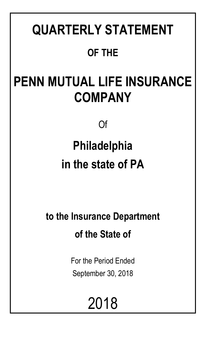# **QUARTERLY STATEMENT OF THE**

## **PENN MUTUAL LIFE INSURANCE COMPANY**

Of

# **Philadelphia in the state of PA**

**to the Insurance Department of the State of**

> For the Period Ended September 30, 2018

> > 2018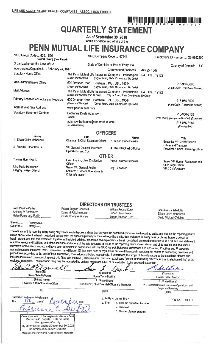Officer

Senior VP, General Auditor

Chief Information

Senior VP, Service Operations &

## <u>T QUAR DA BAR DA DA DA DA DA DA BA DA DA D</u>

## **QUARTERLY STATEMENT**

As of September 30, 2018 of the Condition and Affairs of the

## PENN MUTUAL LIFE INSURANCE COMPANY

| NAIC Group Code850, 850<br>NAIC Company Code 67644<br>(Current Period) (Prior Period) |                                                                 |                                                                                                                    | Employer's ID Number 23-0952300                              |
|---------------------------------------------------------------------------------------|-----------------------------------------------------------------|--------------------------------------------------------------------------------------------------------------------|--------------------------------------------------------------|
| Organized under the Laws of PA                                                        |                                                                 | State of Domicile or Port of Entry PA                                                                              | Country of Domicile<br>US                                    |
| Incorporated/Organized February 24, 1847                                              |                                                                 | Commenced Business May 25, 1847                                                                                    |                                                              |
| <b>Statutory Home Office</b>                                                          | (Street and Number)                                             | The Penn Mutual Life Insurance Company  Philadelphia  PA  US  19172<br>(City or Town, State, Country and Zip Code) |                                                              |
| Main Administrative Office                                                            | 600 Dresher Road  Horsham  PA  US  19044<br>(Street and Number) | (City or Town, State, Country and Zip Code)                                                                        | 215-956-8000<br>(Area Code) (Telephone Number)               |
| Mail Address                                                                          | (Street and Number or P. O. Box)                                | The Penn Mutual Life Insurance Company  Philadelphia  PA  US  19172<br>(City or Town, State, Country and Zip Code) |                                                              |
| Primary Location of Books and Records                                                 | 600 Dresher Road  Horsham  PA  US  19044<br>(Street and Number) | (City or Town, State, Country and Zip Code)                                                                        | 215-956-8000<br>(Area Code) (Telephone Number)               |
| Internet Web Site Address                                                             | www.pennmutual.com                                              |                                                                                                                    |                                                              |
| <b>Statutory Statement Contact</b>                                                    | Bethanne Doyle Adamsky<br>(Name)                                |                                                                                                                    | 215-956-8120<br>(Area Code) (Telephone Number) (Extension)   |
|                                                                                       | adamsky.bethanne@pennmutual.com<br>(E-Mail Address)             |                                                                                                                    | 215-956-8145<br>(Fax Number)                                 |
|                                                                                       | <b>OFFICERS</b>                                                 |                                                                                                                    |                                                              |
| <b>Name</b>                                                                           | <b>Title</b>                                                    | <b>Name</b>                                                                                                        | <b>Title</b>                                                 |
| 1. Eileen Claire McDonnell                                                            | Chairman & Chief Executive Officer                              | 2. Susan Twine Deakins                                                                                             | Executive VP, Chief Financial                                |
| 3. Franklin Luther Best Jr.                                                           | VP, General Counsel, Insurance<br>Operations, and Cor           | 4. David Michael O'Malley                                                                                          | Officer and Treasurer<br>President & Chief Operating Officer |
|                                                                                       | <b>OTHER</b>                                                    |                                                                                                                    |                                                              |
| Thomas Henry Harris                                                                   | Executive VP, Chief Distribution                                | Kevin Terance Reynolds                                                                                             | Senior VP, Human Resources and                               |

**DIRECTORS OR TRUSTEES** 

Jay T Lewellen

| Joan Pauline Carter    | Robert Eugene Chappell      | William Roland Cook | Charisse Ranielle Lillie |
|------------------------|-----------------------------|---------------------|--------------------------|
| Anthony M Santomero    | Edmond Felix Notebaert      | Robert Henry Rock   | Eileen Claire McDonnell  |
| Helen Pomerantz Pudlin | <b>Susan Doenges Waring</b> | James Stephen Hunt  | David Michael O'Malley   |
|                        |                             |                     |                          |

State of.. Pennsylvania County of..... Montgomery

**This** 

Nina Marie Mulrooney

Gregory Joseph Driscoll

The officers of this reporting entity being duly swom, each depose and say that they are the described officers of said reporting entity, and that on the reporting period stated above, all of the herein described assets were the absolute property of the said reporting entity, free and clear from any liens or claims thereon, except as herein stated, and that this statement, together with related exhibits, schedules and explanations therein contained, annexed or referred to, is a full and true statement of all the assets and liabilities and of the condition and affairs of the said reporting entity as of the reporting period stated above, and of its income and deductions therefrom for the period ended, and have been completed in accordance with the NAIC Annual Statement Instructions and Accounting Practices and Procedures manual except to the extent that: (1) state law may differ; or, (2) that state rules or regulations require differences in reporting not related to accounting practices and procedures, according to the best of their information, knowledge and belief, respectively. Furthermore, the scope of this attestation by the described officers also includes the related corresponding electronic filing with the NAIC, when required, that is an exact copy (except for formatting differences due to electronic filing) of the enclosed statement. The electronic filing may be requested by various regulators in lieu of or in addition to the enclosed statement.

(Signature)

Eileen Claire McDonnell 1. (Printed Name) Chairman & Chief Executive Officer

(Signature) Susan Twine Deakins 2. (Printed Name)

Executive VP, Chief Financial Officer and Treasurer

(Title)

(Signature) Franklin Luther Best Jr 3. (Printed Name) VP, General Counsel, Insurance Operations, and

Llub

Corporate Secretary

(Title)

 $(Title)$ 

Subscribed and swom to before me day of

mmonwealth of Pennsylvania - Notary Seal<br>Marianne C. Bechtel, Notary Public Montgomery County My commission expires December 26, 2021 Commission number 1008805 Member, Pennsylvania Association of Notaries

#### a. Is this an original filing? 1. State the amendment number

- b. If no
	- 2. Date filed
		- 3. Number of pages attached



Senior VP, Human Resources and

Chief Legal Officer

VP & Chief Actuary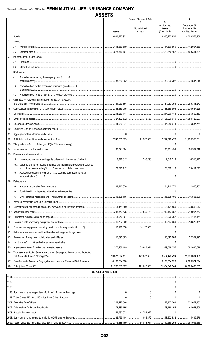|                |                                                                                          |                             | <b>Current Statement Date</b> |                     | 4                          |
|----------------|------------------------------------------------------------------------------------------|-----------------------------|-------------------------------|---------------------|----------------------------|
|                |                                                                                          | 1                           |                               | 3                   |                            |
|                |                                                                                          |                             |                               | <b>Net Admitted</b> | December 31                |
|                |                                                                                          |                             | Nonadmitted                   | Assets              | Prior Year Net             |
|                |                                                                                          | Assets                      | Assets                        | $(Cols. 1 - 2)$     | <b>Admitted Assets</b>     |
| $\mathbf{1}$ . |                                                                                          | $\ldots$ 9,933,275,952      |                               | 3,933,275,952       | 9,209,553,958              |
| 2.             | Stocks:                                                                                  |                             |                               |                     |                            |
|                |                                                                                          |                             |                               |                     |                            |
|                |                                                                                          | 114,566,569                 |                               |                     |                            |
|                | $2.2^{\circ}$                                                                            | 623,846,167                 |                               |                     |                            |
| 3.             | Mortgage loans on real estate:                                                           |                             |                               |                     |                            |
|                |                                                                                          |                             |                               |                     |                            |
|                | 3.1                                                                                      |                             |                               |                     |                            |
|                | 3.2                                                                                      |                             |                               |                     |                            |
| 4.             | Real estate:                                                                             |                             |                               |                     |                            |
|                |                                                                                          |                             |                               |                     |                            |
|                | Properties occupied by the company (less \$0<br>4.1                                      |                             |                               |                     |                            |
|                |                                                                                          |                             |                               |                     |                            |
|                | Properties held for the production of income (less \$0<br>4.2                            |                             |                               |                     |                            |
|                |                                                                                          |                             |                               |                     |                            |
|                | 4.3                                                                                      |                             |                               |                     |                            |
|                |                                                                                          |                             |                               |                     |                            |
| 5.             | Cash (\$11,122,937), cash equivalents (\$119,930,417)                                    |                             |                               |                     |                            |
|                |                                                                                          |                             |                               |                     |                            |
| 6.             |                                                                                          |                             |                               |                     | 330,687,228                |
| 7.             |                                                                                          |                             |                               |                     | 1.1.1.1.1.1.0.95, 569, 153 |
|                |                                                                                          |                             |                               |                     |                            |
| 8.             |                                                                                          |                             |                               |                     | 1,080,429,207              |
| 9.             |                                                                                          |                             |                               |                     | $\ldots$ 5.537.761         |
| 10.            |                                                                                          |                             |                               |                     |                            |
|                |                                                                                          |                             |                               |                     |                            |
| 11.            |                                                                                          |                             |                               |                     |                            |
| 12.            |                                                                                          |                             |                               |                     |                            |
|                |                                                                                          |                             |                               |                     |                            |
| 13.            |                                                                                          |                             |                               |                     |                            |
| 14.            |                                                                                          |                             |                               |                     |                            |
| 15.            | Premiums and considerations:                                                             |                             |                               |                     |                            |
|                |                                                                                          |                             |                               |                     |                            |
|                |                                                                                          |                             |                               |                     |                            |
|                | 15.2 Deferred premiums, agents' balances and installments booked but deferred            |                             |                               |                     |                            |
|                |                                                                                          |                             |                               |                     |                            |
|                | 15.3 Accrued retrospective premiums (\$0) and contracts subject to                       |                             |                               |                     |                            |
|                |                                                                                          |                             |                               | .0                  |                            |
| 16.            | Reinsurance:                                                                             |                             |                               |                     |                            |
|                |                                                                                          |                             |                               |                     |                            |
|                |                                                                                          |                             |                               |                     |                            |
|                |                                                                                          |                             |                               |                     |                            |
|                | 16.3                                                                                     |                             |                               |                     | 16.803.890                 |
|                |                                                                                          |                             |                               |                     |                            |
| 17.            |                                                                                          |                             |                               |                     |                            |
| 18.1           |                                                                                          |                             |                               |                     | $\ldots$ 38,852,043        |
|                |                                                                                          |                             |                               |                     | 218,067,567                |
|                |                                                                                          |                             |                               |                     |                            |
| 19.            |                                                                                          |                             |                               |                     | 1,115,451                  |
| 20.            |                                                                                          |                             |                               |                     | 18,376,471                 |
| 21.            |                                                                                          |                             |                               |                     |                            |
|                |                                                                                          |                             |                               |                     |                            |
| 22.            |                                                                                          |                             |                               |                     |                            |
| 23.            |                                                                                          |                             |                               |                     |                            |
| 24.            |                                                                                          |                             |                               |                     |                            |
|                |                                                                                          |                             |                               |                     |                            |
| 25.            |                                                                                          |                             |                               |                     |                            |
| 26.            | Total assets excluding Separate Accounts, Segregated Accounts and Protected              |                             |                               |                     |                            |
|                |                                                                                          |                             |                               |                     | 12,639,834,185             |
|                | 27. From Separate Accounts, Segregated Accounts and Protected Cell Accounts8,109,594,520 |                             |                               |                     | 3,029,574,674              |
|                |                                                                                          |                             |                               |                     |                            |
| 28.            |                                                                                          |                             |                               |                     | 1.111120,669,408,859       |
|                |                                                                                          | <b>DETAILS OF WRITE-INS</b> |                               |                     |                            |
|                |                                                                                          |                             |                               |                     |                            |
|                |                                                                                          |                             |                               |                     |                            |
|                |                                                                                          |                             |                               |                     |                            |
|                |                                                                                          |                             |                               |                     |                            |
|                |                                                                                          |                             |                               |                     |                            |
|                |                                                                                          |                             |                               |                     |                            |
|                |                                                                                          |                             |                               |                     |                            |
|                |                                                                                          |                             |                               |                     | $\frac{1}{221,652,433}$    |
|                |                                                                                          |                             |                               |                     |                            |
|                |                                                                                          | 78,489,155                  |                               |                     |                            |
|                |                                                                                          | 41,762,072                  |                               |                     |                            |
|                |                                                                                          | $\sim$ 32,759,404           | 14,086,872   18,672,532       |                     | 114,499,578                |
|                |                                                                                          |                             |                               |                     |                            |
|                | 2599. Totals (Lines 2501 thru 2503 plus 2598) (Line 25 above)                            | .375,438,199                | .55,848,944                   |                     |                            |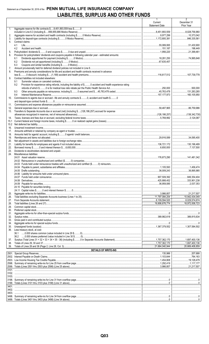## Statement as of September 30, 2018 of the PENN MUTUAL LIFE INSURANCE COMPANY LIABILITIES, SURPLUS AND OTHER FUNDS

|             |                                                                                                                       | -1<br>Current<br><b>Statement Date</b> | 2<br>December 31<br>Prior Year |
|-------------|-----------------------------------------------------------------------------------------------------------------------|----------------------------------------|--------------------------------|
| 1.          | Aggregate reserve for life contracts \$8,451,893,559 less \$0                                                         | 8,451,893,559 8,028,756,960            |                                |
| 2.          |                                                                                                                       |                                        |                                |
| 3.<br>4.    | Contract claims:                                                                                                      |                                        | 846,335,561                    |
|             | 4.1                                                                                                                   |                                        | 51,430,900                     |
| 5.          | 4.2                                                                                                                   |                                        | 21,399,461                     |
| 6.          | Provision for policyholders' dividends and coupons payable in following calendar year - estimated amounts:            |                                        |                                |
|             | 6.1                                                                                                                   |                                        |                                |
|             | 6.2<br>6.3                                                                                                            |                                        |                                |
| 7.          |                                                                                                                       |                                        |                                |
| 8.          | Premiums and annuity considerations for life and accident and health contracts received in advance                    |                                        |                                |
| 9.          | Contract liabilities not included elsewhere:                                                                          |                                        |                                |
|             | 9.1                                                                                                                   |                                        |                                |
|             | Provision for experience rating refunds, including the liability of \$ O accident and health experience rating<br>9.2 |                                        |                                |
|             | 9.3                                                                                                                   |                                        |                                |
|             | 9.4                                                                                                                   |                                        |                                |
| 10.         | Commissions to agents due or accrued - life and annuity contracts \$0, accident and health \$0                        |                                        |                                |
| 11.         |                                                                                                                       |                                        |                                |
| 12.         |                                                                                                                       |                                        |                                |
| 13.         | Transfers to Separate Accounts due or accrued (net) (including \$(126,186,257) accrued for expense                    |                                        |                                |
| 14.         |                                                                                                                       |                                        |                                |
| 15.1        |                                                                                                                       |                                        |                                |
| 15.2<br>16. |                                                                                                                       |                                        |                                |
| 17.         |                                                                                                                       |                                        |                                |
| 18.         |                                                                                                                       |                                        |                                |
| 19.<br>20.  |                                                                                                                       |                                        |                                |
| 21.         |                                                                                                                       |                                        |                                |
| 22.<br>23.  |                                                                                                                       |                                        |                                |
| 24.         | Miscellaneous liabilities:                                                                                            |                                        |                                |
|             |                                                                                                                       |                                        |                                |
|             |                                                                                                                       |                                        |                                |
|             |                                                                                                                       |                                        |                                |
|             |                                                                                                                       |                                        |                                |
|             |                                                                                                                       |                                        |                                |
|             |                                                                                                                       |                                        | 333,901,238                    |
|             |                                                                                                                       |                                        |                                |
|             |                                                                                                                       |                                        |                                |
| 25.         |                                                                                                                       |                                        | 21,217,507                     |
| 26.<br>27.  |                                                                                                                       |                                        | $\ldots$ 8,029,574,674         |
| 28.         |                                                                                                                       |                                        |                                |
| 29.<br>30.  |                                                                                                                       |                                        |                                |
| 31.         |                                                                                                                       |                                        |                                |
| 32.         |                                                                                                                       |                                        |                                |
| 33.<br>34.  |                                                                                                                       |                                        |                                |
| 35.         |                                                                                                                       |                                        | 1,307,584.502                  |
| 36.         | Less treasury stock, at cost:                                                                                         |                                        |                                |
|             |                                                                                                                       |                                        |                                |
| 37.         |                                                                                                                       |                                        |                                |
| 38.<br>39.  |                                                                                                                       |                                        |                                |
|             | <b>DETAILS OF WRITE-INS</b>                                                                                           |                                        |                                |
|             |                                                                                                                       |                                        | 207,688                        |
|             |                                                                                                                       |                                        |                                |
|             |                                                                                                                       |                                        |                                |
|             |                                                                                                                       |                                        |                                |
|             |                                                                                                                       |                                        |                                |
|             |                                                                                                                       |                                        |                                |
|             |                                                                                                                       |                                        |                                |
|             |                                                                                                                       |                                        |                                |
|             |                                                                                                                       |                                        |                                |
| 3403.       |                                                                                                                       |                                        |                                |
|             |                                                                                                                       |                                        |                                |
|             |                                                                                                                       |                                        |                                |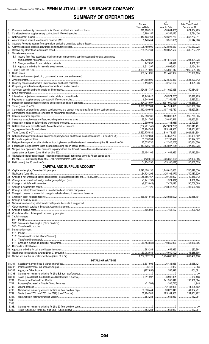## **SUMMARY OF OPERATIONS**

|                                                                                                                       | -1.<br>Current              | z<br>Prior                                  | 3<br>Prior Year Ended         |
|-----------------------------------------------------------------------------------------------------------------------|-----------------------------|---------------------------------------------|-------------------------------|
| 1.                                                                                                                    | Year to Date<br>678,166,312 | Year to Date<br>(30,804,660)<br>.           | December 31<br>821,804,289    |
| 2.                                                                                                                    | 3,760,157                   |                                             | 8,794,426                     |
| 3.                                                                                                                    |                             | 430,225,769                                 | 565,282,941                   |
| 4.<br>5.                                                                                                              |                             | $\ldots$ (3.310.661) $\ldots$ (12.144.968)  |                               |
| 6.                                                                                                                    |                             |                                             | 159,533,228                   |
| 7.                                                                                                                    |                             | 190,057,502                                 | 302,237,212                   |
| Miscellaneous Income:<br>8.                                                                                           |                             |                                             |                               |
| 8.1 Income from fees associated with investment management, administration and contract guarantees                    |                             |                                             |                               |
|                                                                                                                       |                             | 1,184,427                                   | 204,391,328<br>1.468.362      |
|                                                                                                                       |                             |                                             | 9,154,488                     |
| 9.                                                                                                                    |                             | $\ldots$ 1,629,317,600 $\ldots$ 875,032,117 | 2,060,521,306                 |
|                                                                                                                       |                             |                                             | 173,390,185                   |
|                                                                                                                       |                             |                                             |                               |
|                                                                                                                       |                             |                                             | $342$ , 127, 342<br>4,321,946 |
|                                                                                                                       |                             |                                             |                               |
|                                                                                                                       |                             |                                             | 150,384,191                   |
|                                                                                                                       |                             |                                             |                               |
|                                                                                                                       |                             |                                             |                               |
|                                                                                                                       |                             |                                             | $$ 9.537.632                  |
|                                                                                                                       |                             |                                             |                               |
|                                                                                                                       |                             |                                             | 146,627,558                   |
|                                                                                                                       |                             |                                             |                               |
|                                                                                                                       |                             |                                             | 260,779,065                   |
|                                                                                                                       |                             |                                             | 43,652,801                    |
|                                                                                                                       |                             |                                             |                               |
|                                                                                                                       |                             | 36,264,742   185,161,360                    | 254,451,202                   |
|                                                                                                                       |                             |                                             | $\ldots$ 2,024,031,804        |
|                                                                                                                       |                             |                                             | 36,489,502                    |
|                                                                                                                       |                             | 1.177, 198, 492                             | 96,924,072<br>.               |
| 31. Net gain from operations after dividends to policyholders and before federal income taxes (Line 29 minus Line 30) |                             |                                             |                               |
|                                                                                                                       |                             | (53,807,125)                                | (87,847,928)<br>.             |
| 33. Net gain from operations after dividends to policyholders and federal income taxes and before realized            |                             |                                             | 27,413,358                    |
| 34. Net realized capital gains (losses) (excluding gains (losses) transferred to the IMR) less capital gains          |                             |                                             |                               |
|                                                                                                                       |                             |                                             |                               |
|                                                                                                                       | 64,724,296                  |                                             |                               |
| <b>CAPITAL AND SURPLUS ACCOUNT</b>                                                                                    |                             |                                             |                               |
|                                                                                                                       |                             |                                             |                               |
| 37. Net income (Line 35)                                                                                              | 64.724.296                  | (25, 106, 477)                              |                               |
|                                                                                                                       |                             |                                             |                               |
|                                                                                                                       |                             |                                             |                               |
|                                                                                                                       |                             |                                             |                               |
|                                                                                                                       |                             |                                             |                               |
|                                                                                                                       |                             |                                             |                               |
|                                                                                                                       |                             |                                             |                               |
|                                                                                                                       |                             |                                             |                               |
|                                                                                                                       |                             |                                             |                               |
|                                                                                                                       |                             |                                             | 209,402                       |
|                                                                                                                       |                             |                                             |                               |
| 50. Capital changes:                                                                                                  |                             |                                             |                               |
|                                                                                                                       |                             |                                             |                               |
|                                                                                                                       |                             |                                             |                               |
| 51. Surplus adjustment:                                                                                               |                             |                                             |                               |
|                                                                                                                       |                             |                                             |                               |
|                                                                                                                       |                             |                                             |                               |
|                                                                                                                       |                             |                                             |                               |
|                                                                                                                       |                             |                                             |                               |
|                                                                                                                       |                             |                                             |                               |
|                                                                                                                       |                             |                                             |                               |
|                                                                                                                       |                             |                                             | 1,697,400,136                 |
| <b>DETAILS OF WRITE-INS</b>                                                                                           |                             |                                             |                               |
| <u> 1980 - Johann Barbara, martxa a</u><br>08.301.                                                                    |                             |                                             |                               |
| 08.302.                                                                                                               |                             |                                             |                               |
| 08.303.                                                                                                               |                             |                                             |                               |
| 08.398.                                                                                                               |                             |                                             |                               |
| 08.399.<br>2701.                                                                                                      |                             |                                             |                               |
| 2702.                                                                                                                 |                             |                                             |                               |
| 2703.                                                                                                                 |                             |                                             | 14,125,102                    |
| 2798.                                                                                                                 |                             |                                             |                               |
| 2799.                                                                                                                 |                             |                                             |                               |
| 5301.                                                                                                                 |                             |                                             |                               |
| 5302.<br>5303.                                                                                                        |                             |                                             |                               |
| 5398.                                                                                                                 |                             |                                             |                               |
| 5399.                                                                                                                 |                             |                                             |                               |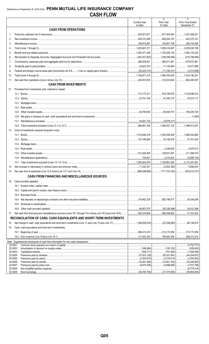|                    |                                                                                    | $\mathbf{1}$<br><b>Current Year</b> | $\overline{2}$<br>Prior Year                  | 3<br>Prior Year Ended         |
|--------------------|------------------------------------------------------------------------------------|-------------------------------------|-----------------------------------------------|-------------------------------|
|                    |                                                                                    | to Date                             | To Date                                       | December 31                   |
|                    | <b>CASH FROM OPERATIONS</b>                                                        |                                     |                                               |                               |
| 1.                 |                                                                                    | 376,673,671                         |                                               |                               |
| 2.                 |                                                                                    | 439,191,609                         | 459.204.197                                   | $\ldots$ 624,375,161          |
| 3.                 |                                                                                    | 189,815,991                         |                                               |                               |
| 4.                 |                                                                                    | 1,605,681,271                       | 1,629,416,687                                 | 1.11112.225636798             |
| 5.                 |                                                                                    |                                     | 1,163,208,129                                 | 1,062,133,022                 |
| 6.                 |                                                                                    |                                     |                                               |                               |
| 7.                 |                                                                                    | $\ldots$ 388,554,631                |                                               |                               |
| 8.                 |                                                                                    | 33,623,375                          |                                               |                               |
| 9.                 |                                                                                    |                                     |                                               |                               |
| 10.                |                                                                                    |                                     | $\dots$ 1,506,393,045 1,533,146,241           |                               |
| 11.                |                                                                                    |                                     | 123,023,642   692,490,557                     |                               |
|                    | <b>CASH FROM INVESTMENTS</b>                                                       |                                     |                                               |                               |
| 12.                | Proceeds from investments sold, matured or repaid:                                 |                                     |                                               |                               |
|                    |                                                                                    |                                     |                                               |                               |
|                    |                                                                                    |                                     |                                               |                               |
|                    |                                                                                    |                                     |                                               |                               |
|                    | 12.4                                                                               |                                     |                                               |                               |
|                    | 12.5                                                                               |                                     |                                               |                               |
|                    | 12.6                                                                               |                                     |                                               |                               |
|                    | 12.7                                                                               |                                     |                                               |                               |
|                    | 12.8                                                                               | 868,667,350                         | $\vert$ 1,006,027,722 1,496,913,457           |                               |
| 13.                | Cost of investments acquired (long-term only):                                     |                                     |                                               |                               |
|                    |                                                                                    | 1,516,836,278                       |                                               |                               |
|                    |                                                                                    |                                     | 107,166,564 33,726,078 73,761,424             |                               |
|                    | 13.3                                                                               |                                     |                                               |                               |
|                    | 13.4                                                                               |                                     |                                               | $\vert$ 2,870,512             |
|                    | 13.5                                                                               | $\ldots$ 231,628,406                | 128,831,557                                   | $\ldots$ 211,369,019          |
|                    | 13.6                                                                               |                                     |                                               |                               |
|                    |                                                                                    |                                     |                                               |                               |
| 14.                |                                                                                    |                                     |                                               |                               |
|                    |                                                                                    |                                     |                                               |                               |
|                    |                                                                                    |                                     |                                               |                               |
|                    | CASH FROM FINANCING AND MISCELLANEOUS SOURCES                                      |                                     |                                               |                               |
| 16.                | Cash provided (applied):                                                           |                                     |                                               |                               |
|                    |                                                                                    |                                     |                                               |                               |
|                    |                                                                                    |                                     |                                               |                               |
|                    | 16.3                                                                               |                                     |                                               |                               |
|                    | 16.4                                                                               |                                     |                                               |                               |
|                    | 16.5                                                                               |                                     |                                               |                               |
|                    | 16.6                                                                               |                                     |                                               |                               |
| 17.                |                                                                                    |                                     | 566,408,829                                   | 73,161,634<br>.               |
|                    | RECONCILIATION OF CASH, CASH EQUIVALENTS AND SHORT-TERM INVESTMENTS                |                                     |                                               |                               |
| 18.                |                                                                                    |                                     |                                               |                               |
| 19.                | Cash, cash equivalents and short-term investments:                                 |                                     |                                               |                               |
|                    |                                                                                    |                                     |                                               |                               |
|                    |                                                                                    |                                     | 190,824,396                                   | .299,313,274                  |
|                    | Note: Supplemental disclosures of cash flow information for non-cash transactions: |                                     |                                               |                               |
| 20.0001            |                                                                                    |                                     |                                               | (5,752,777)<br>.              |
| 20.0003            | 20.0002                                                                            |                                     |                                               | (1,058,546)                   |
| 20.0004            |                                                                                    |                                     | $\ldots$ (30,351,461)                         | (44, 254, 972)<br>.           |
| 20.0005            |                                                                                    | (2,352,970)                         | $\ldots$ (2,378,514)                          | (3,240,852)                   |
| 20.0006<br>20.0007 |                                                                                    |                                     | $ $ (14,061,762)<br>(6,670,336)   (5,696,895) | (16, 446, 983)<br>(7,810,786) |
| 20.0008            |                                                                                    |                                     |                                               |                               |
|                    | 20.0009<br>Bond exchange                                                           | $(46.359.706)$                      | $\dots$ (31.575.950) $ \dots$                 | (46.984.804)                  |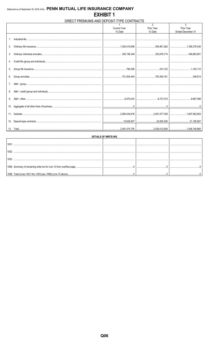#### DIRECT PREMIUMS AND DEPOSIT-TYPE CONTRACTS

|     |                     | $\overline{2}$ | 3                 |
|-----|---------------------|----------------|-------------------|
|     | <b>Current Year</b> | Prior Year     | Prior Year        |
|     | To Date             | To Date        | Ended December 31 |
|     |                     |                |                   |
|     |                     |                |                   |
|     |                     |                |                   |
| 2.  |                     |                |                   |
|     |                     |                |                   |
| 3.  |                     |                |                   |
|     |                     |                |                   |
|     |                     |                |                   |
|     |                     |                |                   |
| 5.  |                     |                |                   |
|     |                     |                |                   |
|     |                     |                |                   |
|     |                     |                |                   |
|     |                     |                |                   |
|     |                     |                |                   |
| 8.  |                     |                |                   |
|     |                     |                |                   |
| 9.  |                     |                |                   |
|     |                     |                |                   |
| 10. |                     |                |                   |
| 11. |                     |                |                   |
|     |                     |                |                   |
| 12. |                     |                |                   |
|     |                     |                |                   |
|     |                     |                |                   |
|     |                     |                |                   |

| DETAILS OF WRITE-INS                                         |  |  |  |  |  |  |  |  |
|--------------------------------------------------------------|--|--|--|--|--|--|--|--|
|                                                              |  |  |  |  |  |  |  |  |
|                                                              |  |  |  |  |  |  |  |  |
|                                                              |  |  |  |  |  |  |  |  |
|                                                              |  |  |  |  |  |  |  |  |
| 1099. Total (Lines 1001 thru 1003 plus 1098) (Line 10 above) |  |  |  |  |  |  |  |  |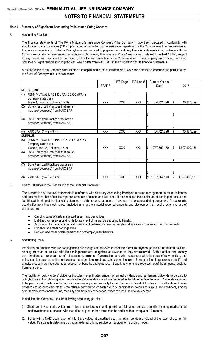#### **Note 1 – Summary of Significant Accounting Policies and Going Concern**

A. Accounting Practices

The financial statements of The Penn Mutual Life Insurance Company ("the Company") have been prepared in conformity with statutory accounting practices ("SAP") prescribed or permitted by the Insurance Department of the Commonwealth of Pennsylvania. Insurance companies domiciled in Pennsylvania are required to prepare their statutory financial statements in accordance with the National Association of Insurance Commissioners' *Accounting Practices and Procedures* manual, (referred to as NAIC SAP), subject to any deviations prescribed or permitted by the Pennsylvania Insurance Commissioner. The Company employs no permitted practices or significant prescribed practices, which differ from NAIC SAP in the preparation of its financial statements.

A reconciliation of the Company's net income and capital and surplus between NAIC SAP and practices prescribed and permitted by the State of Pennsylvania is shown below:

|     |                                        |            | F/S Page   | F/S Line # | Current Year to     |     |                |
|-----|----------------------------------------|------------|------------|------------|---------------------|-----|----------------|
|     |                                        | SSAP#      |            |            | Date                |     | 2017           |
|     | <b>NET INCOME</b>                      |            |            |            |                     |     |                |
| (1) | PENN MUTUAL LIFE INSURANCE COMPANY     |            |            |            |                     |     |                |
|     | Company state basis                    |            |            |            |                     |     |                |
|     | (Page 4, Line 35, Columns 1 & 3)       | <b>XXX</b> | <b>XXX</b> | <b>XXX</b> | 64,724,296<br>Ъ     | 1\$ | (40, 487, 529) |
| (2) | State Prescribed Practices that are an |            |            |            |                     |     |                |
|     | increase/(decrease) from NAIC SAP      |            |            |            |                     |     |                |
|     |                                        |            |            |            | \$                  | \$  |                |
| (3) | State Permitted Practices that are an  |            |            |            |                     |     |                |
|     | increase/(decrease) from NAIC SAP      |            |            |            |                     |     |                |
|     |                                        |            |            |            |                     |     |                |
| (4) | NAIC SAP $(1 – 2 – 3 = 4)$             | <b>XXX</b> | <b>XXX</b> | <b>XXX</b> | 64,724,296          | 1\$ | (40, 487, 529) |
|     | <b>SURPLUS</b>                         |            |            |            |                     |     |                |
| (5) | PENN MUTUAL LIFE INSURANCE COMPANY     |            |            |            |                     |     |                |
|     | Company state basis                    |            |            |            |                     |     |                |
|     | (Page 3, line 38, Columns 1 & 2)       | <b>XXX</b> | <b>XXX</b> | <b>XXX</b> | 1,757,362,170<br>\$ | I\$ | 1,697,400,136  |
| (6) | State Prescribed Practices that are an |            |            |            |                     |     |                |
|     | increase/(decrease) from NAIC SAP      |            |            |            |                     |     |                |
|     |                                        |            |            |            | \$                  | \$  |                |
| (7) | State Permitted Practices that are an  |            |            |            |                     |     |                |
|     | increase/(decrease) from NAIC SAP      |            |            |            |                     |     |                |
|     |                                        |            |            |            |                     |     |                |
| (8) | NAIC SAP $(5 - 6 - 7 = 8)$             | <b>XXX</b> | <b>XXX</b> | <b>XXX</b> | 1,757,362,170       | I\$ | 1,697,400,136  |

#### B. Use of Estimates in the Preparation of the Financial Statement

The preparation of financial statements in conformity with Statutory Accounting Principles requires management to make estimates and assumptions that affect the reported amounts of assets and liabilities. It also requires the disclosure of contingent assets and liabilities at the date of the financial statements and the reported amounts of revenue and expenses during the period. Actual results could differ from those estimates. Included among the material reported amounts and disclosures that require extensive use of estimates are:

- Carrying value of certain invested assets and derivatives
- Liabilities for reserves and funds for payment of insurance and annuity benefits
- Accounting for income taxes and valuation of deferred income tax assets and liabilities and unrecognized tax benefits
- Litigation and other contingencies
- Pension and other postretirement and postemployment benefits

#### C. Accounting Policy

Premiums on products with life contingencies are recognized as revenue over the premium payment period of the related policies. Annuity premium on policies with life contingencies are recognized as revenue as they are received. Both premium and annuity considerations are recorded net of reinsurance premiums. Commissions and other costs related to issuance of new policies, and policy maintenance and settlement costs are charged to current operations when incurred. Surrender fee charges on certain life and annuity products are recorded as a reduction of benefits and expenses. Benefit payments are reported net of the amounts received from reinsurers.

The liability for policyholders' dividends includes the estimated amount of annual dividends and settlement dividends to be paid to policyholders in the following year. Policyholders' dividends incurred are recorded in the Statements of Income. Dividends expected to be paid to policyholders in the following year are approved annually by the Company's Board of Trustees. The allocation of these dividends to policyholders reflects the relative contribution of each group of participating policies to surplus and considers, among other factors, investment returns, mortality and morbidity experience, expenses, and income tax charges.

In addition, the Company uses the following accounting policies:

- (1) Short-term investments, which are carried at amortized cost and approximate fair value, consist primarily of money market funds and investments purchased with maturities of greater than three months and less than or equal to 12 months.
- (2) Bonds with a NAIC designation of 1 to 5 are valued at amortized cost. All other bonds are valued at the lower of cost or fair value. Fair value is determined using an external pricing service or management's pricing model.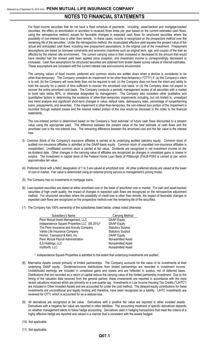For fixed income securities that do not have a fixed schedule of payments, including asset-backed and mortgage-backed securities, the effect on amortization or accretion is revalued three times per year based on the current estimated cash flows, using the retrospective method, except for favorable changes in expected cash flows for structured securities where the possibility of non-interest loss is other than remote. In these cases, income is recognized on the prospective method over the remaining life of the securities. Under the retrospective method, the recalculated effective yield equates the present value of the actual and anticipated cash flows, including new prepayment assumptions, to the original cost of the investment. Prepayment assumptions are based on borrower constraints and economic incentives such as original term, age, and coupon of the loan as affected by the interest rate environment. The current carrying value is then increased or decreased to the amount that would have resulted had the revised yield been applied since inception, and investment income is correspondingly decreased or increased. Cash flow assumptions for structured securities are obtained from broker dealer survey values or internal estimates. These assumptions are consistent with the current interest rate and economic environment.

The carrying values of fixed income, preferred and common stocks are written down when a decline is considered to be other-than-temporary. The Company considers an impairment to be other-than-temporary ("OTTI") if: (a) the Company's intent is to sell, (b) the Company will more likely than not be required to sell, (c) the Company does not have the intent and ability to hold the security for a period of time sufficient to recover the amortized cost basis, or (d) the Company does not expect to recover the entire amortized cost basis. The Company conducts a periodic management review of all securities with a market to book ratio below 80%, or otherwise designated by management. The Company also considers other qualitative and quantitative factors in determining the existence of other-than-temporary impairments including, but not limited to, unrealized loss trend analysis and significant short-term changes in value, default rates, delinquency rates, percentage of nonperforming loans, prepayments, and severities. If the impairment is other-than-temporary, the non-interest loss portion of the impairment is recorded through realized losses and the interest related portion of the loss would be disclosed in the notes to the financial statements.

The non-interest portion is determined based on the Company's "best estimate" of future cash flows discounted to a present value using the appropriate yield. The difference between the present value of the best estimate of cash flows and the amortized cost is the non-interest loss. The remaining difference between the amortized cost and the fair value is the interest loss.

- 3) Common Stock of the Company's insurance affiliates is carried at its underlying audited statutory equity. Common stock of audited non-insurance affiliates is admitted at the GAAP-basis equity. Common stock of unaudited non-insurance affiliates is nonadmitted. Unaffiliated common stock is carried at fair value. Dividends are recognized in net investment income on the ex-dividend date. Other changes in the carrying value of affiliates are recognized as changes in unrealized gains or losses in surplus. The investment in capital stock of the Federal Home Loan Bank of Pittsburgh (FHLB-PGH) is carried at par, which approximates fair value.
- (4) Preferred Stock with a NAIC designation of 1 to 3 are valued at amortized cost. All other preferred stocks are valued at the lower of cost or market. Fair value is determined using an external pricing service or management's pricing model.
- (5) The Company has no investments in mortgage loans.
- (6) Loan-backed securities are stated at either amortized cost or the lower of amortized cost or market. For loan and asset-backed securities of high credit quality, the impact of changes in expected cash flows are recognized on the retrospective adjustment method. For structured securities where the possibility of credit loss is other than remote, the impact of favorable changes in expected cash flows are recognized on the prospective method over the remaining life of the securities.
- (7) The Company has 100% ownership of the subsidiaries listed below, unless noted otherwise:

| Subsidiary's Name                            | Carrying Method          |
|----------------------------------------------|--------------------------|
| Penn Mutual Asset Management, LLC            | <b>GAAP Equity</b>       |
| Independence Square Properties LLC (95.35%)* | <b>GAAP Equity</b>       |
| The Penn Insurance and Annuity Company       | <b>Statutory Surplus</b> |
| Vantis Life Insurance Company                | <b>Statutory Surplus</b> |
| Hornor, Townsend & Kent, Inc.                | <b>GAAP Equity</b>       |
| Penn Mutual Payroll Administration           | Nonadmitted Asset        |
| ILS Holdings, LLC                            | Nonadmitted Asset        |
| myWorth, LLC                                 | Nonadmitted Asset        |
|                                              |                          |

- \* Independence Square Properties is admitted to the extent that underlying investments are audited.
- (8) Alternative Assets consist primarily of limited partnerships. The Company accounts for the value of its investments at their underlying GAAP equity. Dividends/income distributions from limited partnerships are recorded in investment income. Undistributed earnings are included in unrealized gains and losses and are reflected in surplus, net of deferred taxes. Distributions that are recorded as a return of capital reduce the carrying value of the limited partnership investment. Due to the timing of the valuation data received from the general partner, these investments are reported in accordance with the most recent valuations received which are primarily on a one quarter lag. Investments in Low Income Housing Tax Credits ("LIHTC") are included in Other Invested Assets and are accounted for under the cost method. The delayed equity contributions for these investments are unconditional and legally binding and therefore, have been recognized as a liability. LIHTC investments are reviewed for OTTI, which is accounted for as a realized loss.
- (9) All derivatives are recognized at fair value. Derivatives with a positive fair value are reported in other invested assets. Derivatives with a negative fair value are reported in other liabilities**.** The accounting treatment of specific derivatives depends on whether management elects to follow hedge accounting. Derivatives used in hedging transactions that meet the criteria of a highly effective hedge are reported and valued in a manner that is consistent with the assets hedged.
- (10) Not applicable.
- (11) Not applicable.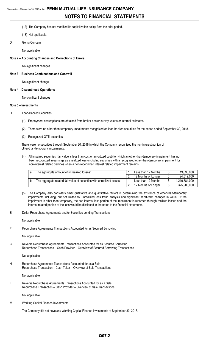- (12) The Company has not modified its capitalization policy from the prior period.
- (13) Not applicable.
- D. Going Concern
	- Not applicable

#### **Note 2 – Accounting Changes and Corrections of Errors**

No significant changes

#### **Note 3 – Business Combinations and Goodwill**

No significant change.

#### **Note 4 – Discontinued Operations**

No significant changes

#### **Note 5 – Investments**

- D. Loan-Backed Securities
	- (1) Prepayment assumptions are obtained from broker dealer survey values or internal estimates.
	- (2) There were no other than temporary impairments recognized on loan-backed securities for the period ended September 30, 2018.
	- (3) Recognized OTTI securities

There were no securities through September 30, 2018 in which the Company recognized the non-interest portion of other-than-temporary impairments.

(4) All impaired securities (fair value is less than cost or amortized cost) for which an other-than-temporary impairment has not been recognized in earnings as a realized loss (including securities with a recognized other-than-temporary impairment for non-interest related declines when a non-recognized interest related impairment remains:

| The aggregate amount of unrealized losses:                             | Less than 12 Months |   | 19,696,000    |
|------------------------------------------------------------------------|---------------------|---|---------------|
|                                                                        | 12 Months or Longer |   | 24,312,000    |
| The aggregate related fair value of securities with unrealized losses: | Less than 12 Months |   | 1,210,384,000 |
|                                                                        | 12 Months or Longer | ື | 325,900,000   |

- (5) The Company also considers other qualitative and quantitative factors in determining the existence of other-than-temporary impairments including, but not limited to, unrealized loss trend analysis and significant short-term changes in value. If the impairment is other-than-temporary, the non-interest loss portion of the impairment is recorded through realized losses and the interest related portion of the loss would be disclosed in the notes to the financial statements.
- E. Dollar Repurchase Agreements and/or Securities Lending Transactions

Not applicable.

F. Repurchase Agreements Transactions Accounted for as Secured Borrowing

Not applicable.

G. Reverse Repurchase Agreements Transactions Accounted for as Secured Borrowing Repurchase Transactions – Cash Provider – Overview of Secured Borrowing Transactions

Not applicable.

H. Repurchase Agreements Transactions Accounted for as a Sale Repurchase Transaction – Cash Taker – Overview of Sale Transactions

Not applicable.

I. Reverse Repurchase Agreements Transactions Accounted for as a Sale Repurchase Transaction – Cash Provider – Overview of Sale Transactions

Not applicable.

M. Working Capital Finance Investments

The Company did not have any Working Capital Finance Investments at September 30, 2018.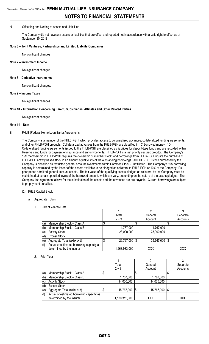#### N. Offsetting and Netting of Assets and Liabilities

The Company did not have any assets or liabilities that are offset and reported net in accordance with a valid right to offset as of September 30, 2018.

#### **Note 6 – Joint Ventures, Partnerships and Limited Liability Companies**

No significant changes

#### **Note 7 – Investment Income**

No significant changes

#### **Note 8 – Derivative Instruments**

No significant changes.

#### **Note 9 – Income Taxes**

No significant changes

#### **Note 10 – Information Concerning Parent, Subsidiaries, Affiliates and Other Related Parties**

No significant changes

#### **Note 11 – Debt**

#### B. FHLB (Federal Home Loan Bank) Agreements

The Company is a member of the FHLB-PGH, which provides access to collateralized advances, collateralized funding agreements, and other FHLB-PGH products. Collateralized advances from the FHLB-PGH are classified in 1C Borrowed money. 1D Collateralized funding agreements issued to the FHLB-PGH are classified as liabilities for deposit-type funds and are recorded within Reserves and funds for payment of insurance and annuity benefits. FHLB-PGH is a first priority secured creditor. The Company's 19S membership in FHLB-PGH requires the ownership of member stock, and borrowings from FHLB-PGH require the purchase of FHLB-PGH activity based stock in an amount equal to 4% of the outstanding borrowings. All FHLB-PGH stock purchased by the Company is classified as restricted general account investments within Common Stock - unaffiliated. The Company's 19S borrowing capacity is determined by the lesser of the assets available to be pledged as collateral to FHLB-PGH or 10% of the Company 19s prior period admitted general account assets. The fair value of the qualifying assets pledged as collateral by the Company must be maintained at certain specified levels of the borrowed amount, which can vary, depending on the nature of the assets pledged. The Company 19s agreement allows for the substitution of the assets and the advances are pre-payable. Current borrowings are subject to prepayment penalties.

#### (2) FHLB Capital Stock

- a. Aggregate Totals
	- 1. Current Year to Date

|     |                                           |               | ∩          |          |
|-----|-------------------------------------------|---------------|------------|----------|
|     |                                           | Total         | General    | Separate |
|     |                                           | $2 + 3$       | Account    | Accounts |
| (a) | Membership Stock - Class A                |               |            |          |
| (b) | Membership Stock - Class B                | 1,767,000     | 1,767,000  |          |
| (c) | <b>Activity Stock</b>                     | 28,000,000    | 28,000,000 |          |
| (d) | <b>Excess Stock</b>                       |               |            |          |
| (e) | Aggregate Total (a+b+c+d)                 | 29,767,000 \$ | 29,767,000 | 1\$      |
| (f) | Actual or estimated borrowing capacity as |               |            |          |
|     | determined by the insurer                 | 1,263,983,000 | XXX        | XXX      |

2. Prior Year

|           |                                           | Total           | General    | Separate |
|-----------|-------------------------------------------|-----------------|------------|----------|
|           |                                           | $2 + 3$         | Account    | Accounts |
| (a)       | Membership Stock - Class A                |                 |            |          |
| (b)       | Membership Stock - Class B                | 1,767,000       | 1,767,000  |          |
| $\left( $ | <b>Activity Stock</b>                     | 14,000,000      | 14,000,000 |          |
| (d)       | <b>Excess Stock</b>                       |                 |            |          |
| (e)       | Aggregate Total (a+b+c+d)                 | 15,767,000   \$ | 15,767,000 |          |
| (f)       | Actual or estimated borrowing capacity as |                 |            |          |
|           | determined by the insurer                 | 1,180,319,000   | XXX        | XXX      |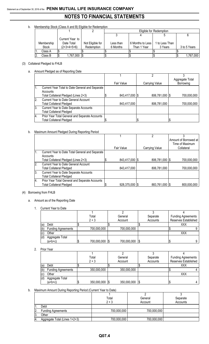b. Membership Stock (Class A and B) Eligible for Redemption

|              |                 |                  | Eligible for Redemption |                  |                |              |  |  |  |  |  |
|--------------|-----------------|------------------|-------------------------|------------------|----------------|--------------|--|--|--|--|--|
|              |                 |                  |                         |                  |                |              |  |  |  |  |  |
|              | Current Year to |                  |                         |                  |                |              |  |  |  |  |  |
| Membership   | Date Total      | Not Eligible for | Less than               | 6 Months to Less | 1 to Less Than |              |  |  |  |  |  |
| <b>Stock</b> | $(2+3+4+5+6)$   | Redemption       | 6 Months                | Than 1 Year      | 3 Years        | 3 to 5 Years |  |  |  |  |  |
| Class A      |                 |                  |                         |                  |                |              |  |  |  |  |  |
| Class B      | 1,767,000  \$   |                  |                         |                  |                | 1,767,000    |  |  |  |  |  |

#### (3) Collateral Pledged to FHLB

a. Amount Pledged as of Reporting Date

|    |                                                 |                |                  | Aggregate Total |
|----|-------------------------------------------------|----------------|------------------|-----------------|
|    |                                                 | Fair Value     | Carrying Value   | Borrowing       |
|    | Current Year Total to Date General and Separate |                |                  |                 |
|    | Accounts                                        |                |                  |                 |
|    | Total Collateral Pledged (Lines 2+3)            | 843,417,000 \$ | 806,781,000   \$ | 700,000,000     |
| 2. | <b>Current Year to Date General Account</b>     |                |                  |                 |
|    | <b>Total Collateral Pledged</b>                 | 843,417,000    | 806,781,000      | 700,000,000     |
| 3. | Current Year to Date Separate Accounts          |                |                  |                 |
|    | <b>Total Collateral Pledged</b>                 |                |                  |                 |
| 4. | Prior Year Total General and Separate Accounts  |                |                  |                 |
|    | <b>Total Collateral Pledged</b>                 |                |                  |                 |

#### b. Maximum Amount Pledged During Reporting Period

|                  |                                                 |                | ኅ              |                       |
|------------------|-------------------------------------------------|----------------|----------------|-----------------------|
|                  |                                                 |                |                | Amount of Borrowed at |
|                  |                                                 |                |                | Time of Maximum       |
|                  |                                                 | Fair Value     | Carrying Value | Collateral            |
| 1.               | Current Year to Date Total General and Separate |                |                |                       |
|                  | Accounts                                        |                |                |                       |
|                  | Total Collateral Pledged (Lines 2+3)            | 843,417,000 \$ | 806,781,000 \$ | 700,000,000           |
| $\overline{2}$ . | <b>Current Year to Date General Account</b>     |                |                |                       |
|                  | <b>Total Collateral Pledged</b>                 | 843,417,000    | 806,781,000    | 700,000,000           |
| 3.               | Current Year to Date Separate Accounts          |                |                |                       |
|                  | <b>Total Collateral Pledged</b>                 |                |                |                       |
| $\overline{4}$ . | Prior Year Total General and Separate Accounts  |                |                |                       |
|                  | <b>Total Collateral Pledged</b>                 | 928,375,000 \$ | 883,761,000 \$ | 800,000,000           |

#### (4) Borrowing from FHLB

- a. Amount as of the Reporting Date
	- 1. Current Year to Date

|     |                           | Total       |      | General     | Separate | <b>Funding Agreements</b> |  |
|-----|---------------------------|-------------|------|-------------|----------|---------------------------|--|
|     |                           | $2 + 3$     |      | Account     | Accounts | Reserves Established      |  |
| (a) | Debt                      |             |      |             |          | XXX                       |  |
| (b) | <b>Funding Agreements</b> | 700,000,000 |      | 700,000,000 |          |                           |  |
| (c) | Other                     |             |      |             |          | XXX                       |  |
| (d) | Aggregate Total           |             |      |             |          |                           |  |
|     | (a+b+c)                   | 700,000,000 | - 15 | 700,000,000 |          |                           |  |

2. Prior Year

|     |                           |   | Total          | General |             | Separate | <b>Funding Agreements</b> |                      |
|-----|---------------------------|---|----------------|---------|-------------|----------|---------------------------|----------------------|
|     |                           |   | $2 + 3$        |         | Account     | Accounts |                           | Reserves Established |
| (a) | Debt                      |   |                |         |             |          |                           | XXX                  |
| (b) | <b>Funding Agreements</b> |   | 350,000,000    |         | 350,000,000 |          |                           |                      |
| (c) | Other                     |   |                |         |             |          |                           | XXX                  |
| (d) | Aggregate Total           |   |                |         |             |          |                           |                      |
|     | $(a+b+c)$                 | Φ | 350,000,000 \$ |         | 350,000,000 | - 13     |                           |                      |

#### b. Maximum Amount During Reporting Period (Current Year to Date)

|     |                               | Total       | General     | Separate |
|-----|-------------------------------|-------------|-------------|----------|
|     |                               | $2 + 3$     | Account     | Accounts |
|     | Debt                          |             |             |          |
| 2.  | <b>Funding Agreements</b>     | 700,000,000 | 700,000,000 |          |
| 13. | Other                         |             |             |          |
| 4.  | Aggregate Total (Lines 1+2+3) | 700,000,000 | 700,000,000 |          |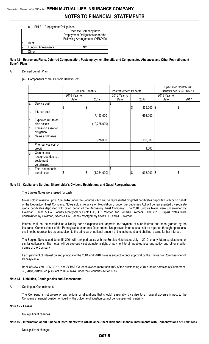c. FHLB – Prepayment Obligations

|    |                           | Does the Company have            |
|----|---------------------------|----------------------------------|
|    |                           | Prepayment Obligations under the |
|    |                           | Following Arrangements (YES/NO)  |
| 1. | Debt                      |                                  |
| 2. | <b>Funding Agreements</b> | NΩ                               |
| 3  | Other                     |                                  |

**Note 12 – Retirement Plans, Deferred Compensation, Postemployment Benefits and Compensated Absences and Other Postretirement Benefit Plans**

#### A. Defined Benefit Plan

(4) Components of Net Periodic Benefit Cost

|     |                                                                  |                      | <b>Pension Benefits</b> | <b>Postretirement Benefits</b> |   |               | Special or Contractual<br>Benefits per SSAP No. 11 |      |  |
|-----|------------------------------------------------------------------|----------------------|-------------------------|--------------------------------|---|---------------|----------------------------------------------------|------|--|
|     |                                                                  | 2018 Year to<br>Date | 2017                    | 2018 Year to<br>Date           |   | 2017          | 2018 Year to<br>Date                               | 2017 |  |
| la. | Service cost                                                     | S                    |                         | \$                             | S | 339,000       | $\sqrt{3}$                                         | \$   |  |
| lb. | Interest cost                                                    |                      | 7,193,000               |                                |   | 698,000       |                                                    |      |  |
| IC. | Expected return on<br>plan assets                                |                      | (12, 225, 000)          |                                |   |               |                                                    |      |  |
| ld. | Transition asset or<br>obligation                                |                      |                         |                                |   |               |                                                    |      |  |
| le. | Gains and losses                                                 |                      | 978,000                 |                                |   | (103,000)     |                                                    |      |  |
| lf. | Prior service cost or<br>credit                                  |                      |                         |                                |   | (1,000)       |                                                    |      |  |
| g.  | Gain or loss<br>recognized due to a<br>settlement<br>curtailment |                      |                         |                                |   |               |                                                    |      |  |
| h.  | Total net periodic<br>benefit cost                               |                      | (4,054,000)             | \$                             |   | $933,000$ \\$ |                                                    | \$   |  |

#### **Note 13 – Capital and Surplus, Shareholder's Dividend Restrictions and Quasi-Reorganizations**

The Surplus Notes were issued for cash.

Notes sold in reliance upon Rule 144A under the Securities Act will be represented by global certificates deposited with or on behalf of the Depository Trust Company. Notes sold in reliance on Regulation S under the Securities Act will be represented by separate global certificates deposited with or on behalf of the Depository Trust Company. The 2004 Surplus Notes were underwritten by Goldman, Sachs & Co., Janney Montgomery Scott LLC, J.P. Morgan and Lehman Brothers. The 2010 Surplus Notes were underwritten by Goldman, Sachs & Co., Janney Montgomery Scott LLC, and J.P. Morgan.

Interest shall not be recorded as a liability nor an expense until approval for payment of such interest has been granted by the Insurance Commissioner of the Pennsylvania Insurance Department. Unapproved interest shall not be reported through operations, shall not be represented as an addition to the principal or notional amount of the instrument, and shall not accrue further interest.

The Surplus Note issued June 15, 2004 will rank pari passu with the Surplus Note issued July 1, 2010, or any future surplus notes or similar obligations. The notes will be expressly subordinate in right of payment to all indebtedness and policy and other creditor claims of the Company.

Each payment of interest on and principal of the 2004 and 2010 notes is subject to prior approval by the Insurance Commissioner of Pennsylvania.

Bank of New York, JPMCBNA, and SSB&T Co. each owned more than 10% of the outstanding 2004 surplus notes as of September 30, 2018, distributed pursuant to Rule 144A under the Securities Act of 1933.

#### **Note 14 – Liabilities, Contingencies and Assessments**

#### A. Contingent Commitments

The Company is not aware of any actions or allegations that should reasonably give rise to a material adverse impact to the Company's financial position or liquidity, the outcome of litigation cannot be foreseen with certainty.

#### **Note 15 – Leases**

No significant changes

#### **Note 16 – Information about Financial Instruments with Off-Balance Sheet Risk and Financial Instruments with Concentrations of Credit Risk**

No significant changes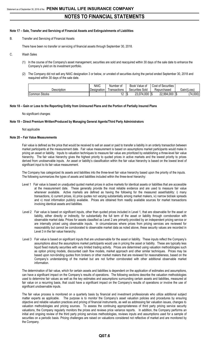#### **Note 17 – Sale, Transfer and Servicing of Financial Assets and Extinguishments of Liabilities**

B. Transfer and Servicing of Financial Assets

There have been no transfer or servicing of financial assets through September 30, 2018.

- C. Wash Sales
	- (1) In the course of the Company's asset management, securities are sold and reacquired within 30 days of the sale date to enhance the Company's yield on its investment portfolio.
	- (2) The Company did not sell any NAIC designation 3 or below, or unrated of securities during the period ended September 30, 2018 and reaquired within 30 days of the sale date.

|                      | <b>NAIC</b> | Number of     | Book Value of   | <b>Cost of Securities</b> |                           |
|----------------------|-------------|---------------|-----------------|---------------------------|---------------------------|
| Description          | Designation | I ransactions | Securities Sold | Repurchased               | Gain/(Loss)               |
| <b>Common Stocks</b> |             | $\Lambda$     | 23,074,000      | 22,994,000<br>1\$         | ′74<br>,000)<br>חו<br>I J |

#### **Note 18 – Gain or Loss to the Reporting Entity from Uninsured Plans and the Portion of Partially Insured Plans**

No significant changes

#### **Note 19 – Direct Premium Written/Produced by Managing General Agents/Third Party Administrators**

Not applicable

#### **Note 20 – Fair Value Measurements**

Fair value is defined as the price that would be received to sell an asset or paid to transfer a liability in an orderly transaction between market participants at the measurement date. Fair value measurement is based on assumptions market participants would make in pricing an asset or liability. Inputs to valuation techniques to measure fair value are prioritized by establishing a three-level fair value hierarchy. The fair value hierarchy gives the highest priority to quoted prices in active markets and the lowest priority to prices derived from unobservable inputs. An asset or liability's classification within the fair value hierarchy is based on the lowest level of significant input to its fair value measurement.

The Company has categorized its assets and liabilities into the three-level fair value hierarchy based upon the priority of the inputs. The following summarizes the types of assets and liabilities included within the three-level hierarchy:

- Level 1 Fair value is based on unadjusted quoted market prices in active markets for identical assets or liabilities that are accessible at the measurement date. These generally provide the most reliable evidence and are used to measure fair value whenever available. Active markets are defined as having the following for the measured asset/liability: i) many transactions, ii) current prices, iii) price quotes not varying substantially among market makers, iv) narrow bid/ask spreads and v) most information publicly available. Prices are obtained from readily available sources for market transactions involving identical assets and liabilities.
- Level 2 Fair value is based on significant inputs, other than quoted prices included in Level 1, that are observable for the asset or liability, either directly or indirectly, for substantially the full term of the asset or liability through corroboration with observable market data. Prices for assets classified as Level 2 are primarily provided by an independent pricing service or are internally priced using observable inputs. In circumstances where prices from pricing services are reviewed for reasonability but cannot be corroborated to observable market data as noted above, these security values are recorded in Level 3 in the fair value hierarchy.
- Level 3 Fair value is based on significant inputs that are unobservable for the asset or liability. These inputs reflect the Company's assumptions about the assumptions market participants would use in pricing the asset or liability. These are typically less liquid fixed maturity securities with very limited trading activity. Prices are determined using valuation methodologies such as option pricing models, discounted cash flow models, market approach and other similar techniques. Prices may be based upon non-binding quotes from brokers or other market makers that are reviewed for reasonableness, based on the Company's understanding of the market but are not further corroborated with other additional observable market information.

The determination of fair value, which for certain assets and liabilities is dependent on the application of estimates and assumptions, can have a significant impact on the Company's results of operations. The following sections describe the valuation methodologies used to determine fair values as well as the key estimates and assumptions surrounding certain assets and liabilities, measured at fair value on a recurring basis, that could have a significant impact on the Company's results of operations or involve the use of significant unobservable inputs.

The fair value process is monitored on a quarterly basis by financial and investment professionals who utilize additional subject matter experts as applicable. The purpose is to monitor the Company's asset valuation policies and procedures by ensuring objective and reliable valuation practices and pricing of financial instruments, as well as addressing fair valuation issues, changes to valuation methodologies and pricing sources. To assess the continuing appropriateness of third party pricing service security valuations, the Company regularly monitors the prices and reviews price variance reports. In addition, the Company performs an initial and ongoing review of the third party pricing services methodologies, reviews inputs and assumptions used for a sample of securities on a periodic basis. Pricing challenges are raised on valuations considered not reflective of market and are monitored by the Company.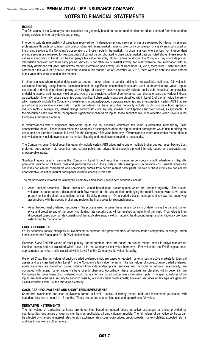#### **BONDS**

The fair values of the Company's debt securities are generally based on quoted market prices or prices obtained from independent pricing services or internally developed pricing.

In order to validate reasonability of valuations received from independent pricing services, prices are reviewed by internal investment professionals through comparison with directly observed recent market trades or color or by comparison of significant inputs used by the pricing service to the Company's observations of those inputs in the market. In circumstances where prices from independent pricing services are reviewed for reasonability but cannot be corroborated to observable market data as noted above, these security values are recorded in Level 3 in the Company's fair value hierarchy. Under certain conditions, the Company may conclude pricing information received from third party pricing services is not reflective of market activity and may over-ride that information with an internally developed valuation that utilizes market information and activity. As of December 31, 2017, there were 2 debt securities carried at a fair value of 5,868,000 that were valued in this manner. As of December 31, 2016, there were no debt securities carried at fair value that were valued in this manner.

In circumstances where market data such as quoted market prices or vendor pricing is not available, estimated fair value is calculated internally using internal estimates based on significant observable inputs are used to determine fair value. Inputs considered in developing internal pricing vary by type of security; however generally include: public debt, industrial comparables, underlying assets, credit ratings, yield curves, type of deal structure, collateral performance, loan characteristics and various indices, as applicable. Internally priced securities using significant observable inputs are classified within Level 2 of the fair value hierarchy which generally include the Company's investments in privately-placed corporate securities and investments in certain ABS that are priced using observable market data. Inputs considered for these securities generally include: public corporate bond spreads, industry sectors, average life, internal ratings, security structure, liquidity spreads, credit spreads and yield curves, as applicable. If the discounted cash flow model incorporates significant unobservable inputs, these securities would be reflected within Level 3 in the Company's fair value hierarchy.

In circumstances where significant observable inputs are not available, estimated fair value is calculated internally by using unobservable inputs. These inputs reflect the Company's assumptions about the inputs market participants would use in pricing the asset, and are therefore included in Level 3 in the Company's fair value hierarchy. Circumstances where observable market data is not available may include events such as market illiquidity and credit events related to the security.

The Company's Level 3 debt securities generally include certain ABS priced using one or multiple broker quotes, asset backed trust preferred debt, auction rate securities, and certain public and private debt securities priced internally based on observable and unobservable inputs.

Significant inputs used in valuing the Company's Level 3 debt securities include: issue specific credit adjustments, illiquidity premiums, estimation of future collateral performance cash flows, default rate assumptions, acquisition cost, market activity for securities considered comparable and non-binding quotes from certain market participants. Certain of these inputs are considered unobservable, as not all market participants will have access to this data.

The methodologies followed for valuing the Company's significant Level 3 debt securities include:

- Asset backed securities These assets are valued based upon broker quotes which are updated regularly. The quoted valuation is based upon a discounted cash flow model and the assumptions underlying the model include swap curve rates, prepayment and default assumptions and an illiquidity premium. On a periodic basis, management reviews the underlying assumptions with the quoting broker and reviews the final quotes for reasonableness.
- Asset backed trust preferred securities The process used to value these assets consists of determining the current market price and credit spread of the underlying floating rate security that will be received at maturity of the trust. That value is then discounted based upon a rate consisting of the applicable swap yield to maturity, the discount margin and an illiquidity premium established by management.

#### **EQUITY SECURITIES**

Equity securities consist principally of investments in common and preferred stock of publicly traded companies, exchange traded funds, closed-end funds, and FHLB-PGH capital stock.

*Common Stock* The fair values of most publicly traded common stock are based on quoted market prices in active markets for identical assets and are classified within Level 1 in the Company's fair value hierarchy. Fair value for the FHLB capital stock approximates par value and is classified within Level 3 of the Company's fair value hierarchy.

*Preferred Stock* The fair values of publicly traded preferred stock are based on quoted market prices in active markets for identical assets and are classified within Level 1 in the Company's fair value hierarchy. The fair values of non-exchange traded preferred equity securities are based on prices obtained from independent pricing services and, in order to validate reasonability, are compared with recent market trades we have directly observed. Accordingly, these securities are classified within Level 2 in the Company's fair value hierarchy. Preferred stock that is internally priced utilizes less observable inputs. The specific natures of the inputs are evaluated on a security by security basis by our investment professionals; however, securities of this type are generally classified within Level 3 of the fair value hierarchy.

#### **CASH, CASH EQUIVALENTS AND SHORT-TERM INVESTMENTS**

Short-term investments and cash equivalents carried at Level 1 consist of money market funds and investments purchased with maturities less than or equal to 12 months. These are carried at amortized cost and approximate fair value.

#### **DERIVATIVE INSTRUMENTS**

The fair values of derivative contracts are determined based on quoted prices in active exchanges or prices provided by counterparties, exchanges or clearing members as applicable, utilizing valuation models. The fair values of derivative contracts can be affected by changes in interest rates, foreign exchange rates, commodity prices, credit spreads, market volatility, expected returns and liquidity as well as other factors.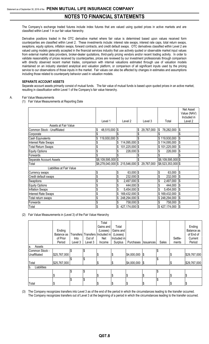The Company's exchange traded futures include index futures that are valued using quoted prices in active markets and are classified within Level 1 in our fair value hierarchy.

Derivative positions traded in the OTC derivative market where fair value is determined based upon values received form counterparties are classified within Level 2. These investments include: interest rate swaps, interest rate caps, total return swaps, swaptions, equity options, inflation swaps, forward contracts, and credit default swaps. OTC derivatives classified within Level 2 are valued using models generally accepted in the financial services industry that use actively quoted or observable market input values from external market data providers, broker-dealer quotations, third-party pricing vendors and/or recent trading activity. In order to validate reasonability of prices received by counterparties, prices are reviewed by our investment professionals through comparison with directly observed recent market trades, comparison with internal valuations estimated through use of valuation models maintained on an industry standard analytical and valuation platform, or comparison of all significant inputs used by the pricing service to our observations of those inputs in the market. Fair values can also be affected by changes in estimates and assumptions including those related to counterparty behavior used in valuation models.

#### **SEPARATE ACCOUNT ASSETS**

Separate account assets primarily consist of mutual funds. The fair value of mutual funds is based upon quoted prices in an active market, resulting in classification within Level 1 of the Company's fair value hierarchy.

#### A. Fair Value Measurements

(1) Fair Value Measurements at Reporting Date

|                             |                                     |                           |                |                  |    |                    |            | Net Asset   |
|-----------------------------|-------------------------------------|---------------------------|----------------|------------------|----|--------------------|------------|-------------|
|                             |                                     |                           |                |                  |    |                    |            | Value (NAV) |
|                             |                                     |                           |                |                  |    |                    |            | Included in |
|                             | Level 1                             |                           | Level 2        | Level 3          |    | Total              |            | Level 2     |
| Assets at Fair Value        |                                     |                           |                |                  |    |                    |            |             |
| Common Stock - Unaffiliated | 48,515,000 \$<br>\$                 |                           |                | \$<br>29,767,000 | S. | 78,282,000         | \$         |             |
| Corporate                   |                                     | \$                        |                |                  |    |                    |            |             |
| Cash Equivalents            | 119,930,000                         |                           |                |                  |    | \$119,930,000      | \$         |             |
| <b>Interest Rate Swaps</b>  |                                     | \$                        | 114,095,000 \$ |                  |    | \$114,095,000      | \$         |             |
| <b>Total Return Swaps</b>   |                                     |                           | 101,225,000 \$ |                  |    | \$101,225,000      | \$         |             |
| <b>Equity Options</b>       |                                     |                           | 226,000 \$     |                  |    | 226,000            | \$         |             |
| Forwards                    |                                     |                           |                |                  |    |                    |            |             |
| Separate Account Assets     | \$8,109,595,000 \$                  |                           |                |                  |    | \$8,109,595,000 \$ |            |             |
| Total                       | $$8,278,040,000$ $$215,546,000$ $$$ |                           |                | 29,767,000       |    | \$8,523,353,000 \$ |            |             |
| Liabilities at Fair Value   |                                     |                           |                |                  |    |                    |            |             |
| Currency swaps              | \$                                  | $\boldsymbol{\mathsf{S}}$ | $63,000$ \$    |                  | \$ | 63,000             | $\sqrt{3}$ |             |
| Credit default swaps        | \$                                  | \$                        | 232,000 \$     |                  |    | 232,000            | \$         |             |
| Swaptions                   | \$                                  | \$                        | 2,497,000 \$   |                  | \$ | 2,497,000          | \$         |             |
| <b>Equity Options</b>       | \$                                  | \$                        | 444,000 \$     |                  | \$ | 444,000            | \$         |             |
| <b>Inflation Swaps</b>      | \$                                  | \$                        | 5,454,000 \$   |                  | \$ | 5,454,000          | \$         |             |
| <b>Interest Rate Swaps</b>  | \$                                  | \$                        | 169,432,000 \$ |                  |    | \$169,432,000      | \$         |             |
| Total return swaps          | \$                                  | \$                        | 248,294,000 \$ |                  |    | \$248,294,000      | \$         |             |
| Forwards                    | \$                                  | \$                        | 758,000 \$     |                  | \$ | 758,000            | \$         |             |
| Total                       | \$                                  |                           | 427,174,000 \$ |                  |    | \$427,174,000      | \$         |             |

(2) Fair Value Measurements in (Level 3) of the Fair Value Hierarchy

|                    |              |         |         | Total                           |             |                  |                  |       |               |              |
|--------------------|--------------|---------|---------|---------------------------------|-------------|------------------|------------------|-------|---------------|--------------|
|                    |              |         |         | Gains and                       | Total       |                  |                  |       |               | Ending       |
|                    | Ending       |         |         | (Losses)                        | Gains and   |                  |                  |       |               | Balance as   |
|                    | Balance as   |         |         | Transfers Transfers Included in | (Losses)    |                  |                  |       |               | of End of    |
|                    | of Prior     | Into    | Out of  | Net                             | Included in |                  |                  |       | Settle-       | Current      |
|                    | Period       | Level 3 | Level 3 | Income                          | Surplus     | Purchases        | <b>Issuances</b> | Sales | ments         | Period       |
| Assets<br>la.      |              |         |         |                                 |             |                  |                  |       |               |              |
| Common Stock -     |              | \$      |         |                                 |             |                  |                  |       |               |              |
| Unaffiliated       | \$25,767,000 |         |         | \$                              | \$          | $$4,000,000$ $$$ |                  |       | $\frac{3}{2}$ | \$29,767,000 |
|                    |              |         | \$      |                                 |             |                  |                  | ¢     |               |              |
| Total              | \$25,767,000 |         |         | \$                              | \$          | $$4,000,000$ $$$ |                  |       | \$            | \$29,767,000 |
| Liabilities<br>Ib. |              |         |         |                                 |             |                  |                  |       |               |              |
|                    |              | \$      | S.      |                                 |             |                  |                  |       |               |              |
|                    |              |         |         | \$                              | \$          | Ι\$              | \$               |       | \$            | \$           |
|                    |              | \$      |         |                                 |             |                  |                  |       |               |              |
| Total              | J            |         |         | \$                              | \$          | \$               | \$               |       | \$            | \$           |

(3) The Company recognizes transfers into Level 3 as of the end of the period in which the circumstances leading to the transfer occurred.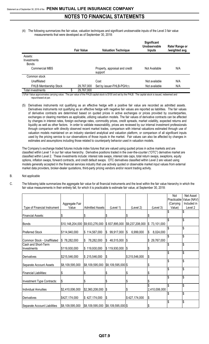(4) The following summarizes the fair value, valuation techniques and significant unobservable inputs of the Level 3 fair value measurements that were developed as of September 30, 2018:

|                                        | <b>Fair Value</b> | <b>Valuation Technique</b>                | Significant<br>Unobservable<br><b>Inputs</b> | Rate/ Range or<br>/weighted avg. |
|----------------------------------------|-------------------|-------------------------------------------|----------------------------------------------|----------------------------------|
| Assets:<br>Investments<br><b>Bonds</b> |                   |                                           |                                              |                                  |
| Commercial MBS                         |                   | Property, appraisal and credit<br>support | Not Available                                | N/A                              |
| Common stock                           |                   |                                           |                                              |                                  |
| Unaffiliated                           |                   | Cost                                      | Not available                                | N/A                              |
| <b>FHLB Membership Stock</b>           | 29,767,000        | Set by issuer-FHLB-PGH(1)                 | Not available                                | N/A                              |
| Total investments                      | \$<br>29,767,000  |                                           |                                              |                                  |

(1)Fair Value approximates carrying value. The par value of the FHLB capital stock is \$100 and set by the FHLB. The capital stock is issued, redeemed and repurchased at par.

(5) Derivatives instruments not qualifying as an effective hedge with a positive fair value are recorded as admitted assets. Derivatives instruments not qualifying as an effective hedge with negative fair values are reported as liabilities. The fair values of derivative contracts are determined based on quoted prices in active exchanges or prices provided by counterparties, exchanges or clearing members as applicable, utilizing valuation models. The fair values of derivative contracts can be affected by changes in interest rates, foreign exchange rates, commodity prices, credit spreads, market volatility, expected returns and liquidity as well as other factors. In order to validate reasonability, prices are reviewed by our internal investment professionals through comparison with directly observed recent market trades, comparison with internal valuations estimated through use of valuation models maintained on an industry standard analytical and valuation platform, or comparison of all significant inputs used by the pricing service to our observations of those inputs in the market. Fair values can also be affected by changes in estimates and assumptions including those related to counterparty behavior used in valuation models.

The Company's exchange traded futures include index futures that are valued using quoted prices in active markets and are classified within Level 1 in our fair value hierarchy. Derivative positions traded in the over-the-counter ("OTC") derivative market are classified within Level 2. These investments include: interest rate swaps, interest rate caps, total return swaps, swaptions, equity options, inflation swaps, forward contracts, and credit default swaps. OTC derivatives classified within Level 2 are valued using models generally accepted in the financial services industry that use actively quoted or observable market input values from external market data providers, broker-dealer quotations, third-party pricing vendors and/or recent trading activity.

#### B. Not applicable

C. The following table summarizes the aggregate fair value for all financial instruments and the level within the fair value hierarchy in which the fair value measurements in their entirety fall, for which it is practicable to estimate fair value, at September 30, 2018:

|                                    |                                  |                                                                |                     |                                        |                  | Not       | Net Asset               |
|------------------------------------|----------------------------------|----------------------------------------------------------------|---------------------|----------------------------------------|------------------|-----------|-------------------------|
|                                    |                                  |                                                                |                     |                                        |                  |           | Practicable Value (NAV) |
|                                    | Aggregate Fair                   |                                                                |                     |                                        |                  | (Carrying | Included in             |
| Type of Financial Instrument       | Value                            | <b>Admitted Assets</b>                                         | (Level 1)           | (Level 2)                              | (Level 3)        | Value)    | Level 2                 |
| <b>Financial Assets:</b>           | \$                               | \$                                                             | \$                  | \$                                     | \$               | \$        | \$                      |
| <b>Bonds</b>                       | \$10,148,204,000 \$9,933,276,000 |                                                                | \$837,895,000       | \$9,237,208,000                        | 73,101,000<br>\$ | \$        | \$                      |
| <b>Preferred Stock</b>             | \$114,940,000                    | \$114,567,000                                                  | 99,917,000<br>\$    | 6,999,000<br>$\boldsymbol{\mathsf{S}}$ | \$<br>8,024,000  | \$        | \$                      |
| Common Stock - Unaffiliated        | \$78,282,000                     | l\$<br>78,282,000                                              | 48,515,000<br>1\$   | \$                                     | 29,767,000<br>\$ |           | \$                      |
| Cash and Short-Term<br>Investments | \$119,930,000                    | \$119,930,000                                                  | \$119,930,000       | \$                                     | \$               | \$        | \$                      |
|                                    | \$215,546,000                    | \$215,546,000                                                  |                     | \$215,546,000                          | \$               | \$        | \$                      |
| Derivatives                        |                                  |                                                                | \$                  |                                        |                  | \$        | \$                      |
| Separate Account Assets            | \$8,109,595,000                  | \$8,109,595,000                                                | $$8,109,595,000$ \$ |                                        | \$               |           |                         |
| Financial Liabilities:             | \$                               | \$                                                             | \$                  | \$                                     | \$               | \$        | \$                      |
| Investment Type Contracts:         | \$                               | \$                                                             | \$                  | \$                                     | \$               | \$        | \$                      |
| Individual Annuities               | \$2,410,006,000                  | \$2,360,208,000                                                | $\sqrt{3}$          | \$                                     | 2,410,006,000    | \$        | \$                      |
|                                    |                                  |                                                                |                     |                                        |                  | \$        | \$                      |
| Derivatives                        | \$427,174,000                    | \$427,174,000                                                  | $\sqrt{3}$          | \$427,174,000                          | \$               |           |                         |
| Separate Account Liabilities       | \$8,109,595,000                  | $\frac{1}{2}$ \$8,109,595,000 $\frac{1}{2}$ \$8,109,595,000 \$ |                     |                                        | \$               | \$        | \$                      |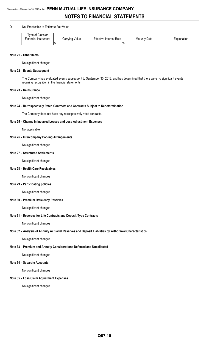#### D. Not Practicable to Estimate Fair Value

| Type of Class or           |                   |                                |                      |             |
|----------------------------|-------------------|--------------------------------|----------------------|-------------|
| --<br>Financial Instrument | Value<br>Carrying | <b>Effective Interest Rate</b> | <b>Maturity Date</b> | Explanation |
|                            |                   | $\%$                           |                      |             |

#### **Note 21 – Other Items**

No significant changes

#### **Note 22 – Events Subsequent**

The Company has evaluated events subsequent to September 30, 2018, and has determined that there were no significant events requiring recognition in the financial statements.

#### **Note 23 – Reinsurance**

No significant changes

#### **Note 24 – Retrospectively Rated Contracts and Contracts Subject to Redetermination**

The Company does not have any retrospectively rated contracts.

#### **Note 25 – Change in Incurred Losses and Loss Adjustment Expenses**

Not applicable

#### **Note 26 – Intercompany Pooling Arrangements**

No significant changes

#### **Note 27 – Structured Settlements**

No significant changes

#### **Note 28 – Health Care Receivables**

No significant changes

#### **Note 29 – Participating policies**

No significant changes

#### **Note 30 – Premium Deficiency Reserves**

No significant changes

#### **Note 31 – Reserves for Life Contracts and Deposit-Type Contracts**

No significant changes

#### **Note 32 – Analysis of Annuity Actuarial Reserves and Deposit Liabilities by Withdrawal Characteristics**

No significant changes

#### **Note 33 – Premium and Annuity Considerations Deferred and Uncollected**

No significant changes

#### **Note 34 – Separate Accounts**

No significant changes

#### **Note 35 – Loss/Claim Adjustment Expenses**

No significant changes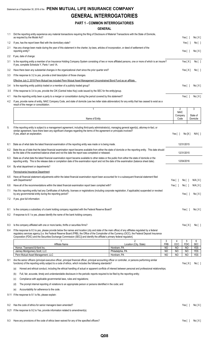## Statement as of September 30, 2018 of the **PENN MUTUAL LIFE INSURANCE COMPANY GENERAL INTERROGATORIES**

## **PART 1 - COMMON INTERROGATORIES**

#### **GENERAL**

| 1.1 | Did the reporting entity experience any material transactions requiring the filing of Disclosure of Material Transactions with the State of Domicile,<br>as required by the Model Act?                                                                                                                                                                                                                                                       |                                       |                         |                        | Yes [ ]                  | No[X]                    |
|-----|----------------------------------------------------------------------------------------------------------------------------------------------------------------------------------------------------------------------------------------------------------------------------------------------------------------------------------------------------------------------------------------------------------------------------------------------|---------------------------------------|-------------------------|------------------------|--------------------------|--------------------------|
| 1.2 | If yes, has the report been filed with the domiciliary state?                                                                                                                                                                                                                                                                                                                                                                                |                                       |                         |                        | Yes [ ]                  | No [ ]                   |
| 2.1 | Has any change been made during the year of this statement in the charter, by-laws, articles of incorporation, or deed of settlement of the<br>reporting entity?                                                                                                                                                                                                                                                                             |                                       |                         |                        | Yes $[ \ ]$              | No[X]                    |
| 2.2 | If yes, date of change:                                                                                                                                                                                                                                                                                                                                                                                                                      |                                       |                         |                        |                          |                          |
| 3.1 | Is the reporting entity a member of an Insurance Holding Company System consisting of two or more affiliated persons, one or more of which is an insurer?<br>If yes, complete Schedule Y, Parts 1 and 1A.                                                                                                                                                                                                                                    |                                       |                         |                        | Yes[X]                   | No [ ]                   |
| 3.2 | Have there been any substantial changes in the organizational chart since the prior quarter end?                                                                                                                                                                                                                                                                                                                                             |                                       |                         |                        | Yes[X]                   | No[ ]                    |
| 3.3 | If the response to 3.2 is yes, provide a brief description of those changes.                                                                                                                                                                                                                                                                                                                                                                 |                                       |                         |                        |                          |                          |
|     | Effective July 2, 2018 Penn Mutual has included Penn Mutual Asset Management Unconstrained Bond Fund as an affiliate.                                                                                                                                                                                                                                                                                                                        |                                       |                         |                        |                          |                          |
| 3.4 | Is the reporting entity publicly traded or a member of a publicly traded group?                                                                                                                                                                                                                                                                                                                                                              |                                       |                         |                        | Yes $[ ]$                | No[X]                    |
| 3.5 | If the response to 3.4 is yes, provide the CIK (Central Index Key) code issued by the SEC for the entity/group.                                                                                                                                                                                                                                                                                                                              |                                       |                         |                        |                          |                          |
| 4.1 | Has the reporting entity been a party to a merger or consolidation during the period covered by this statement?                                                                                                                                                                                                                                                                                                                              |                                       |                         |                        | Yes $[ ]$                | No[X]                    |
| 4.2 | If yes, provide name of entity, NAIC Company Code, and state of domicile (use two letter state abbreviation) for any entity that has ceased to exist as a<br>result of the merger or consolidation.                                                                                                                                                                                                                                          |                                       |                         |                        |                          |                          |
|     | $\mathbf{1}$                                                                                                                                                                                                                                                                                                                                                                                                                                 |                                       |                         | $\overline{2}$         |                          | 3                        |
|     |                                                                                                                                                                                                                                                                                                                                                                                                                                              |                                       |                         | <b>NAIC</b><br>Company |                          | State of                 |
|     | Name of Entity                                                                                                                                                                                                                                                                                                                                                                                                                               |                                       |                         | Code                   |                          | Domicile                 |
| 5.  | If the reporting entity is subject to a management agreement, including third-party administrator(s), managing general agent(s), attorney-in-fact, or<br>similar agreement, have there been any significant changes regarding the terms of the agreement or principals involved?<br>If yes, attach an explanation.                                                                                                                           |                                       |                         | Yes $\lceil$ 1         | No[X]                    | $N/A$ [ ]                |
|     |                                                                                                                                                                                                                                                                                                                                                                                                                                              |                                       |                         |                        |                          |                          |
| 6.1 | State as of what date the latest financial examination of the reporting entity was made or is being made.                                                                                                                                                                                                                                                                                                                                    |                                       |                         |                        | 12/31/2015               |                          |
| 6.2 | State the as of date that the latest financial examination report became available from either the state of domicile or the reporting entity. This date should<br>be the date of the examined balance sheet and not the date the report was completed or released.                                                                                                                                                                           |                                       |                         |                        | 12/31/2015               |                          |
| 6.3 | State as of what date the latest financial examination report became available to other states or the public from either the state of domicile or the<br>reporting entity. This is the release date or completion date of the examination report and not the date of the examination (balance sheet date).                                                                                                                                   |                                       |                         |                        | 12/04/2016               |                          |
| 6.4 | By what department or departments?                                                                                                                                                                                                                                                                                                                                                                                                           |                                       |                         |                        |                          |                          |
|     | Pennsylvania Insurance Department                                                                                                                                                                                                                                                                                                                                                                                                            |                                       |                         |                        |                          |                          |
| 6.5 | Have all financial statement adjustments within the latest financial examination report been accounted for in a subsequent financial statement filed<br>with Departments?                                                                                                                                                                                                                                                                    |                                       |                         | Yes $[ \ ]$            | No[]                     | N/A [ X ]                |
| 6.6 | Have all of the recommendations within the latest financial examination report been complied with?                                                                                                                                                                                                                                                                                                                                           |                                       |                         | Yes $\lceil \rceil$    | No [ ]                   | N/A [ X ]                |
| 7.1 | Has this reporting entity had any Certificates of Authority, licenses or registrations (including corporate registration, if applicable) suspended or revoked<br>by any governmental entity during the reporting period?                                                                                                                                                                                                                     |                                       |                         |                        | Yes $[ \ ]$              | No[X]                    |
| 7.2 | If yes, give full information:                                                                                                                                                                                                                                                                                                                                                                                                               |                                       |                         |                        |                          |                          |
| 8.1 | Is the company a subsidiary of a bank holding company regulated with the Federal Reserve Board?                                                                                                                                                                                                                                                                                                                                              |                                       |                         |                        | Yes [ ]                  | No[X]                    |
| 8.2 | If response to 8.1 is yes, please identify the name of the bank holding company.                                                                                                                                                                                                                                                                                                                                                             |                                       |                         |                        |                          |                          |
|     |                                                                                                                                                                                                                                                                                                                                                                                                                                              |                                       |                         |                        |                          |                          |
| 8.3 | Is the company affiliated with one or more banks, thrifts or securities firms?                                                                                                                                                                                                                                                                                                                                                               |                                       |                         |                        | Yes[X]                   | No[ ]                    |
| 8.4 | If the response to 8.3 is yes, please provide below the names and location (city and state of the main office) of any affiliates regulated by a federal<br>regulatory services agency [i.e. the Federal Reserve Board (FRB), the Office of the Comptroller of the Currency (OCC), the Federal Deposit Insurance<br>Corporation (FDIC) and the Securities Exchange Commission (SEC)] and identify the affiliate's primary federal regulator]. |                                       |                         |                        |                          |                          |
|     |                                                                                                                                                                                                                                                                                                                                                                                                                                              | 2                                     | 3                       | 4                      | 5                        | 6                        |
|     | Affiliate Name<br>Hornor, Townsend & Kent Inc.                                                                                                                                                                                                                                                                                                                                                                                               | Location (City, State)<br>Horsham, PA | <b>FRB</b><br><b>NO</b> | OCC<br>N <sub>O</sub>  | <b>FDIC</b><br><b>NO</b> | <b>SEC</b><br><b>YES</b> |
|     | Janney Montgomery Scott, LLC                                                                                                                                                                                                                                                                                                                                                                                                                 | Philadelphia, PA                      | <b>NO</b>               | NO                     | NO.                      | <b>YES</b>               |
|     | Penn Mutual Asset Management, LLC                                                                                                                                                                                                                                                                                                                                                                                                            | Horsham, PA                           | <b>NO</b>               | <b>NO</b>              | <b>NO</b>                | <b>YES</b>               |
| 9.1 | Are the senior officers (principal executive officer, principal financial officer, principal accounting officer or controller, or persons performing similar<br>functions) of the reporting entity subject to a code of ethics, which includes the following standards?                                                                                                                                                                      |                                       |                         |                        | Yes[X]                   | No[ ]                    |
|     | Honest and ethical conduct, including the ethical handling of actual or apparent conflicts of interest between personal and professional relationships;<br>(a)                                                                                                                                                                                                                                                                               |                                       |                         |                        |                          |                          |
|     | Full, fair, accurate, timely and understandable disclosure in the periodic reports required to be filed by the reporting entity;<br>(b)                                                                                                                                                                                                                                                                                                      |                                       |                         |                        |                          |                          |
|     | Compliance with applicable governmental laws, rules and regulations;<br>(C)                                                                                                                                                                                                                                                                                                                                                                  |                                       |                         |                        |                          |                          |
|     | The prompt internal reporting of violations to an appropriate person or persons identified in the code; and<br>(d)                                                                                                                                                                                                                                                                                                                           |                                       |                         |                        |                          |                          |
|     | Accountability for adherence to the code.<br>(e)                                                                                                                                                                                                                                                                                                                                                                                             |                                       |                         |                        |                          |                          |
|     | 9.11 If the response to 9.1 is No, please explain:                                                                                                                                                                                                                                                                                                                                                                                           |                                       |                         |                        |                          |                          |
| 9.2 | Has the code of ethics for senior managers been amended?                                                                                                                                                                                                                                                                                                                                                                                     |                                       |                         |                        | Yes $[ \ ]$              | No[X]                    |
|     | 9.21 If the response to 9.2 is Yes, provide information related to amendment(s).                                                                                                                                                                                                                                                                                                                                                             |                                       |                         |                        |                          |                          |
|     |                                                                                                                                                                                                                                                                                                                                                                                                                                              |                                       |                         |                        |                          |                          |
|     | 9.3 Have any provisions of the code of ethics been waived for any of the specified officers?                                                                                                                                                                                                                                                                                                                                                 |                                       |                         |                        |                          | Yes[] No[X]              |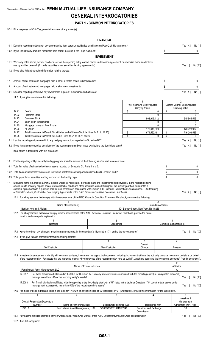## Statement as of September 30, 2018 of the **PENN MUTUAL LIFE INSURANCE COMPANY GENERAL INTERROGATORIES**

#### **PART 1 - COMMON INTERROGATORIES**

9.31 If the response to 9.3 is Yes, provide the nature of any waiver(s).

#### **FINANCIAL**

|     |                |                                                                                                                                                                                                                                                                                                                                                                                                                                                                                                                                                                       |                                                                                                                                                                                                                         |                            | <b>FINANCIAL</b>                                      |                                                                  |                          |                                                             |                   |
|-----|----------------|-----------------------------------------------------------------------------------------------------------------------------------------------------------------------------------------------------------------------------------------------------------------------------------------------------------------------------------------------------------------------------------------------------------------------------------------------------------------------------------------------------------------------------------------------------------------------|-------------------------------------------------------------------------------------------------------------------------------------------------------------------------------------------------------------------------|----------------------------|-------------------------------------------------------|------------------------------------------------------------------|--------------------------|-------------------------------------------------------------|-------------------|
|     |                | 10.1 Does the reporting entity report any amounts due from parent, subsidiaries or affiliates on Page 2 of this statement?                                                                                                                                                                                                                                                                                                                                                                                                                                            |                                                                                                                                                                                                                         |                            |                                                       |                                                                  |                          | Yes[X]                                                      | No [ ]            |
|     |                | 10.2 If yes, indicate any amounts receivable from parent included in the Page 2 amount:                                                                                                                                                                                                                                                                                                                                                                                                                                                                               |                                                                                                                                                                                                                         |                            |                                                       |                                                                  | \$                       |                                                             | 0                 |
|     |                |                                                                                                                                                                                                                                                                                                                                                                                                                                                                                                                                                                       |                                                                                                                                                                                                                         |                            | <b>INVESTMENT</b>                                     |                                                                  |                          |                                                             |                   |
|     |                | 11.1 Were any of the stocks, bonds, or other assets of the reporting entity loaned, placed under option agreement, or otherwise made available for<br>use by another person? (Exclude securities under securities lending agreements.)                                                                                                                                                                                                                                                                                                                                |                                                                                                                                                                                                                         |                            |                                                       |                                                                  |                          | Yes $[ ]$                                                   | No[X]             |
|     |                | 11.2 If yes, give full and complete information relating thereto:                                                                                                                                                                                                                                                                                                                                                                                                                                                                                                     |                                                                                                                                                                                                                         |                            |                                                       |                                                                  |                          |                                                             |                   |
| 12. |                | Amount of real estate and mortgages held in other invested assets in Schedule BA:                                                                                                                                                                                                                                                                                                                                                                                                                                                                                     |                                                                                                                                                                                                                         |                            |                                                       |                                                                  | \$                       |                                                             | 0                 |
| 13. |                | Amount of real estate and mortgages held in short-term investments:                                                                                                                                                                                                                                                                                                                                                                                                                                                                                                   |                                                                                                                                                                                                                         |                            |                                                       |                                                                  | \$                       |                                                             | 0                 |
|     |                | 14.1 Does the reporting entity have any investments in parent, subsidiaries and affiliates?                                                                                                                                                                                                                                                                                                                                                                                                                                                                           |                                                                                                                                                                                                                         |                            |                                                       |                                                                  |                          | Yes[X]                                                      | No[ ]             |
|     |                | 14.2 If yes, please complete the following:                                                                                                                                                                                                                                                                                                                                                                                                                                                                                                                           |                                                                                                                                                                                                                         |                            |                                                       |                                                                  |                          |                                                             |                   |
|     | 14.21<br>14.22 | Bonds<br><b>Preferred Stock</b>                                                                                                                                                                                                                                                                                                                                                                                                                                                                                                                                       |                                                                                                                                                                                                                         |                            |                                                       | \$<br>1<br>Prior Year End Book/Adjusted<br><b>Carrying Value</b> | 0<br>\$<br>0             | 2<br>Current Quarter Book/Adjusted<br><b>Carrying Value</b> | 0<br>$\mathbf{0}$ |
|     | 14.23<br>14.24 | <b>Common Stock</b><br>Short-Term Investments                                                                                                                                                                                                                                                                                                                                                                                                                                                                                                                         |                                                                                                                                                                                                                         |                            |                                                       | 503,949,112                                                      | 0                        | 545,564,546                                                 | 0                 |
|     | 14.25          | Mortgage Loans on Real Estate                                                                                                                                                                                                                                                                                                                                                                                                                                                                                                                                         |                                                                                                                                                                                                                         |                            |                                                       |                                                                  | 0                        |                                                             | 0                 |
|     | 14.26<br>14.27 | All Other<br>Total Investment in Parent, Subsidiaries and Affiliates (Subtotal Lines 14.21 to 14.26)                                                                                                                                                                                                                                                                                                                                                                                                                                                                  |                                                                                                                                                                                                                         |                            |                                                       | \$<br>170.613.369<br>674,562,481                                 | \$                       | 170,728,987<br>716,293,533                                  |                   |
|     | 14.28          | Total Investment in Parent included in Lines 14.21 to 14.26 above                                                                                                                                                                                                                                                                                                                                                                                                                                                                                                     |                                                                                                                                                                                                                         |                            |                                                       | \$                                                               | \$<br>0                  |                                                             | 0                 |
|     |                | 15.1 Has the reporting entity entered into any hedging transactions reported on Schedule DB?                                                                                                                                                                                                                                                                                                                                                                                                                                                                          |                                                                                                                                                                                                                         |                            |                                                       |                                                                  |                          | Yes[X]                                                      | No [ ]            |
|     |                | 15.2 If yes, has a comprehensive description of the hedging program been made available to the domiciliary state?                                                                                                                                                                                                                                                                                                                                                                                                                                                     |                                                                                                                                                                                                                         |                            |                                                       |                                                                  |                          | Yes[X]                                                      | No[]              |
|     |                | If no, attach a description with this statement.                                                                                                                                                                                                                                                                                                                                                                                                                                                                                                                      |                                                                                                                                                                                                                         |                            |                                                       |                                                                  |                          |                                                             |                   |
|     |                | 16. For the reporting entity's security lending program, state the amount of the following as of current statement date:<br>16.1 Total fair value of reinvested collateral assets reported on Schedule DL, Parts 1 and 2:                                                                                                                                                                                                                                                                                                                                             |                                                                                                                                                                                                                         |                            |                                                       |                                                                  | \$                       |                                                             | 0                 |
|     |                | 16.2 Total book adjusted/carrying value of reinvested collateral assets reported on Schedule DL, Parts 1 and 2:                                                                                                                                                                                                                                                                                                                                                                                                                                                       |                                                                                                                                                                                                                         |                            |                                                       |                                                                  | \$                       |                                                             | 0                 |
|     |                | 16.3 Total payable for securities lending reported on the liability page:                                                                                                                                                                                                                                                                                                                                                                                                                                                                                             |                                                                                                                                                                                                                         |                            |                                                       |                                                                  | \$                       |                                                             | $\mathbf{0}$      |
|     |                | 17. Excluding items in Schedule E-Part 3-Special Deposits, real estate, mortgage loans and investments held physically in the reporting entity's<br>offices, vaults or safety deposit boxes, were all stocks, bonds and other securities, owned throughout the current year held pursuant to a<br>custodial agreement with a qualified bank or trust company in accordance with Section 1, III - General Examination Considerations, F. Outsourcing<br>of Critical Functions, Custodial or Safekeeping Agreements of the NAIC Financial Condition Examiners Handbook? |                                                                                                                                                                                                                         |                            |                                                       |                                                                  |                          | Yes[X]                                                      | No [ ]            |
|     |                | 17.1 For all agreements that comply with the requirements of the NAIC Financial Condition Examiners Handbook, complete the following:                                                                                                                                                                                                                                                                                                                                                                                                                                 |                                                                                                                                                                                                                         |                            |                                                       |                                                                  |                          |                                                             |                   |
|     |                |                                                                                                                                                                                                                                                                                                                                                                                                                                                                                                                                                                       |                                                                                                                                                                                                                         |                            |                                                       |                                                                  | 2                        |                                                             |                   |
|     |                | Bank of New York Mellon                                                                                                                                                                                                                                                                                                                                                                                                                                                                                                                                               | Name of Custodian(s)                                                                                                                                                                                                    |                            |                                                       | 101 Barclav Street. New York, NY 10286                           | <b>Custodian Address</b> |                                                             |                   |
|     |                | 17.2 For all agreements that do not comply with the requirements of the NAIC Financial Condition Examiners Handbook, provide the name,<br>location and a complete explanation:                                                                                                                                                                                                                                                                                                                                                                                        |                                                                                                                                                                                                                         |                            |                                                       |                                                                  |                          |                                                             |                   |
|     |                | Name(s)                                                                                                                                                                                                                                                                                                                                                                                                                                                                                                                                                               |                                                                                                                                                                                                                         |                            | $\overline{2}$<br>Location(s)                         |                                                                  |                          | 3<br>Complete Explanation(s)                                |                   |
|     |                |                                                                                                                                                                                                                                                                                                                                                                                                                                                                                                                                                                       |                                                                                                                                                                                                                         |                            |                                                       |                                                                  |                          |                                                             |                   |
|     |                | 17.3 Have there been any changes, including name changes, in the custodian(s) identified in 17.1 during the current quarter?<br>17.4 If yes, give full and complete information relating thereto:                                                                                                                                                                                                                                                                                                                                                                     |                                                                                                                                                                                                                         |                            |                                                       |                                                                  |                          | Yes $\lceil \; \rceil$                                      | No[X]             |
|     |                |                                                                                                                                                                                                                                                                                                                                                                                                                                                                                                                                                                       |                                                                                                                                                                                                                         |                            | 2                                                     | 3                                                                |                          | 4                                                           |                   |
|     |                |                                                                                                                                                                                                                                                                                                                                                                                                                                                                                                                                                                       |                                                                                                                                                                                                                         |                            | New Custodian                                         | Date of                                                          |                          |                                                             |                   |
|     |                | Old Custodian                                                                                                                                                                                                                                                                                                                                                                                                                                                                                                                                                         |                                                                                                                                                                                                                         |                            |                                                       | Change                                                           |                          | Reason                                                      |                   |
|     |                | 17.5 Investment management - Identify all investment advisors, investment managers, broker/dealers, including individuals that have the authority to make investment decisions on behalf<br>of the reporting entity. For assets that are managed internally by employees of the reporting entity, note as such ["that have access to the investment accounts", "handle securities"]                                                                                                                                                                                   |                                                                                                                                                                                                                         |                            |                                                       |                                                                  |                          |                                                             |                   |
|     |                |                                                                                                                                                                                                                                                                                                                                                                                                                                                                                                                                                                       |                                                                                                                                                                                                                         | Name of Firm or Individual |                                                       |                                                                  |                          | $\overline{2}$<br>Affiliation                               |                   |
|     |                | Penn Mutual Asset Management, LLC<br>17.5097                                                                                                                                                                                                                                                                                                                                                                                                                                                                                                                          | For those firms/individuals listed in the table for Question 17.5, do any firms/individuals unaffiliated with the reporting entity (i.e., designated with a "U")                                                        |                            |                                                       |                                                                  |                          | Α                                                           |                   |
|     |                | 17.5098                                                                                                                                                                                                                                                                                                                                                                                                                                                                                                                                                               | manage more than 10% of the reporting entity's assets?<br>For firms/individuals unaffiliated with the reporting entity (i.e., designated with a "U") listed in the table for Question 17.5, does the total assets under |                            |                                                       |                                                                  |                          | Yes $[ ]$                                                   | No[X]             |
|     |                | 17.6 For those firms or individuals listed in the table for 17.5 with an affiliation code of "A" (affiliated) or "U" (unaffiliated), provide the information for the table below.                                                                                                                                                                                                                                                                                                                                                                                     | management aggregate to more than 50% of the reporting entity's assets?                                                                                                                                                 |                            |                                                       |                                                                  |                          | Yes $[ \ ]$                                                 | No[X]             |
|     |                | 1                                                                                                                                                                                                                                                                                                                                                                                                                                                                                                                                                                     | 2                                                                                                                                                                                                                       |                            | 3                                                     | 4                                                                |                          | 5                                                           |                   |
|     |                | <b>Central Registration Depository</b>                                                                                                                                                                                                                                                                                                                                                                                                                                                                                                                                |                                                                                                                                                                                                                         |                            |                                                       |                                                                  |                          | Investment<br>Management                                    |                   |
|     |                | Number<br>107518                                                                                                                                                                                                                                                                                                                                                                                                                                                                                                                                                      | Name of Firm or Individual<br>Penn Mutual Asset Management, LLC                                                                                                                                                         |                            | Legal Entity Identifier (LEI)<br>549300O3G37UC4C5EV40 | <b>Registered With</b><br>Securities and Exchange                |                          | Agreement (IMA) Filed<br>DS                                 |                   |
|     |                |                                                                                                                                                                                                                                                                                                                                                                                                                                                                                                                                                                       |                                                                                                                                                                                                                         |                            |                                                       | Commission                                                       |                          |                                                             |                   |

18.1 Have all the filing requirements of the Purposes and Procedures Manual of the NAIC Investment Analysis Office been followed? Yes [ ] No [X]

18.2 If no, list exceptions: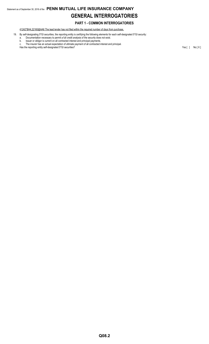## Statement as of September 30, 2018 of the **PENN MUTUAL LIFE INSURANCE COMPANY GENERAL INTERROGATORIES**

#### **PART 1 - COMMON INTERROGATORIES**

41242\*BH4,22160@AA6 The lead lender has not filed within the required number of days from purchase.

19. By self-designating 5\*GI securities, the reporting entity is certifying the following elements for each self-designated 5\*GI security:

- a. Documentation necessary to permit a full credit analysis of the security does not exist.
- b. Issuer or obligor is current on all contracted interest and principal payments. c. The insurer has an actual expectation of ultimate payment of all contracted interest and principal.
- Has the reporting entity self-designated 5\*GI securities? Yes [ ] No [ X ]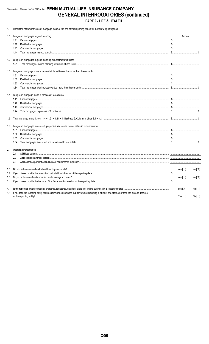## Statement as of September 30, 2018 of the PENN MUTUAL LIFE INSURANCE COMPANY **GENERAL INTERROGATORIES (continued)** PART 2 - LIFE & HEALTH

1. Report the statement value of mortgage loans at the end of this reporting period for the following categories:

|     | 1.1 Long-term mortgages in good standing                                                                                                                                                                                                                                                                                                                                                                                                                                                                                                 | Amount              |
|-----|------------------------------------------------------------------------------------------------------------------------------------------------------------------------------------------------------------------------------------------------------------------------------------------------------------------------------------------------------------------------------------------------------------------------------------------------------------------------------------------------------------------------------------------|---------------------|
|     | 1.11                                                                                                                                                                                                                                                                                                                                                                                                                                                                                                                                     |                     |
|     | 1.12                                                                                                                                                                                                                                                                                                                                                                                                                                                                                                                                     |                     |
|     | 1.13                                                                                                                                                                                                                                                                                                                                                                                                                                                                                                                                     |                     |
|     | 1.14                                                                                                                                                                                                                                                                                                                                                                                                                                                                                                                                     |                     |
|     | 1.2 Long-term mortgages in good standing with restructured terms                                                                                                                                                                                                                                                                                                                                                                                                                                                                         |                     |
|     | 1.21                                                                                                                                                                                                                                                                                                                                                                                                                                                                                                                                     |                     |
| 1.3 | Long-term mortgage loans upon which interest is overdue more than three months                                                                                                                                                                                                                                                                                                                                                                                                                                                           |                     |
|     | 1.31                                                                                                                                                                                                                                                                                                                                                                                                                                                                                                                                     |                     |
|     | 1.32                                                                                                                                                                                                                                                                                                                                                                                                                                                                                                                                     |                     |
|     | 1.33                                                                                                                                                                                                                                                                                                                                                                                                                                                                                                                                     |                     |
|     | 1.34                                                                                                                                                                                                                                                                                                                                                                                                                                                                                                                                     |                     |
|     | 1.4 Long-term mortgage loans in process of foreclosure                                                                                                                                                                                                                                                                                                                                                                                                                                                                                   |                     |
|     | 1.41                                                                                                                                                                                                                                                                                                                                                                                                                                                                                                                                     |                     |
|     | 1.42                                                                                                                                                                                                                                                                                                                                                                                                                                                                                                                                     |                     |
|     | 1.43                                                                                                                                                                                                                                                                                                                                                                                                                                                                                                                                     |                     |
|     | 1.44                                                                                                                                                                                                                                                                                                                                                                                                                                                                                                                                     |                     |
| 1.5 |                                                                                                                                                                                                                                                                                                                                                                                                                                                                                                                                          |                     |
| 1.6 | Long-term mortgages foreclosed, properties transferred to real estate in current quarter                                                                                                                                                                                                                                                                                                                                                                                                                                                 |                     |
|     | 1.61                                                                                                                                                                                                                                                                                                                                                                                                                                                                                                                                     |                     |
|     | 1.62                                                                                                                                                                                                                                                                                                                                                                                                                                                                                                                                     |                     |
|     | $\textbf{Commercial} \ \textbf{mortgages} \ \textcolor{red}{\textbf{mortgages} \ \textcolor{red}{\textbf{m}} \ \textcolor{red}{\textbf{m}} \ \textcolor{red}{\textbf{m}} \ \textcolor{red}{\textbf{m}} \ \textcolor{red}{\textbf{m}} \ \textcolor{red}{\textbf{m}} \ \textcolor{red}{\textbf{m}} \ \textcolor{red}{\textbf{m}} \ \textcolor{red}{\textbf{m}} \ \textcolor{red}{\textbf{m}} \ \textcolor{red}{\textbf{m}} \ \textcolor{red}{\textbf{m}} \ \textcolor{red}{\textbf{m}} \ \textcolor{red}{\textbf{m}} \ \textcolor$<br>1.63 |                     |
|     | 1.64                                                                                                                                                                                                                                                                                                                                                                                                                                                                                                                                     |                     |
| 2.  | <b>Operating Percentages:</b>                                                                                                                                                                                                                                                                                                                                                                                                                                                                                                            |                     |
|     | 2.1                                                                                                                                                                                                                                                                                                                                                                                                                                                                                                                                      |                     |
|     | 2.2                                                                                                                                                                                                                                                                                                                                                                                                                                                                                                                                      |                     |
|     | 2.3                                                                                                                                                                                                                                                                                                                                                                                                                                                                                                                                      |                     |
| 3.1 |                                                                                                                                                                                                                                                                                                                                                                                                                                                                                                                                          | Yes [ ]<br>No[X]    |
| 3.2 |                                                                                                                                                                                                                                                                                                                                                                                                                                                                                                                                          |                     |
| 3.3 |                                                                                                                                                                                                                                                                                                                                                                                                                                                                                                                                          | Yes[ ]<br>No[X]     |
| 3.4 |                                                                                                                                                                                                                                                                                                                                                                                                                                                                                                                                          |                     |
| 4.  |                                                                                                                                                                                                                                                                                                                                                                                                                                                                                                                                          | Yes[X]<br>No[]      |
| 4.1 | If no, does the reporting entity assume reinsurance business that covers risks residing in at least one state other than the state of domicile                                                                                                                                                                                                                                                                                                                                                                                           | Yes $[ ]$<br>No [ ] |
|     |                                                                                                                                                                                                                                                                                                                                                                                                                                                                                                                                          |                     |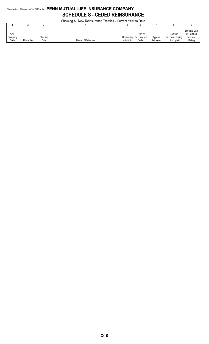## Statement as of September 30, 2018 of the **PENN MUTUAL LIFE INSURANCE COMPANY SCHEDULE S - CEDED REINSURANCE**

Showing All New Reinsurance Treaties - Current Year to Date

|             |            |           | <u>UNUMING AILING MENTIONIGHUG TIGANGS - UUNGIN TGALIO DAIG</u> |              |             |           |                  |                                       |
|-------------|------------|-----------|-----------------------------------------------------------------|--------------|-------------|-----------|------------------|---------------------------------------|
|             |            |           |                                                                 |              |             |           |                  |                                       |
| <b>NAIC</b> |            |           |                                                                 |              | Type of     |           | Certified        | <b>Effective Date</b><br>of Certified |
| Company     |            | Effective |                                                                 | Domiciliary  | Reinsurance | Type of   | Reinsurer Rating | Reinsurer                             |
| Code        | n Number ل | Date      | Name of Reinsurer                                               | Jurisdiction | Ceded       | Reinsurer | '1 throuah 6)    | Rating                                |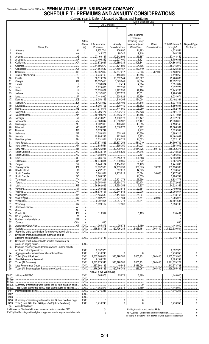### Statement as of September 30, 2018 of the PENN MUTUAL LIFE INSURANCE COMPANY **SCHEDULE T - PREMIUMS AND ANNUITY CONSIDERATIONS**

Current Year to Date - Allocated by States and Territories

|            |                                                                                            |                                   | Current real to Date - Allocated by States and Territories |                    | <b>Direct Business Only</b>                 |                                |                                                                                                                                                                                                                                                                                                                                                                                   |              |
|------------|--------------------------------------------------------------------------------------------|-----------------------------------|------------------------------------------------------------|--------------------|---------------------------------------------|--------------------------------|-----------------------------------------------------------------------------------------------------------------------------------------------------------------------------------------------------------------------------------------------------------------------------------------------------------------------------------------------------------------------------------|--------------|
|            |                                                                                            |                                   |                                                            | Life Contracts     |                                             | 5                              | 6                                                                                                                                                                                                                                                                                                                                                                                 |              |
|            |                                                                                            |                                   | $\overline{2}$                                             | 3                  |                                             |                                |                                                                                                                                                                                                                                                                                                                                                                                   |              |
|            |                                                                                            |                                   |                                                            |                    |                                             |                                |                                                                                                                                                                                                                                                                                                                                                                                   |              |
|            |                                                                                            |                                   |                                                            |                    | A&H Insurance                               |                                |                                                                                                                                                                                                                                                                                                                                                                                   |              |
|            |                                                                                            |                                   |                                                            |                    | Premiums.                                   |                                |                                                                                                                                                                                                                                                                                                                                                                                   |              |
|            |                                                                                            | Active                            |                                                            |                    | <b>Including Policy</b>                     |                                |                                                                                                                                                                                                                                                                                                                                                                                   |              |
|            |                                                                                            | <b>Status</b>                     | Life Insurance                                             | Annuity            | Membership and                              | Other                          | <b>Total Columns 2</b>                                                                                                                                                                                                                                                                                                                                                            | Deposit-Type |
|            | States, Etc.                                                                               | (a)                               | Premiums                                                   | Considerations     | Other Fees                                  | Considerations                 | through 5                                                                                                                                                                                                                                                                                                                                                                         | Contracts    |
| 1.         |                                                                                            | L                                 | 4,502,074                                                  | 106.697            | 24,783                                      |                                | $1.1$ ,633,554                                                                                                                                                                                                                                                                                                                                                                    |              |
| 2.         |                                                                                            | . L                               | 148,206                                                    | 90,345             | 9,718                                       |                                | 248,269                                                                                                                                                                                                                                                                                                                                                                           |              |
| 3.         |                                                                                            | L                                 | 27,160,167                                                 | 10,242,898         | 45,387                                      |                                | 37,448,452                                                                                                                                                                                                                                                                                                                                                                        |              |
| 4.         |                                                                                            | L                                 | 3,496,342                                                  | $\ldots$ 2,207,400 |                                             |                                | $\ldots$ 5,709,863                                                                                                                                                                                                                                                                                                                                                                |              |
| 5.         |                                                                                            | L                                 | 93,872,637                                                 | 10,589,034         | 406,841                                     |                                | 104,868,512                                                                                                                                                                                                                                                                                                                                                                       |              |
| 6.         |                                                                                            | L                                 | 14,896,670                                                 | 124,806            | 24,496                                      |                                | $\ldots$ 15,045,972                                                                                                                                                                                                                                                                                                                                                               |              |
| 7.         |                                                                                            | . L                               | 21,864,632                                                 | 4,780,157          | 180,719                                     |                                | 26,825,508                                                                                                                                                                                                                                                                                                                                                                        |              |
| 8.         |                                                                                            | L                                 | $\ldots$ 14,952,802                                        | 17,387,617         | $\ldots$ 22,843                             |                                | 33,130,262                                                                                                                                                                                                                                                                                                                                                                        |              |
| 9.         |                                                                                            | L                                 | 3,246,199                                                  | $\ldots$ 156,300   | 16,753                                      |                                | 3,419,252                                                                                                                                                                                                                                                                                                                                                                         |              |
| 10.        |                                                                                            | L                                 | 56,519,732                                                 | 18,062,544         | $\ldots$ 623,807                            |                                | 3.206,083                                                                                                                                                                                                                                                                                                                                                                         |              |
| 11.        |                                                                                            | L                                 | 13,597,413                                                 | 5,073,041          | 27,304                                      |                                | 18,697,758                                                                                                                                                                                                                                                                                                                                                                        |              |
| 12.        |                                                                                            | L                                 | 1,538,684                                                  | 7,414              | 4,984                                       |                                | 1,551,082                                                                                                                                                                                                                                                                                                                                                                         |              |
| 13.        |                                                                                            | L                                 | 2,829,603                                                  | 607,353            | 822                                         |                                | 3,437,778                                                                                                                                                                                                                                                                                                                                                                         |              |
| 14.        |                                                                                            | L                                 | 32,674,007                                                 | 4,472,093          | 97,166                                      |                                | 37,243,266                                                                                                                                                                                                                                                                                                                                                                        |              |
| 15.        |                                                                                            | L                                 | 5,132,810                                                  | 4,787,228          |                                             |                                | 9,960,369                                                                                                                                                                                                                                                                                                                                                                         |              |
| 16.        |                                                                                            | L                                 | 1.17,448,990                                               | 538,528            | 47,156                                      |                                | 3,034,674                                                                                                                                                                                                                                                                                                                                                                         |              |
| 17.        |                                                                                            | L                                 | 8.058.153                                                  | 4,310,204          | $\ldots$ 124,004                            |                                | 12,492,361                                                                                                                                                                                                                                                                                                                                                                        |              |
| 18.        |                                                                                            | L                                 | 3,421,022                                                  | 475,406            | 41,115                                      |                                | 3, 5, 937, 543                                                                                                                                                                                                                                                                                                                                                                    |              |
| 19.        |                                                                                            | L                                 | 5,094,705                                                  | 539,440            | $\ldots$ 16,662<br>93,960                   |                                | $\ldots$ 5,650,807                                                                                                                                                                                                                                                                                                                                                                |              |
| 20.        |                                                                                            | L                                 | 1,973,677                                                  | 714,860            |                                             |                                | 2,782,497                                                                                                                                                                                                                                                                                                                                                                         |              |
| 21.        |                                                                                            | L                                 | 17,296,477                                                 | 5,632,710          | $\ldots$ 172,528<br>18,485                  |                                | 23,101,715                                                                                                                                                                                                                                                                                                                                                                        |              |
| 22.        |                                                                                            | L                                 | 19,199,277                                                 | 13,653,242         |                                             |                                | 32,871,004                                                                                                                                                                                                                                                                                                                                                                        |              |
| 23.        |                                                                                            | L                                 | 23,210,675                                                 | 1,708,973          | 153,147                                     |                                | 25,072,795<br>41,630,816                                                                                                                                                                                                                                                                                                                                                          |              |
| 24.        |                                                                                            | L                                 | 27,968,847                                                 | 13,556,502         | 105,467                                     |                                |                                                                                                                                                                                                                                                                                                                                                                                   |              |
| 25.        |                                                                                            | L                                 | $\ldots$ 2,002,305<br>9,050,095                            | 106,483            | 49,355                                      |                                | 2,158,143                                                                                                                                                                                                                                                                                                                                                                         |              |
| 26.        |                                                                                            | L                                 |                                                            | 1,610,670          |                                             |                                | 10,666,537                                                                                                                                                                                                                                                                                                                                                                        |              |
| 27.        |                                                                                            | . L                               | 3,073,747                                                  |                    | $\ldots$ 2,212                              |                                | 3,075,959                                                                                                                                                                                                                                                                                                                                                                         |              |
| 28.        |                                                                                            | L                                 | 353,504                                                    | 535,162            | $\ldots$ 10,550                             |                                | 2,899,216                                                                                                                                                                                                                                                                                                                                                                         |              |
| 29.        |                                                                                            | L                                 | 15,995,246                                                 | 162,063            | 6,753                                       |                                | 16,164,062                                                                                                                                                                                                                                                                                                                                                                        |              |
| 30.        |                                                                                            | L                                 | 2,231,824                                                  | 1,116,323          | $\ldots$ 24,003                             |                                | 3,372,150                                                                                                                                                                                                                                                                                                                                                                         |              |
| 31.        |                                                                                            | L                                 | 57,871,525                                                 | 25,897,258         | 531,919                                     |                                | 84,300,702                                                                                                                                                                                                                                                                                                                                                                        |              |
| 32.        |                                                                                            | L                                 | 2,685,564                                                  | 695,350            | 11,028                                      |                                | 3,391,942                                                                                                                                                                                                                                                                                                                                                                         |              |
| 33.        |                                                                                            | L                                 | 180,425,945                                                | 32,799,452         | $\ldots$ 2,044,825                          | $\dots$ 92,152                 | 215,362,374                                                                                                                                                                                                                                                                                                                                                                       |              |
| 34.        |                                                                                            | L                                 | 18.638.724                                                 | 1,515,526          | $\dots$ 64,316                              |                                | $\ldots$ 20,218,566                                                                                                                                                                                                                                                                                                                                                               |              |
| 35.        |                                                                                            | . L                               | 1,083,975                                                  |                    | 2,594                                       |                                | 1,086,569                                                                                                                                                                                                                                                                                                                                                                         |              |
| 36.        |                                                                                            | L                                 | 27,204,767                                                 | 25,315,578         | 104,588                                     |                                | 33.52,624,933                                                                                                                                                                                                                                                                                                                                                                     |              |
| 37.        |                                                                                            | L                                 | 10,073,884                                                 | 23,590,865         | $\ldots \ldots \ldots \ldots \ldots 22,572$ |                                | 33,687,321                                                                                                                                                                                                                                                                                                                                                                        |              |
| 38.        |                                                                                            | L                                 | 3,246,164                                                  | 1,164,055          | 31,479                                      |                                | $$ 6,441,698                                                                                                                                                                                                                                                                                                                                                                      |              |
| 39.        |                                                                                            | L                                 | 67,952,503                                                 | 34,769,730         | 359,875                                     | $\ldots$ 76,288                | 103,158,396                                                                                                                                                                                                                                                                                                                                                                       |              |
| 40.        |                                                                                            | L                                 | 4,497,168                                                  | $\dots$ 867,013    | 14,375                                      |                                | $\ldots$ 5,378,556                                                                                                                                                                                                                                                                                                                                                                |              |
| 41.        |                                                                                            | L                                 | 3,781,084                                                  | 2.135.612          | 30,684                                      | $\ldots$ 30,000                | 5,977,380                                                                                                                                                                                                                                                                                                                                                                         |              |
| 42.        |                                                                                            | L                                 | .2,269,245<br>.                                            |                    | 21,539                                      |                                | 1.111122290784                                                                                                                                                                                                                                                                                                                                                                    |              |
| 43.        |                                                                                            | L                                 | 6,657,208<br>.                                             | 2,121,273          | $\ldots$ 56,296                             |                                | 3834,777                                                                                                                                                                                                                                                                                                                                                                          |              |
| 44.        |                                                                                            | L                                 | .50,754,091<br>.                                           | 16,198,371         | 120,174                                     |                                | 67,072,636                                                                                                                                                                                                                                                                                                                                                                        |              |
| 45.        |                                                                                            | L                                 | .26,862,665<br>$\cdots$                                    | $354$ 7,658,354    | 7,337                                       |                                | 34,528,356                                                                                                                                                                                                                                                                                                                                                                        |              |
| 46.        |                                                                                            | L                                 | 3,626                                                      | 323,978            | 22,351                                      |                                | 2,409,955                                                                                                                                                                                                                                                                                                                                                                         |              |
| 47.        |                                                                                            | L                                 | 15,670,197                                                 | 12,244,844         | 92,976                                      |                                | 28.008.017<br>.                                                                                                                                                                                                                                                                                                                                                                   |              |
| 48.        |                                                                                            | L                                 | 21,435,532<br>.                                            | 6,147,930          | 65,004                                      |                                | 27,648,466                                                                                                                                                                                                                                                                                                                                                                        |              |
| 49.        |                                                                                            | L                                 | 1,592,278                                                  | $\ldots$ 2,624,184 | 1,514                                       | $\ldots$ 39,000                | 4,256,976                                                                                                                                                                                                                                                                                                                                                                         |              |
| 50.        |                                                                                            | L                                 | 9,307,064                                                  | 1,257,773          | 36,847                                      |                                | 10,601,684                                                                                                                                                                                                                                                                                                                                                                        |              |
| 51.        |                                                                                            | L                                 | 1,620,162                                                  | 37,968             |                                             |                                | 1,658,130                                                                                                                                                                                                                                                                                                                                                                         |              |
| 52.        |                                                                                            | N                                 |                                                            |                    |                                             |                                |                                                                                                                                                                                                                                                                                                                                                                                   |              |
| 53.        |                                                                                            | N                                 |                                                            |                    |                                             |                                | 0                                                                                                                                                                                                                                                                                                                                                                                 |              |
| 54.        |                                                                                            | N                                 | 113,312                                                    |                    | 3,125                                       |                                | 116.437                                                                                                                                                                                                                                                                                                                                                                           |              |
| 55.<br>56. |                                                                                            | N<br>N                            |                                                            |                    |                                             |                                | 0                                                                                                                                                                                                                                                                                                                                                                                 |              |
| 57.        |                                                                                            | N                                 | 630                                                        |                    |                                             |                                | $\ldots$                                                                                                                                                                                                                                                                                                                                                                          |              |
| 58.        |                                                                                            | $.$ XXX $.$                       | 1,065,873                                                  |                    | $\ldots$ 6,489                              | 0                              | 1,148,040                                                                                                                                                                                                                                                                                                                                                                         | . 0          |
| 59.        |                                                                                            | XXX                               | 965,683,708                                                | 320,796,285        | $\dots$ 6,055,151                           | $\overline{\ldots}$ .1,004,440 | 1,293,539,584                                                                                                                                                                                                                                                                                                                                                                     | 0            |
| 90.        | Reporting entity contributions for employee benefit plans                                  | XXX                               |                                                            |                    |                                             |                                |                                                                                                                                                                                                                                                                                                                                                                                   |              |
| 91.        | Dividends or refunds applied to purchase paid-up                                           |                                   |                                                            |                    |                                             |                                |                                                                                                                                                                                                                                                                                                                                                                                   |              |
|            |                                                                                            | .XXX.                             | 37,915,138                                                 |                    |                                             |                                | 37,915,138                                                                                                                                                                                                                                                                                                                                                                        |              |
| 92.        | Dividends or refunds applied to shorten endowment or                                       |                                   |                                                            |                    |                                             |                                |                                                                                                                                                                                                                                                                                                                                                                                   |              |
|            | premium paying period<br>.                                                                 | $.$ $XXX$                         |                                                            |                    |                                             |                                | $\begin{array}{l} \rule{0.2cm}{0.15mm} \ldots \rule{0.2cm}{0.15mm} \ldots \rule{0.2cm}{0.15mm} \ldots \rule{0.2cm}{0.15mm} \ldots \rule{0.2cm}{0.15mm} \ldots \rule{0.2cm}{0.15mm} \ldots \rule{0.2cm}{0.15mm} \ldots \rule{0.2cm}{0.15mm} \ldots \rule{0.2cm}{0.15mm} \ldots \rule{0.2cm}{0.15mm} \ldots \rule{0.2cm}{0.15mm} \ldots \rule{0.2cm}{0.15mm} \ldots \rule{0.2cm}{0$ |              |
| 93.        | Premium or annuity considerations waived under disability                                  |                                   |                                                            |                    |                                             |                                |                                                                                                                                                                                                                                                                                                                                                                                   |              |
|            |                                                                                            | .XXX.                             | 2,352,970<br>.                                             |                    |                                             |                                | 2,352,970                                                                                                                                                                                                                                                                                                                                                                         |              |
| 94.        |                                                                                            | XXX                               | .1,716,248<br>.                                            | 0                  |                                             |                                | 1,716,248                                                                                                                                                                                                                                                                                                                                                                         | . 0          |
| 95.        |                                                                                            | XXX                               | 1,007,668,064                                              | 320,796,285        | $\ldots$ 6,055,151                          | 1,004,440                      | 1,335,523,940                                                                                                                                                                                                                                                                                                                                                                     | . 0          |
| 96.        |                                                                                            | XXX                               | .6,105,284<br>.                                            |                    |                                             |                                | $\ldots$ 6,105,284                                                                                                                                                                                                                                                                                                                                                                |              |
| 97.        |                                                                                            | XXX                               | 1,013,773,348                                              | 320,796,285        | $\overline{6,055,151}$                      | 1,004,440                      | 1,341,629,224                                                                                                                                                                                                                                                                                                                                                                     | 0            |
| 98.        |                                                                                            | XXX                               | .637,508,162<br>$\ddotsc$                                  | .49,542<br>.       | 35,816,084                                  |                                | .643,373,788<br>                                                                                                                                                                                                                                                                                                                                                                  |              |
| 99.        |                                                                                            | XXX                               | 376,265,186                                                | 320,746,743        | 239,067                                     | 1,004,440                      | 698,255,436<br>.                                                                                                                                                                                                                                                                                                                                                                  | 0            |
|            |                                                                                            |                                   | <b>DETAILS OF WRITE-INS</b>                                |                    |                                             |                                |                                                                                                                                                                                                                                                                                                                                                                                   |              |
|            |                                                                                            | $\overline{.}$ XXX $\overline{.}$ | 1,065,873                                                  |                    |                                             |                                | 1.148.040                                                                                                                                                                                                                                                                                                                                                                         |              |
| 58002.     |                                                                                            | $.$ XXX $.$                       |                                                            |                    |                                             |                                |                                                                                                                                                                                                                                                                                                                                                                                   |              |
| 58003.     |                                                                                            | XXX                               |                                                            |                    |                                             |                                |                                                                                                                                                                                                                                                                                                                                                                                   |              |
|            | 58998. Summary of remaining write-ins for line 58 from overflow page                       | XXX                               | 0                                                          | 0                  | $0$ 0                                       |                                |                                                                                                                                                                                                                                                                                                                                                                                   | $0$          |
|            | 58999. Total (Lines 58001 thru 58003 plus 58998) (Line 58 above)                           | XXX                               | 1,065,873                                                  | 75,678             | $\dots$ 6,489                               |                                | 1,148,040                                                                                                                                                                                                                                                                                                                                                                         | $0$          |
|            |                                                                                            | XXX                               | 1,716,248                                                  |                    |                                             |                                | 1,716,248                                                                                                                                                                                                                                                                                                                                                                         |              |
| 9402.      |                                                                                            | XXX                               |                                                            |                    |                                             |                                |                                                                                                                                                                                                                                                                                                                                                                                   |              |
| 9403.      |                                                                                            | $.$ $XXX$                         |                                                            |                    |                                             |                                |                                                                                                                                                                                                                                                                                                                                                                                   |              |
|            | 9498. Summary of remaining write-ins for line 94 from overflow page                        | XXX                               | 0                                                          |                    |                                             |                                |                                                                                                                                                                                                                                                                                                                                                                                   | 0            |
|            | 9499. Total (Lines 9401 thru 9403 plus 9498) (Line 94 above)                               | .XXX                              | 1,716,248                                                  | $\vert$ 0          |                                             | 0                              | 1,716,248                                                                                                                                                                                                                                                                                                                                                                         |              |
| (a)        | <b>Active Status Count</b>                                                                 |                                   |                                                            |                    |                                             |                                |                                                                                                                                                                                                                                                                                                                                                                                   |              |
|            |                                                                                            |                                   | 51                                                         |                    |                                             |                                |                                                                                                                                                                                                                                                                                                                                                                                   | 0            |
|            | E - Eligible - Reporting entities eligible or approved to write surplus lines in the state |                                   | $\mathbf{0}$                                               |                    |                                             |                                | Q - Qualified - Qualified or accredited reinsurer                                                                                                                                                                                                                                                                                                                                 | $\Omega$     |

 $\begin{array}{c}\n\hline\n0 \\
\hline\n6\n\end{array}$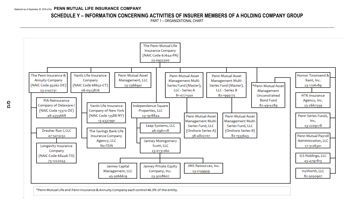## **SCHEDULE Y – INFORMATION CONCERNING ACTIVITIES OF INSURER MEMBERS OF A HOLDING COMPANY GROUP**

PART 1 – ORGANIZATIONAL CHART



\*Penn Mutual Life and Penn Insurance & Annuity Company each control 46.3% of the entity.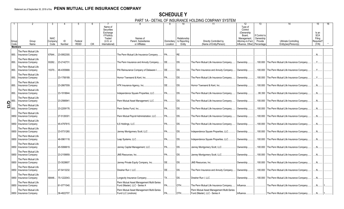## **SCHEDULE Y**

PART 1A - DETAIL OF INSURANCE HOLDING COMPANY SYSTEM

|                             |                                                                   |                       |             |             |            |                                                                                 |                                                                            |             |                              | ,,,,,,,,,,,,,                                                              |                                                                                       |                                             |                                                  |                                                  |
|-----------------------------|-------------------------------------------------------------------|-----------------------|-------------|-------------|------------|---------------------------------------------------------------------------------|----------------------------------------------------------------------------|-------------|------------------------------|----------------------------------------------------------------------------|---------------------------------------------------------------------------------------|---------------------------------------------|--------------------------------------------------|--------------------------------------------------|
| Group                       | Group                                                             | <b>NAIC</b><br>Compan | ID          | Federal     |            | Name of<br><b>Securities</b><br>Exchange<br>if Publicly<br>Traded<br>$(U.S.$ or | Names of<br>Parent, Subsidiaries                                           | Domiciliary | Relationship<br>to Reporting | Directly Controlled by                                                     | 12<br>Type of<br>Control<br>(Ownership)<br>Board.<br>Management,<br>Attorney-in-Fact. | 13<br>If Control is<br>Ownership<br>Provide | Ultimate Controlling                             | 15<br>Is an<br><b>SCA</b><br>Filing<br>Required? |
| Code                        | Name                                                              | Code                  | Number      | <b>RSSD</b> | <b>CIK</b> | International)                                                                  | or Affiliates                                                              | Location    | Entity                       | (Name of Entity/Person)                                                    | Influence, Other) Percentage                                                          |                                             | Entity(ies)/Person(s)                            | (Y/N)                                            |
| Members                     |                                                                   |                       |             |             |            |                                                                                 |                                                                            |             |                              |                                                                            |                                                                                       |                                             |                                                  |                                                  |
| 850.                        | The Penn Mutual Life<br>Insurance Company<br>The Penn Mutual Life | 67644                 | 23-0952300  |             |            |                                                                                 | The Penn Mutual Life Insurance Company                                     | PA          | RE.                          |                                                                            |                                                                                       |                                             |                                                  |                                                  |
| 850.                        | Insurance Company                                                 | 93262.                | 23-2142731  |             |            |                                                                                 | The Penn Insurance and Annuity Company.                                    | DE.         | IDS                          | The Penn Mutual Life Insurance Company.                                    | Ownership                                                                             |                                             | .100.000 The Penn Mutual Life Insurance Company  | Y                                                |
| 850.                        | The Penn Mutual Life<br><b>Insurance Company</b>                  | 15370.                | 46-4355668. |             |            |                                                                                 | PIA Reinsurance Company of Delaware I                                      | DE          | DS.                          | The Penn Insurance and Annuity Company                                     | Ownership.                                                                            |                                             | .100.000 The Penn Mutual Life Insurance Company. | $Y$                                              |
| 850.                        | The Penn Mutual Life<br>Insurance Company                         |                       | 23-1706189. |             |            |                                                                                 | Hornor Townsend & Kent, Inc.                                               | PA          | DS.                          | The Penn Mutual Life Insurance Company.                                    | Ownership.                                                                            | .100.000                                    | The Penn Mutual Life Insurance Company           | $Y_{\cdots}$                                     |
| 850.                        | The Penn Mutual Life<br><b>Insurance Company</b>                  |                       | 23-2667559. |             |            |                                                                                 | HTK Insurance Agency, Inc.                                                 | DE          | IDS                          | Hornor Townsend & Kent. Inc                                                | Ownership.                                                                            |                                             | .100.000 The Penn Mutual Life Insurance Company. | N                                                |
| 850.                        | The Penn Mutual Life<br><b>Insurance Company</b>                  |                       | 23-1918844. |             |            |                                                                                 | Independence Square Properties, LLC.                                       | <b>PA</b>   | DS.                          | The Penn Mutual Life Insurance Company.                                    | Ownership.                                                                            |                                             | .95.350 The Penn Mutual Life Insurance Company   | N                                                |
|                             | The Penn Mutual Life<br><b>Insurance Company</b>                  |                       | 23-2566941  |             |            |                                                                                 | Penn Mutual Asset Management, LLC.                                         | PA          | DS                           | The Penn Mutual Life Insurance Company.                                    | Ownership.                                                                            | .100.000                                    | The Penn Mutual Life Insurance Company           | .N                                               |
| $\frac{5}{10}$ 850.<br>850. | The Penn Mutual Life<br><b>Insurance Company</b>                  |                       | 23-2209178. |             |            |                                                                                 | Penn Series Fund, Inc.                                                     | <b>PA</b>   | IDS                          | The Penn Mutual Life Insurance Company.                                    | Ownership.                                                                            |                                             | .100.000 The Penn Mutual Life Insurance Company  | N                                                |
|                             | The Penn Mutual Life<br>0850 Insurance Company                    |                       | 27-5126301  |             |            |                                                                                 | Penn Mutual Payroll Administration, LLC.                                   | PA          | DS.                          | The Penn Mutual Life Insurance Company.                                    | Ownership.                                                                            |                                             | .100.000 The Penn Mutual Life Insurance Company. | N                                                |
|                             | The Penn Mutual Life<br>0850   Insurance Company                  |                       | 45-4797815. |             |            |                                                                                 | ILS Holdings, LLC.                                                         | <b>PA</b>   | IDS                          | The Penn Mutual Life Insurance Company.                                    | Ownership.                                                                            | .100.000                                    | The Penn Mutual Life Insurance Company           |                                                  |
|                             | The Penn Mutual Life<br>0850 Insurance Company                    |                       | 23-0731260. |             |            |                                                                                 | Janney Montgomery Scott, LLC.                                              | <b>PA</b>   | IDS                          | Independence Square Properties, LLC.                                       | Ownership.                                                                            |                                             | .100.000 The Penn Mutual Life Insurance Company  | N                                                |
|                             | The Penn Mutual Life<br>0850   Insurance Company                  |                       | 46-0961118. |             |            |                                                                                 | Leap Systems, LLC.                                                         | PA.         | DS.                          | Independence Square Properties, LLC.                                       | Ownership.                                                                            |                                             | .100.000 The Penn Mutual Life Insurance Company. | N                                                |
|                             | The Penn Mutual Life<br>0850   Insurance Company                  |                       | 45-5066619. |             |            |                                                                                 | Janney Capital Management, LLC.                                            | PA          | DS.                          | Janney Montgomery Scott, LLC.                                              | Ownership.                                                                            | .100.000                                    | The Penn Mutual Life Insurance Company           |                                                  |
|                             | The Penn Mutual Life<br>0850 Insurance Company                    |                       | 23-2159959. |             |            |                                                                                 | <b>JMS Resources, Inc.</b>                                                 | <b>PA</b>   | IDS.                         | Janney Montgomery Scott, LLC.                                              | Ownership.                                                                            | .100.000                                    | The Penn Mutual Life Insurance Company           | .N                                               |
|                             | The Penn Mutual Life<br>0850   Insurance Company                  |                       | 23-3028607. |             |            |                                                                                 | Janney Private Equity Company, Inc.                                        | DE          | DS.                          | <b>JMS Resources, Inc.</b>                                                 | Ownership.                                                                            |                                             | .100.000 The Penn Mutual Life Insurance Company. | N                                                |
|                             | The Penn Mutual Life<br>0850 Insurance Company                    |                       | 47-5413232. |             |            |                                                                                 | Dresher Run I. LLC.                                                        | DE.         | DS.                          | The Penn Insurance and Annuity Company.                                    | Ownership.                                                                            | .100.000                                    | The Penn Mutual Life Insurance Company           | N                                                |
|                             | The Penn Mutual Life<br>0850 Insurance Company                    | 68446.                | 75-1222043. |             |            |                                                                                 | Longevity Insurance Company.                                               | TX.         | DS.                          | Dresher Run I. LLC.                                                        | Ownership.                                                                            |                                             | .100.000 The Penn Mutual Life Insurance Company  | N                                                |
|                             | The Penn Mutual Life<br>0850   Insurance Company                  |                       | 81-0771540. |             |            |                                                                                 | Penn Mutual Asset Management Multi-Series<br>Fund (Master), LLC - Series A | PA.         | OTH                          | The Penn Mutual Life Insurance Company.                                    | Influence.                                                                            |                                             | The Penn Mutual Life Insurance Company.          | N                                                |
|                             | The Penn Mutual Life<br>0850   Insurance Company                  |                       | 36-4822707. |             |            |                                                                                 | Penn Mutual Asset Management Multi-Series<br>Fund LLC (onshore)            | <b>PA</b>   | OTH                          | Penn Mutual Asset Management Multi-Series<br>Fund (Master), LLC - Series A | Influence.                                                                            |                                             | The Penn Mutual Life Insurance Company           | .N.                                              |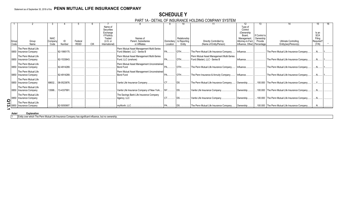## **SCHEDULE Y**

PART 1A - DETAIL OF INSURANCE HOLDING COMPANY SYSTEM

|          |                          |             |             |             |            | Name of<br>Securities |                                                 |             |                 |                                           | Type of<br>Control |               |                                                 |            |  |
|----------|--------------------------|-------------|-------------|-------------|------------|-----------------------|-------------------------------------------------|-------------|-----------------|-------------------------------------------|--------------------|---------------|-------------------------------------------------|------------|--|
|          |                          |             |             |             |            | Exchange              |                                                 |             |                 |                                           | (Ownership         |               |                                                 | Is an      |  |
|          |                          |             |             |             |            | if Publicly           |                                                 |             |                 |                                           | Board.             | If Control is |                                                 | <b>SCA</b> |  |
|          |                          | <b>NAIC</b> |             |             |            | Traded                | Names of                                        |             | Relationship    |                                           | Management,        | Ownership     |                                                 | Filing     |  |
| Group    | Group                    | Company     | ID          | Federal     |            | (U.S. or              | Parent. Subsidiaries                            | Domiciliary | to Reporting    | Directly Controlled by                    | Attorney-in-Fact,  | Provide       | <b>Ultimate Controlling</b>                     | Required?  |  |
| Code     | Name                     | Code        | Number      | <b>RSSD</b> | <b>CIK</b> | International)        | or Affiliates                                   | Location    | Entity          | (Name of Entity/Person)                   | Influence, Other)  | Percentage    | Entity(ies)/Person(s)                           | (Y/N)      |  |
|          | The Penn Mutual Life     |             |             |             |            |                       | Penn Mutual Asset Management Multi-Series       |             |                 |                                           |                    |               |                                                 |            |  |
|          | 0850 Insurance Company   |             | 82-1995175. |             |            |                       | Fund (Master), LLC - Series B                   |             | OTH             | The Penn Mutual Life Insurance Company.   | Influence.         |               | The Penn Mutual Life Insurance Company          | N          |  |
|          | The Penn Mutual Life     |             |             |             |            |                       | Penn Mutual Asset Management Multi-Series       |             |                 | Penn Mutual Asset Management Multi-Series |                    |               |                                                 |            |  |
|          | 0850 Insurance Company   |             | 82-1533643. |             |            |                       | Fund, LLC (onshore)                             |             | OTH             | Fund (Master), LLC - Series B             | Influence          |               | The Penn Mutual Life Insurance Company          |            |  |
|          | The Penn Mutual Life     |             |             |             |            |                       | Penn Mutual Asset Management Unconstrained      |             |                 |                                           |                    |               |                                                 |            |  |
| 0850     | Insurance Company        |             | 82-4914289. |             |            |                       | Bond Fund                                       |             | OTH             | The Penn Mutual Life Insurance Company.   | Influence          |               | The Penn Mutual Life Insurance Company          |            |  |
|          | The Penn Mutual Life     |             |             |             |            |                       | Penn Mutual Asset Management Unconstrained      |             |                 |                                           |                    |               |                                                 |            |  |
|          | 0850   Insurance Company |             | 82-4914289. |             |            |                       | Bond Fund                                       |             | OTH             | The Penn Insurance & Annuity Company      | Influence          |               | The Penn Mutual Life Insurance Company          |            |  |
|          | The Penn Mutual Life     |             |             |             |            |                       |                                                 |             |                 |                                           |                    |               |                                                 |            |  |
|          | 0850 Insurance Company   | 68632       | 06-0523876  |             |            |                       | Vantis Life Insurance Company                   |             | DS <sub>1</sub> | The Penn Mutual Life Insurance Company    | Ownership          |               | .100.000 The Penn Mutual Life Insurance Company | $Y_{n}$    |  |
|          | The Penn Mutual Life     |             |             |             |            |                       |                                                 |             |                 |                                           |                    |               |                                                 |            |  |
|          | 0850 Insurance Company   | 13588       | 13-4337991  |             |            |                       | Vantis Life Insurance Company of New York NY DS |             |                 | Vantis Life Insurance Company             | Ownership          |               | .100.000 The Penn Mutual Life Insurance Company |            |  |
|          | The Penn Mutual Life     |             |             |             |            |                       | The Savings Bank Life Insurance Company         |             |                 |                                           |                    |               |                                                 |            |  |
| 0850     | <b>Insurance Company</b> |             |             |             |            |                       | Agency, LLC                                     | CT DS       |                 | Vantis Life Insurance Company.            | Ownership          |               | .100.000 The Penn Mutual Life Insurance Company |            |  |
| <u>ପ</u> | The Penn Mutual Life     |             |             |             |            |                       |                                                 |             |                 |                                           |                    |               |                                                 |            |  |
|          | 0850 Insurance Company   |             | 82-5050907  |             |            |                       | myWorth, LLC.                                   |             |                 | The Penn Mutual Life Insurance Company.   | Ownership          |               | .100.000 The Penn Mutual Life Insurance Company |            |  |

**Asteri Explanation** 

1 Entity over which The Penn Mutual Life Insurance Company has significant influence, but no ownership.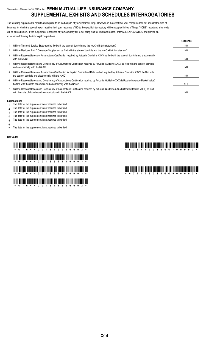## Statement as of September 30, 2018 of the **PENN MUTUAL LIFE INSURANCE COMPANY SUPPLEMENTAL EXHIBITS AND SCHEDULES INTERROGATORIES**

The following supplemental reports are required to be filed as part of your statement filing. However, in the event that your company does not transact the type of business for which the special report must be filed, your response of NO to the specific interrogatory will be accepted in lieu of filing a "NONE" report and a bar code will be printed below. If the supplement is required of your company but is not being filed for whatever reason, enter SEE EXPLANATION and provide an explanation following the interrogatory questions.

|    |                                                                                                                                                                                                                    | Response   |
|----|--------------------------------------------------------------------------------------------------------------------------------------------------------------------------------------------------------------------|------------|
|    | Will the Trusteed Surplus Statement be filed with the state of domicile and the NAIC with this statement?                                                                                                          | NO.        |
| 2. | Will the Medicare Part D Coverage Supplement be filed with the state of domicile and the NAIC with this statement?                                                                                                 | NO.        |
| 3. | Will the Reasonableness of Assumptions Certification required by Actuarial Guideline XXXV be filed with the state of domicile and electronically<br>with the NAIC?                                                 | NO.        |
| 4. | Will the Reasonableness and Consistency of Assumptions Certification required by Actuarial Guideline XXXV be filed with the state of domicile<br>and electronically with the NAIC?                                 | NO.        |
| 5. | Will the Reasonableness of Assumptions Certification for Implied Guaranteed Rate Method required by Actuarial Guideline XXXVI be filed with<br>the state of domicile and electronically with the NAIC?             | NO.        |
| 6. | Will the Reasonableness and Consistency of Assumptions Certification required by Actuarial Guideline XXXVI (Updated Average Market Value)<br>be filed with the state of domicile and electronically with the NAIC? | <b>YES</b> |
|    | Will the Reasonableness and Consistency of Assumptions Certification required by Actuarial Guideline XXXVI (Updated Market Value) be filed<br>with the state of domicile and electronically with the NAIC?         | NO.        |

#### **Explanations:**

- 1. The data for this supplement is not required to be filed.
- 2. The data for this supplement is not required to be filed.
- 3. The data for this supplement is not required to be filed.
- 4. The data for this supplement is not required to be filed.
- 5. The data for this supplement is not required to be filed.
- 6.

7. The data for this supplement is not required to be filed.

#### **Bar Code:**

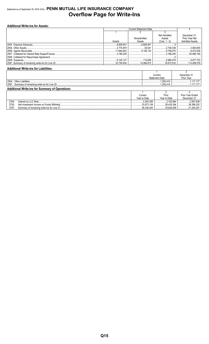## Statement as of September 30, 2018 of the PENN MUTUAL LIFE INSURANCE COMPANY **Overflow Page for Write-Ins**

| <b>Additional Write-ins for Assets:</b> |                   |                               |                    |                        |  |  |  |  |  |  |  |  |
|-----------------------------------------|-------------------|-------------------------------|--------------------|------------------------|--|--|--|--|--|--|--|--|
|                                         |                   | <b>Current Statement Date</b> |                    |                        |  |  |  |  |  |  |  |  |
|                                         |                   |                               |                    |                        |  |  |  |  |  |  |  |  |
|                                         |                   |                               | Net Admitted       | December 31.           |  |  |  |  |  |  |  |  |
|                                         |                   | Nonadmitted                   | Assets             | Prior Year Net         |  |  |  |  |  |  |  |  |
|                                         | Assets            | Assets                        | $(Cols. 1 - 2)$    | <b>Admitted Assets</b> |  |  |  |  |  |  |  |  |
|                                         | .8,809,551        | 8.809.551                     |                    |                        |  |  |  |  |  |  |  |  |
|                                         | .2.774.879        | 36.541                        | $\ldots$ 2.738.338 | 3,583,605              |  |  |  |  |  |  |  |  |
|                                         | 11,884,602        | 5.126.132                     | 6,758,470          |                        |  |  |  |  |  |  |  |  |
|                                         |                   |                               | 3.186.245          | 93.466.184             |  |  |  |  |  |  |  |  |
|                                         |                   |                               |                    |                        |  |  |  |  |  |  |  |  |
|                                         | $\dots$ 6.104.127 |                               | $\ldots$ 5.989.479 | 8,977,753              |  |  |  |  |  |  |  |  |
|                                         |                   |                               |                    |                        |  |  |  |  |  |  |  |  |

#### **Additional Write-ins for Liabilities:**

|                                                        | Current               | December 31 |  |  |  |
|--------------------------------------------------------|-----------------------|-------------|--|--|--|
|                                                        | <b>Statement Date</b> | Prior Year  |  |  |  |
| 2504<br>Other Liabilities                              | .292,419              | 177         |  |  |  |
| 2597<br>Summary of remaining write-ins for Line 25.    | .292.419<br>          |             |  |  |  |
| <b>Additional Write-ins for Summary of Operations:</b> |                       |             |  |  |  |

|       |                                             | Current      | Prior        | Prior Year Ended |
|-------|---------------------------------------------|--------------|--------------|------------------|
|       |                                             | Year to Date | Year to Date | December 31      |
| 2704  | Interest on LLC Note.                       | .2.363.306   | 2.192.664    | 2.957.938        |
| 2705. | Net Investment Income on Funds Withheld.    | 33.973.138   | 28.435.384   | 38.396.352       |
| 2797  | Summary of remaining write-ins for Line 27. | 36.336.444   | .30.628.048  | .354.291         |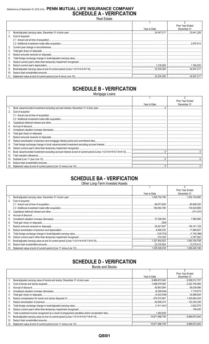## Statement as of September 30, 2018 of the PENN MUTUAL LIFE INSURANCE COMPANY **SCHEDULE A - VERIFICATION**

|                 |                      |              | Prior Year Ended |
|-----------------|----------------------|--------------|------------------|
|                 |                      | Year to Date | December 31      |
|                 |                      |              |                  |
|                 | 2. Cost of acquired: |              |                  |
|                 |                      |              |                  |
|                 |                      |              |                  |
| 3.              |                      |              |                  |
| 4.              |                      |              |                  |
| 5.              |                      |              |                  |
| 6.              |                      |              |                  |
|                 |                      |              |                  |
| 8.              |                      |              |                  |
| 9.              |                      |              |                  |
| 10 <sub>1</sub> |                      |              |                  |
|                 |                      |              |                  |

## **SCHEDULE B - VERIFICATION**

Mortgage Loans

|                 |                      |              | <b>Prior Year Ended</b> |
|-----------------|----------------------|--------------|-------------------------|
|                 |                      | Year to Date | December 31             |
|                 |                      |              |                         |
|                 | 2. Cost of acquired: |              |                         |
|                 |                      |              |                         |
|                 |                      |              |                         |
| 3.              |                      |              |                         |
|                 |                      |              |                         |
| 5.              |                      |              |                         |
| 6.              |                      |              |                         |
| 7.              |                      |              |                         |
| 8.              |                      |              |                         |
| 9.              |                      |              |                         |
| 10.             |                      |              |                         |
| 11.             |                      |              |                         |
| 12 <sub>1</sub> |                      |              |                         |
| 13.             |                      |              |                         |
|                 |                      |              |                         |
| 15.             |                      |              |                         |

## **SCHEDULE BA - VERIFICATION**

Other Long-Term Invested Assets

|     |                   |              | Prior Year Ended |
|-----|-------------------|--------------|------------------|
|     |                   | Year to Date | December 31      |
|     |                   |              |                  |
| 2.  | Cost of acquired: |              |                  |
|     |                   |              |                  |
|     |                   |              |                  |
| 3.  |                   |              |                  |
| 4.  |                   |              |                  |
| 5.  |                   |              |                  |
| 6.  |                   |              |                  |
|     |                   |              |                  |
| 8.  |                   |              |                  |
| 9.  |                   |              |                  |
| 10. |                   |              |                  |
| 11. |                   |              |                  |
| 12. |                   |              |                  |
| 13. |                   |              |                  |

## **SCHEDULE D - VERIFICATION**

**Bonds and Stocks** 

|     |              | <b>Prior Year Ended</b> |
|-----|--------------|-------------------------|
|     | Year to Date | December 31             |
|     |              |                         |
| 2.  |              |                         |
| 3.  |              |                         |
| 4.  |              |                         |
| 5.  |              |                         |
| 6.  |              |                         |
| 7.  |              |                         |
| 8.  |              |                         |
| 9.  |              |                         |
| 10. |              |                         |
| 11. |              |                         |
| 12. |              |                         |
|     |              |                         |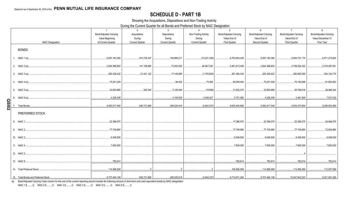## **SCHEDULE D - PART 1B**

Showing the Acquisitions, Dispositions and Non-Trading Activity

During the Current Quarter for all Bonds and Preferred Stock by NAIC Designation

|              |                                     | $\overline{1}$<br>Book/Adjusted Carrying<br>Value Beginning | 2<br>Acquisitions<br>During | $\mathbf{3}$<br>Dispositions<br>During | $\overline{4}$<br>Non-Trading Activity<br>During | 5<br>Book/Adjusted Carrying<br>Value End of | 6<br>Book/Adjusted Carrying<br>Value End of | $\overline{7}$<br>Book/Adjusted Carrying<br>Value End of | 8<br>Book/Adjusted Carrying<br>Value December 31 |
|--------------|-------------------------------------|-------------------------------------------------------------|-----------------------------|----------------------------------------|--------------------------------------------------|---------------------------------------------|---------------------------------------------|----------------------------------------------------------|--------------------------------------------------|
|              | <b>NAIC Designation</b>             | of Current Quarter                                          | <b>Current Quarter</b>      | <b>Current Quarter</b>                 | <b>Current Quarter</b>                           | <b>First Quarter</b>                        | Second Quarter                              | <b>Third Quarter</b>                                     | Prior Year                                       |
|              | <b>BONDS</b>                        |                                                             |                             |                                        |                                                  |                                             |                                             |                                                          |                                                  |
|              | 1. NAIC 1 (a)                       | 6,597,163,360                                               | 473,755,437                 | 193.660.271                            | (72,521,356)                                     | 6,763,854,238                               | 6,597,163,360                               | .6,804,737,170                                           | 6,471,272,824                                    |
|              | 2. NAIC 2 (a)                       | 2,624,396,852                                               | 141,199,965                 | 73,293,930                             | 65,947,535                                       | 2,461,813,438                               | 2,624,396,852                               | .2,758,250,422                                           | 2,316,497,631                                    |
|              | 3. NAIC 3 (a)                       | 263,329,422                                                 | 21,421,122                  | 17,146,890                             | (1,753,604)                                      | 261,494,345                                 | 263,329,422                                 | 265,850,050                                              | 304,124,775                                      |
|              | 4. NAIC 4 (a)                       | 70,201,029                                                  |                             | 96,402                                 | 75,469                                           | 80,659,404                                  | 70,201,029                                  | 70,180,096                                               | 81,650,853                                       |
|              | 5. NAIC 5 (a)                       | 33,600,669                                                  | 345,345                     | 3,129,490                              | (19,908)                                         | 31,832,210                                  | .33,600,669                                 | 30,796,616                                               | 28,486,344                                       |
|              | NAIC 6 (a)<br>6.                    | 4,226,208                                                   |                             | 3,193,935                              | 2,429,327                                        | 5,751,060                                   | 4,226,208                                   | 3,461,600                                                | 7,521,532                                        |
| <b>Z0ISO</b> | Total Bonds                         | 9,592,917,540                                               | 636,721,869                 | 290,520,918                            | (5,842,537)                                      | .9,605,404,695                              | .9,592,917,540                              | .9,933,275,954                                           | 9,209,553,959                                    |
|              | PREFERRED STOCK                     |                                                             |                             |                                        |                                                  |                                             |                                             |                                                          |                                                  |
|              | 8. NAIC 1.                          | 22,386,575                                                  |                             |                                        |                                                  | 17,386,575                                  | .22.386.575                                 | 22.386.575                                               | 24,946,575                                       |
|              | 9. NAIC 2                           | 77,748,880                                                  |                             |                                        |                                                  | 77,748,880                                  | 77,748,880                                  | 77,748,880                                               | 72,629,880                                       |
|              | 10. NAIC 3                          | 6,048,500                                                   |                             |                                        |                                                  | 6,048,500                                   | 0.6,048,500                                 | 6,048,500                                                | 6,048,500                                        |
|              | 11. NAIC 4                          | 7,600,000                                                   |                             |                                        |                                                  | 0.7,600,000                                 | .7,600,000                                  | .7,600,000                                               | 7,600,000                                        |
|              | 12. NAIC 5                          |                                                             |                             |                                        |                                                  |                                             |                                             |                                                          |                                                  |
|              | 13. NAIC 6                          | 782,614                                                     |                             |                                        |                                                  | 782,614                                     | 782,614                                     | 782,614                                                  | 782,614                                          |
|              | 14. Total Preferred Stock           | 114,566,569                                                 | $\cap$                      |                                        | $\Omega$                                         | 109,566,569                                 |                                             |                                                          |                                                  |
|              | 15. Total Bonds and Preferred Stock | $9,707,484,109$ .<br>.                                      | 636,721,869                 |                                        |                                                  |                                             |                                             |                                                          |                                                  |

(a) Book/Adjusted Carrying Value column for the end of the current reporting period includes the following amount of short-term and cash equivalent bonds by NAIC designation:

NAIC 1 \$..........0; NAIC 2 \$..........0; NAIC 3 \$..........0; NAIC 4 \$..........0; NAIC 5 \$..........0; NAIC 6 \$..........0.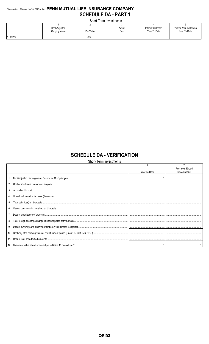## Statement as of September 30, 2018 of the PENN MUTUAL LIFE INSURANCE COMPANY **SCHEDULE DA - PART 1**

Short-Term Investments

|               | ________________________ |           |        |                           |                           |  |  |  |
|---------------|--------------------------|-----------|--------|---------------------------|---------------------------|--|--|--|
|               |                          |           |        |                           |                           |  |  |  |
| Book/Adjusted |                          |           | Actual | <b>Interest Collected</b> | Paid for Accrued Interest |  |  |  |
|               | Carrying Value           | Par Value | Cost   | Year To Date              | Year To Date              |  |  |  |
|               |                          | VVI       |        |                           |                           |  |  |  |
|               |                          |           |        |                           |                           |  |  |  |

## **SCHEDULE DA - VERIFICATION**

|     | Short-Term Investments |              |                                 |  |  |  |
|-----|------------------------|--------------|---------------------------------|--|--|--|
|     |                        | Year To Date | Prior Year Ended<br>December 31 |  |  |  |
|     |                        |              |                                 |  |  |  |
| 2.  |                        |              |                                 |  |  |  |
| 3.  |                        |              |                                 |  |  |  |
|     |                        |              |                                 |  |  |  |
| 5.  |                        |              |                                 |  |  |  |
| 6.  |                        |              |                                 |  |  |  |
|     |                        |              |                                 |  |  |  |
| 8.  |                        |              |                                 |  |  |  |
|     |                        |              |                                 |  |  |  |
| 10. |                        |              |                                 |  |  |  |
| 11. |                        |              |                                 |  |  |  |
|     |                        |              |                                 |  |  |  |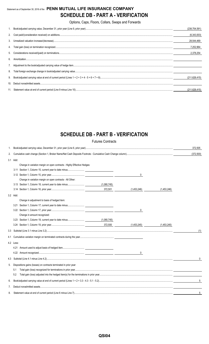## Statement as of September 30, 2018 of the **PENN MUTUAL LIFE INSURANCE COMPANY SCHEDULE DB - PART A - VERIFICATION**

Options, Caps, Floors, Collars, Swaps and Forwards

|    | (238, 704, 591) |
|----|-----------------|
|    | (6,343,003)     |
|    | 28,544,469      |
|    | 7,252,964       |
|    | 2.378.254       |
| 6  |                 |
|    |                 |
| 8. |                 |
|    | (211, 628, 415) |
|    |                 |
|    | (211.628.415)   |

## **SCHEDULE DB - PART B - VERIFICATION**

|          |           |                                                                         | <b>Futures Contracts</b> |              |             |            |
|----------|-----------|-------------------------------------------------------------------------|--------------------------|--------------|-------------|------------|
| 1.       |           |                                                                         |                          |              |             | 372,505    |
| 2.       |           |                                                                         |                          |              |             | (372, 500) |
| 3.1 Add: |           |                                                                         |                          |              |             |            |
|          |           | Change in variation margin on open contracts - Highly Effective Hedges: |                          |              |             |            |
|          |           |                                                                         |                          |              |             |            |
|          |           |                                                                         |                          | 0            |             |            |
|          |           | Change in variation margin on open contracts - All Other:               |                          |              |             |            |
|          |           |                                                                         | (1,080,745)              |              |             |            |
|          |           |                                                                         | 372,501                  | (1,453,246)  | (1,453,246) |            |
|          | 3.2 Add:  |                                                                         |                          |              |             |            |
|          |           | Change in adjustment to basis of hedged item:                           |                          |              |             |            |
|          |           |                                                                         |                          |              |             |            |
|          |           |                                                                         |                          | 0            |             |            |
|          |           | Change in amount recognized:                                            |                          |              |             |            |
|          |           |                                                                         |                          |              |             |            |
|          |           |                                                                         | 372,500                  | (1,453,245)  | (1,453,245) |            |
| 3.3      |           |                                                                         |                          |              |             | (1)        |
|          |           |                                                                         |                          |              |             |            |
|          | 4.2 Less: |                                                                         |                          |              |             |            |
|          |           |                                                                         |                          |              |             |            |
|          |           |                                                                         |                          | $\mathbf{0}$ |             |            |
| 4.3      |           |                                                                         |                          |              |             | 0          |
| 5.       |           | Dispositions gains (losses) on contracts terminated in prior year:      |                          |              |             |            |
|          | 5.1       |                                                                         |                          |              |             |            |
|          | 5.2       |                                                                         |                          |              |             |            |
| 6.       |           |                                                                         |                          |              |             | 5          |
| 7.       |           |                                                                         |                          |              |             |            |
| 8.       |           |                                                                         |                          |              |             | 5          |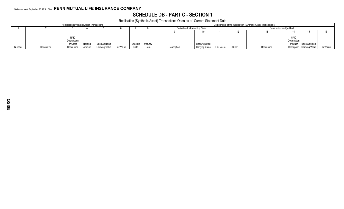## **SCHEDULE DB - PART C - SECTION 1**

Replication (Synthetic Asset) Transactions Open as of Current Statement Date

|        |             | <b>Replication (Synthetic) Asset Transactions</b> |          | .              |            | Components of the Replication (Synthetic Asset) Transactions |          |                               |                |            |                         |             |             |                                       |  |
|--------|-------------|---------------------------------------------------|----------|----------------|------------|--------------------------------------------------------------|----------|-------------------------------|----------------|------------|-------------------------|-------------|-------------|---------------------------------------|--|
|        |             |                                                   |          |                |            |                                                              |          | Derivative Instrument(s) Open |                |            | Cash Instrument(s) Held |             |             |                                       |  |
|        |             |                                                   |          |                |            |                                                              |          |                               |                |            |                         |             |             |                                       |  |
|        |             |                                                   |          |                |            |                                                              |          |                               |                |            |                         |             |             |                                       |  |
|        |             | <b>NAIC</b>                                       |          |                |            |                                                              |          |                               |                |            |                         |             | <b>NAIC</b> |                                       |  |
|        |             | Designation                                       |          |                |            |                                                              |          |                               |                |            |                         |             | Designation |                                       |  |
|        |             | or Other                                          | Notional | Book/Adjusted  |            | Effective                                                    | Maturity |                               | Book/Adjusted  |            |                         |             |             | or Other   Book/Adjusted              |  |
| Number | Description | Description                                       | Amount   | Carrying Value | Fair Value | Date                                                         | Date     | Description                   | Carrying Value | Fair Value | <b>CUSIP</b>            | Description |             | Description Carrying Value Fair Value |  |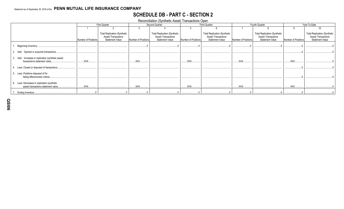## **SCHEDULE DB - PART C - SECTION 2**

Reconciliation (Synthetic Asset) Transactions Open

|                                                                                     |                     | <b>First Quarter</b>                                                                 |                     | Second Quarter                                                                       |                     | <b>Third Quarter</b>                                                                 |                     | Fourth Quarter                                                                       | Year-To-Date        |                                                                                      |
|-------------------------------------------------------------------------------------|---------------------|--------------------------------------------------------------------------------------|---------------------|--------------------------------------------------------------------------------------|---------------------|--------------------------------------------------------------------------------------|---------------------|--------------------------------------------------------------------------------------|---------------------|--------------------------------------------------------------------------------------|
|                                                                                     |                     |                                                                                      |                     |                                                                                      |                     |                                                                                      |                     |                                                                                      |                     |                                                                                      |
|                                                                                     | Number of Positions | <b>Total Replication (Synthetic</b><br>Asset) Transactions<br><b>Statement Value</b> | Number of Positions | <b>Total Replication (Synthetic</b><br>Asset) Transactions<br><b>Statement Value</b> | Number of Positions | <b>Total Replication (Synthetic</b><br>Asset) Transactions<br><b>Statement Value</b> | Number of Positions | <b>Total Replication (Synthetic</b><br>Asset) Transactions<br><b>Statement Value</b> | Number of Positions | <b>Total Replication (Synthetic</b><br>Asset) Transactions<br><b>Statement Value</b> |
| Beginning Inventory                                                                 |                     |                                                                                      |                     |                                                                                      |                     |                                                                                      |                     |                                                                                      |                     |                                                                                      |
| Opened or acquired transactions.<br>2. Add:                                         |                     |                                                                                      |                     |                                                                                      |                     |                                                                                      |                     |                                                                                      |                     |                                                                                      |
| 3. Add: Increases in replication (synthetic asset)<br>transactions statement value. | XXX.                |                                                                                      | <b>XXX</b>          |                                                                                      | XXX.                |                                                                                      | <b>XXX</b>          |                                                                                      | <b>XXX</b>          |                                                                                      |
| 4. Less: Closed or disposed of transactions.                                        |                     |                                                                                      |                     |                                                                                      |                     |                                                                                      |                     |                                                                                      |                     |                                                                                      |
| 5. Less: Positions disposed of for<br>failing effectiveness criteria.               |                     |                                                                                      |                     |                                                                                      |                     |                                                                                      |                     |                                                                                      |                     |                                                                                      |
| 6. Less: Decreases in replication (synthetic                                        | XXX.                |                                                                                      | <b>XXX</b>          |                                                                                      | XXX.                |                                                                                      | XXX.                |                                                                                      | <b>XXX</b>          |                                                                                      |
| asset) transactions statement value.                                                |                     |                                                                                      |                     |                                                                                      |                     |                                                                                      |                     |                                                                                      |                     |                                                                                      |
| 7. Ending Inventory.                                                                |                     |                                                                                      |                     |                                                                                      |                     |                                                                                      |                     |                                                                                      |                     |                                                                                      |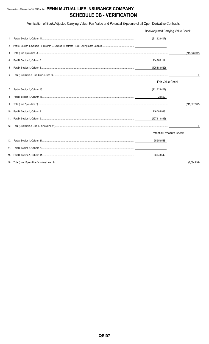## Statement as of September 30, 2018 of the PENN MUTUAL LIFE INSURANCE COMPANY **SCHEDULE DB - VERIFICATION**

Verification of Book/Adjusted Carrying Value, Fair Value and Potential Exposure of all Open Derivative Contracts

|    | Book/Adjusted Carrying Value Check |                 |  |  |  |
|----|------------------------------------|-----------------|--|--|--|
|    | (211, 628, 407)                    |                 |  |  |  |
|    |                                    |                 |  |  |  |
| 3. |                                    | (211, 628, 407) |  |  |  |
| 4. | 214,260,114                        |                 |  |  |  |
| 5. |                                    |                 |  |  |  |
| 6. |                                    |                 |  |  |  |
|    | <b>Fair Value Check</b>            |                 |  |  |  |
|    | (211, 628, 407)                    |                 |  |  |  |
| 8. | 20,500                             |                 |  |  |  |
|    |                                    | (211, 607, 907) |  |  |  |
|    | 216,005,988                        |                 |  |  |  |
|    | (427,613,896)                      |                 |  |  |  |
|    |                                    | -1              |  |  |  |
|    | Potential Exposure Check           |                 |  |  |  |
|    | 95,958,543                         |                 |  |  |  |
|    |                                    |                 |  |  |  |
|    | 98,043,542                         |                 |  |  |  |
|    |                                    | (2,084,999)     |  |  |  |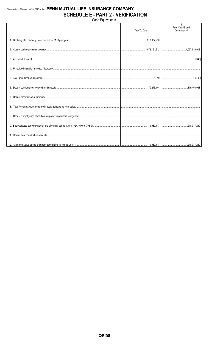### Statement as of September 30, 2018 of the PENN MUTUAL LIFE INSURANCE COMPANY **SCHEDULE E - PART 2 - VERIFICATION** Cash Equivalents

Prior Year Ended Year To Date December 31 1. Book/adjusted carrying value, December 31 of prior year.. ...218,037,230 2. Cost of cash equivalents acquired.. .3,072,164,612 ...1,037,516,918 3. Accrual of discount..  $(11,346)$ 4. Unrealized valuation increase (decrease). 5. Total gain (loss) on disposals..  $.5,019$  $(14, 409)$ 6. Deduct consideration received on disposals.. ..3,170,276,444 ..819,453,933 7. Deduct amortization of premium... 8. Total foreign exchange change in book/ adjusted carrying value. 9. Deduct current year's other-than-temporary impairment recognized. 10. Book/adjusted carrying value at end of current period (Lines 1+2+3+4+5-6-7+8-9). ..119,930,417 ..218,037,230 11. Deduct total nonadmitted amounts.. 12. Statement value at end of current period (Line 10 minus Line 11). 119,930,417 .218,037,230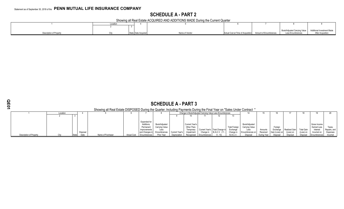# **SCHEDULE A - PART 2**

Showing all Real Estate ACQUIRED AND ADDITIONS MADE During the Current Quarter

|                         | 0.00101<br><b>LOCALIC</b> |                     |                |                                                           |                                                           |                   |
|-------------------------|---------------------------|---------------------|----------------|-----------------------------------------------------------|-----------------------------------------------------------|-------------------|
|                         |                           |                     |                |                                                           |                                                           |                   |
|                         |                           |                     |                |                                                           | Book/Adjusted Carrying Value   Additional Investment Made |                   |
| Description of Property |                           | State Date Acquired | Name of Vendor | Actual Cost at Time of Acquisition Amount of Encumbrances | Less Encumbrances                                         | After Acquisition |

|                         | <b>SCHEDULE A - PART 3</b>                                                                                              |  |          |                   |                    |                                                               |                                         |                |                                                   |                                                          |                                  |                                  |                                         |             |                     |               |                   |                                         |                        |
|-------------------------|-------------------------------------------------------------------------------------------------------------------------|--|----------|-------------------|--------------------|---------------------------------------------------------------|-----------------------------------------|----------------|---------------------------------------------------|----------------------------------------------------------|----------------------------------|----------------------------------|-----------------------------------------|-------------|---------------------|---------------|-------------------|-----------------------------------------|------------------------|
|                         | Showing all Real Estate DISPOSED During the Quarter, Including Payments During the Final Year on "Sales Under Contract" |  |          |                   |                    |                                                               |                                         |                |                                                   |                                                          |                                  |                                  |                                         |             |                     |               |                   |                                         |                        |
|                         | Location                                                                                                                |  |          |                   |                    |                                                               |                                         |                |                                                   | Change in Book/Adjusted Carrying Value Less Encumbrances |                                  |                                  |                                         |             |                     |               |                   |                                         |                        |
|                         |                                                                                                                         |  |          |                   |                    |                                                               |                                         |                |                                                   |                                                          |                                  |                                  |                                         |             |                     |               |                   |                                         |                        |
|                         |                                                                                                                         |  |          |                   |                    | Expended for<br><b>Additions</b><br>Permanent<br>Improvements | Book/Adjusted<br>Carrying Value<br>Less |                | <b>Current Year's</b><br>Other-Than-<br>Temporary |                                                          | Current Year's   Total Change in | <b>Total Foreign</b><br>Exchange | Book/Adjusted<br>Carrying Value<br>Less | Amounts     | Foreign<br>Exchange | Realized Gain | <b>Total Gain</b> | Gross Income<br>Earned Less<br>Interest | Taxes.<br>Repairs, and |
|                         |                                                                                                                         |  | Disposal |                   |                    | and Changes in                                                | Encumbrances                            | Current Year's | Impairment                                        | Change in                                                | B./A.C.V. (11                    | Change is                        | Encumbrances on                         | Received    | Gain (Loss) on      | (Loss) on     | (Loss) on         | Incurred on                             | Expenses               |
| Description of Property |                                                                                                                         |  |          | Name of Purchaser | <b>Actual Cost</b> | Encumbrances                                                  | Prior Year                              | Depreciation   |                                                   | Recognized Encumbrances                                  | $9 - 10$                         | B.A.C.V.                         | Disposal                                | During Year | Disposal            | Disposal      | Disposal          | Encumbrances                            | Incurred               |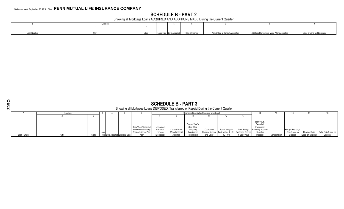# **SCHEDULE B - PART 2**

Showing all Mortgage Loans ACQUIRED AND ADDITIONS MADE During the Current Quarter

|             | Location |       |                           |                  |                                    |                                              |                             |
|-------------|----------|-------|---------------------------|------------------|------------------------------------|----------------------------------------------|-----------------------------|
|             |          |       |                           |                  |                                    |                                              |                             |
| Loan Number |          | State | Loan Type   Date Acquired | Rate of Interest | Actual Cost at Time of Acquisition | Additional Investment Made After Acquisition | Value of Land and Buildings |

| ٠      |  |
|--------|--|
| ı<br>1 |  |
|        |  |
|        |  |

|             | <b>SCHEDULE B - PART 3</b><br>Showing all Mortgage Loans DISPOSED, Transferred or Repaid During the Current Quarter<br>Change in Book Value/Recorded Investment |       |      |                                  |  |                                                                                     |                                     |                                  |                                                          |             |                                                                            |                      |                                                                                 |               |                                    |                    |                      |
|-------------|-----------------------------------------------------------------------------------------------------------------------------------------------------------------|-------|------|----------------------------------|--|-------------------------------------------------------------------------------------|-------------------------------------|----------------------------------|----------------------------------------------------------|-------------|----------------------------------------------------------------------------|----------------------|---------------------------------------------------------------------------------|---------------|------------------------------------|--------------------|----------------------|
|             | Location                                                                                                                                                        |       |      |                                  |  |                                                                                     |                                     |                                  |                                                          |             |                                                                            |                      |                                                                                 |               | 16                                 | 17                 | 18                   |
|             |                                                                                                                                                                 |       |      |                                  |  |                                                                                     | 10                                  |                                  |                                                          |             |                                                                            |                      |                                                                                 |               |                                    |                    |                      |
|             |                                                                                                                                                                 |       | Loan |                                  |  | Book Value/Recorded<br><b>Investment Excluding</b><br><b>Accrued Interest Prior</b> | Unrealized<br>Valuation<br>Increase | Current Year's<br>(Amortization) | Current Year's<br>Other-Than-<br>Temporary<br>Impairment | Capitalized | Total Change in<br>Deferred Interest   Book Value (8 + 9 - Exchange Change | <b>Total Foreign</b> | Book Value<br>Recorded<br>Investment<br><b>Excluding Accrued</b><br>Interest on |               | Foreign Exchange<br>Gain (Loss) on | Realized Gain      | Total Gain (Loss) on |
| Loan Number |                                                                                                                                                                 | State |      | Type Date Acquired Disposal Date |  | Year                                                                                | (Decrease)                          | Accretion                        | Recognized                                               | and Other   | $10 + 11$                                                                  | in Book Value        | Disposal                                                                        | Consideration | Disposal                           | (Loss) on Disposal | Disposal             |
|             |                                                                                                                                                                 |       |      |                                  |  |                                                                                     |                                     |                                  |                                                          |             |                                                                            |                      |                                                                                 |               |                                    |                    |                      |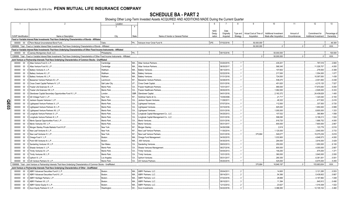SCHEDULE BA - PART 2<br>Showing Other Long-Term Invested Assets ACQUIRED AND ADDITIONS MADE During the Current Quarter

|                             | $\overline{2}$                                                                                                                                    | Location        |           | 5                                      | - 6         |             | 8        | q                      | 10                           | 11           | 12                           | 13           |
|-----------------------------|---------------------------------------------------------------------------------------------------------------------------------------------------|-----------------|-----------|----------------------------------------|-------------|-------------|----------|------------------------|------------------------------|--------------|------------------------------|--------------|
|                             |                                                                                                                                                   | $\mathcal{R}$   | $\Delta$  |                                        |             |             |          |                        |                              |              |                              |              |
|                             |                                                                                                                                                   |                 |           |                                        |             |             |          |                        |                              |              |                              |              |
|                             |                                                                                                                                                   |                 |           |                                        | <b>NAIC</b> | Date        |          |                        |                              |              |                              |              |
|                             |                                                                                                                                                   |                 |           |                                        | Desig-      | Originally  | Type and | Actual Cost at Time of | <b>Additional Investment</b> | Amount of    | Commitment for               | Percentage o |
| <b>CUSIP</b> Identification | Name or Description                                                                                                                               | City            | State     | Name of Vendor or General Partner      | nation      | Acquired    | Strategy | Acquisition            | Made after Acquisition       | Encumbrances | <b>Additional Investment</b> | Ownership    |
|                             | Fixed or Variable Interest Rate Investments That Have Underlying Characteristics of Bonds - Affiliated                                            |                 |           |                                        |             |             |          |                        |                              |              |                              |              |
|                             | 000000 00 0 Penn Mutual Unconstrained Bond Fund.                                                                                                  | Oaks.           |           | PA Advisors Inner Circle Fund III      | 2FE.        | 07/02/2018. |          | .50,000,000            |                              |              |                              | .46.300      |
|                             | 0899999. Total - Fixed or Variable Interest Rate Investments That Have Underlying Characteristics of Bonds - Affiliated                           |                 |           |                                        |             |             |          | .50.000.000            | $\cap$                       |              |                              | .XXX         |
|                             | Fixed or Variable Interest Rate Investments That Have Underlying Characteristics of Other Fixed Income Instruments - Affiliated                   |                 |           |                                        |             |             |          |                        |                              |              |                              |              |
|                             | 000000 00 0 Janney Montgomery Scott, LLC.                                                                                                         | Philadelphia    | PA.       |                                        |             | 09/15/2016. |          |                        | .50,000,000                  |              |                              | 100.000      |
|                             | 1299999. Total - Fixed or Variable Interest Rate Investments That Have Underlying Characteristics of Other Fixed Income Instruments - Affiliated. |                 |           |                                        |             |             |          |                        | .50.000.000                  |              |                              | XXX          |
|                             |                                                                                                                                                   |                 |           |                                        |             |             |          |                        |                              |              |                              |              |
|                             | Joint Venture or Partnership Interests That Have Underlying Characteristics of Common Stocks - Unaffiliated                                       |                 |           |                                        |             |             |          |                        |                              |              |                              |              |
|                             | 000000 00 0 Atlas Venture Fund X, L.P.                                                                                                            | Cambridge       | MA.       | <b>Atlas Venture Partners</b>          |             | 03/20/2015. |          |                        | .435.201                     |              | .787.016                     | .2.800       |
|                             | 000000 00 0 Atlas Venture Fund XI, L.P.                                                                                                           | Cambridge       | MA.       | <b>Atlas Venture Partners</b>          |             | 06/30/2017  |          |                        | .568,345                     |              | .11,026,707                  | .4.000       |
| 000000                      | 0 Battery Ventures X, L.P.<br>$00\,$                                                                                                              | Waltham.        | <b>MA</b> | <b>Battery Ventures</b>                |             | 06/13/2013  |          |                        | .107,602                     |              | .278,500                     | .0.308       |
| 000000                      | 00 0 Battery Ventures XI, L.P.                                                                                                                    | Waltham.        | <b>MA</b> | <b>Battery Ventures.</b>               |             | 02/22/2016  |          |                        | .217,000                     |              | .1,554,000                   | .1.077       |
| 000000                      | 0 Battery Ventures XII, L.P.<br>$00\,$                                                                                                            | Waltham.        | MA        | Battery Ventures.                      |             | 01/31/2018  |          |                        | 724,500                      |              | 10,097,000                   | 1.438        |
| 000000                      | 0 Bessemer Venture Partners IX, L.P.<br>$00\,$                                                                                                    | Larchmont       | NY.       | <b>Bessemer Venture Partners</b>       |             | 02/28/2015  |          |                        | 536,470                      |              | .2,001,693                   | .0.438       |
| 000000                      | 0 Cross Creek Capital Partners IV, L.P.<br>$00\,$                                                                                                 | Salt Lake City  | UT.       | Cross Creek Capital                    |             | 03/31/2016  |          |                        | .451,620                     |              | .4,215,120                   | .7.527       |
| 000000                      | 0 Frazier Life Sciences IX, L.P.<br>$00\,$                                                                                                        | Menlo Park      | CA        | <b>Frazier Healthcare Partners</b>     |             | 10/31/2017  |          |                        | .990,000                     |              | 17,870,000                   | 5.000        |
| 000000                      | 0 Frazier Life Sciences VIII, L.P.<br>$00\,$                                                                                                      | Menlo Park      | CA        | <b>Frazier Healthcare Partners</b>     |             | 09/30/2015  |          |                        | .1,062,000                   |              | 2,928,000                    | .5.333       |
| 000000                      | 0 Glendower Capital Secondary Opportunities Fund IV, L.P.<br>$00\,$                                                                               | .ondon          | GBR.      | Glendower Capital.                     |             | 04/01/2018  |          |                        | .2,163,372                   |              | .24,436,628                  | .1.400       |
|                             | 0 GS Vintage Fund V. L.P                                                                                                                          | New York.       | NY        |                                        |             | 10/29/2008  |          |                        |                              |              |                              |              |
| 000000                      | $00\,$                                                                                                                                            |                 |           | Goldman Sachs & Co.                    |             |             |          |                        | .21.717                      |              | 1,320,040                    | .0.183       |
| 000000<br>ΟR<br>Π           | 0 Jackson Square Ventures I, L.P.<br>$00\,$                                                                                                       | Menlo Park      | CA        | <b>Jackson Square Ventures</b>         |             | 11/28/2011  |          |                        | .48,322                      |              | .417,932                     | .2.416       |
| 000000                      | 0 Lightspeed Venture Partners X, L.P.<br>$00\,$                                                                                                   | Menlo Park      | CA        | <b>Lightspeed Ventures</b>             |             | 07/07/2014  |          |                        | .112,500                     |              | .337,500                     | .0.720       |
| င္လ<br>000000               | $00\,$<br>0 Lightspeed Venture Partners XI, L.P                                                                                                   | Menlo Park      | CA        | <b>Lightspeed Ventures</b>             |             | 03/10/2016  |          |                        | .925.000                     |              | 1,850,000                    | 0.999        |
| 000000                      | 0 Lightspeed Venture Partners XII, L.P.<br>$00\,$                                                                                                 | Menlo Park      | CA        | Lightspeed Ventures.                   |             | 03/31/2018  |          |                        | 1.000.000                    |              | .8.800.000                   | .1.333       |
| 000000                      | 0 Longitude Venture Partners II, L.P.<br>$00\,$                                                                                                   | Menlo Park      | CA.       | Longitude Capital Management Co., LLC. |             | 04/25/2013  |          |                        | .107,532                     |              | .390,964                     | .1.558       |
| 000000                      | 0 Longitude Venture Partners III, L.P.<br>$00\,$                                                                                                  | Menlo Park      | CA        | Longitude Capital Management Co., LLC. |             | 03/31/2016  |          |                        | .598,095                     |              | .5,199,213                   | .1.524       |
| 000000                      | $00\,$<br>Menlo Special Opportunities Fund, L.P.                                                                                                  | Menlo Park      | CA.       | Menlo Ventures.                        |             | 03/31/2016  |          |                        | .918.720                     |              | 1,668,752                    | .4.000       |
| 000000                      | $00\,$<br>0 Menlo Ventures XIV, L.P.                                                                                                              | Menlo Park      | CA        | Menlo Ventures.                        |             | 05/31/2017  |          |                        | .600,000                     |              | .7,800,000                   | .2.667       |
| 000000                      | $00\,$<br>Morgan Stanley Private Markets Fund III LP.                                                                                             | New York        | NY        | Morgan Stanley                         |             | 04/26/2006  |          |                        | .2,619                       |              | .123,776                     | .0.516       |
| 000000                      | $00\,$<br>0 New Leaf Ventures III. L.P.                                                                                                           | New York.       | <b>NY</b> | New Leaf Venture Partners              |             | 11/30/2014  |          |                        | 1,120,000                    |              | .3,640,000                   | .3.733       |
|                             | $00\,$<br>New Leaf Ventures IV. L.P.                                                                                                              | <b>New York</b> | NY        | New Leaf Venture Partners              |             | 03/31/2018  |          | .375,684               | 549,077                      |              | 15,075,239                   | .5.818       |
| 000000                      |                                                                                                                                                   |                 |           |                                        |             |             |          |                        |                              |              |                              |              |
| 000000                      | 0 Omega Fund V, L.P<br>$00\,$                                                                                                                     | Boston.         | MA        | Omega Fund Management.                 |             | 04/30/2015  |          |                        | 1,033,900                    |              | .4,848,573                   | .4.000       |
| 000000                      | $00\,$<br>0 Point 406 Ventures III. L.P.                                                                                                          | Boston.         | MA.       | .406 Ventures                          |             | 04/30/2015  |          |                        | .294,000                     |              | .3,816,000                   | .3.429       |
| 000000                      | $00\,$<br>0 Sanderling Ventures VII. L.P.                                                                                                         | San Mateo       | CA        | Sanderling Ventures.                   |             | 09/03/2013  |          |                        | .250.000                     |              | 1,650,000                    | 6.100        |
| 000000                      | $00\,$<br>0 Shasta Ventures V. L.P.                                                                                                               | Menlo Park      | CA        | Shasta Ventures Management             |             | 06/27/2016  |          |                        | 800,000                      |              | .4,000,000                   | .2.667       |
| 000000                      | $00\,$<br>0 Trinity Ventures XI, L.P.                                                                                                             | Menlo Park      | CA        | Trinity Ventures.                      |             | 04/04/2013  |          |                        | 146,250                      |              | .675,000                     | .1.371       |
| 000000                      | 00 0 Trinity Ventures XII, L.P.                                                                                                                   | Menlo Park      | CA.       | <b>Trinity Ventures.</b>               |             | 10/31/2015  |          |                        | .360,000                     |              | .3,840,000                   | .2.000       |
| 000000                      | 00 0 Upfront VI, L.P.                                                                                                                             | Los Angeles     | CA        | <b>Upfront Ventures</b>                |             | 05/31/2017  |          |                        | .280,355                     |              | .6,361,001                   | .0.001       |
| 000000                      | 00 0 US Venture Partners XI, L.P.                                                                                                                 | Menlo Park      | CA.       | <b>US Venture Partners</b>             |             | 05/20/2015. |          |                        | 525.000                      |              | .6.675.000                   | 5.455        |
|                             | 1599999. Total - Joint Venture or Partnership Interests That Have Underlying Characteristics of Common Stocks - Unaffiliated                      |                 |           |                                        |             |             |          | 375.684                | 16.949.197                   | $\cap$       | 153,683,654                  | XXX.         |
|                             | Joint Venture or Partnership Interests That Have Underlying Characteristics of Other - Unaffiliated                                               |                 |           |                                        |             |             |          |                        |                              |              |                              |              |
| 000000                      | 00 0 ABRY Advanced Securities Fund II, L.P.                                                                                                       | Boston.         | MA.       | <b>ABRY Partners, LLC</b>              |             | 05/04/2011  |          |                        | .14,600                      |              | 3,121,285                    | .0.553       |
| 000000                      | $00\,$<br>0 ABRY Advanced Securities Fund III, L.P                                                                                                | Boston.         | MA.       | <b>ABRY Partners, LLC</b>              |             | 09/14/2011  |          |                        | .54,366                      |              | .5,438,602                   | .0.667       |
| 000000                      | 00 0 ABRY Heritage Partners, L.P.                                                                                                                 | Boston.         | MA.       | <b>ABRY Partners, LLC</b>              |             | 07/22/2016  |          |                        | .28,666                      |              | 4,187,882                    | .1.048       |
| 000000                      | $00\,$<br>0 ABRY Partners VII, L.P                                                                                                                | Boston.         | MA.       | <b>ABRY Partners, LLC</b>              |             | 08/10/2011  |          |                        | .11,394                      |              | .640,912                     | .0.490       |
| 000000                      | 00 0 ABRY Senior Equity IV, L.P.                                                                                                                  | Boston.         | MA.       | <b>ABRY Partners, LLC</b>              |             | 12/12/2012  |          |                        | .23,627                      |              | .1,019,308                   | .1.022       |
| 000000                      | 00 0 Acon Equity Partners IV, L.P.                                                                                                                | Washington.     | DC.       | Acon Investments                       |             | 04/22/2016. |          |                        | .3.386.083                   |              | 12,105,104                   | .3.460       |
|                             |                                                                                                                                                   |                 |           |                                        |             |             |          |                        |                              |              |                              |              |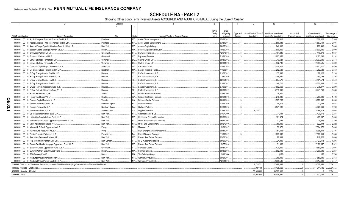SCHEDULE BA - PART 2<br>Showing Other Long-Term Invested Assets ACQUIRED AND ADDITIONS MADE During the Current Quarter

|       |                                   | 2                                                                                                                     | Location        |           | 5                                      | -6          |             | 8        | 9                      | 10                     | 11           | 12                    | 13          |
|-------|-----------------------------------|-----------------------------------------------------------------------------------------------------------------------|-----------------|-----------|----------------------------------------|-------------|-------------|----------|------------------------|------------------------|--------------|-----------------------|-------------|
|       |                                   |                                                                                                                       | $\mathcal{A}$   |           |                                        |             |             |          |                        |                        |              |                       |             |
|       |                                   |                                                                                                                       |                 |           |                                        | <b>NAIC</b> | Date        |          |                        |                        |              |                       |             |
|       |                                   |                                                                                                                       |                 |           |                                        | Desig-      | Originally  | Type and | Actual Cost at Time of | Additional Investment  | Amount of    | Commitment for        | ercentage o |
|       | <b>CUSIP</b> Identification       | Name or Description                                                                                                   | City            | State     | Name of Vendor or General Partner      | nation      | Acquired    | Strategy | Acquisition            | Made after Acquisition | Encumbrances | Additional Investment | Ownership   |
|       | 000000 00                         | Apollo European Principal Finance Fund II, L.P.                                                                       | Purchase        | NY.       | Apollo Global Management, LLC.         |             | 07/23/2012. | 11       |                        | .26,316                |              | .2,308,328            | .0.565      |
|       | 000000<br>$00\,$                  | Apollo European Principal Finance Fund III, L.P.                                                                      | Purchase        | <b>NY</b> | Apollo Global Management, LLC.         |             | 03/31/2017  | 11       |                        | 860,383                |              | .16,567,134           | .0.001      |
|       | 000000 00                         | 0 Avenue Europe Special Situations Fund III (U.S.), L.P.                                                              | New York.       | NY        | Avenue Capital Group.                  |             | 06/05/2015  |          |                        | .640,000               |              | .288,443              | .0.800      |
|       | 00 <sub>0</sub><br>000000         | Beacon Capital Strategic Partners VII, L.P.                                                                           | Boston.         | <b>MA</b> | Beacon Capital Partners, LLC.          |             | 10/20/2015. |          |                        | 600.000                |              | .6,600,000            | .2.000      |
|       | 000000                            | 00 0 Brynwood Partners VII L.P.                                                                                       | Greenwich.      | CT        | Brynwood Partners.                     |             | 12/27/2013  |          |                        | 464,289                |              | .1,446,278            | .1.667      |
|       | 000000<br>$00\,$                  | 0 Brynwood Partners VIII L.P.                                                                                         | Greenwich.      | CT        | Brynwood Partners.                     |             | 01/31/2018. |          |                        | 1,603,056              |              | .5,183,248            | .1.231      |
|       | 000000                            | 00 0 Carlyle Strategic Partners III, L.P.                                                                             | Wilmington      | DE.       | Carlyle Group, L.P.                    |             | 09/30/2012  | .11      |                        | .19,624                |              | .2,993,639            | .0.843      |
|       | 000000<br>$00\,$                  | Carlyle Strategic Partners IV, L.P                                                                                    | Wilmington      | DE        | Carlyle Group, L.P.                    |             | 03/31/2016  | 11       |                        | .932,738               |              | 12,689,595            | .0.800      |
|       | 000000                            | 00 0 Columbia Capital Equity Partners VI, L.P.                                                                        | Alexandria.     | <b>VA</b> | Columbia Capital.                      |             | 07/31/2015. |          |                        | .1,074,316             |              | .4,951,170            | 2.400       |
|       | 000<br>000000                     | EIF United States Power Fund IV, L.P.                                                                                 | Needham         | MA        | <b>Energy Investors Funds</b>          |             | 1/28/2011.  |          |                        | 262,528                |              | (262, 528)            | .0.350      |
|       | 000000                            | 00 0 EnCap Energy Capital Fund IX, L.P.                                                                               | Houston.        | <b>TX</b> | EnCap Investments, L.P.                |             | 01/08/2013  |          |                        | 132,696                |              | .1,182,128            | .0.233      |
|       | 000000<br>$00 \quad 0$            | EnCap Energy Capital Fund VIII, L.P                                                                                   | Houston.        | <b>TX</b> | EnCap Investments, L.P.                |             | 1/30/2010.  |          |                        | 159,080                |              | .497,763              | 0.194       |
|       | $00\,$<br>000000                  | 0 EnCap Energy Capital Fund X, L.P                                                                                    | Houston.        | <b>TX</b> | EnCap Investments, L.P.                |             | 02/28/2015. |          |                        | .657,570               |              | .4,451,574            | .0.340      |
|       | 000000                            | 00 0 EnCap Energy Capital Fund XI, L.P.                                                                               | Houston.        | <b>TX</b> | EnCap Investments, L.P.                |             | 01/31/2017  |          |                        | 148,710                |              | .14,520,636           | .0.246      |
|       |                                   | 000000 00 0 EnCap Flatrock Midstream Fund III, L.P                                                                    | Houston.        | TX        | EnCap Investments, L.P.                |             | 07/09/2014. |          |                        | .1,682,660             |              | .1,775,877            | .0.200      |
|       | 000000                            | 00 0 EnCap Flatrock Midstream Fund IV, L.P.                                                                           | Houston.        | TX        | EnCap Investments, L.P.                |             | 08/31/2017. |          |                        | .3,116,098             |              | .6,441,243            | .0.333      |
|       |                                   | 000000 00 0 Frazier Healthcare VI, LP.                                                                                | Seattle.        | <b>WA</b> | <b>Frazier Healthcare Partners</b>     |             | 03/26/2008. |          |                        | 16,500                 |              |                       | .0.812      |
|       | $00 \quad 0$<br>000000            | Frazier Healthcare VII. LP.                                                                                           | Seattle.        | WA.       | <b>Frazier Healthcare Partners</b>     |             | 08/01/2013. |          |                        | .240,000               |              | .285,000              | .1.706      |
|       | 000000                            | 00 0 Fulcrum Capital Partners V, LP.                                                                                  | Toronto.        | ON        | <b>Fulcrum Capital Partners</b>        |             | 06/11/2015  |          |                        | .1,303,265             |              | 3,978,986             | .4.000      |
| QE03. |                                   | 000000 00 0 Graham Partners Annex, L.P.                                                                               | Newtown Sqaure. | <b>PA</b> | <b>Graham Partners</b>                 |             | 03/15/2010. |          |                        | .45,676                |              | 211,124               | .6.667      |
|       |                                   | 000000 00 0 Graham Partners IV, L.P.                                                                                  | Newtown Sqaure. | PA.       | <b>Graham Partners</b>                 |             | 07/31/2015  |          |                        | .3.571.189             |              | .5,425,641            | .3.200      |
|       | 000000                            | 00 0 Gryphon Partners V, L.P.                                                                                         | San Francisco   | CA        | Gryphon Investors                      |             | 02/28/2018  |          | .6,711,721             |                        |              | 13,288,279            | .1.003      |
|       |                                   | 000000 00 0 GS Mezzanine Partners 2006, L.P.                                                                          | New York.       | $NY$      | Goldman Sachs & Co.                    |             | 04/07/2006. |          |                        | .1.144                 |              | .420,175              | .0.237      |
|       | 000000                            | 00 0 Highbridge Specialty Loan Fund III LP.                                                                           | New York.       | NY        | <b>Highbridge Principal Strategies</b> |             | 05/06/2013  |          |                        | 161,324                |              | .465,657              | .3.594      |
|       | 000000                            | 00 0 Matlin Patterson Global Opportunities Partners III L.P.                                                          | New York.       | NY.       | Matlin Patterson Global Advisors       |             | 06/22/2007  | .11      |                        | .12,131                |              | .229,285              | .0.200      |
|       | 000<br>000000                     | MHR Institutional Partners IV, L.P.                                                                                   | New York.       | NY.       | MHR Fund Management.                   |             | 06/27/2016  |          |                        | 750,000                |              | .11,622,303           | .2.222      |
|       | 000000<br>$00\,$                  | 0 Miravast ILS Credit Opportunities L.P.                                                                              | Ewing           | <b>NJ</b> | Miravast LLC.                          |             | 12/01/2017  |          |                        | .56,373                |              | 7,864,678             | .8.000      |
|       | 000000                            | 00 0 NGP Natural Resources XII. L.P                                                                                   | Irving.         | <b>TX</b> | <b>NGP Energy Capital Management</b>   |             | 08/31/2017  |          |                        | (61, 505)              |              | .12,795,354           | .0.301      |
|       | $00\,$<br>000000                  | Patriot Financial Partners III, L.P.                                                                                  | Philadelphia.   | <b>PA</b> | <b>Patriot Financial Partners</b>      |             | 1/01/2017.  |          |                        | 1,600,000              |              | 12,800,000            | .5.333      |
|       | 000000<br>000                     | Resolution Recovery Partners, LP                                                                                      | New York.       | <b>NY</b> | Ranieri Real Estate Partners           |             | 02/03/2012  | 11       |                        | .22,339                |              | .1,219,523            | .1.000      |
|       | 000000                            | 00 0 RFE Investment Partners VIII, L.P.                                                                               | New Canaan      | CT.       | <b>RFE Investment Partners</b>         |             | 06/29/2012  |          |                        | 24,099                 |              | .127,113              | .1.205      |
|       | 000000                            | 00 0 Selene Residential Mortgage Opportunity Fund II L.P.                                                             | New York.       | NY.       | Ranieri Real Estate Partners           |             | 12/27/2010. | 11       |                        | 31.383                 |              | .7,180,957            | .2.521      |
|       | 000000                            | 00 0 Starwood Global Opportunity Fund XI, L.P                                                                         | Greenwich       | CT        | Starwood Capital.                      |             | 05/31/2017. |          |                        | 420,000                |              | .13,580,000           | .0.001      |
|       |                                   | 000000 00 0 Summit Partners Growth Equity Fund IX.                                                                    | Boston.         | MA        | Summit Partners.                       |             | 09/30/2015. |          |                        | 662,400                |              | .4,209,600            | .0.267      |
|       | 000000                            | 00 0 TRG Forestry Fund 8.                                                                                             | Boston.         | MA.       | The Rohatyn Group.                     |             | 12/13/2004. |          |                        | (155)                  |              | .155                  | .0.760      |
|       | 000000                            | 00 0 Warburg Pincus Financial Sector, L.P.                                                                            | New York.       | NY.       | Warburg, Pincus LLC.                   |             | 09/21/2017  |          |                        | .369,000               |              | .7,659,000            | .0.563      |
|       |                                   | 000000 00 0 Warburg Pincus Private Equity XII, LP                                                                     | New York.       | NY.       | Warburg, Pincus LLC.                   |             | 12/21/2015. |          |                        | .2.365.500             |              | 6,517,000             | 0.147       |
|       |                                   | 2199999. Total - Joint Venture or Partnership Interests That Have Underlying Characteristics of Other - Unaffiliated. |                 |           |                                        |             |             |          | .6.711.721             | .27,489,463            | $\Omega$     | .218,027,451          | XXX.        |
|       | 4499999. Subtotal - Unaffiliated. |                                                                                                                       |                 |           |                                        |             |             |          | 7,087,405              | .44.438.660            | $\Omega$     | .371,711,105          | .XXX        |
|       | 4599999. Subtotal - Affiliated.   |                                                                                                                       |                 |           |                                        |             |             |          | .50,000,000            | 50.000.000             | $\Omega$     |                       | XXX.        |
|       | 4699999. Totals.                  |                                                                                                                       |                 |           |                                        |             |             |          | .57.087.405            | .94.438.660            | $\Omega$     | .371.711.105          | XXX.        |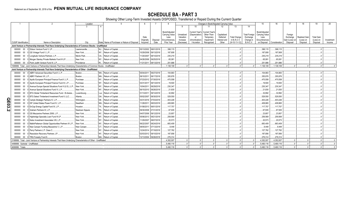**SCHEDULE BA - PART 3**<br>Showing Other Long-Term Invested Assets DISPOSED, Transferred or Repaid During the Current Quarter

|     |                                   |        |                                                                                                                               | Location       |          |                                               |                       |                       |                |            |                                         |                                      | Changes in Book/Adjusted Carrying Value |                     |                      | 15                                     |               | 17             | 18            | 19                | 20         |
|-----|-----------------------------------|--------|-------------------------------------------------------------------------------------------------------------------------------|----------------|----------|-----------------------------------------------|-----------------------|-----------------------|----------------|------------|-----------------------------------------|--------------------------------------|-----------------------------------------|---------------------|----------------------|----------------------------------------|---------------|----------------|---------------|-------------------|------------|
|     |                                   |        |                                                                                                                               | $\mathbf{3}$   | $\Delta$ |                                               |                       |                       |                | q          | 10 <sup>1</sup>                         | 11                                   | 12                                      | 13                  | 14                   |                                        |               |                |               |                   |            |
|     |                                   |        |                                                                                                                               |                |          |                                               |                       |                       | Book/Adjusted  |            |                                         |                                      |                                         |                     |                      |                                        |               |                |               |                   |            |
|     |                                   |        |                                                                                                                               |                |          |                                               |                       |                       | Carrying Value | Unrealized | <b>Current Year's</b><br>(Depreciation) | <b>Current Year's</b><br>Other-Than- | Capitalized                             |                     | <b>Total Foreign</b> | Book/Adjusted<br><b>Carrying Value</b> |               | Foreian        |               |                   |            |
|     |                                   |        |                                                                                                                               |                |          |                                               | Date                  |                       | Less           | Valuation  | or                                      | Temporary                            | Deferred                                | <b>Total Change</b> | Exchange             | Less                                   |               | Exchange       | Realized Gain | <b>Total Gain</b> |            |
|     |                                   |        |                                                                                                                               |                |          |                                               | Originally            | Disposal              | Encumbrances.  | Increase   | (Amortization)                          | Impairment                           | Interest and                            | in B./A.C.V.        | Change in            | Encumbrances                           |               | Gain (Loss) on | (Loss) on     | (Loss) on         | Investment |
|     | <b>CUSIP</b> Identification       |        | Name or Description                                                                                                           | City           |          | State Name of Purchaser or Nature of Disposal | Acquired              | Date                  | Prior Year     | (Decrease) | / Accretion                             | Recognized                           | Other                                   | $(9+10-11+12)$      | <b>B./A.C.V.</b>     | on Disposal                            | Consideration | Disposal       | Disposal      | Disposal          | Income     |
|     |                                   |        | Joint Venture or Partnership Interests That Have Underlying Characteristics of Common Stocks - Unaffiliated                   |                |          |                                               |                       |                       |                |            |                                         |                                      |                                         |                     |                      |                                        |               |                |               |                   |            |
|     |                                   |        | 000000 00 0 Edison Venture Fund V, LP.                                                                                        | Lawrenceville. |          | NJ Return of Capital                          | 05/13/2002 08/01/2018 |                       | .398.115       |            |                                         |                                      |                                         |                     |                      | 398,115                                | 398,115       |                |               |                   |            |
|     | 000000                            | $00\,$ | 0 GS Vintage Fund V, L.P.                                                                                                     | New York.      | NY.      | Return of Capital                             | 10/29/2008            | 09/13/2018            | .187,808       |            |                                         |                                      |                                         |                     |                      | 187,808                                | .187,808      |                |               |                   |            |
|     | 000000                            | $00\,$ | Longitude Venture Partners, L.P.                                                                                              | Menlo Park.    | CA.      | Return of Capital.                            | 11/20/2007            | 08/14/2018            | 235,219        |            |                                         |                                      |                                         |                     |                      | 235,219                                | .235,219      |                |               |                   |            |
|     | 000000                            | $00\,$ | 0 Morgan Stanley Private Markets Fund III LP.                                                                                 | New York.      | NY.      | Return of Capital.                            |                       | 04/26/2006 09/25/2018 | .65,081        |            |                                         |                                      |                                         |                     |                      | 65,081                                 | 65.081        |                |               |                   |            |
|     | 000000                            |        | 00 0 Point Judith Venture Fund III. L.P.                                                                                      | Providence     | $RL$ .   | Return of Capital                             | 11/21/2011 08/13/2018 |                       | 251.886        |            |                                         |                                      |                                         |                     |                      | 251,886                                | 251.886       |                |               |                   |            |
|     |                                   |        | 1599999. Total - Joint Venture or Partnership Interests That Have Underlying Characteristics of Common Stocks - Unaffiliated. |                |          |                                               |                       |                       | 1.138.109      |            |                                         |                                      |                                         |                     |                      | 1.138.109                              | .1,138,109    |                |               |                   |            |
|     |                                   |        | Joint Venture or Partnership Interests That Have Underlying Characteristics of Other - Unaffiliated                           |                |          |                                               |                       |                       |                |            |                                         |                                      |                                         |                     |                      |                                        |               |                |               |                   |            |
|     | 000000                            |        | 00 0 ABRY Advanced Securities Fund II, L.P.                                                                                   | Boston.        |          | MA., Return of Capital                        | 05/04/2011            | 09/27/2018            | .104,883       |            |                                         |                                      |                                         |                     |                      | 104,883                                | 104,883       |                |               |                   |            |
|     | 000000                            | $00\,$ | 0 ABRY Partners VII, L.P.                                                                                                     | Boston.        |          | MA Return of Capital.                         | 08/10/2011            | 08/17/2018            | 355,876        |            |                                         |                                      |                                         |                     |                      | .355,876                               | .355,876      |                |               |                   |            |
|     | 000000                            | 00     | 0 Apollo European Principal Finance Fund II. L.P.                                                                             | Purchase       |          | NY Return of Capital.                         | 07/23/2012 07/30/2018 |                       | 470,558        |            |                                         |                                      |                                         |                     |                      | 470,558                                | .470,558      |                |               |                   |            |
|     | 000000                            | 00     | 0 Apollo European Principal Finance Fund III, L.P.                                                                            | Purchase       |          | NY. Return of Capital.                        | 03/31/2017            | 09/13/2018            | 19,500         |            |                                         |                                      |                                         |                     |                      | .19,500                                | .19,500       |                |               |                   |            |
|     | 000000                            | 00     | 0 Avenue Europe Special Situations Fund II (U.S.), L.P.                                                                       | New York.      |          | NY Return of Capital.                         | 10/04/2011            | 08/29/2018            | 230,347        |            |                                         |                                      |                                         |                     |                      | 230,347                                | 230,347       |                |               |                   |            |
|     | 000000                            | $00\,$ | 0 Avenue Special Situations Fund VI. L.P.                                                                                     | New York.      |          | NY. Return of Capital.                        | 06/15/2010            | 09/26/2018            | .21,830        |            |                                         |                                      |                                         |                     |                      | 21,830                                 | 21,830        |                |               |                   |            |
|     | 000000                            | $00\,$ | 0 BTG Global Timberland Resources Fund - B shares.                                                                            | Luxembourg.    |          | Lux. Return of Capital.                       | 01/13/2011            | 09/14/2018            | .32,892        |            |                                         |                                      |                                         |                     |                      | .32,892                                | .32,892       |                |               |                   |            |
|     | 000000                            | $00\,$ | 0 BTG Select Timberland Investment Fund II. LLC                                                                               | Atlanta.       |          | GA., Return of Capital.                       | 05/02/2007            | 08/30/2018            | 529.550        |            |                                         |                                      |                                         |                     |                      | 529,550                                | .529,550      |                |               |                   |            |
| Q   | 000000                            | $00\,$ | 0 Carlyle Strategic Partners IV, L.P.                                                                                         | Wilmington     |          | DE., Return of Capital.                       | 03/31/2016 07/03/2018 |                       | 403,226        |            |                                         |                                      |                                         |                     |                      | .403,226                               | .403,226      |                |               |                   |            |
| Щ   | 000000                            |        | 00 0 EIF United States Power Fund IV. L.P.                                                                                    | Needham        |          | MA Return of Capital.                         | 11/28/2011            | 08/03/2018            | 408,865        |            |                                         |                                      |                                         |                     |                      | .408,865                               | .408,865      |                |               |                   |            |
| င္လ | 000000                            |        | 00 0 EnCap Energy Capital Fund IX, L.P.                                                                                       | Houston.       | TX.      | Return of Capital.                            | 01/08/2013 06/01/2018 |                       | 117.757        |            |                                         |                                      |                                         |                     |                      | .117,757                               | .117,757      |                |               |                   |            |
| N   | 000000                            | $00\,$ | 0 Graham Partners III. L.P.                                                                                                   | Newtown Sgaure |          | PA., Return of Capital.                       | 09/30/2008 07/31/2018 |                       | .67,935        |            |                                         |                                      |                                         |                     |                      | 67,935                                 | 67,935        |                |               |                   |            |
|     | 000000                            | $00\,$ | 0 GS Mezzanine Partners 2006, L.P.                                                                                            | New York.      |          | NY. Return of Capital.                        | 04/07/2006            | 09/12/2018            | .23,857        |            |                                         |                                      |                                         |                     |                      | 23,857                                 | 23,857        |                |               |                   |            |
|     | 000000                            | $00\,$ | 0 Highbridge Specialty Loan Fund III LP                                                                                       | New York.      |          | NY. Return of Capital.                        | 05/06/2013 09/21/2018 |                       | 259.569        |            |                                         |                                      |                                         |                     |                      | .259,569                               | .259,569      |                |               |                   |            |
|     | 000000                            | $00\,$ | 0   Kelso Investment Associates VIII, L.P.                                                                                    | New York.      |          | NY. Return of Capital.                        | 11/29/2007            | 08/07/2018            | 20,573         |            |                                         |                                      |                                         |                     |                      | 20,573                                 | 20,573        |                |               |                   |            |
|     | 000000                            | 00     | 0 MatlinPatterson Global Opportunities Partners III L.P.                                                                      | New York.      |          | NY. Return of Capital.                        | 06/22/2007            | 08/24/2018            | 683,409        |            |                                         |                                      |                                         |                     |                      | 683,409                                | .683,409      |                |               |                   |            |
|     | 000000                            | $00\,$ | 0 New Canaan Funding Mezzanine V, L.P.                                                                                        | New Canaan.    |          | CT. Return of Capital.                        | 08/05/2011            | 07/13/2018            | 9,448          |            |                                         |                                      |                                         |                     |                      | .9,448                                 | 9,448         |                |               |                   |            |
|     | 000000                            | $00\,$ | 0 Perry Partners L.P. Class C.                                                                                                | New York.      |          | NY. Return of Capital.                        | 12/24/2014            | 07/18/2018            | .127,762       |            |                                         |                                      |                                         |                     |                      | 127,762                                | .127.762      |                |               |                   |            |
|     | 000000                            |        | 00 0 Resolution Recovery Partners, LP.                                                                                        | New York.      |          | NY. Return of Capital.                        | 02/03/2012            | 09/10/2018            | 187,856        |            |                                         |                                      |                                         |                     |                      | 187,856                                | .187,856      |                |               |                   |            |
|     | 000000                            |        | 00 0 TRG Forestry Fund 8.                                                                                                     | Boston.        |          | MA Return of Capital                          | 12/13/2004 09/26/2018 |                       | 276,314        |            |                                         |                                      |                                         |                     |                      | 276,314                                | 276,314       |                |               |                   |            |
|     |                                   |        | 2199999. Total - Joint Venture or Partnership Interests That Have Underlying Characteristics of Other - Unaffiliated          |                |          |                                               |                       |                       | 4.352.007      |            |                                         |                                      |                                         | $\cap$              |                      | 4.352.007                              | .4.352.007    |                |               |                   |            |
|     | 4499999. Subtotal - Unaffiliated. |        |                                                                                                                               |                |          |                                               |                       |                       | 5.490.116      |            |                                         |                                      |                                         |                     |                      | .5.490.116                             | 5.490.116     |                |               |                   |            |
|     | 4699999. Totals.                  |        |                                                                                                                               |                |          |                                               |                       |                       | 5,490,116      |            |                                         |                                      |                                         |                     |                      | .5,490,116                             | 5,490,116     |                |               |                   |            |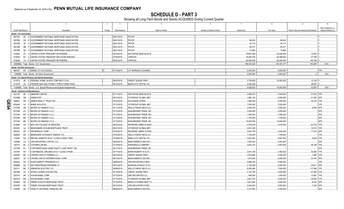**SCHEDULE D - PART 3**<br>Showing all Long-Term Bonds and Stocks ACQUIRED During Current Quarter

|              |        | $\overline{2}$<br>-3<br>$\overline{1}$                                | $\overline{4}$ | 5                              | 6                         | $\overline{7}$     | 8           |                                         |                      |
|--------------|--------|-----------------------------------------------------------------------|----------------|--------------------------------|---------------------------|--------------------|-------------|-----------------------------------------|----------------------|
|              |        |                                                                       |                |                                |                           |                    |             |                                         | NAIC Designation or  |
|              |        | <b>CUSIP</b> Identification<br>Description<br>Foreign                 | Date Acquired  | Name of Vendor                 | Number of Shares of Stock | <b>Actual Cost</b> | Par Value   | Paid for Accrued Interest and Dividends | Market Indicator (a) |
|              |        | Bonds - U.S. Government                                               |                |                                |                           |                    |             |                                         |                      |
|              | 38375U | SC 5 GOVERNMENT NATIONAL MORTGAGE ASSOCIATION                         | 08/01/2018.    | PAYUP.                         |                           |                    |             |                                         |                      |
|              | 38378B | 2W<br>GOVERNMENT NATIONAL MORTGAGE ASSOCIATION<br>- 8                 | 09/01/2018.    | PAYUP.                         |                           | .96,834            | .96,834     |                                         |                      |
|              | 38378B | 3F<br>GOVERNMENT NATIONAL MORTGAGE ASSOCIATION.                       | 09/01/2018.    | PAYUP.                         |                           | .30,710            | 30,710      |                                         |                      |
|              | 38378B | GOVERNMENT NATIONAL MORTGAGE ASSOCIATION<br>M6<br>$\mathbf{3}$        | 09/01/2018.    | PAYUP.                         |                           | .60,471            | .60,471     |                                         |                      |
|              | 38378B | GOVERNMENT NATIONAL MORTGAGE ASSOCIATION.<br>N <sub>5</sub>           | 09/01/2018.    | PAYUP.                         |                           | 73,856             | 73,856      |                                         |                      |
|              | 912828 | UNITED STATES TREASURY NOTE/BOND.<br>4Y<br>3                          | 09/10/2018.    | DEUTSCHE BANC/ALEX B           |                           | 19,967,969         | 20,000,000  | .15,953                                 |                      |
|              | 912828 | K <sub>3</sub><br>UNITED STATES TREASURY INFLATION INDEXED.<br>3      | 07/25/2018.    | VARIOUS.                       |                           | .79,280,478        | 80,499,500  | 27,768                                  |                      |
|              | 912828 | Y4 6 UNITED STATES TREASURY NOTE/BOND.                                | 08/24/2018.    | VARIOUS.                       |                           | .90,008,008        | 90,000,000  | 140,166                                 |                      |
|              |        | 0599999. Total - Bonds - U.S. Government                              |                |                                |                           | 189,518,326        | 190,761,371 | 183,887                                 | XXX.                 |
|              |        | <b>Bonds - All Other Government</b>                                   |                |                                |                           |                    |             |                                         |                      |
|              |        | 46513Y KP 2 ISRAEL ST 4.6 01AUG33<br>l n                              | 07/18/2018     | J.P. MORGAN CLEARING           |                           | .5,000,000         | .5,000,000  |                                         | 1FE.                 |
|              |        | 1099999. Total - Bonds - All Other Government                         |                |                                |                           | 5,000,000          | .5,000,000  | 0                                       | XXX.                 |
|              |        | Bonds - U.S. Special Revenue and Special Assessment                   |                |                                |                           |                    |             |                                         |                      |
|              |        | 3137FG ZK 4   FEDERAL HOME LN MTG CORP MULTI 0.00.                    | 08/03/2018     | <b>CREDIT SUISSE FIRST</b>     |                           | 3,736,656          | 16,000,000  | .13,100                                 |                      |
|              |        | 3137FH 2C 6 FREDDIE MAC MULTIFAMILY STRUCTURED PASS                   | 08/15/2018.    | <b>BARCLAYS CAPITAL FIX.</b>   |                           | 5,092,266          |             | 39,857                                  |                      |
|              |        | 3199999. Total - Bonds - U.S. Special Revenue and Special Assessments |                |                                |                           | .8,828,922         | .16,000,000 | .52,957                                 | .XXX.                |
|              |        | <b>Bonds - Industrial and Miscellaneous</b>                           |                |                                |                           |                    |             |                                         |                      |
|              | 023135 | BF 2 AMAZON.COM INC.                                                  | 07/11/2018.    | DEUTSCHE BANC/ALEX B           |                           | .2,499,575         | .2,500,000  | 37,943 1FE.                             |                      |
|              | 03349M | AB<br>ANDEAVOR.                                                       | 09/13/2018.    | CITIGROUP GLOBAL MKT           |                           | 1,865,140          | .2,000,000  | .41,500                                 | 2FE                  |
| <u>ရ</u>     | 038923 | ARBOR REALTY TRUST INC<br>AD                                          | 07/03/2018.    | EXCHANGE OFFER.                |                           | 1,999,550          | .2,000,000  | .34,375                                 | 1FE.                 |
|              | 05549G | BHMS 2018-ATLS.<br>AJ.                                                | 07/13/2018.    | CITIGROUP GLOBAL MKT           |                           | 7,500,000          | .7,500,000  |                                         | <b>IFE</b>           |
| $\mathsf{R}$ | 07274N | <b>BAYER US FINANCE II LLC</b><br>AN<br>-3                            | 07/11/2018.    | WELLS FARGO SECS LLC           |                           | .3,538,535         | .3,500,000  | .8,094                                  | 2FE                  |
|              | 07274N | AY<br><b>BAYER US FINANCE II LLC</b>                                  | 07/12/2018.    | NON-BROKER TRADE, BO.          |                           | .3,000,000         | .3,000,000  |                                         | 2FE                  |
|              | 07274N | <b>BC</b><br><b>BAYER US FINANCE II LLC</b>                           | 07/12/2018.    | NON-BROKER TRADE, BO           |                           | 1,990,000          | .1,990,000  |                                         | 2FE.                 |
|              | 07274N | <b>BD</b><br><b>BAYER US FINANCE II LLC</b>                           | 07/12/2018.    | NON-BROKER TRADE, BO.          |                           | .1,729,000         | .1,729,000  |                                         | 2FE                  |
|              | 07274N | BE <sub>2</sub><br><b>BAYER US FINANCE II LLC</b>                     | 07/12/2018.    | NON-BROKER TRADE, BO.          |                           | 10,000,000         | 10,000,000  |                                         | 2FE.                 |
|              | 07284R | BAYLOR COLLEGE OF MEDICINE.<br>AA                                     | 08/23/2018.    | RAYMOND JAMES & ASSO           |                           | .4,579,078         | .4,075,000  | 60,720                                  | 1FE.                 |
|              | 08162C | BENCHMARK 2018-B6 MORTGAGE TRUST<br>AJ                                | 09/21/2018.    | CITIGROUP GLOBAL MKT           |                           | .3,001,280         |             | .12,613                                 | 1FE                  |
|              | 084423 | AP<br><b>WR BERKLEY CORP.</b>                                         | 07/30/2018.    | RAYMOND JAMES & ASSO           |                           | .2,945,195         | .2,492,000  | 71,818                                  | 2FE                  |
|              | 084659 | BERKSHIRE HATHAWAY ENERGY CO.<br>AQ                                   | 07/23/2018.    | WELLS FARGO SECS LLC.          |                           | 1,749,440          | 1,750,000   |                                         | 1FE.                 |
|              | 11043H | BRITISH AIRWAYS 2018-1 CLASS A PASS THRO<br>AA                        | 07/09/2018.    | <b>BARCLAYS CAPITAL FIX</b>    |                           | .3,633,264         | .3,667,000  | .8,824                                  | 1FE.                 |
|              | 12592B | CNH INDUSTRIAL CAPITAL LLC.<br>AJ<br>-3                               | 08/09/2018.    | <b>BANC/AMERICA SECUR.</b>     |                           | .1,994,020         | .2,000,000  |                                         | 3FE.                 |
|              | 149123 | <b>BL</b><br>CATERPILLAR INC                                          | 07/19/2018.    | PERSHING & COMPANY             |                           | .2,832,372         | .2,450,000  | .46,169                                 | 1FE                  |
|              | 21075W | EV<br>CONTIMORTGAGE HOME EQUITY LOAN TRUST 199                        | 09/17/2018.    | NON-BROKER TRADE, BO           |                           |                    |             |                                         | 2FE.                 |
|              | 210795 | PZ<br>CONTINENTAL AIRLINES 2012-1 CLASS A PASS                        | 07/17/2018.    | <b>BAIRD ROBERT W &amp; CO</b> |                           | .3,815,106         | .3,769,532  | 42,585                                  | 1FE.                 |
|              | 22822R | <b>BH</b><br>CROWN CASTLE TOWERS LLC.                                 | 09/14/2018.    | <b>CREDIT SUISSE FIRST</b>     |                           | .3,022,950         | .3,000,000  | .1,060                                  | 1FE.                 |
|              | 22822V | AF<br>CROWN CASTLE INTERNATIONAL CORP.                                | 09/13/2018.    | <b>BANC/AMERICA SECUR.L</b>    |                           | .1,915,640         | .2,000,000  | .32,194                                 | 2FE                  |
|              | 26442U | AG<br>DUKE ENERGY PROGRESS LLC.<br>- 9                                | 08/06/2018.    | JPM SECURITIES-FIXED           |                           | .2,999,430         | .3,000,000  |                                         | 1FE.                 |
|              | 26885B | AE<br><b>EQT MIDSTREAM PARTNERS LP</b>                                | 09/13/2018.    | <b>MORGAN STANLEY &amp; CO</b> |                           | .2,129,380         | .2,000,000  | .29,611                                 | 2FE.                 |
|              | 291011 | <b>BD</b><br><b>EMERSON ELECTRIC CO.</b>                              | 09/06/2018.    | <b>WELLS FARGO SECS LLC</b>    |                           | .8,053,990         | .7,000,000  | 117,396                                 | 1FE.                 |
|              | 29736R | AC<br><b>ESTEE LAUDER COS INC/THE</b><br>$\mathbf{A}$                 | 07/18/2018.    | <b>CREDIT SUISSE FIRST</b>     |                           | .3,130,700         | .2,500,000  | 27,083                                  | 1FE.                 |
|              | 30231G | AN 2<br><b>EXXON MOBIL CORP.</b>                                      | 07/12/2018.    | UBS SECURITIES LLC             |                           | .949,550           | .1,000,000  | 12,881                                  | 1FE.                 |
|              | 30231G | <b>EXXON MOBIL CORP.</b><br>AW 2                                      | 07/13/2018.    | CITIGROUP GLOBAL MKT           |                           | .2,607,375         | .2,500,000  | .38,854                                 | 1FE.                 |
|              | 30296X | FREMF 2018-K78 MORTGAGE TRUST<br>AG<br>2                              | 07/10/2018.    | BARCLAYS BANK NEW YO           |                           | .3,921,844         | .4,000,000  | .8,532                                  | 2FE                  |
|              | 30307R | AE<br>FREMF 2018-K80 MORTGAGE TRUST                                   | 09/13/2018.    | JPM SECURITIES-FIXED.          |                           | .2,444,023         | .2,500,000  | .7,342                                  | 2FE                  |
|              | 31620R | AG<br>FIDELITY NATIONAL FINANCIAL INC.<br>$\overline{0}$              | 08/08/2018.    | <b>BANC/AMERICA SECUR.</b>     |                           | .3,721,950         | .3,750,000  |                                         | 2FE.                 |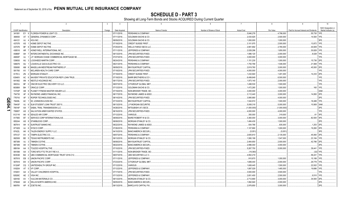**SCHEDULE D - PART 3**<br>Showing all Long-Term Bonds and Stocks ACQUIRED During Current Quarter

|                             |                  | $\overline{2}$                            | $\overline{\mathbf{3}}$ | $\overline{4}$ |                                 | -5             | - 6                       |                       | 8                     | 9                                       | 10                   |
|-----------------------------|------------------|-------------------------------------------|-------------------------|----------------|---------------------------------|----------------|---------------------------|-----------------------|-----------------------|-----------------------------------------|----------------------|
|                             |                  |                                           |                         |                |                                 |                |                           |                       |                       |                                         | NAIC Designation or  |
| <b>CUSIP</b> Identification |                  | Description                               | Foreign                 | Date Acquired  |                                 | Name of Vendor | Number of Shares of Stock | <b>Actual Cost</b>    | Par Value             | Paid for Accrued Interest and Dividends | Market Indicator (a) |
| 341081                      |                  | EY 9 FLORIDA POWER & LIGHT CO             |                         | 07/11/2018.    | PERSHING & COMPANY.             |                |                           | .5,846,278            | 4,798,000             | 55,730                                  | 1FF                  |
| 369550                      | AT<br>-5         | <b>GENERAL DYNAMICS CORP.</b>             |                         | 07/11/2018.    | <b>GOLDMAN SACHS &amp; CO</b>   |                |                           | .2,434,925            | .2,500,000            | .14,500                                 | 1FF                  |
| 404121                      | AJ<br>4          | HCA INC                                   |                         | 08/09/2018.    | <b>GOLDMAN SACHS &amp; CO.</b>  |                |                           | .1,000,000            | .1,000,000            |                                         | 3FE                  |
| 437076                      | AS               | HOME DEPOT INC/THE.                       |                         | 07/18/2018.    | <b>CREDIT SUISSE FIRST</b>      |                |                           | .3,101,975            | .2,500,000            | .13,872                                 | 1FE                  |
| 437076                      | <b>BF</b><br>-8  | HOME DEPOT INC/THE                        |                         | 07/25/2018.    | <b>WELLS FARGO SECS LLC</b>     |                |                           | .2,891,692            | .2,765,000            | .44,609                                 | 1FE                  |
| 438516                      | AR               | HONEYWELL INTERNATIONAL INC.              |                         | 07/11/2018.    | JEFFERIES & COMPANY             |                |                           | .2,028,296            | .1,650,000            | .30,828                                 | 1FE                  |
| 45866F                      | AH               | INTERCONTINENTAL EXCHANGE INC.            |                         | 09/13/2018.    | JPM SECURITIES-FIXED            |                |                           | .1,996,120            | .2,000,000            | .8,028                                  | 1FE                  |
| 46650F                      | AJ               | J.P. MORGAN CHASE COMMERCIAL MORTGAGE SE  |                         | 07/27/2018.    | JPM SECURITIES-FIXED            |                |                           | .3,000,000            | .3,000,000            |                                         | <b>IFF</b>           |
| 539830                      | AU <sub>3</sub>  | LOCKHEED MARTIN CORP.                     |                         | 08/24/2018.    | PERSHING & COMPANY              |                |                           | 1,151,230             | .1,000,000            | .15,736                                 | 2FE.                 |
| 546676                      | AU               | LOUISVILLE GAS & ELECTRIC CO.             |                         | 08/21/2018.    | PERSHING & COMPANY              |                |                           | 1,750,768             | .1,546,000            | 21,569                                  |                      |
| 559080                      | AM <sub>8</sub>  | MAGELLAN MIDSTREAM PARTNERS LP.           |                         | 08/09/2018.    | <b>BNY/SUNTRUST CAPITAL</b>     |                |                           | .2,819,760            | .3,000,000            | .45,500                                 | 2FE                  |
| 581760                      | AV               | MCLAREN HEALTH CARE CORP                  |                         | 07/18/2018.    | JPM SECURITIES-FIXED            |                |                           | .4,000,000            | .4,000,000            |                                         | 1FE                  |
| 61761J                      | ZN<br>2          | <b>MORGAN STANLEY</b>                     |                         | 07/18/2018.    | <b>CREDIT SUISSE FIRST</b>      |                |                           | 1,432,940             | 1,491,000             | .14.233                                 | 2FE.                 |
| 63940V                      | AC               | NAVIENT PRIVATE EDUCATION REFI LOAN TRUS. |                         | 07/18/2018.    | <b>BARR BROTHERS &amp; CO</b>   |                |                           | .6,499,649            | .6,500,000            |                                         | 1FE.                 |
| 641062                      | AN               | <b>NESTLE HOLDINGS INC</b>                |                         | 09/17/2018.    | JPM SECURITIES-FIXED            |                |                           | .1,973,140            | .2,000,000            |                                         | 1FE.                 |
| 68233J                      | <b>BF</b>        | ONCOR ELECTRIC DELIVERY CO LLC.           |                         | 08/07/2018.    | CITIGROUP GLOBAL MKT            |                |                           | .1,498,530            | .1,500,000            |                                         | 1FE.                 |
| 68389X                      | <b>BH</b>        | ORACLE CORP.                              |                         | 07/12/2018.    | <b>GOLDMAN SACHS &amp; CO.</b>  |                |                           | .1,472,265            | .1,500,000            | .160                                    | 1FE.                 |
| 72703P                      | AB <sub>9</sub>  | PLANET FITNESS MASTER ISSUER LLC.         |                         | 07/19/2018.    | NON-BROKER TRADE, BO.           |                |                           | .3,000,000            | .3,000,000            |                                         | 2AM.                 |
| 754730                      | AF<br>-6         | RAYMOND JAMES FINANCIAL INC.              |                         | 08/17/2018.    | RAYMOND JAMES & ASSO            |                |                           | .3,112,440            | .3,000,000            | 14,850                                  | 2FE                  |
| 776743                      | $AF \quad 3$     | ROPER TECHNOLOGIES INC.                   |                         | 08/14/2018.    | <b>JPM SECURITIES-FIXED</b>     |                |                           | .3,995,680            | .4,000,000            |                                         | 2FE.                 |
| 78408L                      | AC               | SC JOHNSON & SON INC.                     |                         | 07/10/2018.    | <b>BNY/SUNTRUST CAPITAL</b>     |                |                           | .1,544,910            | .1,500,000            | .18,488                                 | 1FE.                 |
| 78443F                      | AJ<br>- 6        | SLM STUDENT LOAN TRUST 2007-5.            |                         | 08/13/2018.    | <b>J.P MORGAN SECURITIE</b>     |                |                           | .5,008,318            | .5,000,000            | .10,908                                 | 3AM                  |
| 78516F                      | AA               | SABAL TRAIL TRANSMISSION LLC.             |                         | 04/26/2018.    | MITSUBISHI UFJ SECS.            |                |                           | (1,000,000            | (1,000,000)           |                                         | 2FE                  |
| 79585T                      | AS<br>- 2        | SALVATION ARMY/UNITED STATES.             |                         | 08/16/2018.    | JPM SECURITIES-FIXED.           |                |                           | .4,000,000            | .4,000,000            |                                         | 1FE.                 |
| 81211K                      | AK<br>- 6        | SEALED AIR CORP.                          |                         | 07/12/2018.    | VARIOUS.                        |                |                           | .350,000              | 319,000               | 61                                      | 3FE                  |
| 817565                      | BT.              | SERVICE CORP INTERNATIONAL/US.            |                         | 08/09/2018.    | BAIRD ROBERT W & CO.            |                |                           | .3,360,000            | .3,000,000            | .82,500                                 | 3FE                  |
| 855244                      | AS<br>-8         | STARBUCKS CORP.                           |                         | 08/08/2018.    | <b>MORGAN STANLEY &amp; CO.</b> |                |                           | 1,484,430             | 1,500,000             |                                         | 2FE                  |
| 867914                      | AH<br>$\epsilon$ | <b>SUNTRUST BANKS INC.</b>                |                         | 08/22/2018.    | RAYMOND JAMES & ASSO            |                |                           | .934,766              | .835,000              | .1,253                                  | 2FE                  |
| 871829                      | AJ<br>- 6        | SYSCO CORP.                               |                         | 07/26/2018.    | PERSHING & COMPANY              |                |                           | .1,107,890            | 1,000,000             | 19,260                                  | 2FE                  |
| 87422L                      | AK<br>- 6        | TALEN ENERGY SUPPLY LLC.                  |                         | 04/10/2018.    | <b>BANC/AMERICA SECUR.L</b>     |                |                           |                       |                       |                                         | 3FE                  |
| 875127                      | AV<br>4          | TAMPA ELECTRIC CO.                        |                         | 09/07/2018.    | PERSHING & COMPANY.             |                |                           | (5,051)<br>.2,605,810 | (5,051)<br>.2,135,000 | .45,060                                 | 2FE.                 |
|                             | <b>BD</b>        |                                           |                         |                |                                 |                |                           |                       |                       |                                         | 1FE                  |
| 882508                      | -5               | TEXAS INSTRUMENTS INC.<br>TIMKEN CO/THE.  |                         | 09/13/2018.    | <b>MORGAN STANLEY &amp; CO.</b> |                |                           | .1,580,199            | .1,547,000            | 23,184                                  | 2FE                  |
| 887389                      | AJ 3             |                                           |                         | 08/08/2018.    | <b>BNY/SUNTRUST CAPITAL</b>     |                |                           | .2,464,650            | .2,500,000            | .42,786                                 | 2FE                  |
| 887389                      | AK 0             | TIMKEN CO/THE.                            |                         | 08/22/2018.    | <b>BANC/AMERICA SECUR.L</b>     |                |                           | .2,996,040            | .3,000,000            |                                         | 1FE.                 |
| 889184                      | AA<br>-5         | TOLEDO HOSPITAL/THE.                      |                         | 07/10/2018.    | JPM SECURITIES-FIXED.           |                |                           | .5,267,750            | .5,000,000            | .39,441                                 |                      |
| 891098                      | AA<br>3          | TORO MTG FTG TR 2017-RE 4.0.              |                         | 01/11/2018.    | NON-BROKER TRADE, BO            |                |                           | (19,360)              |                       | (32)                                    | 1FE                  |
| 90353D                      | BA               | UBS COMMERCIAL MORTGAGE TRUST 2018-C12.   |                         | 08/07/2018.    | UBS SECURITIES LLC C.           |                |                           | .4,952,219            |                       | 58,241                                  | 1FE                  |
| 907818                      | EB               | UNION PACIFIC CORP.                       |                         | 07/11/2018.    | JEFFERIES & COMPANY.            |                |                           | 910,670               | .1,000,000            | .15,188                                 | 1FF                  |
| 907818                      | EK               | UNION PACIFIC CORP.                       |                         | 07/23/2018.    | <b>CITIGROUP GLOBAL MKT</b>     |                |                           | 1,689,440             | .2,000,000            | 29,778                                  | 1FE.                 |
| 91324P                      | CO <sub>3</sub>  | UNITEDHEALTH GROUP INC                    |                         | 07/12/2018.    | VARIOUS.                        |                |                           | .1,608,445            | .1,500,000            | .22,932                                 | 1FE                  |
| 918204                      | AT<br>-5         | VF CORP.                                  |                         | 07/12/2018.    | JEFFERIES & COMPANY             |                |                           | .1,897,029            | .1,465,000            | 19,686                                  |                      |
| 919451                      | $AA$ 2           | <b>VALLEY CHILDREN'S HOSPITAL</b>         |                         | 07/17/2018.    | JPM SECURITIES-FIXED            |                |                           | .3,500,000            | .3,500,000            |                                         | 1FE.                 |
| 92826C                      |                  | AE 2 VISA INC.                            |                         | 07/13/2018.    | JEFFERIES & COMPANY             |                |                           | .2,651,400            | .2,500,000            | .9,510                                  | 1FE.                 |
| 929160                      | AV               | <b>VULCAN MATERIALS CO.</b>               |                         | 09/13/2018.    | MORGAN STANLEY & CO.            |                |                           | .2,712,690            | .3,000,000            | 34,500                                  | 2FE                  |
| 970648                      |                  | AH 4   WILLIS NORTH AMERICA INC.          |                         | 09/05/2018.    | <b>BANC/AMERICA SECUR.L</b>     |                |                           | 1,992,940             | .2,000,000            |                                         | 2FE.                 |
| 98978V                      |                  | AP 8 ZOETIS INC.                          |                         | 08/13/2018.    | <b>BARCLAYS CAPITAL FIX</b>     |                |                           | .2,978,850            | .3,000,000            |                                         | 2FE.                 |

QE04.1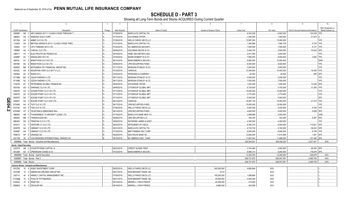**SCHEDULE D - PART 3**<br>Showing all Long-Term Bonds and Stocks ACQUIRED During Current Quarter

|         | $\overline{1}$       | $\overline{2}$                                            | $\overline{3}$ | $\overline{4}$ | 5<br>6                                      |              | $\overline{7}$     | 8            | 9                                       | 10                   |
|---------|----------------------|-----------------------------------------------------------|----------------|----------------|---------------------------------------------|--------------|--------------------|--------------|-----------------------------------------|----------------------|
|         |                      |                                                           |                |                |                                             |              |                    |              |                                         | NAIC Designation or  |
|         | CUSIP Identification | Description                                               | Foreign        | Date Acquired  | Name of Vendor<br>Number of Shares of Stock |              | <b>Actual Cost</b> | Par Value    | Paid for Accrued Interest and Dividends | Market Indicator (a) |
|         | 00908P               | AB 3 AIR CANADA 2017-1 CLASS A PASS THROUGH               |                | 07/09/2018.    | <b>BARCLAYS CAPITAL FIX.</b>                |              | .6,303,238         | 6,593,000    | 130,029                                 |                      |
|         | 496902               | AQ<br>KINROSS GOLD CORP.<br>$\Omega$                      |                | 07/10/2018.    | <b>EXCHANGE OFFER.</b>                      |              | .1,000,000         | .1,000,000   | .21,875                                 |                      |
|         | 00176A               | AX <sub>3</sub><br>AMMC CLO XI LTD.                       |                | 07/26/2018.    | WELLS FARGO SECS LLC.                       |              | 12,987,000         | 13,000,000   |                                         | 1FE                  |
|         | 11042A               | AA 2 BRITISH AIRWAYS 2013-1 CLASS A PASS THRO             |                | 07/31/2018.    | <b>BARCLAYS CAPITAL FIX.</b>                |              | 1,090,969          | .1,060,738   | .5,724                                  | 1FE.                 |
|         | 12549J               | AY 7<br><b>CIFC FUNDING 2014 LTD.</b>                     |                | 07/24/2018.    | <b>SG AMERICAS SECURITI</b>                 |              | .7,500,000         | 7,500,000    | .5,721                                  | 1FF                  |
|         | 14686P               | CARVAL CLO LTD<br><sub>D</sub><br>AA                      |                | 09/06/2018.    | GOLDMAN SACHS & CO.                         |              | .3,438,750         | 3,500,000    | .70,843                                 | 3FE                  |
|         | 268317               | AT<br>ELECTRICITE DE FRANCE SA.<br>D.                     |                | 09/18/2018.    | <b>HSBC SECURITIES (USA.</b>                |              | .2,911,560         | .3,000,000   |                                         | 1FE                  |
|         | 42086P               | AC 7 KINGSLAND VIII LTD.                                  |                | 07/20/2018.    | BAIRD ROBERT W & CO.                        |              | .7,960,000         | 0.8,000,000  | 3,082                                   | 1FE                  |
|         | 56576L               | <b>MARATHON CLO VIII LTD</b><br>AY<br><sub>D</sub><br>- 5 |                | 08/14/2018.    | <b>BANC/AMERICA SECUR.L</b>                 |              | .9,950,000         | 10,000,000   |                                         | 2AM                  |
|         | 56578K               | AE 9   MARATHON CLO XII LTD.                              |                | 09/06/2018.    | JPM SECURITIES-FIXED.                       |              | .9,000,000         | 9,000,000    |                                         | 1FE.                 |
|         | 606822               | MITSUBISHI UFJ FINANCIAL GROUP INC.<br><b>BB</b>          |                | 07/17/2018.    | MORGAN STANLEY & CO.                        |              | .3,500,000         | 3,500,000    |                                         | 1FE.                 |
|         | 62432L               | MOUNTAIN VIEW CLO 2017-2 LLC.<br>D.<br>AA<br><b>q</b>     |                | 07/30/2018.    | <b>VARIOUS.</b>                             |              | 10,394,800         | 10,400,000   | 16,405                                  | 1FE.                 |
|         | 654902               | ID.<br>AC<br>NOKIA OYJ<br><b>q</b>                        |                | 07/20/2018.    | PERSHING & COMPANY.                         |              | .42,350            | 40,000       | .508                                    | 3FE                  |
|         | 67108B               | <sub>D</sub><br>BG 9<br><b>OZLM FUNDING II LTD.</b>       |                | 08/17/2018.    | <b>MORGAN STANLEY &amp; CO.</b>             |              | .4,000,000         | 4,000,000    |                                         |                      |
|         | 67108B               | <b>OZLM FUNDING II LTD.</b><br><b>BJ</b><br>$\mathbf{3}$  |                | 08/17/2018.    | <b>MORGAN STANLEY &amp; CO.</b>             |              | .7,500,000         | 7,500,000    |                                         | 1FE.                 |
|         | 71647N               | AY<br>PETROBRAS GLOBAL FINANCE BV.<br>- 5                 |                | 09/20/2018.    | <b>EXCHANGE OFFER.</b>                      |              | 1,500,000          | .1,500,000   | 13,248                                  | 3FE                  |
|         | 803169               | <sub>D</sub><br>AS<br>SARANAC CLO III LTD.<br>$\Omega$    |                | 08/06/2018.    | CITIGROUP GLOBAL MKT.                       |              | .5,738,500         | 5,750,000    | .31,393                                 |                      |
|         | 83607E               | SOUND POINT CLOV-R LTD.<br>AA<br>$\Omega$                 |                | 07/12/2018.    | CITIGROUP GLOBAL MKT.                       |              | 15,000,000         | 15,000,000   |                                         | FE.                  |
|         | 83607E               | 6 SOUND POINT CLOV-R LTD.<br>AC                           |                | 07/12/2018.    | CITIGROUP GLOBAL MKT.                       |              | .3,775,000         | .3,775,000   |                                         | 1FE.                 |
|         | 83607E               | 7 SOUND POINT CLOV-R LTD.<br>AG                           |                | 07/12/2018.    | CITIGROUP GLOBAL MKT.                       |              | .5,000,000         | 5,000,000    |                                         | 2FE.                 |
| ΟR<br>Π | 83609T               | 5 SOUND POINT CLO XVIII LTD.<br>AA                        |                | 08/14/2018.    | VARIOUS.                                    |              | 18,997,125         | 19,000,000   | .21,214                                 | 1FE                  |
|         | 87249Q               | TICP CLO XI LTD<br>AA<br>- 8                              | ID.            | 08/17/2018.    | JPM SECURITIES-FIXED.                       |              | .15,000,000        | 15,000,000   |                                         | 1FE                  |
| 34.2    | 87272H               | AA 8   TIAA CLO III LTD.<br>D.                            |                | 07/26/2018.    | WELLS FARGO SECS LLC.                       |              | .5,000,000         | 5,000,000    | .6,785                                  | 1FE                  |
|         | 87938W               | l n<br>TELEFONICA EMISIONES SAU.<br>AT<br>ິດ              |                | 09/14/2018.    | JPM SECURITIES-FIXED.                       |              | .4,828,550         | .5,000,000   | .5,699                                  | 2FE                  |
|         | 886065               | AB<br>THUNDERBOLT II AIRCRAFT LEASE LTD.                  |                | 07/19/2018.    | BARCLAYS BANK NEW YO.                       |              | .2,999,888         | .3,000,000   |                                         | 2AM                  |
|         | 893830               | D.<br><b>BB</b><br>TRANSOCEAN INC.<br>$\mathbf{A}$        |                | 09/06/2018.    | UBS SECURITIES LLC.                         |              | 345,345            | 322,000      | .6,367                                  | 5FE                  |
|         | 89640X               | AQ<br><b>TRINITAS CLO IV LTD.</b><br>-9                   |                | 08/08/2018.    | RAYMOND JAMES & ASSO                        |              | 4,300,000          | 4,300,000    |                                         | 1FE.                 |
|         | 92331V               | AJ<br>7 VENTURE 31 CLO LTD.                               |                | 08/03/2018.    | MITSUBISHI UFJ SECS.                        |              | .6,394,375         | 6,500,000    | .115,821                                | 2FE                  |
|         | 92557R               | AA<br><b>VIBRANT CLO VIII LTD.</b><br>2                   |                | 08/21/2018.    | <b>BARCLAYS CAPITAL FIX.</b>                |              | 4,732,734          | 4,762,500    | .36,422                                 | 3FE                  |
|         | 92558F               | AA 7 VIBRANT CLO VIII LTD.                                |                | 07/30/2018.    | <b>BNP PARIBAS SEC CORP</b>                 |              | .9,000,000         | 9,000,000    | .9,759                                  |                      |
|         | F6861D               | AP 5 ORANGE SA.                                           |                | 09/28/2018.    | DEUTSCHE BANK SA.                           |              | 12,849,094         | 11,614,995   | .1,591                                  | 2FE                  |
|         | XS1799               | 93 9 VOLKSWAGEN INTERNATIONAL FINANCE NV.                 |                | 09/18/2018.    | BC AMERICA SEC, CHAR.                       |              | 11,857,443         | 11,699,505   | 127,492                                 | 2FE                  |
|         |                      | 3899999. Total - Bonds - Industrial and Miscellaneous     |                |                |                                             |              | 420,044,831        | .405,036,220 | 2,021,931                               | XXX.                 |
|         |                      | <b>Bonds - Hybrid Securities</b>                          |                |                |                                             |              |                    |              |                                         |                      |
|         |                      | 22237A AB 2 COUNTRYWIDE CAPITAL III                       |                | 08/23/2018.    | <b>CREDIT SUISSE FIRST</b>                  |              | .3,744,480         | .3,000,000   | .48,300 2FE                             |                      |
|         |                      | 48126H AC 4 JPMORGAN CHASE & CO.                          |                | 07/23/2018.    | <b>BANC/AMERICA SECUR.L</b>                 |              | .9,585,313         | 9,250,000    | .178,679 2FE.                           |                      |
|         |                      | 4899999. Total - Bonds - Hybrid Securities.               |                |                |                                             |              | .13,329,793        | 12,250,000   | .226,979                                | .XXX.                |
|         |                      | 8399997. Total - Bonds - Part 3.                          |                |                |                                             |              | .636.721.872       | .629.047.591 | 2.485.754                               | .XXX.                |
|         |                      | 8399999. Total - Bonds.                                   |                |                |                                             |              | .636,721,872       | .629,047,591 | .2,485,754                              | XXX.                 |
|         |                      | <b>Common Stocks - Industrial and Miscellaneous</b>       |                |                |                                             |              |                    |              |                                         |                      |
|         | 00123Q               | 4 AGNC INVESTMENT CORP.<br>10                             |                | 08/02/2018.    | WELLS FARGO SECS LLC.                       | .245,000.000 | .4,680,844         | XXX          |                                         |                      |
|         | 02376R               | 10<br>AMERICAN AIRLINES GROUP INC.<br>2                   |                | 08/21/2018.    | NON-BROKER TRADE, BO                        | .0.010       |                    | XXX          |                                         |                      |
|         | 035710               | 9 ANNALY CAPITAL MANAGEMENT INC<br>40                     |                | 07/09/2018.    | <b>WELLS FARGO SECS LLC</b>                 | .190,000.000 | 1,999,864          | <b>XXX</b>   |                                         |                      |
|         | 31338@               | 10 6 FHLB OF PITTSBURGH.                                  |                | 08/01/2018.    | NON-BROKER TRADE, BO                        | .40,000.000  | 4,000,000          | XXX          |                                         |                      |
|         | 83304A               | 10 6 SNAP INC.                                            |                | 09/19/2018.    | MERRILL LYNCH PIERCE.                       | .45,509.000  | .419,593           | XXX          |                                         |                      |
|         | 98980G               | 10 2 ZSCALER INC                                          |                | 09/18/2018.    | MERRILL LYNCH PIERCE.                       | 9.966.000    | 425.598            | <b>XXX</b>   |                                         |                      |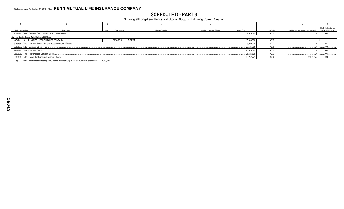**SCHEDULE D - PART 3**<br>Showing all Long-Term Bonds and Stocks ACQUIRED During Current Quarter

| <b>CUSIP</b> Identification    | Description                                                          | Foreign | Date Acquired     | Name of Vendor | Number of Shares of Stock | <b>Actual Cost</b> | Par Value  | Paid for Accrued Interest and Dividends | NAIC Designation or<br>Market Indicator (a) |
|--------------------------------|----------------------------------------------------------------------|---------|-------------------|----------------|---------------------------|--------------------|------------|-----------------------------------------|---------------------------------------------|
|                                | 9099999. Total - Common Stocks - Industrial and Miscellaneous        |         |                   |                |                           | 11,525,899         | XXX        |                                         | XXX                                         |
|                                | Common Stocks - Parent, Subsidiaries and Affiliates                  |         |                   |                |                           |                    |            |                                         |                                             |
|                                | 987654 32 4 VANTIS LIFE INSURANCE COMPANY                            |         | 09/30/2018 DIRECT |                |                           | .15,000,000        | <b>XXX</b> |                                         |                                             |
|                                | 9199999. Total - Common Stocks - Parent, Subsidiaries and Affiliates |         |                   |                |                           | .15,000,000        | XXX        |                                         | XXX                                         |
|                                | 9799997. Total - Common Stocks - Part 3                              |         |                   |                |                           | 26,525,899         | XXX        |                                         | $$ XXX                                      |
| 9799999. Total - Common Stocks |                                                                      |         |                   |                |                           | 26,525,899         | <b>XXX</b> |                                         | XXX                                         |
|                                | 9899999. Total - Preferred and Common Stocks                         |         |                   |                |                           | 26,525,899         | <b>XXX</b> |                                         | XXX                                         |
|                                | 9999999. Total - Bonds, Preferred and Common Stocks                  |         |                   |                |                           | .663,247,77'       | XXX        | .2,485,754                              | XXX                                         |

For all common stock bearing NAIC market indicator "U" provide the number of such issues:.....19,000,000.  $(a)$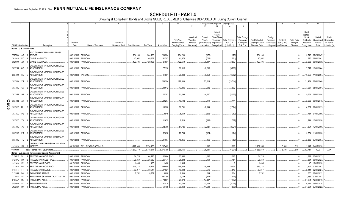# **SCHEDULE D - PART 4**

Showing all Long-Term Bonds and Stocks SOLD, REDEEMED or Otherwise DISPOSED OF During Current Quarter

|             |                             |           | $\mathcal{P}$                                             |                      |                                  |                                            |            |            |                    | 10                                            |                                                   |                                                  | Change in Book/Adjusted Carrying Value                                    |                                                                                                            | 16                                                  | 17                                                | 18                                     | 19                                         | 20                                                                | 21                                        | 22                                                       |
|-------------|-----------------------------|-----------|-----------------------------------------------------------|----------------------|----------------------------------|--------------------------------------------|------------|------------|--------------------|-----------------------------------------------|---------------------------------------------------|--------------------------------------------------|---------------------------------------------------------------------------|------------------------------------------------------------------------------------------------------------|-----------------------------------------------------|---------------------------------------------------|----------------------------------------|--------------------------------------------|-------------------------------------------------------------------|-------------------------------------------|----------------------------------------------------------|
|             |                             |           |                                                           |                      |                                  |                                            |            |            |                    |                                               | 11                                                | 12                                               | 13                                                                        | 15                                                                                                         |                                                     |                                                   |                                        |                                            |                                                                   |                                           |                                                          |
|             | <b>CUSIP</b> Identification |           | Description                                               | Disposal<br>Date     | Name of Purchaser                | Number of<br>Shares of Stock Consideration |            | Par Value  | <b>Actual Cost</b> | Prior Year<br>Book/Adjusted<br>Carrying Value | Unrealized<br>Valuation<br>Increase<br>(Decrease) | Current<br>Year's<br>Amortization<br>/ Accretion | Current<br>Year's<br>Other-Than-<br>Temporary<br>Impairment<br>Recognized | <b>Total Foreigr</b><br>Exchange<br>Total Change in<br>B./A.C.V.<br>Change in<br>$(11+12-13)$<br>B./A.C.V. | Book/Adjusted<br>Carrying Value at<br>Disposal Date | Foreign<br>Exchange<br>Gain (Loss)<br>on Disposal | Realized<br>Gain (Loss)<br>on Disposal | <b>Total Gain</b><br>(Loss) on<br>Disposal | Bond<br>Interest<br>Stock<br>Dividends<br>Received<br>During Year | Stated<br>Contractual<br>Maturity<br>Date | <b>NAIC</b><br>Designation<br>or Market<br>Indicator (a) |
|             | Bonds - U.S. Government     |           |                                                           |                      |                                  |                                            |            |            |                    |                                               |                                                   |                                                  |                                                                           |                                                                                                            |                                                     |                                                   |                                        |                                            |                                                                   |                                           |                                                          |
|             |                             |           |                                                           |                      |                                  |                                            |            |            |                    |                                               |                                                   |                                                  |                                                                           |                                                                                                            |                                                     |                                                   |                                        |                                            |                                                                   |                                           |                                                          |
|             | 30250W AB                   | - 9       | FDIC GUARANTEED NOTES TRUST<br>2010-S2                    |                      | 08/31/2018. PAYDOWN              |                                            | .204,106   | .204,106   | .204,284           | 204,284                                       |                                                   | (178)                                            |                                                                           | (178)                                                                                                      | .204,106                                            |                                                   |                                        |                                            |                                                                   | .3,743 07/29/2047                         |                                                          |
|             | 36194S                      | <b>PD</b> | GINNIE MAE I POOL                                         | 09/01/2018           | <b>PAYDOWN</b>                   |                                            | .40,952    | .40,952    | .41,707            | .41,673                                       |                                                   | (721)                                            |                                                                           | (721)                                                                                                      | .40,952                                             |                                                   |                                        |                                            | .825                                                              | 09/01/2041                                |                                                          |
|             | 36296U ZX                   |           | <b>GINNIE MAE I POOL</b>                                  |                      | 09/01/2018. PAYDOWN.             |                                            | .129,406   | 129,406    | 121,601            | 122,510                                       |                                                   | .6,897                                           |                                                                           | .6,897                                                                                                     | .129,406                                            |                                                   |                                        |                                            | .2,035                                                            | 06/01/2039.                               |                                                          |
|             |                             |           | <b>GOVERNMENT NATIONAL MORTGAGE</b>                       |                      |                                  |                                            |            |            |                    |                                               |                                                   |                                                  |                                                                           |                                                                                                            |                                                     |                                                   |                                        |                                            |                                                                   |                                           |                                                          |
|             | 38375U QQ                   |           | <b>ASSOCIATION</b>                                        |                      | 09/01/2018. PAYDOWN              |                                            |            |            | .77,326            | .60,816                                       |                                                   | (6,206)                                          |                                                                           | (6,206)                                                                                                    |                                                     |                                                   |                                        |                                            | .7,517                                                            | 10/01/2064.                               |                                                          |
|             |                             |           | <b>GOVERNMENT NATIONAL MORTGAGE</b>                       |                      |                                  |                                            |            |            |                    |                                               |                                                   |                                                  |                                                                           |                                                                                                            |                                                     |                                                   |                                        |                                            |                                                                   |                                           |                                                          |
|             | 38375U SC                   |           | <b>ASSOCIATION</b>                                        | 09/01/2018. VARIOUS. |                                  |                                            |            |            | 101,051            | .78,039                                       |                                                   | (6,952)                                          |                                                                           | (6,952)                                                                                                    |                                                     |                                                   |                                        |                                            | .10,698                                                           | 11/01/2064.                               |                                                          |
|             |                             |           | <b>GOVERNMENT NATIONAL MORTGAGE</b>                       |                      |                                  |                                            |            |            |                    |                                               |                                                   |                                                  |                                                                           |                                                                                                            |                                                     |                                                   |                                        |                                            |                                                                   |                                           |                                                          |
|             | 38378B ZR                   |           | ASSOCIATION                                               |                      | 09/01/2018. PAYDOWN              |                                            |            |            | .263,204           | .199,333                                      |                                                   | (23,014)                                         |                                                                           | (23, 014)                                                                                                  |                                                     |                                                   |                                        |                                            | .21,434                                                           | 08/01/2046.                               |                                                          |
|             |                             |           | <b>GOVERNMENT NATIONAL MORTGAGE</b>                       |                      |                                  |                                            |            |            |                    |                                               |                                                   |                                                  |                                                                           |                                                                                                            |                                                     |                                                   |                                        |                                            |                                                                   |                                           |                                                          |
|             | 38378K 6A                   |           | ASSOCIATION                                               |                      | 09/01/2018. PAYDOWN              |                                            |            |            | .33,612            | .13,886                                       |                                                   | .602                                             |                                                                           | 602                                                                                                        |                                                     |                                                   |                                        |                                            | .3,937                                                            | 05/01/2054                                |                                                          |
|             |                             |           | <b>GOVERNMENT NATIONAL MORTGAGE</b>                       |                      |                                  |                                            |            |            |                    |                                               |                                                   |                                                  |                                                                           |                                                                                                            |                                                     |                                                   |                                        |                                            |                                                                   |                                           |                                                          |
|             | 38378N NJ                   |           | <b>ASSOCIATION</b>                                        |                      | 09/01/2018. PAYDOWN              |                                            |            |            | 112,282            | .61,299                                       |                                                   | (4, 127)                                         |                                                                           | (4, 127)                                                                                                   |                                                     |                                                   |                                        |                                            | .9,554                                                            | 09/01/2054                                |                                                          |
|             |                             |           | <b>GOVERNMENT NATIONAL MORTGAGE</b>                       |                      |                                  |                                            |            |            |                    |                                               |                                                   |                                                  |                                                                           |                                                                                                            |                                                     |                                                   |                                        |                                            |                                                                   |                                           |                                                          |
| <u>ရ</u>    | 38378N XK                   |           | ASSOCIATION                                               |                      | 09/01/2018. PAYDOWN              |                                            |            |            | .29,267            | .10,102                                       |                                                   | .111                                             |                                                                           | .111                                                                                                       |                                                     |                                                   |                                        |                                            | .2,933                                                            | 06/01/2048.                               |                                                          |
|             |                             |           | <b>GOVERNMENT NATIONAL MORTGAGE</b><br><b>ASSOCIATION</b> |                      |                                  |                                            |            |            |                    |                                               |                                                   |                                                  |                                                                           |                                                                                                            |                                                     |                                                   |                                        |                                            | .10,882                                                           | 02/01/2055.                               |                                                          |
| <u>င်္ဂ</u> | 38378X MU                   |           |                                                           |                      | 09/01/2018. PAYDOWN.             |                                            |            |            | 116,288            | .66,781                                       |                                                   | (2, 394)                                         |                                                                           | (2, 394)                                                                                                   |                                                     |                                                   |                                        |                                            |                                                                   |                                           |                                                          |
|             | 38378X PE                   |           | <b>GOVERNMENT NATIONAL MORTGAGE</b><br><b>ASSOCIATION</b> |                      | 09/01/2018. PAYDOWN              |                                            |            |            | .9,945             | .5,550                                        |                                                   | (262)                                            |                                                                           | (262)                                                                                                      |                                                     |                                                   |                                        |                                            |                                                                   | .754 01/01/2056.                          |                                                          |
|             |                             |           | <b>GOVERNMENT NATIONAL MORTGAGE</b>                       |                      |                                  |                                            |            |            |                    |                                               |                                                   |                                                  |                                                                           |                                                                                                            |                                                     |                                                   |                                        |                                            |                                                                   |                                           |                                                          |
|             | 38378X TX                   |           | <b>ASSOCIATION</b>                                        |                      | 09/01/2018. PAYDOWN              |                                            |            |            | .11,679            | .6,518                                        |                                                   | (369)                                            |                                                                           | (369)                                                                                                      |                                                     |                                                   |                                        |                                            | 1,944                                                             | 10/01/2056.                               |                                                          |
|             |                             |           | <b>GOVERNMENT NATIONAL MORTGAGE</b>                       |                      |                                  |                                            |            |            |                    |                                               |                                                   |                                                  |                                                                           |                                                                                                            |                                                     |                                                   |                                        |                                            |                                                                   |                                           |                                                          |
|             | 38379K JC                   |           | ASSOCIATION                                               |                      | 09/01/2018. PAYDOWN.             |                                            |            |            | .82,350            | .51,725                                       |                                                   | (2,021)                                          |                                                                           | (2,021)                                                                                                    |                                                     |                                                   |                                        |                                            | .7,604                                                            | 12/01/2056.                               |                                                          |
|             |                             |           | <b>GOVERNMENT NATIONAL MORTGAGE</b>                       |                      |                                  |                                            |            |            |                    |                                               |                                                   |                                                  |                                                                           |                                                                                                            |                                                     |                                                   |                                        |                                            |                                                                   |                                           |                                                          |
|             | 38379K PR                   |           | <b>ASSOCIATION</b>                                        |                      | 09/01/2018. PAYDOWN              |                                            |            |            | .52,858            | .28,784                                       |                                                   | (124)                                            |                                                                           | (124)                                                                                                      |                                                     |                                                   |                                        |                                            | .3,854                                                            | 11/01/2056.                               |                                                          |
|             |                             |           | <b>GOVERNMENT NATIONAL MORTGAGE</b>                       |                      |                                  |                                            |            |            |                    |                                               |                                                   |                                                  |                                                                           |                                                                                                            |                                                     |                                                   |                                        |                                            |                                                                   |                                           |                                                          |
|             | 38379K TL 2                 |           | <b>ASSOCIATION</b>                                        |                      | 09/01/2018. PAYDOWN              |                                            |            |            | .31,857            | .16,855                                       |                                                   | (59)                                             |                                                                           | (59)                                                                                                       |                                                     |                                                   |                                        |                                            |                                                                   | .2,856 07/01/2057.                        |                                                          |
|             |                             |           | <b>JNITED STATES TREASURY INFLATION</b>                   |                      |                                  |                                            |            |            |                    |                                               |                                                   |                                                  |                                                                           |                                                                                                            |                                                     |                                                   |                                        |                                            |                                                                   |                                           |                                                          |
|             | 912828 K3 3                 |           | <b>INDEXED</b>                                            |                      | 08/10/2018. WELLS FARGO SECS LLC |                                            | .5,297,946 | .5,374,150 | .5,287,469         |                                               |                                                   | .1,886                                           |                                                                           | .1,886                                                                                                     | .5,289,355                                          |                                                   | .8,591                                 | .8,591                                     |                                                                   | $.2,147$ 04/15/2020.                      |                                                          |
|             | 0599999.                    |           | Total - Bonds - U.S. Government                           |                      |                                  |                                            | .5,672,410 | .5,748,614 | .6,576,780         | .968,155                                      |                                                   | (36, 931)                                        |                                                                           | (36.931)                                                                                                   | .5,663,819                                          | $\Omega$                                          | .8,591                                 | .8,591                                     | .92,717                                                           | XXX                                       | XXX                                                      |
|             |                             |           | Bonds - U.S. Special Revenue and Special Assessment       |                      |                                  |                                            |            |            |                    |                                               |                                                   |                                                  |                                                                           |                                                                                                            |                                                     |                                                   |                                        |                                            |                                                                   |                                           |                                                          |
|             | 3128PK                      | WJ        | FREDDIE MAC GOLD POOI                                     |                      | 09/01/2018. PAYDOWN              |                                            | .64,725    | .64,725    | .62,864            | .63,460                                       |                                                   | 1,265                                            |                                                                           | .1,265                                                                                                     | .64,725                                             |                                                   |                                        |                                            |                                                                   | 1,899 05/01/2023.                         |                                                          |
|             | 3128PL                      | AW        | FREDDIE MAC GOLD POOL                                     | 09/01/2018           | <b>PAYDOWN</b>                   |                                            | .26,359    | .26,359    | .26,171            | .26,208                                       |                                                   | .151                                             |                                                                           | .151                                                                                                       | .26,359                                             |                                                   |                                        |                                            | .864                                                              | 06/01/2023.                               |                                                          |
|             | 312903                      | KY        | FREDDIE MAC REMICS.                                       | 08/15/2018           | <b>PAYDOWN</b>                   |                                            | .1,485     | .1,485     | .1,480             | .1,485                                        |                                                   |                                                  |                                                                           |                                                                                                            | .1,485                                              |                                                   |                                        |                                            | .45                                                               | 12/16/2020.                               |                                                          |
|             | 312945                      | DN        | FREDDIE MAC GOLD POOL                                     | 09/01/2018           | PAYDOWN                          |                                            | .316,114   | .316,114   | .296,480           | .296,480                                      |                                                   | .19,634                                          |                                                                           | .19,634                                                                                                    | .316,114                                            |                                                   |                                        |                                            | .7,351                                                            | 01/01/2041                                |                                                          |
|             | 3133T4                      | <b>FT</b> | FREDDIE MAC REMICS                                        | 09/01/2018           | PAYDOWN                          |                                            | .50,017    | .50,017    | .47,821            | .49,498                                       |                                                   | .519                                             |                                                                           | 519                                                                                                        | .50,017                                             |                                                   |                                        |                                            | .2,141                                                            | 02/01/2024                                |                                                          |
|             | 31358N                      | W4        | FANNIE MAE REMICS.                                        | 09/01/201            | <b>PAYDOWN</b>                   |                                            | .8,752     | .8,752     | .8,008             | .8,548                                        |                                                   | .204                                             |                                                                           | .204                                                                                                       | .8,752                                              |                                                   |                                        |                                            | .350                                                              | 07/01/2022.                               |                                                          |
|             | 31359S                      | 6Y        | FANNIE MAE GRANTOR TRUST 2001-T7                          | 09/01/201            | <b>PAYDOWN</b>                   |                                            |            |            | .391,290           | .3,769                                        |                                                   | (544)                                            |                                                                           | (544)                                                                                                      |                                                     |                                                   |                                        |                                            | .3,686                                                            | 02/01/2041.                               |                                                          |
|             | 3136A7                      | ML        | FANNIE MAE-ACES.                                          | 09/01/201            | <b>PAYDOWN</b>                   |                                            |            |            | 178,861            | .29,979                                       |                                                   | (17,407                                          |                                                                           | (17, 407)                                                                                                  |                                                     |                                                   |                                        |                                            | .37,964                                                           | 12/01/2019.                               |                                                          |
|             | 3136AM                      | LC        | FANNIE MAE-ACES.                                          | 09/01/2018           | <b>PAYDOWN</b>                   |                                            |            |            | .57,510            | .41,105                                       |                                                   | (3,026)                                          |                                                                           | (3,026)                                                                                                    |                                                     |                                                   |                                        |                                            | .4,647                                                            | 09/01/2024                                |                                                          |
|             | 3136AM M7                   |           | <b>FANNIE MAE-ACES.</b>                                   | 09/01/2018           | PAYDOWN                          |                                            |            |            | 154,408            | .90,960                                       |                                                   | (14, 509)                                        |                                                                           | (14, 509)                                                                                                  |                                                     |                                                   |                                        |                                            | .31,281                                                           | 07/01/2022.                               |                                                          |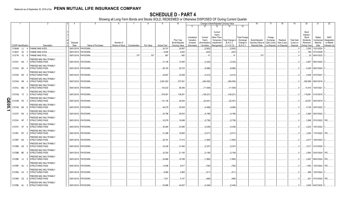# **SCHEDULE D - PART 4**

Showing all Long-Term Bonds and Stocks SOLD, REDEEMED or Otherwise DISPOSED OF During Current Quarter

|       | -1                          |                |                                                          | 4                | -5                   |                              |               |           |                    | 10                                            |                                                   |                                                  | Change in Book/Adjusted Carrying Value                                                                                           |                                                                   | 16                                                  | 17                                                | 18                                     | 19                                         | 20                                                                       | 21                                        | 22                                                       |
|-------|-----------------------------|----------------|----------------------------------------------------------|------------------|----------------------|------------------------------|---------------|-----------|--------------------|-----------------------------------------------|---------------------------------------------------|--------------------------------------------------|----------------------------------------------------------------------------------------------------------------------------------|-------------------------------------------------------------------|-----------------------------------------------------|---------------------------------------------------|----------------------------------------|--------------------------------------------|--------------------------------------------------------------------------|-------------------------------------------|----------------------------------------------------------|
|       |                             |                |                                                          |                  |                      |                              |               |           |                    |                                               | 11                                                | 12                                               | 13<br>14                                                                                                                         | 15                                                                |                                                     |                                                   |                                        |                                            |                                                                          |                                           |                                                          |
|       | <b>CUSIP</b> Identification |                | Description                                              | Disposal<br>Date | Name of Purchaser    | Number of<br>Shares of Stock | Consideration | Par Value | <b>Actual Cost</b> | Prior Year<br>Book/Adjusted<br>Carrying Value | Unrealized<br>Valuation<br>Increase<br>(Decrease) | Current<br>Year's<br>Amortization<br>/ Accretion | Current<br>Year's<br>Other-Than-<br>Total Change in<br>Temporary<br><b>B./A.C.V.</b><br>Impairment<br>Recognized<br>$(11+12-13)$ | <b>Total Foreign</b><br>Exchange<br>Change in<br><b>B./A.C.V.</b> | Book/Adjusted<br>Carrying Value at<br>Disposal Date | Foreign<br>Exchange<br>Gain (Loss)<br>on Disposal | Realized<br>Gain (Loss)<br>on Disposal | <b>Total Gain</b><br>(Loss) on<br>Disposal | Bond<br>Interest<br>Stock<br><b>Dividends</b><br>Received<br>During Year | Stated<br>Contractual<br>Maturity<br>Date | <b>NAIC</b><br>Designation<br>or Market<br>Indicator (a) |
|       | 3136AN                      | LJ<br>4        | FANNIE MAE-ACES.                                         | 09/01/2018.      | PAYDOWN              |                              |               |           | .34,101            | 24,957                                        |                                                   | (2,602)                                          | (2,602)                                                                                                                          |                                                                   |                                                     |                                                   |                                        |                                            | 3,293                                                                    | 12/01/2024                                |                                                          |
|       | 3136AT X2                   | -5             | <b>FANNIE MAE-ACES.</b>                                  | 09/01/2018       | PAYDOWN.             |                              |               |           | .9,546             | .9,024                                        |                                                   | (443)                                            | (443)                                                                                                                            |                                                                   |                                                     |                                                   |                                        |                                            | .786                                                                     | 07/01/2028.                               |                                                          |
|       | 31371N V2                   | -8             | <b>FANNIE MAE POOL</b>                                   | 09/01/2018       | PAYDOWN              |                              | .707          | 707       | .687               | 692                                           |                                                   | .15                                              | .15                                                                                                                              |                                                                   | 707                                                 |                                                   |                                        |                                            | .20                                                                      | 06/01/2023.                               |                                                          |
|       | 3137A1 NA                   |                | <b>REDDIE MAC MULTIFAMILY</b><br><b>STRUCTURED PASS</b>  |                  | 09/01/2018. PAYDOWN  |                              |               |           | .31,146            | .12,500                                       |                                                   | (3,322)                                          | (3,322)                                                                                                                          |                                                                   |                                                     |                                                   |                                        |                                            |                                                                          | 4,807 06/01/2020.                         |                                                          |
|       | 3137A2 B3                   |                | FREDDIE MAC MULTIFAMILY<br><b>STRUCTURED PASS</b>        |                  | 09/01/2018. PAYDOWN  |                              |               |           | .66,100            | .26,724                                       |                                                   | (6,686)                                          | (6,686)                                                                                                                          |                                                                   |                                                     |                                                   |                                        |                                            |                                                                          | 9,329 08/01/2020.                         |                                                          |
|       | 3137AH 6D                   | - 5            | FREDDIE MAC MULTIFAMILY<br><b>STRUCTURED PASS</b>        |                  | 09/01/2018. PAYDOWN  |                              |               |           | .42,657            | .23,008                                       |                                                   | (4, 414)                                         | (4, 414)                                                                                                                         |                                                                   |                                                     |                                                   |                                        |                                            |                                                                          | 5,308 07/01/2021.                         |                                                          |
|       | 3137AH 6R                   |                | <b>FREDDIE MAC MULTIFAMILY</b><br><b>STRUCTURED PASS</b> |                  | 08/01/2018. PAYDOWN  |                              |               |           | .2,681,622         | .337,001                                      |                                                   | (364, 550)                                       | (364, 550)                                                                                                                       |                                                                   |                                                     |                                                   |                                        |                                            | .562,589                                                                 | 08/01/2018.                               |                                                          |
|       | 3137AJ MG 6                 |                | <b>FREDDIE MAC MULTIFAMILY</b><br><b>STRUCTURED PASS</b> |                  | 09/01/2018. PAYDOWN  |                              |               |           | 103,232            | .58,356                                       |                                                   | (11,939)                                         | (11, 939)                                                                                                                        |                                                                   |                                                     |                                                   |                                        | - 0                                        |                                                                          | 14,416 10/01/2021.                        |                                                          |
|       | 3137AQ T3 2                 |                | FREDDIE MAC MULTIFAMILY<br><b>STRUCTURED PASS</b>        |                  | 09/01/2018. PAYDOWN  |                              |               |           | .579,361           | .136,001                                      |                                                   | (126,221)                                        | (126,221                                                                                                                         |                                                                   |                                                     |                                                   |                                        |                                            | 118,681                                                                  | 01/01/2019.                               |                                                          |
| QE05. | 3137AR                      | PZ<br>$\cdot$  | <b>FREDDIE MAC MULTIFAMILY</b><br><b>STRUCTURED PASS</b> | 09/01/2018.      | <b>PAYDOWN</b>       |                              |               |           | 131,136            | .36,934                                       |                                                   | (22, 451)                                        | (22, 451)                                                                                                                        |                                                                   |                                                     |                                                   |                                        | - 0                                        | 22,051                                                                   | 05/01/2019.                               |                                                          |
|       | 3137AS NK                   | - 6            | <b>REDDIE MAC MULTIFAMILY</b><br><b>STRUCTURED PASS</b>  |                  | 09/01/2018. PAYDOWN  |                              |               |           | .46,279            | .25,639                                       |                                                   | (4,068)                                          | (4,068)                                                                                                                          |                                                                   |                                                     |                                                   |                                        | - 0                                        |                                                                          | 5,736 03/01/2022.                         |                                                          |
|       | 3137AT RX                   | - 2            | FREDDIE MAC MULTIFAMILY<br><b>STRUCTURED PASS</b>        | 09/01/2018.      | <b>PAYDOWN</b>       |                              |               |           | .40,786            | .28,003                                       |                                                   | (4, 189)                                         | (4, 189)                                                                                                                         |                                                                   |                                                     |                                                   |                                        | . 0                                        | 5,466                                                                    | 05/01/2022.                               |                                                          |
|       | 3137AV XP                   |                | FREDDIE MAC MULTIFAMILY<br><b>STRUCTURED PASS</b>        |                  | 09/01/2018. PAYDOWN  |                              |               |           | .33,079            | .19,089                                       |                                                   | (2,736)                                          | (2,736)                                                                                                                          |                                                                   |                                                     |                                                   |                                        | $\ldots 0$                                 | .3,588                                                                   | 07/01/2022. 1FE                           |                                                          |
|       | 3137AY CF                   | - 6            | <b>FREDDIE MAC MULTIFAMILY</b><br><b>STRUCTURED PASS</b> | 09/01/2018.      | <b>PAYDOWN</b>       |                              |               |           | .40,284            | .23,585                                       |                                                   | (3,239)                                          | (3,239)                                                                                                                          |                                                                   |                                                     |                                                   |                                        | $\ldots 0$                                 | 4,223                                                                    | 10/01/2022.                               |                                                          |
|       | 3137B1 BT                   | - 8            | <b>FREDDIE MAC MULTIFAMILY</b><br><b>STRUCTURED PASS</b> |                  | 09/01/2018. PAYDOWN  |                              |               |           | .31,288            | .18,693                                       |                                                   | (2,517)                                          | (2,517)                                                                                                                          |                                                                   |                                                     |                                                   |                                        | - 0                                        | .3,294                                                                   | 11/01/2022. 1FE.                          |                                                          |
|       | 3137B7 N2                   |                | <b>REDDIE MAC MULTIFAMILY</b><br><b>STRUCTURED PASS</b>  | 09/01/2018.      | <b>PAYDOWN</b>       |                              |               |           | .26,791            | .17,013                                       |                                                   | (1,900)                                          | (1,900)                                                                                                                          |                                                                   |                                                     |                                                   |                                        | . 0                                        | .2,517                                                                   | 10/01/2023.                               |                                                          |
|       | 3137B8 G5                   |                | <b>FREDDIE MAC MULTIFAMILY</b><br><b>STRUCTURED PASS</b> |                  | 09/01/2018. PAYDOWN  |                              |               |           | .34,238            | .21,945                                       |                                                   | (2,347)                                          | (2,347)                                                                                                                          |                                                                   |                                                     |                                                   |                                        | - 0                                        |                                                                          | 3,217 01/01/2024.                         |                                                          |
|       | 3137BB BE                   | <b>C</b>       | <b>FREDDIE MAC MULTIFAMILY</b><br><b>STRUCTURED PASS</b> | 09/01/2018.      | <b>PAYDOWN</b>       |                              |               |           | .32,254            | .21,183                                       |                                                   | (2, 156)                                         | (2, 156)                                                                                                                         |                                                                   |                                                     |                                                   |                                        |                                            |                                                                          | 2.954 03/01/2024. 1FE.                    |                                                          |
|       | 3137BE VJ                   | - 0            | <b>REDDIE MAC MULTIFAMILY</b><br><b>STRUCTURED PASS</b>  |                  | 09/01/2018. PAYDOWN  |                              |               |           | .24,868            | .19,768                                       |                                                   | (1,865)                                          | (1,865)                                                                                                                          |                                                                   |                                                     |                                                   |                                        |                                            |                                                                          | 2,487 09/01/2024. 1FE                     |                                                          |
|       | 3137BF XU                   | - 0            | <b>REDDIE MAC MULTIFAMILY</b><br><b>STRUCTURED PASS</b>  |                  | 09/01/2018. PAYDOWN  |                              |               |           | .12,596            | .9,017                                        |                                                   | (782)                                            | .(782                                                                                                                            |                                                                   |                                                     |                                                   |                                        |                                            |                                                                          | .1,083 12/01/2024. 1FE.                   |                                                          |
|       | 3137BG K3                   | $\overline{2}$ | <b>FREDDIE MAC MULTIFAMILY</b><br>STRUCTURED PASS        |                  | 09/01/2018. PAYDOWN  |                              |               |           | .8,068             | .5,809                                        |                                                   | (511)                                            | (511)                                                                                                                            |                                                                   |                                                     |                                                   |                                        |                                            |                                                                          | 699 12/01/2024.                           |                                                          |
|       | 3137BH CZ                   | - 8            | <b>FREDDIE MAC MULTIFAMILY</b><br><b>STRUCTURED PASS</b> |                  | 09/01/2018. PAYDOWN  |                              |               |           | .7,021             | .5,147                                        |                                                   | (466)                                            | . (466)                                                                                                                          |                                                                   |                                                     |                                                   |                                        |                                            |                                                                          | .621 01/01/2025. 1FE                      |                                                          |
|       | 3137BK GL 8                 |                | FREDDIE MAC MULTIFAMILY<br><b>STRUCTURED PASS</b>        |                  | 09/01/2018. PAYDOWN. |                              |               |           | .54.686            | 44.627                                        |                                                   | (2.446)                                          | (2.446)                                                                                                                          |                                                                   |                                                     |                                                   |                                        | $\cdot$ 0                                  |                                                                          | $.3.936$ 04/01/2030.                      |                                                          |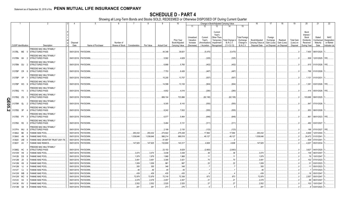|          |                             |           |   | 2                                                 | 4                | -5                   |                              |               | 8          | 9                  | 10                                            |                                                   |                                                  |                                                                          | Change in Book/Adjusted Carrying Value      |                                                                   | 16                                                  | 17                                                | 18                                     | 19                                         | 20                                                                | 21                                        | 22                                                       |
|----------|-----------------------------|-----------|---|---------------------------------------------------|------------------|----------------------|------------------------------|---------------|------------|--------------------|-----------------------------------------------|---------------------------------------------------|--------------------------------------------------|--------------------------------------------------------------------------|---------------------------------------------|-------------------------------------------------------------------|-----------------------------------------------------|---------------------------------------------------|----------------------------------------|--------------------------------------------|-------------------------------------------------------------------|-------------------------------------------|----------------------------------------------------------|
|          |                             |           |   |                                                   |                  |                      |                              |               |            |                    |                                               | 11                                                | 12                                               | 13                                                                       | 14                                          | 15                                                                |                                                     |                                                   |                                        |                                            |                                                                   |                                           |                                                          |
|          | <b>CUSIP</b> Identification |           |   | Description                                       | Disposal<br>Date | Name of Purchaser    | Number of<br>Shares of Stock | Consideration | Par Value  | <b>Actual Cost</b> | Prior Year<br>Book/Adjusted<br>Carrying Value | Unrealized<br>Valuation<br>Increase<br>(Decrease) | Current<br>Year's<br>Amortization<br>/ Accretion | Current<br>Year's<br>Other-Than<br>Temporary<br>Impairment<br>Recognized | Total Change i<br>B./A.C.V.<br>$(11+12-13)$ | <b>Total Foreign</b><br>Exchange<br>Change in<br><b>B./A.C.V.</b> | Book/Adjusted<br>Carrying Value at<br>Disposal Date | Foreign<br>Exchange<br>Gain (Loss)<br>on Disposal | Realized<br>Gain (Loss)<br>on Disposal | <b>Total Gain</b><br>(Loss) on<br>Disposal | Bond<br>Interest<br>Stock<br>Dividends<br>Received<br>During Year | Stated<br>Contractual<br>Maturity<br>Date | <b>NAIC</b><br>Designation<br>or Market<br>Indicator (a) |
|          |                             |           |   | FREDDIE MAC MULTIFAMILY                           |                  |                      |                              |               |            |                    |                                               |                                                   |                                                  |                                                                          |                                             |                                                                   |                                                     |                                                   |                                        |                                            |                                                                   |                                           |                                                          |
|          | 3137BL ME                   |           |   | <b>STRUCTURED PASS</b>                            |                  | 09/01/2018. PAYDOWN  |                              |               |            | 44,348             | .39,601                                       |                                                   | (5,470)                                          |                                                                          | (5,470)                                     |                                                                   |                                                     |                                                   |                                        |                                            | 7,400                                                             | 08/01/2025.                               |                                                          |
|          | 3137BN 6H                   |           |   | FREDDIE MAC MULTIFAMILY<br><b>STRUCTURED PASS</b> |                  | 09/01/2018. PAYDOWN. |                              |               |            | .5,582             | .4,629                                        |                                                   | .(325)                                           |                                                                          | (325)                                       |                                                                   |                                                     |                                                   |                                        |                                            | .509                                                              | 12/01/2025. 1FE.                          |                                                          |
|          | 3137BN GU                   |           |   | FREDDIE MAC MULTIFAMILY<br><b>STRUCTURED PASS</b> |                  | 09/01/2018. PAYDOWN. |                              |               |            | .6,888             | .5,765                                        |                                                   | (402)                                            |                                                                          | .(402                                       |                                                                   |                                                     |                                                   |                                        |                                            |                                                                   | .615 01/01/2026. 1FE                      |                                                          |
|          | 3137BP CR                   |           |   | FREDDIE MAC MULTIFAMILY<br><b>STRUCTURED PASS</b> |                  | 09/01/2018. PAYDOWN. |                              |               |            | .7,753             | .6,426                                        |                                                   | (467)                                            |                                                                          | (467)                                       |                                                                   |                                                     |                                                   |                                        |                                            |                                                                   | 768 01/01/2026.                           |                                                          |
|          | 3137BP VP                   |           |   | FREDDIE MAC MULTIFAMILY<br><b>STRUCTURED PASS</b> |                  | 09/01/2018. PAYDOWN  |                              |               |            | 15,205             | .13,757                                       |                                                   | (557)                                            |                                                                          | (557)                                       |                                                                   |                                                     |                                                   |                                        |                                            | .1.131                                                            | 01/01/2031.                               |                                                          |
|          | 3137BP W3                   |           |   | FREDDIE MAC MULTIFAMILY<br><b>STRUCTURED PASS</b> |                  | 09/01/2018. PAYDOWN  |                              |               |            | 14,599             | .13,100                                       |                                                   | (904)                                            |                                                                          | (904)                                       |                                                                   |                                                     |                                                   |                                        |                                            | 1.381                                                             | 03/01/2026. 1FE.                          |                                                          |
|          | 3137BQ YV                   |           |   | FREDDIE MAC MULTIFAMILY<br>STRUCTURED PASS        |                  | 09/01/2018. PAYDOWN. |                              |               |            | .4,652             | .4,016                                        |                                                   | (280)                                            |                                                                          | (280)                                       |                                                                   |                                                     |                                                   |                                        |                                            | .414                                                              | 05/01/2026. 1FE.                          |                                                          |
| O        | 3137BQ                      | ZQ        |   | FREDDIE MAC MULTIFAMILY<br><b>STRUCTURED PASS</b> |                  | 09/01/2018. PAYDOWN. |                              |               |            | 889,104            | .723,886                                      |                                                   | (62, 195)                                        |                                                                          | (62, 195)                                   |                                                                   |                                                     |                                                   |                                        |                                            | 103,688                                                           | 09/01/2025.                               |                                                          |
| E05      | 3137BR                      | QL        |   | FREDDIE MAC MULTIFAMILY<br><b>STRUCTURED PASS</b> |                  | 09/01/2018. PAYDOWN. |                              |               |            | .9,305             | .8,143                                        |                                                   | (550)                                            |                                                                          | (550)                                       |                                                                   |                                                     |                                                   |                                        |                                            | .847                                                              | 07/01/2026.                               |                                                          |
| <u>່</u> | 3137BS                      | 5P        |   | FREDDIE MAC MULTIFAMILY<br><b>STRUCTURED PASS</b> |                  | 09/01/2018. PAYDOWN. |                              |               |            | .8,242             | .7,832                                        |                                                   | (555)                                            |                                                                          | (555)                                       |                                                                   |                                                     |                                                   |                                        |                                            |                                                                   | 853 08/01/2026.                           |                                                          |
|          | 3137BS PY                   |           |   | FREDDIE MAC MULTIFAMILY<br><b>STRUCTURED PASS</b> |                  | 09/01/2018. PAYDOWN. |                              |               |            | .6,577             | .5,464                                        |                                                   | (646)                                            |                                                                          | (646)                                       |                                                                   |                                                     |                                                   |                                        |                                            | .861                                                              | 08/01/2023. 1FE.                          |                                                          |
|          | 3137BX R2                   |           |   | FREDDIE MAC MULTIFAMILY<br><b>STRUCTURED PASS</b> |                  | 09/01/2018. PAYDOWN. |                              |               |            | .5,484             | .5,131                                        |                                                   | (311)                                            |                                                                          | (31)                                        |                                                                   |                                                     |                                                   |                                        |                                            |                                                                   | 482 03/01/2027                            |                                                          |
|          | 3137FA WU                   |           |   | FREDDIE MAC MULTIFAMILY<br>STRUCTURED PASS        | 09/01/2018       | PAYDOWN.             |                              |               |            | .2,199             | .2,130                                        |                                                   | (123)                                            |                                                                          | (123)                                       |                                                                   |                                                     |                                                   |                                        |                                            | .188                                                              | 07/01/2027.                               | 1FE.                                                     |
|          | 3138A2                      | BE        |   | <b>FANNIE MAE POOL</b>                            | 09/01/201        | PAYDOWN.             |                              | .293,432      | .293,432   | .274,922           | 275,438                                       |                                                   | .17,994                                          |                                                                          | .17,994                                     |                                                                   | .293,432                                            |                                                   |                                        |                                            | .6,849                                                            | 12/01/2040                                |                                                          |
|          | 3138A5                      | 4N        |   | <b>FANNIE MAE POOL</b>                            | 09/01/20         | PAYDOWN.             |                              | 1,038,646     | .1,038,646 | .986,214           | .989,518                                      |                                                   | .49,127                                          |                                                                          | .49,127                                     |                                                                   | 1,038,646                                           |                                                   |                                        |                                            | .24.473                                                           | 01/01/2041                                |                                                          |
|          | 313920                      | UM        |   | FANNIE MAE GRANTOR TRUST 2001-T8.                 | 09/01/201        | PAYDOWN.             |                              |               |            | 51,957             |                                               |                                                   |                                                  |                                                                          |                                             |                                                                   |                                                     |                                                   |                                        |                                            | .509                                                              | 07/01/2041                                |                                                          |
|          | 31393Y AV                   |           |   | FANNIE MAE REMICS.                                | 09/01/2018.      | PAYDOWN.             |                              | .147,925      | 147,925    | 132,809            | .143,317                                      |                                                   | .4,608                                           |                                                                          | .4,608                                      |                                                                   | .147,925                                            |                                                   |                                        |                                            | .4,207                                                            | 05/01/2034                                |                                                          |
|          | 31398Q                      | HC        |   | FREDDIE MAC MULTIFAMILY<br><b>STRUCTURED PASS</b> | 09/01/2018       | PAYDOWN.             |                              |               |            | .23,153            | .8,629                                        |                                                   | (2,663)                                          |                                                                          | (2,663)                                     |                                                                   |                                                     |                                                   |                                        |                                            | .3,627                                                            | 04/01/2020.                               |                                                          |
|          | 31410W                      | H9        |   | <b>FANNIE MAE POOL</b>                            | 09/01/201        | PAYDOWN.             |                              | .3,474        | .3,474     | .3,438             | .3,438                                        |                                                   | 36                                               |                                                                          | .36                                         |                                                                   | .3,474                                              |                                                   |                                        |                                            | 139                                                               | 06/01/2047                                |                                                          |
|          | 31412B                      | DS        |   | FANNIE MAE POOL                                   | 09/01/201        | PAYDOWN.             |                              | .1,979        | .1,979     | .1,968             | .1,968                                        |                                                   |                                                  |                                                                          |                                             |                                                                   | .1,979                                              |                                                   |                                        |                                            | .79                                                               | 10/01/2047                                |                                                          |
|          | 31412M                      | 2X        |   | FANNIE MAE POOL                                   | 09/01/201        | PAYDOWN.             |                              | .3,491        | .3,491     | .3,395             | .3,421                                        |                                                   | .70                                              |                                                                          | .70                                         |                                                                   | .3,491                                              |                                                   |                                        |                                            | 102                                                               | 07/01/2023                                |                                                          |
|          |                             | K9        |   | FANNIE MAE POOL                                   | 09/01/201        | PAYDOWN.             |                              |               |            | .981               | .987                                          |                                                   | .22                                              |                                                                          | .22                                         |                                                                   | .1,009                                              |                                                   |                                        |                                            |                                                                   |                                           |                                                          |
|          | 31412M                      |           |   | <b>FANNIE MAE POOL</b>                            |                  |                      |                              | .1,009        | .1,009     |                    |                                               |                                                   |                                                  |                                                                          |                                             |                                                                   |                                                     |                                                   |                                        |                                            |                                                                   | 03/01/2023.                               |                                                          |
|          | 31412M                      | VJ        |   |                                                   | 09/01/2018       | PAYDOWN.             |                              | .355          | .355       | .346               | .348                                          |                                                   |                                                  |                                                                          |                                             |                                                                   | .355                                                |                                                   |                                        |                                            |                                                                   | 05/01/2023.                               |                                                          |
|          | 31412T                      | CJ        |   | <b>FANNIE MAE POOL</b>                            | 09/01/2018       | PAYDOWN.             |                              | .46           | .46        | 45                 | .45                                           |                                                   |                                                  |                                                                          |                                             |                                                                   | 46                                                  |                                                   |                                        |                                            | 18                                                                | 07/01/2023.                               |                                                          |
|          | 31412W                      | WB        |   | <b>FANNIE MAE POOL</b>                            | 09/01/201        | PAYDOWN.             |                              | .439          | .439       | 435                | 435                                           |                                                   |                                                  |                                                                          |                                             |                                                                   | 439                                                 |                                                   |                                        |                                            |                                                                   | 05/01/2047                                |                                                          |
|          | 31412W                      | <b>WC</b> |   | <b>FANNIE MAE POOL</b>                            | 09/01/2018       | PAYDOWN.             |                              | .72,979       | .72,979    | .72,316            | .72,306                                       |                                                   | .673                                             |                                                                          | .673                                        |                                                                   | .72,979                                             |                                                   |                                        |                                            | .2,557                                                            | 05/01/2047.                               |                                                          |
|          | 31412X                      | K4        |   | <b>FANNIE MAE POOL</b>                            | 09/01/2018       | PAYDOWN.             |                              | .2,478        | .2,478     | .2,457             | .2,457                                        |                                                   | .21                                              |                                                                          | $.2^{\circ}$                                |                                                                   | .2,478                                              |                                                   |                                        |                                            | .99                                                               | 06/01/2047                                |                                                          |
|          | 31413K                      | <b>RV</b> |   | <b>FANNIE MAE POOL</b>                            | 09/01/2018       | PAYDOWN.             |                              | .2,552        | .2,552     | .2,525             | .2,525                                        |                                                   | .27                                              |                                                                          | .27                                         |                                                                   | .2,552                                              |                                                   |                                        |                                            | 103                                                               | 10/01/2047.                               |                                                          |
|          | 31413M                      | G6        | 8 | <b>FANNIE MAE POOL</b>                            |                  | 09/01/2018. PAYDOWN. |                              | .281          | .281       | .273               | .276                                          |                                                   |                                                  |                                                                          |                                             |                                                                   | 281                                                 |                                                   |                                        |                                            |                                                                   | 03/01/2023.                               |                                                          |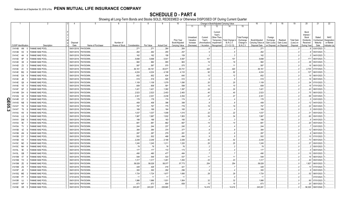|    |                             |           |                              | $\overline{4}$ | 5                 |                 |               | 8         | 9                  | 10                          |                                     |                                    | Change in Book/Adjusted Carrying Value         |                                              |                                        | 16                                 | 17                                 | 18                      | 19                             | 20                                                   | 21                                | 22                                      |
|----|-----------------------------|-----------|------------------------------|----------------|-------------------|-----------------|---------------|-----------|--------------------|-----------------------------|-------------------------------------|------------------------------------|------------------------------------------------|----------------------------------------------|----------------------------------------|------------------------------------|------------------------------------|-------------------------|--------------------------------|------------------------------------------------------|-----------------------------------|-----------------------------------------|
|    |                             |           |                              |                |                   |                 |               |           |                    |                             | 11                                  | 12                                 | 13                                             | 14                                           | 15                                     |                                    |                                    |                         |                                |                                                      |                                   |                                         |
|    |                             |           |                              | Disposal       |                   | Number of       |               |           |                    | Prior Year<br>Book/Adjusted | Unrealized<br>Valuation<br>Increase | Current<br>Year's<br>Amortization) | Current<br>Year's<br>Other-Than-<br>Impairment | Temporary   Total Change<br><b>B./A.C.V.</b> | Total Foreign<br>Exchange<br>Change in | Book/Adjusted<br>Carrying Value at | Foreign<br>Exchange<br>Gain (Loss) | Realized<br>Gain (Loss) | <b>Total Gain</b><br>(Loss) on | Bond<br>Interest /<br>Stock<br>Dividends<br>Received | Stated<br>Contractual<br>Maturity | <b>NAIC</b><br>Designation<br>or Market |
|    | <b>CUSIP</b> Identification |           | Description                  | Date           | Name of Purchaser | Shares of Stock | Consideration | Par Value | <b>Actual Cost</b> | Carrying Value              | (Decrease)                          |                                    | / Accretion   Recognized                       | $(11+12-13)$                                 | <b>B./A.C.V.</b>                       | Disposal Date                      | on Disposal on Disposal            |                         | Disposal                       | During Year                                          | Date                              | Indicator (a)                           |
|    | 31414B AN                   |           | FANNIE MAE POOL              | 09/01/2018.    | PAYDOWN.          |                 | .271          | .271      | .264               | .264                        |                                     |                                    |                                                |                                              |                                        | 271                                |                                    |                         |                                |                                                      | 03/01/2023                        |                                         |
|    | 31414B H2                   |           | <b>ANNIE MAE POOL</b>        | 09/01/2018     | PAYDOWN.          |                 | .262          | .262      | .255               | .257                        |                                     |                                    |                                                |                                              |                                        | .262                               |                                    |                         |                                |                                                      | 05/01/2023                        |                                         |
|    | 31414C                      | 4H        | <b>ANNIE MAE POOL</b>        | 09/01/2018     | PAYDOWN.          |                 | .162          | .162      | .158               | .159                        |                                     |                                    |                                                |                                              |                                        | .162                               |                                    |                         | . (                            |                                                      | 04/01/2023                        |                                         |
|    | 31414D 6P                   |           | <b>FANNIE MAE POOL</b>       | 09/01/2018     | PAYDOWN.          |                 | .5,698        | .5,698    | .5,541             | .5,597                      |                                     | .101                               |                                                | .101                                         |                                        | .5,698                             |                                    |                         |                                | .171                                                 | 06/01/2023.                       |                                         |
|    | 31414D X8                   |           | <b>FANNIE MAE POOL</b>       | 09/01/2018     | PAYDOWN.          |                 | .982          | .982      | .955               | .963                        |                                     | .19                                |                                                | .19                                          |                                        | .982                               |                                    |                         | - 0                            | .29                                                  | 05/01/2023.                       |                                         |
|    | 31414D Z3                   |           | FANNIE MAE POOL              | 09/01/2018     | PAYDOWN.          |                 | .587          | .587      | 570                | .575                        |                                     | .11                                |                                                | $.1^{\circ}$                                 |                                        | .587                               |                                    |                         |                                |                                                      | 06/01/2023.                       |                                         |
|    | 31414E 2V                   |           | <b>ANNIE MAE POOL</b>        | 09/01/2018     | PAYDOWN.          |                 | .84,161       | .84,161   | .83,671            | .83,741                     |                                     | .420                               |                                                | .420                                         |                                        | .84,161                            |                                    |                         | . 0                            | .2,735                                               | 07/01/2023                        |                                         |
|    | 31414E                      | BQ        | <b>FANNIE MAE POOL</b>       | 09/01/2018     | PAYDOWN.          |                 | .4,224        | 4,224     | .4,108             | .4,133                      |                                     | .92                                |                                                | .92                                          |                                        | .4,224                             |                                    |                         | . (                            | 127                                                  | 06/01/2023.                       |                                         |
|    | 31414E DA                   |           | <b>ANNIE MAE POOL</b>        | 09/01/2018     | PAYDOWN.          |                 | .652          | .652      | .634               | 640                         |                                     | . 12                               |                                                | .12                                          |                                        | .652                               |                                    |                         |                                | .19                                                  | 06/01/2023.                       |                                         |
|    | 31414E                      | JB        | <b>FANNIE MAE POOL</b>       | 09/01/2018     | PAYDOWN.          |                 | .519          | .519      | .505               | 510                         |                                     | . 9                                |                                                | . 9                                          |                                        | 519                                |                                    |                         | . (                            | .16                                                  | 06/01/2023.                       |                                         |
|    | 31414E Q6                   |           | <b>FANNIE MAE POOL</b>       | 09/01/2018     | PAYDOWN.          |                 | .1,109        | .1,109    | .1,079             | 1,090                       |                                     | .20                                |                                                | .20                                          |                                        | .1,109                             |                                    |                         | . (                            | .34                                                  | 07/01/2023.                       |                                         |
|    | 31414E                      | $V_5$     | <b>FANNIE MAE POOL</b>       | 09/01/2018     | PAYDOWN.          |                 | .608          | .608      | .591               | .598                        |                                     | .10                                |                                                | .10                                          |                                        | 608                                |                                    |                         | . . 0                          | 18                                                   | 07/01/2023.                       |                                         |
|    | 31414F                      | GF        | <b>ANNIE MAE POOL</b>        | 09/01/2018     | PAYDOWN.          |                 | .1,421        | .1,421    | .1,382             | .1,397                      |                                     | .24                                |                                                | .24                                          |                                        | .1,421                             |                                    |                         |                                | 43                                                   | 08/01/2023.                       |                                         |
|    | 31414M                      | DH        | FANNIE MAE POOL              | 09/01/2018     | PAYDOWN.          |                 | .2,523        | .2,523    | .2,453             | .2,483                      |                                     | .40                                |                                                | .40                                          |                                        | .2,523                             |                                    |                         | . . (                          | .75                                                  | 06/01/2023.                       |                                         |
|    | 31414Q                      | X2        | ANNIE MAE POOL               | 09/01/2018     | PAYDOWN.          |                 | .2,301        | .2,301    | .2,238             | .2,254                      |                                     | 47                                 |                                                | .47                                          |                                        | .2,301                             |                                    |                         | C                              | 69                                                   | 03/01/2023.                       |                                         |
| O  | 31414R                      | <b>CF</b> | <b>ANNIE MAE POOL</b>        | 09/01/2018     | PAYDOWN.          |                 | 178           | 178       | .174               | .174                        |                                     |                                    |                                                |                                              |                                        | .178                               |                                    |                         | C                              |                                                      | 03/01/2023.                       |                                         |
|    | $\overline{1}$ 31414S       | <b>NB</b> | ANNIE MAE POOL               | 09/01/2018     | PAYDOWN.          |                 | .408          | .408      | .396               | .399                        |                                     |                                    |                                                | 8                                            |                                        | .408                               |                                    |                         | . . 0                          |                                                      | 04/01/2023                        |                                         |
| ဌ  | 31414T                      | 7H        | <b>ANNIE MAE POOL</b>        | 09/01/2018.    | PAYDOWN.          |                 | .797          | .797      | .775               | .778                        |                                     | 19                                 |                                                | .19                                          |                                        | 797                                |                                    |                         | 0                              | 22                                                   | 05/01/2023.                       |                                         |
| نہ | 31414T                      | T6        | <b>ANNIE MAE POOL</b>        | 09/01/2018     | PAYDOWN.          |                 | .169          | .169      | .164               | .165                        |                                     |                                    |                                                |                                              |                                        | 169                                |                                    |                         | . 0                            |                                                      | 05/01/2023                        |                                         |
|    | 31414U                      | K9        | FANNIE MAE POOL              | 09/01/2018.    | PAYDOWN.          |                 | .1,037        | 1,037     | .1,008             | .1,015                      |                                     | .22                                |                                                | 22                                           |                                        | .1,037                             |                                    |                         | 0                              | .31                                                  | 05/01/2023.                       |                                         |
|    | 31414U                      | LQ        | <b>ANNIE MAE POOL</b>        | 09/01/2018     | PAYDOWN.          |                 | .1,987        | 1,987     | 1,932              | .1,953                      |                                     | 34                                 |                                                | .34                                          |                                        | .1,987                             |                                    |                         | . (                            | 60                                                   | 05/01/2023                        |                                         |
|    | 31414V                      | <b>DM</b> | FANNIE MAE POOL              | 09/01/2018     | PAYDOWN.          |                 | .188          | .188      | .183               | .185                        |                                     |                                    |                                                |                                              |                                        | 188                                |                                    |                         | 0                              |                                                      | 04/01/2023.                       |                                         |
|    | 31415A                      | 5E        | FANNIE MAE POOL              | 09/01/2018     | PAYDOWN.          |                 | 681           | .681      | .662               | 667                         |                                     | .14                                |                                                | .14                                          |                                        | 681                                |                                    |                         | 0                              | .20                                                  | 05/01/2023                        |                                         |
|    | 31415A                      | TV        | FANNIE MAE POOL              | 09/01/2018     | PAYDOWN.          |                 | .244          | 244       | 237                | 240                         |                                     |                                    |                                                |                                              |                                        | 244                                |                                    |                         | $\ldots 0$                     |                                                      | 03/01/2023.                       |                                         |
|    | 31415B                      | 4Z        | <b>ANNIE MAE POOL</b>        | 09/01/20       | PAYDOWN.          |                 | .384          | .384      | 374                | 377                         |                                     |                                    |                                                |                                              |                                        | .384                               |                                    |                         | . (                            |                                                      | 06/01/2023                        |                                         |
|    | 31415B                      | AN        | <b>ANNIE MAE POOL</b>        | 09/01/20       | PAYDOWN.          |                 | .287          | .287      | 279                | 281                         |                                     |                                    |                                                |                                              |                                        | 287                                |                                    |                         | . (                            |                                                      | 06/01/2023.                       |                                         |
|    | 31415B                      | <b>DY</b> | <b>ANNIE MAE POOL</b>        | 09/01/20       | PAYDOWN.          |                 | .502          | .502      | .488               | .494                        |                                     |                                    |                                                |                                              |                                        | .502                               |                                    |                         | - 0                            | 15                                                   | 07/01/2023.                       |                                         |
|    | 31415B                      | K5        | <b>FANNIE MAE POOL</b>       | 09/01/201      | PAYDOWN.          |                 | .2,248        | .2,248    | .2,186             | .2,206                      |                                     | .42                                |                                                | .42                                          |                                        | .2,248                             |                                    |                         | . (                            | .73                                                  | 06/01/2023.                       |                                         |
|    | 31415C                      | <b>ND</b> | <b>ANNIE MAE POOL</b>        | 09/01/20       | PAYDOWN.          |                 | .1,245        | 1,245     | .1,211             | 1,220                       |                                     | .25                                |                                                | .25                                          |                                        | .1,245                             |                                    |                         |                                | 37                                                   | 05/01/2023                        |                                         |
|    | 31415C                      | <b>NH</b> | <b>ANNIE MAE POOL</b>        | 09/01/20       | PAYDOWN.          |                 | .78           | .78       | .76                | .76                         |                                     |                                    |                                                |                                              |                                        | 78                                 |                                    |                         | . . 0                          |                                                      | 05/01/2023.                       |                                         |
|    | 31415L 5E                   |           | <b>ANNIE MAE POOL</b>        | 09/01/20       | PAYDOWN.          |                 | .177          | .177      | .172               | .173                        |                                     |                                    |                                                |                                              |                                        | .177                               |                                    |                         | $\sqrt{ }$                     |                                                      | 06/01/2023                        |                                         |
|    | 31415L                      | GB        | FANNIE MAE POOL              | 09/01/201      | PAYDOWN.          |                 | .490          | .490      | .477               | .484                        |                                     |                                    |                                                |                                              |                                        | .490                               |                                    |                         | C                              |                                                      | 05/01/2023                        |                                         |
|    | 31415M                      | 5T        | FANNIE MAE POOL              | 09/01/20       | PAYDOWN.          |                 | .548          | .548      | .533               | .537                        |                                     |                                    |                                                | 11                                           |                                        | 548                                |                                    |                         |                                |                                                      | 06/01/2023                        |                                         |
|    | 31415M                      | YH        | FANNIE MAE POOL              | 09/01/2018     | PAYDOWN.          |                 | .1,317        | .1,317    | .1,281             | .1,293                      |                                     | .23                                |                                                | .23                                          |                                        | .1,317                             |                                    |                         | . (                            | 40                                                   | 05/01/2023                        |                                         |
|    | 31415M                      | ZE        | FANNIE MAE POOL              | 09/01/2018     | PAYDOWN.          |                 | .58,028       | .58,028   | .58,077            | .57,773                     |                                     | .254                               |                                                | .254                                         |                                        | .58,028                            |                                    |                         |                                | .1,927                                               | 06/01/2023.                       |                                         |
|    | 31415M                      | <b>ZS</b> | FANNIE MAE POOL              | 09/01/2018     | PAYDOWN.          |                 | .428          | .428      | 416                | .421                        |                                     |                                    |                                                |                                              |                                        | 428                                |                                    |                         |                                | .13                                                  | 07/01/2023.                       |                                         |
|    | 31415P                      | JD.       | <b>FANNIE MAE POOL</b>       | 09/01/2018     | PAYDOWN.          |                 | .300          | .300      | 292                | 296                         |                                     |                                    |                                                |                                              |                                        | 300                                |                                    |                         | . . 0                          |                                                      | 05/01/2023.                       |                                         |
|    | 31415Q                      | ME        | <b>FANNIE MAE POOL</b>       | 09/01/2018     | PAYDOWN.          |                 | .1,724        | 1,724     | .1,677             | 1,695                       |                                     | .29                                |                                                | .29                                          |                                        | .1,724                             |                                    |                         | . (                            | .52                                                  | 08/01/2023.                       |                                         |
|    | 31415R P7                   |           | FANNIE MAE POOL              | 07/01/2018     | PAYDOWN.          |                 | 1             | .11       | 11                 | 11                          |                                     |                                    |                                                |                                              |                                        | 11                                 |                                    |                         | . (                            |                                                      | 07/01/2023.                       |                                         |
|    | 31415R UJ                   |           | <b>ANNIE MAE POOL</b>        | 09/01/2018     | PAYDOWN           |                 | .1,986        | 1,986     | .1,931             | 1,954                       |                                     | .32                                |                                                | .32                                          |                                        | .1,986                             |                                    |                         |                                | .60                                                  | 07/01/2023.                       |                                         |
|    | 31415T                      | <b>NP</b> | <b>FANNIE MAE POOL</b>       | 09/01/2018     | PAYDOWN.          |                 | .673          | .673      | .654               | .658                        |                                     | . 15                               |                                                | .15                                          |                                        | 673                                |                                    |                         |                                | 20                                                   | 08/01/2023.                       |                                         |
|    | 31419E XR                   |           | <b>FANNIE MAE POOL</b><br>-5 | 09/01/2018.    | PAYDOWN.          |                 | .243,281      | 243,281   | 228,865            |                             |                                     | 14.416                             |                                                | 14.416                                       |                                        | .243,281                           |                                    |                         |                                | 56,326                                               | 09/01/2040                        |                                         |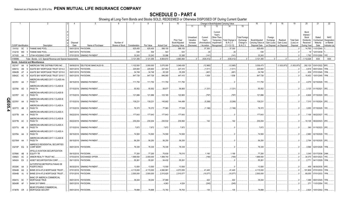|        |                             |    | 2                                                            |             | -5                          | 6               |               | 8          | 9                  | 10                                 |                                     |                                    |                                                             | Change in Book/Adjusted Carrying Value |                                               | 16                                 | 17                                 | 18                      | 19                             | 20                                                 | 21                                | 22                                      |
|--------|-----------------------------|----|--------------------------------------------------------------|-------------|-----------------------------|-----------------|---------------|------------|--------------------|------------------------------------|-------------------------------------|------------------------------------|-------------------------------------------------------------|----------------------------------------|-----------------------------------------------|------------------------------------|------------------------------------|-------------------------|--------------------------------|----------------------------------------------------|-----------------------------------|-----------------------------------------|
|        |                             |    |                                                              |             |                             |                 |               |            |                    |                                    | 11                                  | 12                                 | 13                                                          | 14                                     | 15                                            |                                    |                                    |                         |                                |                                                    |                                   |                                         |
|        |                             |    |                                                              | Disposal    |                             | Number of       |               |            |                    | <b>Prior Year</b><br>Book/Adjusted | Unrealized<br>Valuation<br>Increase | Current<br>Year's<br>Amortization) | Current<br>Year's<br>Other-Than-<br>Temporary<br>Impairment | Total Change i<br><b>B./A.C.V.</b>     | <b>Total Foreign</b><br>Exchange<br>Change in | Book/Adjusted<br>Carrying Value at | Foreign<br>Exchange<br>Gain (Loss) | Realized<br>Gain (Loss) | <b>Total Gain</b><br>(Loss) on | Bond<br>Interest<br>Stock<br>Dividends<br>Received | Stated<br>Contractual<br>Maturity | <b>NAIC</b><br>Designation<br>or Market |
|        | <b>CUSIP Identification</b> |    | Description                                                  | Date        | Name of Purchaser           | Shares of Stock | Consideration | Par Value  | <b>Actual Cost</b> | Carrying Value                     | (Decrease)                          | Accretion                          | Recognized                                                  | $(11+12-13)$                           | <b>B./A.C.V.</b>                              | Disposal Date                      | on Disposal                        | on Disposal             | Disposal                       | During Year                                        | Date                              | Indicator (a)                           |
|        | 31419J                      | SC | <b>FANNIE MAE POOL</b>                                       | 09/01/2018. | PAYDOWN.                    |                 | 625,455       | .625,455   | .588,155           | .588,155                           |                                     | 37,300                             |                                                             | 37,300                                 |                                               | .625,455                           |                                    |                         | - 0                            | .14,765                                            | 11/01/2040.                       |                                         |
|        | 31421D WD                   |    | <b>FANNIE MAE POOL</b>                                       | 09/01/2018. | PAYDOWN.                    |                 | .536          | .536       | .543               | .543                               |                                     | (6)                                |                                                             | . (6)                                  |                                               | .536                               |                                    |                         |                                | 18                                                 | 12/01/2038.                       |                                         |
|        | 917435                      | AA | UTAH HOUSING CORP.                                           | 07/01/2018. | <b>SINKING PAYMENT</b>      |                 | 33,243        | .33,243    | .33,086            | 33,385                             |                                     | (141)                              |                                                             | (141                                   |                                               | .33,243                            |                                    |                         |                                | .1,792                                             | 07/01/2050.                       | 1FE.                                    |
|        | 3199999.                    |    | Total - Bonds - U.S. Special Revenue and Special Assessments |             |                             |                 | .3,121,355    | .3,121,355 | .8,904,610         | .4,683,464                         |                                     | (535, 412)                         | $\Omega$                                                    | (535, 412)                             |                                               | .3,121,355                         | $\bigcap$                          |                         | $\Omega$                       | .1,112,028                                         | <b>XXX</b>                        | XXX                                     |
|        |                             |    | <b>Bonds - Industrial and Miscellaneous</b>                  |             |                             |                 |               |            |                    |                                    |                                     |                                    |                                                             |                                        |                                               |                                    |                                    |                         |                                |                                                    |                                   |                                         |
|        | 00214T AA                   |    | AMERICAN TIRE DISTRIBUTORS INC.                              | 08/09/2018. | DEUTSCHE BANC/ALEX B.       |                 | .1,102,500    | .3,000,000 | .3,070,000         | .3,049,438                         |                                     | (12,965)                           |                                                             | (12,965)                               |                                               | .3,036,473                         |                                    | (1,933,973)             | (1,933,973)                    |                                                    | 292,125 03/01/2022. 6FE.          |                                         |
|        | 00841U                      | AN | AGATE BAY MORTGAGE TRUST 2014-2                              | 09/01/2018. | PAYDOWN.                    |                 | .225,900      | .225,900   | .227,453           | 227,410                            |                                     | (1,511)                            |                                                             | (1,511)                                |                                               | .225,900                           |                                    |                         |                                | .4,818                                             | 09/01/2044. 1FM.                  |                                         |
|        | 00842B                      | AT | AGATE BAY MORTGAGE TRUST 2015-5                              | 09/01/2018. | PAYDOWN.                    |                 | 34,748        | .34,748    | .35,320            | .35,209                            |                                     | (461                               |                                                             | (461)                                  |                                               | 34,748                             |                                    |                         |                                | .839                                               | 07/01/2045. 1FM.                  |                                         |
|        | 00842C                      | AC | AGATE BAY MORTGAGE TRUST 2015-7                              | 09/01/2018. | PAYDOWN.                    |                 | .847,726      | 847,726    | .846,065           | 447,410                            |                                     | .1,938                             |                                                             | .1,938                                 |                                               | .847,726                           |                                    |                         |                                | 15,453                                             | 10/01/2045. 1FM.                  |                                         |
|        | 023761 AA                   |    | AMERICAN AIRLINES 2017-1 CLASS AA<br>PASS <sub>T</sub>       | 08/15/2018. | <b>SINKING PAYMENT</b>      |                 | 111,750       | .111,750   | .111,750           | 111,750                            |                                     |                                    |                                                             |                                        |                                               | .111,750                           |                                    |                         |                                | .4.079                                             | 02/15/2029. 1FE.                  |                                         |
|        | 023766 AD                   |    | MERICAN AIRLINES 2013-1 CLASS B<br>PASS TH                   | 07/15/2018. | <b>SINKING PAYMENT</b>      |                 | .55,552       | .55,552    | .58,677            | .56,883                            |                                     | (1, 331)                           |                                                             | (1, 331)                               |                                               | .55,552                            |                                    |                         |                                |                                                    | 3,125   01/15/2021. 3FE.          |                                         |
|        | 02376T AC                   |    | AMERICAN AIRLINES 2013-2 CLASS B<br>PASS TH                  |             | 07/15/2018. SINKING PAYMENT |                 | 121,886       | 121,886    | 123,165            | 122,683                            |                                     | (797)                              |                                                             | (797)                                  |                                               | .121,886                           |                                    |                         |                                | .6,826                                             | 07/15/2020. 3FE                   |                                         |
|        | 02376Y                      | AA | MERICAN AIRLINES 2016-1 CLASS B<br>PASS TH                   |             | 07/15/2018. SINKING PAYMENT |                 | 139,23        | 139,231    | 145,682            | 144,499                            |                                     | (5,268)                            |                                                             | (5,268)                                |                                               | .139,231                           |                                    |                         |                                |                                                    |                                   |                                         |
| QE05.4 | 023772 AB                   |    | AMERICAN AIRLINES 2013-1 CLASS A<br>PASS TH                  |             | 07/15/2018. SINKING PAYMENT |                 | .76,372       | .76,372    | 77,963             | .77,538                            |                                     | (1,166)                            |                                                             | (1, 166)                               |                                               | .76,372                            |                                    |                         |                                |                                                    | .3,055 07/15/2025. 1FE.           |                                         |
|        | 02377B AA                   |    | MERICAN AIRLINES 2015-2 CLASS A<br>PASS TH                   |             | 09/22/2018. SINKING PAYMENT |                 | .177,643      | 177,643    | .177,643           | 177,643                            |                                     |                                    |                                                             |                                        |                                               | .177,643                           |                                    |                         |                                |                                                    | 7,106 09/22/2027. 1FE.            |                                         |
|        | 02377B AC                   |    | AMERICAN AIRLINES 2015-2 CLASS B<br>PASS TH                  |             | 09/22/2018. SINKING PAYMENT |                 | .230,204      | 230,204    | 230,532            | .230,062                           |                                     | 142                                |                                                             | 142                                    |                                               | .230,204                           |                                    |                         |                                | 10,129                                             | 09/22/2023. 2FE.                  |                                         |
|        | 02377U AB                   |    | MERICAN AIRLINES 2013-2 CLASS A<br>PASS TH                   |             | 07/15/2018. SINKING PAYMENT |                 | .7,872        | 7,872      | .7,872             | .7,872                             |                                     |                                    |                                                             |                                        |                                               | .7,872                             |                                    |                         |                                | .390                                               | 01/15/2023. 2FE.                  |                                         |
|        | 02378A AA                   |    | <b>IMERICAN AIRLINES 2017-1 CLASS A</b><br>PASS TH           |             | 08/15/2018. SINKING PAYMENT |                 | 74,500        | .74.500    | .74,500            | 74,500                             |                                     |                                    |                                                             |                                        |                                               | .74,500                            |                                    |                         |                                | .2.980                                             | 02/15/2029. 1FE.                  |                                         |
|        | 02378W AA                   |    | MERICAN AIRLINES 2017-1 CLASS B<br>PASS TH                   |             | 08/15/2018. SINKING PAYMENT |                 | 56,250        | .56,250    | .56,250            | .56,250                            |                                     |                                    |                                                             |                                        |                                               | .56,250                            |                                    |                         |                                | .2,784                                             | 02/15/2025. 2FE.                  |                                         |
|        | 03215P EQ                   |    | AMRESCO RESIDENTIAL SECURITIES<br><b>CORP MORT</b>           | 09/01/2018. | PAYDOWN.                    |                 | 76,335        | .76,335    | .76,335            | .76,335                            |                                     |                                    |                                                             |                                        |                                               | .76,335                            |                                    |                         |                                | .3.596                                             | 02/01/2028. 1FM.                  |                                         |
|        | 03766K AB                   |    | <b>APOLLO AVIATION SECURITIZATION</b><br><b>EQUITY TR</b>    | 09/15/2018. | PAYDOWN.                    |                 | 77,200        | 77,200     | 75,630             | 76,010                             |                                     | .1,190                             |                                                             | .1,190                                 |                                               | 77,200                             |                                    |                         |                                | .3,345                                             | 03/17/2036. 2AM.                  |                                         |
|        | 038923                      | AC | ARBOR REALTY TRUST INC                                       | 07/03/2018  | <b>EXCHANGE OFFER</b>       |                 | 1,999,550     | .2,000,000 | 1,999,740          |                                    |                                     | (190)                              |                                                             | (190)                                  |                                               | 1,999,550                          |                                    |                         |                                | .34,375                                            | 05/01/2023.                       | 1FE.                                    |
|        | 045424 EX                   |    | ASSET SECURITIZATION CORP.                                   | 09/11/2018. | PAYDOWN.                    |                 | 55,261        | .55,261    | .54,432            | 55,261                             |                                     |                                    |                                                             |                                        |                                               | .55,261                            |                                    |                         |                                | .2,771                                             | 04/11/2029. 1FM.                  |                                         |
|        |                             |    | AUTOPISTAS METROPOLITANAS DE                                 |             |                             |                 |               |            |                    |                                    |                                     |                                    |                                                             |                                        |                                               |                                    |                                    |                         |                                |                                                    |                                   |                                         |
|        | 05330K AA 3                 |    | PUERTO RICO                                                  | 06/30/2018  | <b>SINKING PAYMENT</b>      |                 | .13,500       | .13,500    | .13,500            | .13,500                            |                                     |                                    |                                                             |                                        |                                               | .13,500                            |                                    |                         |                                | .456                                               | 06/30/2035. 4FE                   |                                         |
|        | 05544B                      | AG | BHMS 2014-ATLS MORTGAGE TRUST                                | 07/01/2018  | PAYDOWN.                    |                 | .4,115,000    | 4,115,000  | .4,060,991         | .4,073,555                         |                                     | 41,445                             |                                                             | .41,445                                |                                               | .4,115,000                         |                                    |                         |                                | .101,809                                           | 07/01/2033. 1FM.                  |                                         |
|        | 05544B                      | AJ | BHMS 2014-ATLS MORTGAGE TRUST.                               | 07/01/2018. | PAYDOWN.                    |                 | .2,500,000    | .2,500,000 | .2,515,625         | .2,510,577                         |                                     | (10,577)                           |                                                             | (10, 577)                              |                                               | .2,500,000                         |                                    |                         |                                | .69,055                                            | 07/01/2033. 1FM.                  |                                         |
|        |                             |    | BANC OF AMERICA COMMERCIAL                                   |             |                             |                 |               |            |                    |                                    |                                     |                                    |                                                             |                                        |                                               |                                    |                                    |                         |                                |                                                    |                                   |                                         |
|        | 05947U 6C                   |    | MORTGAGE TRUS                                                | 09/01/2018. | PAYDOWN.                    |                 | 39,244        | .39,244    | .37,969            |                                    |                                     | .422                               |                                                             | .422                                   |                                               | .39,244                            |                                    |                         |                                | 1,388                                              | 09/01/2045.                       | 1FM.                                    |
|        | 06540R AF                   |    | <b>BANK 2017-BNK9.</b>                                       | 09/01/2018. | PAYDOWN.                    |                 |               |            | 4,063              | .4,024                             |                                     | (245)                              |                                                             | (245)                                  |                                               |                                    |                                    |                         |                                | .371                                               | 11/01/2054. 1FE.                  |                                         |
|        | 07387B CR                   |    | <b>BEAR STEARNS COMMERCIAL</b><br>MORTGAGE SECURIT           |             | 09/01/2018. PAYDOWN.        |                 | 78.898        | 78.898     | 72.783             | .78.763                            |                                     | 135                                |                                                             | 135                                    |                                               | .78.898                            |                                    |                         |                                |                                                    | .2.824 10/01/2042. 1FM.           |                                         |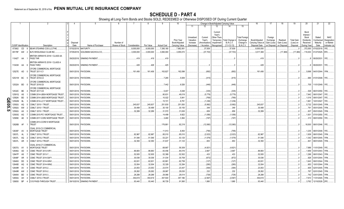|                  |                             |           | 2                                                     |             | -5                             | - 6             |               |            | -9                 | 10                          |                                     |                                   | Change in Book/Adjusted Carrying Value                                                   |                                               | 16                                 | 17                                 | 18                      | 19                             | 20                                                   | 21                                | 22                                      |
|------------------|-----------------------------|-----------|-------------------------------------------------------|-------------|--------------------------------|-----------------|---------------|------------|--------------------|-----------------------------|-------------------------------------|-----------------------------------|------------------------------------------------------------------------------------------|-----------------------------------------------|------------------------------------|------------------------------------|-------------------------|--------------------------------|------------------------------------------------------|-----------------------------------|-----------------------------------------|
|                  |                             |           |                                                       |             |                                |                 |               |            |                    |                             | 11                                  | 12                                | 13<br>14                                                                                 | 15                                            |                                    |                                    |                         |                                |                                                      |                                   |                                         |
|                  |                             |           |                                                       | Disposal    |                                | Number of       |               |            |                    | Prior Year<br>Book/Adjusted | Unrealized<br>Valuation<br>Increase | Current<br>Year's<br>Amortization | Current<br>Year's<br>Other-Than-<br>Total Change<br>Temporary<br>B./A.C.V.<br>Impairment | <b>Total Foreigr</b><br>Exchange<br>Change in | Book/Adjusted<br>Carrying Value at | Foreign<br>Exchange<br>Gain (Loss) | Realized<br>Gain (Loss) | <b>Total Gain</b><br>(Loss) on | Bond<br>Interest /<br>Stock<br>Dividends<br>Received | Stated<br>Contractual<br>Maturity | <b>NAIC</b><br>Designation<br>or Market |
|                  | <b>CUSIP</b> Identification |           | Description                                           | Date        | Name of Purchaser              | Shares of Stock | Consideration | Par Value  | <b>Actual Cost</b> | Carrying Value              | (Decrease)                          | / Accretion                       | $(11+12-13)$<br>Recognized                                                               | <b>B./A.C.V.</b>                              | Disposal Date                      | on Disposal                        | on Disposal             | Disposal                       | During Year                                          | Date                              | Indicator (a)                           |
|                  | 073902                      | CD        | BEAR STEARNS COS LLC/THE                              | 07/02/2018  | MATURITY.                      |                 | 8,000,000     | .8,000,000 | 7,395,180          | .7,962,061                  |                                     | 37,939                            | .37,939                                                                                  |                                               | .8,000,000                         |                                    |                         |                                | .372,000                                             | 07/02/2018.                       | 1FE.                                    |
|                  | 09179F AW                   |           | BJ'S WHOLESALE CLUB INC                               | 07/05/2018. | <b>GOLDMAN SACHS &amp; CO.</b> |                 | .3,000,000    | .3,000,000 | .3,060,000         | .3,055,072                  |                                     | (37,703)                          | (37,703)                                                                                 |                                               | .3,017,369                         |                                    | (17,369)                | (17,369)                       | .119,303                                             | 01/27/2025.                       | 5FE.                                    |
|                  | 11042T AA                   |           | BRITISH AIRWAYS 2018-1 CLASS AA<br><b>PASS THR</b>    |             | 09/20/2018. SINKING PAYMENT    |                 | .419          | 419        | 419                |                             |                                     |                                   |                                                                                          |                                               | .419                               |                                    |                         | $\cdot$ 0                      |                                                      | 09/20/2031.                       | $1FE$                                   |
|                  | 11043H AA                   |           | BRITISH AIRWAYS 2018-1 CLASS A<br>PASS THRO           |             | 09/20/2018. SINKING PAYMENT    |                 | .428          | .428       | .425               |                             |                                     |                                   |                                                                                          |                                               | .428                               |                                    |                         | $\cdot$ .0                     |                                                      | 09/20/2031.                       | 1FE                                     |
|                  | 12527E AD                   |           | CFCRE COMMERCIAL MORTGAGE<br><b>TRUST 2011-C1</b>     |             | 09/01/2018. PAYDOWN            |                 | 161,406       | 161,406    | 163,827            | 162,098                     |                                     | (692)                             | (692)                                                                                    |                                               | .161,406                           |                                    |                         | $\cdot$ .0                     |                                                      | .5,698 04/01/2044.                | 1FM.                                    |
|                  | 12531W BC                   |           | CFCRE COMMERCIAL MORTGAGE<br><b>TRUST 2016-C3</b>     |             | 09/01/2018. PAYDOWN.           |                 |               |            | .7,285             | .5,939                      |                                     | (415)                             | (415)                                                                                    |                                               |                                    |                                    |                         | $\cdot$ 0                      |                                                      | .684   01/01/2048.   1FE          |                                         |
|                  | 12532A BD                   |           | CFCRE COMMERCIAL MORTGAGE<br><b>TRUST 2016-C6</b>     |             | 09/01/2018. PAYDOWN.           |                 |               |            | .7,442             | .6,526                      |                                     | (446)                             | (446)                                                                                    |                                               |                                    |                                    |                         | $\cdot$ 0                      |                                                      | .705   11/01/2049.   1FE          |                                         |
|                  | 12532C BE                   |           | CFCRE COMMERCIAL MORTGAGE<br>TRUST 2017-C8            |             | 09/01/2018. PAYDOWN.           |                 |               |            | .5,407             | .5,048                      |                                     | (335)                             | (335)                                                                                    |                                               |                                    |                                    |                         | $\cdot$ .0                     | .529                                                 | 06/01/2050.                       |                                         |
|                  | 12591Q                      | AS        | COMM 2014-UBS4 MORTGAGE TRUST                         | 09/01/2018  | PAYDOWN.                       |                 |               |            | .80,631            | .49,019                     |                                     | (5,779)                           | (5,779)                                                                                  |                                               |                                    |                                    |                         | 0                              | .7,942                                               | 08/01/2047.                       | 1FE.                                    |
| O                | 12592K                      | <b>BD</b> | COMM 2014-UBS5 MORTGAGE TRUST                         | 09/01/2018. | PAYDOWN.                       |                 |               |            | 10,022             | .5,841                      |                                     | (769)                             | (769)                                                                                    |                                               |                                    |                                    |                         | 0                              |                                                      | 1,018 09/01/2047.                 | 1FE.                                    |
| m                | 12592M                      | <b>BL</b> | COMM 2014-LC17 MORTGAGE TRUST.                        | 09/01/2018  | PAYDOWN.                       |                 |               |            | .15,721            | .8,791                      |                                     | (1,236)                           | (1,236)                                                                                  |                                               |                                    |                                    |                         | 0                              | .1,661                                               | 10/01/2047.                       | 1FF.                                    |
| $\ddot{\bullet}$ | 12592U                      | AQ        | CSMLT 2015-1 TRUST                                    | 09/01/2018  | PAYDOWN.                       |                 | .245,837      | .245,837   | .251,830           | .251,830                    |                                     | (5,992)                           | (5,992)                                                                                  |                                               | .245,837                           |                                    |                         | . . 0                          | .5,732                                               | 05/01/2045.                       | 1FM                                     |
| σī               | 12592U                      | AW        | CSMLT 2015-1 TRUST                                    | 09/01/2018  | PAYDOWN.                       |                 | 30,499        | .30,499    | .30,100            | .30,150                     |                                     | .349                              | 349                                                                                      |                                               | .30,499                            |                                    |                         | 0                              | .791                                                 | 05/01/2045.                       | 1FM.                                    |
| ິ Ch             | 12592U                      | AX        | CSMLT 2015-1 TRUST                                    | 09/01/201   | PAYDOWN.                       |                 | .32,289       | .32,289    | .31,572            | .31,630                     |                                     | .659                              | .659                                                                                     |                                               | .32,289                            |                                    |                         | - 0                            | .837                                                 | 05/01/2045.                       | 1FM.                                    |
|                  | 12593G                      | AG        | COMM 2015-PC1 MORTGAGE TRUST                          | 09/01/2018. | PAYDOWN.                       |                 |               |            | .14,499            | .9,922                      |                                     | (1,056)                           | (1,056)                                                                                  |                                               |                                    |                                    |                         | $\overline{0}$                 | .1,501                                               | 07/01/2050.                       |                                         |
|                  | 12595E AE                   |           | COMM 2017-COR2 MORTGAGE TRUST                         |             | 09/01/2018. PAYDOWN.           |                 |               |            | .3,480             | .3,364                      |                                     | (197)                             | (197)                                                                                    |                                               |                                    |                                    |                         | - 0                            |                                                      | .313 09/01/2050.                  | 1FE.                                    |
|                  | 12626B AF                   |           | COMM 2013-CCRE10 MORTGAGE<br><b>TRUST</b>             |             | 09/01/2018. PAYDOWN.           |                 |               |            | 176,881            | .92,219                     |                                     | (12,060)                          | (12,060)                                                                                 |                                               |                                    |                                    |                         | - 0                            |                                                      | .18.500 08/01/2046. I 1FE.        |                                         |
|                  | 12635F                      | AV        | CSAIL 2015-C3 COMMERCIAL<br><b>MORTGAGE TRUST</b>     | 09/01/2018. | PAYDOWN.                       |                 |               |            | .11,913            | .8,454                      |                                     | (795)                             | (795)                                                                                    |                                               |                                    |                                    |                         | 0                              | 1,235                                                | 08/01/2048.                       | 1FE.                                    |
|                  | 12637L                      | AL        | CSMLT 2015-2 TRUST                                    | 09/01/2018  | PAYDOWN.                       |                 | .82,987       | .82,987    |                    |                             |                                     | (2,023)                           | (2,023)                                                                                  |                                               | .82,987                            |                                    |                         | 0                              | .1,939                                               | 08/01/2045.                       | 1FM.                                    |
|                  |                             |           |                                                       |             |                                |                 |               |            | .85,010            | .85,010                     |                                     |                                   |                                                                                          |                                               |                                    |                                    |                         |                                |                                                      |                                   |                                         |
|                  | 12637L                      | AQ        | CSMLT 2015-2 TRUST                                    | 09/01/2018  | PAYDOWN.                       |                 | .51,546       | .51,546    | .53,221            | .53,125                     |                                     | (1,579)                           | (1,579)                                                                                  |                                               | 51,546                             |                                    |                         | 0                              | 1,342                                                | 08/01/2045.                       | 1FM.                                    |
|                  | 12637L AR                   |           | CSMLT 2015-2 TRUST<br><b>CSAIL 2016-C7 COMMERCIAL</b> | 09/01/2018. | PAYDOWN.                       |                 | .32,350       | .32.350    | .31,637            | 31,123                      |                                     | .653                              | .653                                                                                     |                                               | .32,350                            |                                    |                         | $\Omega$                       | .841                                                 | 08/01/2045. 1FM.                  | 1FF                                     |
|                  | 12637U                      | AY        | <b>MORTGAGE TRUST</b>                                 | 09/01/2018  | PAYDOWN.                       |                 |               |            | .68,667            | .59,309                     |                                     | (4,821)                           | (4,821)                                                                                  |                                               |                                    |                                    |                         |                                | .7,988                                               | 11/01/2049.                       |                                         |
|                  | 12646U                      | AD        | CSMC TRUST 2013-IVR1                                  | 09/01/2018  | PAYDOWN.                       |                 | .86,683       | .86,683    | .83,456            | .84,016                     |                                     | .2,667                            | .2,667                                                                                   |                                               | .86,683                            |                                    |                         | 0                              | 1,959                                                | 03/01/2043.                       | 1FM.                                    |
|                  | 12647P                      | AS        | <b>CSMC TRUST 2013-7.</b>                             | 09/01/2018. | PAYDOWN.                       |                 | .52,935       | .52,935    | .52,389            | .52,502                     |                                     | .433                              | .433                                                                                     |                                               | .52,935                            |                                    |                         | . . 0                          | 1,298                                                | 08/01/2043. 1FM.                  |                                         |
|                  | 12648F                      | AR        | CSMC TRUST 2014-SAF1                                  | 09/01/2018. | PAYDOWN.                       |                 | .30,036       | .30,036    | .31,034            | .30,708                     |                                     | (672)                             | (672)                                                                                    |                                               | .30,036                            |                                    |                         | . . 0                          | 826                                                  | 03/01/2044.                       | 1FM.                                    |
|                  | 12648X                      | DD        | CSMC TRUST 2014-WIN1                                  | 09/01/2018  | PAYDOWN.                       |                 | .62,631       | .62,631    | .62,861            | .62,758                     |                                     | (127)                             | (127)                                                                                    |                                               | .62,631                            |                                    |                         | $\cdot$ 0                      | 1.643                                                | 09/01/2044.                       |                                         |
|                  | 12649D                      | AQ        | CSMC TRUST 2014-WIN2.                                 | 09/01/2018  | PAYDOWN.                       |                 | .32,004       | .32.004    | .32,329            | .32,284                     |                                     | (280)                             | (280)                                                                                    |                                               | .32,004                            |                                    |                         | . . 0                          | .853                                                 | 10/01/2044.                       | 1FM                                     |
|                  | 12649R                      | AV        | <b>CSMC TRUST 2015-2.</b>                             | 09/01/2018  | PAYDOWN.                       |                 | 23,053        | .23,053    | .23,574            | 23,447                      |                                     | (394)                             | (394)                                                                                    |                                               | .23,053                            |                                    |                         | $\Omega$                       | .605                                                 | 02/01/2045.                       | 1FM                                     |
|                  | 12649R AW                   |           | <b>CSMC TRUST 2015-2.</b>                             | 09/01/2018  | PAYDOWN.                       |                 | 29,262        | .29,262    | .28,987            | 29,030                      |                                     | .232                              | .232                                                                                     |                                               | .29,262                            |                                    |                         | . . 0                          | .767                                                 | 02/01/2045.                       | 1FM.                                    |
|                  | 12649X                      | <b>BD</b> | <b>CSMC TRUST 2015-3.</b>                             | 09/01/2018. | PAYDOWN                        |                 | .28,288       | .28,288    | .29,066            | 29,014                      |                                     | (726)                             | (726)                                                                                    |                                               | 28,288                             |                                    |                         | $\ldots$ 0                     | .742                                                 | 03/01/2045.                       | 1FM                                     |
|                  | 12650U                      | AH        | CSMLT 2015-3 TRUST                                    | 09/01/2018. | PAYDOWN.                       |                 | .354,619      | .354,619   | .357,500           | .357,186                    |                                     | (2, 567)                          | (2, 567)                                                                                 |                                               | .354,619                           |                                    |                         | . . 0                          | .7,910                                               | 11/01/2045.                       | 1FM.                                    |
|                  | 126650 BP                   |           | <b>CVS PASS-THROUGH TRUST</b>                         | 09/10/2018. | <b>SINKING PAYMENT</b>         |                 | .93.440       | .93.440    | .90,729            | .91.560                     |                                     | 1.880                             | 1.880                                                                                    |                                               | .93.440                            |                                    |                         |                                | .3,762                                               | 12/10/2028.                       | 2FE.                                    |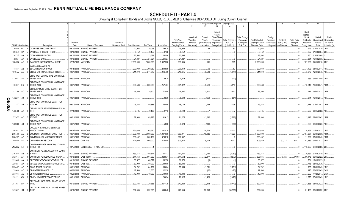|        |                             |           |                                                           |                  |                             |                              |               | 8          | 9                  | 10                              |                        |                             |                          | Change in Book/Adjusted Carrying Value |                               | 16                                 | 17                         | 18                         | 19                    | 20                      | 21                         | 22                         |
|--------|-----------------------------|-----------|-----------------------------------------------------------|------------------|-----------------------------|------------------------------|---------------|------------|--------------------|---------------------------------|------------------------|-----------------------------|--------------------------|----------------------------------------|-------------------------------|------------------------------------|----------------------------|----------------------------|-----------------------|-------------------------|----------------------------|----------------------------|
|        |                             |           |                                                           |                  |                             |                              |               |            |                    |                                 | 11                     | $12 \overline{ }$           | 13                       | 14                                     | 15                            |                                    |                            |                            |                       |                         |                            |                            |
|        |                             |           |                                                           |                  |                             |                              |               |            |                    |                                 |                        |                             |                          |                                        |                               |                                    |                            |                            |                       |                         |                            |                            |
|        |                             |           |                                                           |                  |                             |                              |               |            |                    |                                 |                        |                             | Current<br>Year's        |                                        |                               |                                    |                            |                            |                       | Bond<br>Interest        |                            |                            |
|        |                             |           |                                                           |                  |                             |                              |               |            |                    |                                 | Unrealized             | Current                     | Other-Than-              |                                        | Total Foreign                 |                                    | Foreign                    |                            |                       | Stock                   | Stated                     | <b>NAIC</b>                |
|        |                             |           |                                                           |                  |                             |                              |               |            |                    | <b>Prior Year</b>               | Valuation              | Year's                      | Temporary                | Total Change i                         | Exchange                      | Book/Adjusted                      | Exchange                   | Realized                   | <b>Total Gain</b>     | <b>Dividends</b>        | Contractual                | Designation                |
|        | <b>CUSIP</b> Identification |           | Description                                               | Disposal<br>Date | Name of Purchaser           | Number of<br>Shares of Stock | Consideration | Par Value  | <b>Actual Cost</b> | Book/Adjusted<br>Carrying Value | Increase<br>(Decrease) | Amortization<br>/ Accretion | Impairment<br>Recognized | <b>B./A.C.V.</b><br>$(11+12-13)$       | Change in<br><b>B./A.C.V.</b> | Carrying Value at<br>Disposal Date | Gain (Loss)<br>on Disposal | Gain (Loss)<br>on Disposal | (Loss) on<br>Disposal | Received<br>During Year | Maturity<br>Date           | or Market<br>Indicator (a) |
|        | 126650                      | BQ        | CVS PASS-THROUGH TRUST                                    | 09/10/2018.      | SINKING PAYMENT             |                              | .20,053       | .20,053    | 19,938             | 19,969                          |                        | .83                         |                          |                                        |                               | .20,053                            |                            |                            |                       | .929                    | 01/10/2030.                | 2FE.                       |
|        | 126650                      | BY        | CVS PASS-THROUGH TRUST<br>- 5                             | 09/10/2018.      | <b>SINKING PAYMENT</b>      |                              | .8,152        | .8,152     | .8,152             | .8,152                          |                        |                             |                          |                                        |                               | .8,152                             |                            |                            |                       | .322                    | 01/10/2034                 | 2FE.                       |
|        | 12677#                      | AA        | CVS CAREMARK CORP.                                        | 09/15/2018       | <b>SINKING PAYMENT</b>      |                              | .23,594       | .23,594    | .23,594            | .23,594                         |                        |                             |                          |                                        |                               | .23,594                            |                            |                            |                       | .860                    | 01/15/2040.                |                            |
|        | 12695*                      | AA        | CVS LEASE BACK.                                           | 09/10/2018       | SINKING PAYMENT             |                              | .24,327       | .24,327    | .24,327            | .24,327                         |                        |                             |                          |                                        |                               | .24,327                            |                            |                            |                       | .554                    | 10/10/2038.                |                            |
|        | 13342B AC                   |           | CAMERON INTERNATIONAL CORP                                | 07/15/2018.      | <b>MATURITY</b>             |                              | .2,000,000    | .2,000,000 | 1,997,980          | 1,999,865                       |                        | 135                         |                          | 135                                    |                               | .2,000,000                         |                            |                            |                       |                         | .127,500 07/15/2018. 2FE   |                            |
|        |                             |           |                                                           |                  |                             |                              |               |            |                    |                                 |                        |                             |                          |                                        |                               |                                    |                            |                            |                       |                         |                            |                            |
|        | 14855J AB                   |           | CASTLELAKE AIRCRAFT<br>SECURITIZATION TRUST               | 09/15/2018       | PAYDOWN.                    |                              | .290,980      | .290,980   | .290,895           | 290,919                         |                        | .62                         |                          | .62                                    |                               | .290,980                           |                            |                            |                       | .4,102                  | 08/15/2041.                | 1FE.                       |
|        | 16164A AC                   |           | CHASE MORTGAGE TRUST 2016-2.                              | 09/01/2018.      | PAYDOWN.                    |                              | .211,072      | 211,072    | 216,709            | 216,615                         |                        | (5, 544)                    |                          | (5, 544)                               |                               | .211,072                           |                            |                            |                       | .5,272                  | 12/01/2045. 1FE.           |                            |
|        |                             |           | CITIGROUP COMMERCIAL MORTGAGE                             |                  |                             |                              |               |            |                    |                                 |                        |                             |                          |                                        |                               |                                    |                            |                            |                       |                         |                            |                            |
|        | 17290X AY                   |           | <b>TRUST 2016</b><br>- 6                                  |                  | 09/01/2018. PAYDOWN.        |                              |               |            | .5,624             | .4,619                          |                        | (317)                       |                          | (317)                                  |                               |                                    |                            |                            |                       | .533                    | 04/01/2049. 1FE.           |                            |
|        |                             |           | CITIGROUP COMMERCIAL MORTGAGE                             |                  |                             |                              |               |            |                    |                                 |                        |                             |                          |                                        |                               |                                    |                            |                            |                       |                         |                            |                            |
|        | 173067 EQ                   |           | <b>TRUST 2004</b>                                         |                  | 09/01/2018. PAYDOWN.        |                              | .306,533      | .306,533   | .257,487           | .301,022                        |                        | .5,510                      |                          | .5,510                                 |                               | .306,533                           |                            |                            |                       | 10,247                  | 10/01/2041. 1FM.           |                            |
|        |                             |           | CITICORP MORTGAGE SECURITIES                              |                  |                             |                              |               |            |                    |                                 |                        |                             |                          |                                        |                               |                                    |                            |                            |                       |                         |                            |                            |
|        | 17312D AC                   |           | <b>TRUST SERIE</b>                                        |                  | 09/01/2018. PAYDOWN         |                              | 19,300        | .19,300    | .17,988            | .16,631                         |                        | .2,670                      |                          | .2,670                                 |                               | .19,300                            |                            |                            |                       |                         | .774   09/01/2037. 1FM.    |                            |
|        |                             |           | CITIGROUP COMMERCIAL MORTGAGE                             |                  |                             |                              |               |            |                    |                                 |                        |                             |                          |                                        |                               |                                    |                            |                            |                       |                         |                            |                            |
|        | 17322Y AJ                   |           | <b>TRUST 2014</b>                                         |                  | 09/01/2018. PAYDOWN         |                              |               |            | .9,936             | .6,608                          |                        | (551)                       |                          | (551                                   |                               |                                    |                            |                            |                       |                         | .874   10/01/2047.   1FE.  |                            |
|        |                             |           | CITIGROUP MORTGAGE LOAN TRUST                             |                  |                             |                              |               |            |                    |                                 |                        |                             |                          |                                        |                               |                                    |                            |                            |                       |                         |                            |                            |
|        | 17323T                      | AF        | 2015-RP2                                                  |                  | 09/01/2018. PAYDOWN.        |                              | .49,883       | .49,883    | .48,494            | .48,745                         |                        | .1,138                      |                          | .1,138                                 |                               | .49,883                            |                            |                            |                       |                         |                            |                            |
| QE05.6 |                             |           | CITI HELD FOR ASSET ISSUANCE 2016-                        |                  |                             |                              |               |            |                    |                                 |                        |                             |                          |                                        |                               |                                    |                            |                            |                       |                         |                            |                            |
|        | 17324R AA                   |           | MF1                                                       |                  | 07/15/2018. PAYDOWN.        |                              | .9,135        | .9,135     | .9,113             | .9,128                          |                        |                             |                          |                                        |                               | .9,135                             |                            |                            |                       |                         | .239   08/15/2022.   1FE.  |                            |
|        |                             |           | CITIGROUP MORTGAGE LOAN TRUST                             |                  |                             |                              |               |            |                    |                                 |                        |                             |                          |                                        |                               |                                    |                            |                            |                       |                         |                            |                            |
|        | 17324V AQ                   |           | 2015-PS1                                                  |                  | 09/01/2018. PAYDOWN.        |                              | .89,993       | .89,993    | .91,613            | .91,275                         |                        | (1,282)                     |                          | (1,282)                                |                               | .89,993                            |                            |                            |                       |                         | .3,143 09/01/2042. 1FM.    |                            |
|        |                             |           | CITIGROUP COMMERCIAL MORTGAGE                             |                  |                             |                              |               |            |                    |                                 |                        |                             |                          |                                        |                               |                                    |                            |                            |                       |                         |                            |                            |
|        | 17326D AJ                   |           | <b>TRUST 2017</b>                                         |                  | 09/01/2018. PAYDOWN         |                              |               |            | .5,866             | .3,628                          |                        | (340)                       |                          | (340)                                  |                               |                                    |                            |                            |                       | .520                    | 09/01/2050. 1FE.           |                            |
|        | 19458L                      | <b>BD</b> | <b>COLLEGIATE FUNDING SERVICES</b><br><b>EDUCATION LO</b> |                  | 09/28/2018. PAYDOWN.        |                              | .265,630      | .265,630   | .251,518           |                                 |                        | .14,112                     |                          | .14,112                                |                               | 265,630                            |                            |                            |                       | .4,869                  | 12/28/2037.                | 1FE.                       |
|        | 20047B AC                   |           | COMM 2004-LNB2 MORTGAGE TRUST                             | 08/01/2018       | PAYDOWN.                    |                              | .5,000,000    | .5,000,000 | .4,937,500         | 4,983,971                       |                        | .16,029                     |                          | .16,029                                |                               | .5,000,000                         |                            |                            |                       | .184,667                | 03/01/2039.                | 1FM.                       |
|        | 20047P                      | AP        | COMM 2005-LP5 MORTGAGE TRUST.                             | 09/01/2018.      | PAYDOWN.                    |                              | .360,462      | .360,462   | .326,218           | .360,462                        |                        |                             |                          |                                        |                               | .360,462                           |                            |                            |                       | .11,629                 | 05/01/2043.                | 1FM.                       |
|        | 20854P AN                   |           | CNX RESOURCES CORP.                                       | 09/05/2018.      | <b>CALL 106.</b>            |                              | .424,000      | .400,000   | 278,000            | 300,518                         |                        | .9,072                      |                          | .9,072                                 |                               | .309,589                           |                            | 90,411                     | .90,411               | .53,689                 | 04/01/2023. 3FE.           |                            |
|        |                             |           |                                                           |                  |                             |                              |               |            |                    |                                 |                        |                             |                          |                                        |                               |                                    |                            |                            |                       |                         |                            |                            |
|        | 21075W EV                   |           | CONTIMORTGAGE HOME EQUITY LOAN<br>TRUST 199<br>-3         | 09/17/2018.      | NON-BROKER TRADE, BO.       |                              |               |            |                    |                                 |                        |                             |                          |                                        |                               |                                    |                            |                            |                       |                         |                            |                            |
|        |                             |           | CONTINENTAL AIRLINES 2010-1 CLASS                         |                  |                             |                              |               |            |                    |                                 |                        |                             |                          |                                        |                               |                                    |                            |                            |                       |                         |                            |                            |
|        | 21079V AB                   |           | <b>B PASS</b>                                             | 07/12/2018.      | <b>SINKING PAYMENT</b>      |                              | .159,374      | 159,374    | 164,113            | .161,454                        |                        | (2,080)                     |                          | (2,080)                                |                               | .159,374                           |                            |                            |                       | .9,562                  | 01/12/2019. 1FE.           |                            |
|        | 212015                      | AH        | CONTINENTAL RESOURCES INC/OK.                             | 08/16/2018.      | CALL 101.667.               |                              | .814,353      | .801,000   | .828,034           | .811,542                        |                        | (2,877)                     |                          | (2,877)                                |                               | .808,665                           |                            | (7,665)                    | (7,665)               |                         | 50,176   09/15/2022.   2FE |                            |
|        | 22536#                      | AA        | CREDIT LEASE-BACK PASS-THRU TR                            | 09/10/2018       | SINKING PAYMENT             |                              | .66,577       | .66,577    | 66,578             | .66,578                         |                        |                             |                          |                                        |                               | .66,577                            |                            |                            |                       | .1,761                  | 12/10/2035.                |                            |
|        | 228027                      | AA        | VESSEL MANAGEMENT SERVICES INC.                           | 08/15/2018       | <b>CALL 100</b>             |                              | .80,000       | .80,000    | .80,000            | .80,000                         |                        |                             |                          |                                        |                               | .80,000                            |                            |                            |                       | .2,746                  | 08/15/2036.                |                            |
|        | 22944P                      | AE        | CSMC TRUST 2013-TH1.                                      | 09/01/2018.      | PAYDOWN.                    |                              | .84,702       | .84,702    | .86,064            | .85,954                         |                        | (1,251)                     |                          | (1,251)                                |                               | .84,702                            |                            |                            |                       | 1,985                   | 02/01/2043. 1FE            |                            |
|        | 233046                      | AD        | DB MASTER FINANCE LLC.                                    | 08/20/2018       | PAYDOWN.                    |                              | .12,500       | .12,500    | .12,520            |                                 |                        | .(20)                       |                          | (20)                                   |                               | .12,500                            |                            |                            |                       | 125                     | 02/20/2045. 3AM.           |                            |
|        | 233046                      | AE        | DB MASTER FINANCE LLC.                                    | 08/20/201        | PAYDOWN.                    |                              | 10,000        | 10,000     | .10,000            | .10,000                         |                        |                             |                          |                                        |                               | .10,000                            |                            |                            |                       | .299                    | 11/20/2047.                |                            |
|        | 23312L AW                   |           | DBJPM 16-C1 MORTGAGE TRUST.                               |                  | 09/01/2018. PAYDOWN.        |                              |               |            | .24,824            | .20,325                         |                        | (1,420)                     |                          | (1,420)                                |                               |                                    |                            |                            |                       |                         | .2,376 05/01/2049. 1FE.    |                            |
|        |                             |           | DELTA AIR LINES 2007-1 CLASS A PASS                       |                  |                             |                              |               |            |                    |                                 |                        |                             |                          |                                        |                               |                                    |                            |                            |                       |                         |                            |                            |
|        | 247367 BH                   |           | THRO                                                      | 08/10/2018.      | <b>SINKING PAYMENT</b>      |                              | .320,885      | .320,885   | .367,179           | 343,328                         |                        | (22, 443)                   |                          | (22, 443)                              |                               | .320,885                           |                            |                            |                       | .21,888                 | 08/10/2022. 1FE.           |                            |
|        |                             |           | DELTA AIR LINES 2007-1 CLASS B PASS                       |                  |                             |                              |               |            |                    |                                 |                        |                             |                          |                                        |                               |                                    |                            |                            |                       |                         |                            |                            |
|        | 247367 BJ                   |           | <b>THRO</b>                                               |                  | 08/10/2018. SINKING PAYMENT |                              | .392,695      | .392,695   | 443,642            | 429,553                         |                        | (36, 858)                   |                          | (36, 858)                              |                               | .392,695                           |                            |                            |                       | 31,498                  | 08/10/2022.                | 2FE.                       |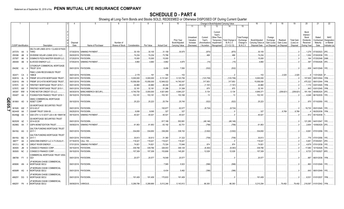|       |                             |     | 2                                           |             |                            |                 |               |            | 9                  | 10             |            |              | Change in Book/Adjusted Carrying Value |                     |                      | 16                | 17          | 18          | 19                | 20          | 21                          | 22            |
|-------|-----------------------------|-----|---------------------------------------------|-------------|----------------------------|-----------------|---------------|------------|--------------------|----------------|------------|--------------|----------------------------------------|---------------------|----------------------|-------------------|-------------|-------------|-------------------|-------------|-----------------------------|---------------|
|       |                             |     |                                             |             |                            |                 |               |            |                    |                | 11         | 12           | 13                                     | 14                  | 15                   |                   |             |             |                   |             |                             |               |
|       |                             |     |                                             |             |                            |                 |               |            |                    |                |            |              |                                        |                     |                      |                   |             |             |                   |             |                             |               |
|       |                             |     |                                             |             |                            |                 |               |            |                    |                |            |              | Current                                |                     |                      |                   |             |             |                   | Bond        |                             |               |
|       |                             |     |                                             |             |                            |                 |               |            |                    |                |            |              | Year's                                 |                     |                      |                   |             |             |                   | Interest    |                             |               |
|       |                             |     |                                             |             |                            |                 |               |            |                    |                | Unrealized | Current      | Other-Than-                            |                     | <b>Total Foreigr</b> |                   | Foreign     |             |                   | Stock       | Stated                      | <b>NAIC</b>   |
|       |                             |     |                                             |             |                            |                 |               |            |                    | Prior Year     | Valuation  | Year's       | Temporary                              | <b>Total Change</b> | Exchange             | Book/Adjusted     | Exchange    | Realized    | <b>Total Gain</b> | Dividends   | Contractua                  | Designation   |
|       |                             |     |                                             | Disposal    |                            | Number of       |               |            |                    | Book/Adjusted  | Increase   | Amortization | Impairment                             | <b>B./A.C.V.</b>    | Change in            | Carrying Value at | Gain (Loss) | Gain (Loss) | (Loss) on         | Received    | Maturity                    | or Market     |
|       | <b>CUSIP</b> Identification |     | Description                                 | Date        | Name of Purchaser          | Shares of Stock | Consideration | Par Value  | <b>Actual Cost</b> | Carrying Value | (Decrease) | / Accretion  | Recognized                             | $(11+12-13)$        | <b>B./A.C.V.</b>     | Disposal Date     | on Disposal | on Disposal | Disposal          | During Year | Date                        | Indicator (a) |
|       |                             |     | DELTA AIR LINES 2015-1 CLASS B PASS         |             |                            |                 |               |            |                    |                |            |              |                                        |                     |                      |                   |             |             |                   |             |                             |               |
|       | 24737A AA                   |     | <b>THRO</b>                                 | 07/30/2018  | <b>SINKING PAYMENT</b>     |                 | .30,105       | .30,105    | .31,159            | .30,975        |            | .(870)       |                                        | .(870)              |                      | .30,105           |             |             |                   |             | .1,279  07/30/2023. 2FE     |               |
|       |                             |     |                                             |             |                            |                 |               |            |                    |                |            |              |                                        |                     |                      |                   |             |             |                   |             |                             |               |
|       | 255396                      | AB  | DIVIDEND SOLAR LOANS 2018-1 LLC.            | 09/20/2018  | PAYDOWN.                   |                 | .74,234       | .74,234    | 73,766             |                |            | 468          |                                        | 468                 |                      | .74,234           |             |             |                   | 1,054       | 07/20/2038. 1FE.            |               |
|       | 25755T                      | AK  | DOMINO'S PIZZA MASTER ISSUER LLC.           | 07/25/2018. | PAYDOWN.                   |                 | .15,000       | .15,000    | .15,000            |                |            |              |                                        |                     |                      | .15,000           |             |             |                   | .164        | 07/25/2048.                 | 2AM.          |
|       | 290408 AB                   |     | ELWOOD ENERGY LLC.                          | 07/05/2018. | <b>SINKING PAYMENT</b>     |                 | .4,860        | .4,860     | .4,882             | .4,875         |            | (15)         |                                        | (15)                |                      | .4,860            |             |             |                   | .397        | 07/05/2026. 3FE.            |               |
|       |                             |     | CITIGROUP COMMERCIAL MORTGAGE               |             |                            |                 |               |            |                    |                |            |              |                                        |                     |                      |                   |             |             |                   |             |                             |               |
|       | 29429C AJ                   |     | <b>TRUST 2016</b>                           |             | 09/01/2018. PAYDOWN.       |                 |               |            | .8,456             | 7,050          |            | (532)        |                                        | (532)               |                      |                   |             |             |                   |             | .836   04/01/2049.   1FE    |               |
|       |                             |     | <b>FMAC LOAN RECEIVABLES TRUST</b>          |             |                            |                 |               |            |                    |                |            |              |                                        |                     |                      |                   |             |             |                   |             |                             |               |
|       | 302471 CA                   |     | 1998-B                                      | 09/01/2018. | PAYDOWN.                   |                 | .2,178        | 191        | .156               | 153            |            |              |                                        |                     |                      | .153              |             | .2,025      | .2,025            |             | 11/01/2020.                 |               |
|       |                             |     |                                             |             |                            |                 |               |            |                    |                |            |              |                                        |                     |                      |                   |             |             |                   |             |                             |               |
|       | 30261G                      | AL  | FREMF 2012-K705 MORTGAGE TRUST              | 09/01/2018  | PAYDOWN.                   |                 | .5,000,000    | .5,000,000 | .5,131,641         | .5,123,706     |            | (123,706)    |                                        | (123,706)           |                      | .5,000,000        |             |             |                   | .157,830    | 09/01/2044.                 | 1FM.          |
|       | 30261G                      | AN  | FREMF 2012-K705 MORTGAGE TRUST              | 09/01/2018  | PAYDOWN.                   |                 | .15,058,000   | 15,058,000 | 12,949,022         | 14,740,047     |            | 317,953      |                                        | .317,953            |                      | .15,058,000       |             |             |                   | .475,322    | 09/01/2044.                 | 1FM.          |
|       | 33767C                      | AV. | FIRSTKEY MORTGAGE TRUST 2015-1              | 09/01/2018  | PAYDOWN.                   |                 | .44,860       | .44,860    | .46,244            | .46,021        |            | (1, 161)     |                                        | (1, 161)            |                      | .44,860           |             |             |                   |             | .1,174 03/01/2045.          |               |
|       | 33767C                      | AW  | FIRSTKEY MORTGAGE TRUST 2015-1.             | 09/01/2018  | PAYDOWN                    |                 | .32,181       | .32,181    | .31,286            | 31,306         |            | .875         |                                        | .875                |                      | .32,181           |             |             |                   | .843        | 03/01/2045. 1FM.            |               |
|       | 345397                      | WW  | FORD MOTOR CREDIT CO LLC.                   | 08/30/2018  | <b>BANC/AMERICA SECUR.</b> |                 | 4,740,750     | .5,000,000 | 4,921,840          | 4,944,237      |            | .5,134       |                                        | 5,134               |                      | 4,949,37          |             | (208, 621)  | (208, 621)        | 181,164     | 09/08/2024.                 |               |
|       | 35040T                      | AA  | FOUNDATION FINANCE TRUST 2016-1             | 09/15/2018. | PAYDOWN.                   |                 | 153,181       | 153,181    | .153,161           | 153,168        |            | .13          |                                        | .13                 |                      | .153,181          |             |             |                   |             | .4,048 06/15/2035. 1FE.     |               |
|       |                             |     |                                             |             |                            |                 |               |            |                    |                |            |              |                                        |                     |                      |                   |             |             |                   |             |                             |               |
|       |                             |     | GMAC COMMERCIAL MORTGAGE                    |             |                            |                 |               |            |                    |                |            |              |                                        |                     |                      |                   |             |             |                   |             |                             |               |
|       | 36186X AD                   |     | <b>ASSET CORP</b>                           |             | 09/10/2018. PAYDOWN.       |                 | .25,223       | .25,223    | .25,754            | .25,745        |            | (522)        |                                        | (522)               |                      | .25,223           |             |             |                   |             | .870 07/10/2050. 1FE.       |               |
| QE05. |                             |     | <b>GS MORTGAGE SECURITIES TRUST</b>         |             |                            |                 |               |            |                    |                |            |              |                                        |                     |                      |                   |             |             |                   |             |                             |               |
|       | 36192K AW                   |     | 2012-GCJ7                                   | 09/01/2018. | PAYDOWN.                   |                 |               |            | 100,977            | .62,077        |            | (8,724)      |                                        | (8,724)             |                      |                   |             |             |                   |             | .19,730   05/01/2045.  1FE. |               |
| ↘     | 36244W AA                   |     | GSAMP TRUST 2006-S5.                        |             | 09/25/2018. PAYDOWN.       |                 | 9,095         | .9,095     | 327                | 327            |            |              |                                        |                     |                      | .327              |             | .8,768      | .8,768            |             | 09/25/2036.                 |               |
|       | 36249@ AA                   |     | GSA GTH I U S GOVT LEA 4.56 15MAY38         | 09/15/2018. | <b>SINKING PAYMENT</b>     |                 | .40,021       | 40,021     | .40,021            | .40,021        |            |              |                                        |                     |                      | .40,021           |             |             |                   |             | .912 05/15/2038.            |               |
|       |                             |     |                                             |             |                            |                 |               |            |                    |                |            |              |                                        |                     |                      |                   |             |             |                   |             |                             |               |
|       |                             |     | <b>GS MORTGAGE SECURITIES TRUST</b>         |             |                            |                 |               |            |                    |                |            |              |                                        |                     |                      |                   |             |             |                   |             |                             |               |
|       | 36252W AZ                   |     | 2014-GC20                                   |             | 09/01/2018. PAYDOWN        |                 |               |            | .917,188           | .552,691       |            | (48, 146)    |                                        | (48, 146)           |                      |                   |             |             |                   | .121,285    | 04/01/2047. 1FE.            |               |
|       | 36298G AA                   |     | <b>GSPA MONETIZATION TRUST.</b>             | 09/09/2018. | SINKING PAYMENT            |                 | 61,953        | .61,953    | .63,192            | .62,751        |            | (798)        |                                        | (798)               |                      | .61,953           |             |             |                   | .2,654      | 10/09/2029. 2FE.            |               |
|       |                             |     | <b>GALTON FUNDING MORTGAGE TRUST</b>        |             |                            |                 |               |            |                    |                |            |              |                                        |                     |                      |                   |             |             |                   |             |                             |               |
|       | 36416U AG                   |     | 2017-1                                      |             | 09/01/2018. PAYDOWN.       |                 | .334,650      | .334,650   | .338,269           | .338,152       |            | (3,502)      |                                        | (3,502)             |                      | .334,650          |             |             |                   |             | .8,061 07/01/2056. 1FE      |               |
|       |                             |     | <b>GALTON FUNDING MORTGAGE TRUST</b>        |             |                            |                 |               |            |                    |                |            |              |                                        |                     |                      |                   |             |             |                   |             |                             |               |
|       | 36416U BG                   |     | 2017-1                                      |             | 09/01/2018. PAYDOWN.       |                 | .30,613       | .30,613    | .31,360            | 31,322         |            | (708)        |                                        | (708)               |                      | .30,613           |             |             |                   |             | .776   07/01/2056.   1FE.   |               |
|       | 36877*                      | AA  | GENCONN ENERGY LLC 4.73 25JUL41             | 07/16/2018  | <b>CALL 100.</b>           |                 | .118,421      | 118,421    | 118,421            | .118,421       |            |              |                                        |                     |                      | .118,421          |             |             |                   | .5,461      | 07/25/2041. 2FE.            |               |
|       |                             |     |                                             |             |                            |                 |               |            |                    |                |            |              |                                        |                     |                      |                   |             |             |                   |             |                             |               |
|       | 39121J                      | AE  | <b>GREAT RIVER ENERGY.</b>                  | 07/01/2018  | <b>SINKING PAYMENT</b>     |                 | .74,821       | .74,821    | 73,324             | .73,946        |            | .874         |                                        | 874                 |                      | .74,821           |             |             |                   | .4,679      | 07/01/2038. 1FE.            |               |
|       | 393505                      | JM  | CONSECO FINANCE CORP.                       | 09/15/2018  | PAYDOWN.                   |                 | .339,766      | .339,766   | .326,003           | .346,129       |            | (6,363)      |                                        | (6,363)             |                      | .339,766          |             |             |                   | 17,080      | 10/15/2026. 1FE.            |               |
|       | 393505 NC                   |     | CONSECO FINANCE CORP.                       | 09/15/2018. | PAYDOWN                    |                 | .157,309      | 157,309    | 153,806            | .145,281       |            | .12,028      |                                        | .12,028             |                      | .157,309          |             |             |                   | .8,723      | 07/15/2027. 6FE.            |               |
|       |                             |     | COMMERCIAL MORTGAGE TRUST 2004              |             |                            |                 |               |            |                    |                |            |              |                                        |                     |                      |                   |             |             |                   |             |                             |               |
|       | 396789 FY 0                 |     | GG <sub>1</sub>                             |             | 09/01/2018. PAYDOWN.       |                 | .20,577       | .20,577    | 19,549             | .20,577        |            |              |                                        |                     |                      | .20,577           |             |             |                   | .887        | 06/01/2036. 1FM.            |               |
|       |                             |     |                                             |             |                            |                 |               |            |                    |                |            |              |                                        |                     |                      |                   |             |             |                   |             |                             |               |
|       | 46590K AN                   |     | JP MORGAN CHASE COMMERCIAL<br>MORTGAGE SECU |             | 09/01/2018. PAYDOWN.       |                 |               |            | .7,585             | .5,523         |            | (596)        |                                        | (596)               |                      |                   |             |             |                   |             | .863 01/01/2049. 1FE        |               |
|       |                             |     |                                             |             |                            |                 |               |            |                    |                |            |              |                                        |                     |                      |                   |             |             |                   |             |                             |               |
|       |                             |     | JP MORGAN CHASE COMMERCIAL                  |             |                            |                 |               |            |                    |                |            |              |                                        |                     |                      |                   |             |             |                   |             |                             |               |
|       | 46590R AG                   |     | MORTGAGE SECU                               |             | 09/01/2018. PAYDOWN.       |                 |               |            | .6,434             | .5,482         |            | (396)        |                                        | (396)               |                      |                   |             |             |                   |             | .643   08/01/2049.   1FE    |               |
|       |                             |     | JP MORGAN CHASE COMMERCIAL                  |             |                            |                 |               |            |                    |                |            |              |                                        |                     |                      |                   |             |             |                   |             |                             |               |
|       | 46625Y DG                   |     | <b>MORTGAGE SECU</b>                        |             | 09/01/2018. PAYDOWN        |                 | 191.409       | 191.409    | .170,833           | .191,409       |            |              |                                        |                     |                      | .191,409          |             |             |                   |             | .6,531   01/01/2037.   1FM. |               |
|       |                             |     | JP MORGAN CHASE COMMERCIAL                  |             |                            |                 |               |            |                    |                |            |              |                                        |                     |                      |                   |             |             |                   |             |                             |               |
|       | 46625Y FK 4                 |     | <b>MORTGAGE SECU</b>                        |             | 08/09/2018. VARIOUS        |                 | 5,289,786     | .5.289.969 | .5,012,246         | 5,143,912      |            | .66.383      |                                        | .66.383             |                      | 5,210,294         |             | .79.492     | .79,492           |             | 218,097 01/01/2042. 1FM.    |               |
|       |                             |     |                                             |             |                            |                 |               |            |                    |                |            |              |                                        |                     |                      |                   |             |             |                   |             |                             |               |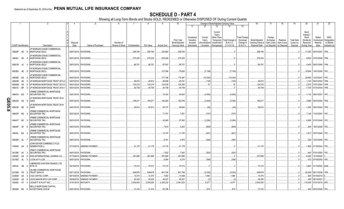|        |                             |    |              | 2                                                         | $\mathbf{\Delta}$ | -5                          | 6                            |               | -8         | 9                  | 10                                            |                                                   |                                                  |                                                                          | Change in Book/Adjusted Carrying Value             |                                                            | 16                                                  | 17                                                | 18                                     | 19                                         | 20                                                                | 21                                        | 22                                                       |
|--------|-----------------------------|----|--------------|-----------------------------------------------------------|-------------------|-----------------------------|------------------------------|---------------|------------|--------------------|-----------------------------------------------|---------------------------------------------------|--------------------------------------------------|--------------------------------------------------------------------------|----------------------------------------------------|------------------------------------------------------------|-----------------------------------------------------|---------------------------------------------------|----------------------------------------|--------------------------------------------|-------------------------------------------------------------------|-------------------------------------------|----------------------------------------------------------|
|        |                             |    |              |                                                           |                   |                             |                              |               |            |                    |                                               | 11                                                | 12                                               | 13                                                                       | 14                                                 | 15                                                         |                                                     |                                                   |                                        |                                            |                                                                   |                                           |                                                          |
|        | <b>CUSIP Identification</b> |    |              | Description                                               | Disposal<br>Date  | Name of Purchaser           | Number of<br>Shares of Stock | Consideration | Par Value  | <b>Actual Cost</b> | Prior Year<br>Book/Adjusted<br>Carrying Value | Unrealized<br>Valuation<br>Increase<br>(Decrease) | Current<br>Year's<br>Amortization<br>/ Accretion | Current<br>Year's<br>Other-Than<br>Temporary<br>Impairment<br>Recognized | Total Change i<br><b>B./A.C.V.</b><br>$(11+12-13)$ | <b>Total Foreign</b><br>Exchange<br>Change in<br>B./A.C.V. | Book/Adjusted<br>Carrying Value at<br>Disposal Date | Foreign<br>Exchange<br>Gain (Loss)<br>on Disposal | Realized<br>Gain (Loss)<br>on Disposal | <b>Total Gain</b><br>(Loss) on<br>Disposal | Bond<br>Interest<br>Stock<br>Dividends<br>Received<br>During Year | Stated<br>Contractual<br>Maturity<br>Date | <b>NAIC</b><br>Designation<br>or Market<br>Indicator (a) |
|        |                             |    |              |                                                           |                   |                             |                              |               |            |                    |                                               |                                                   |                                                  |                                                                          |                                                    |                                                            |                                                     |                                                   |                                        |                                            |                                                                   |                                           |                                                          |
|        | 46629P AE                   |    |              | JP MORGAN CHASE COMMERCIAL<br>MORTGAGE SECU               |                   | 09/01/2018. PAYDOWN         |                              | .296,794      | .296,794   | .233,663           | 296,794                                       |                                                   |                                                  |                                                                          |                                                    |                                                            | .296,794                                            |                                                   |                                        |                                            |                                                                   |                                           |                                                          |
|        | 46630J AE                   |    | - q          | JP MORGAN CHASE COMMERCIAL<br>MORTGAGE SECU               |                   | 09/01/2018. PAYDOWN.        |                              | .275,234      | .275,234   | .222,294           | 275,234                                       |                                                   |                                                  |                                                                          |                                                    |                                                            | .275,234                                            |                                                   |                                        |                                            |                                                                   | .8,832 01/01/2049. 1FM.                   |                                                          |
|        | 46631B AJ                   |    |              | JP MORGAN CHASE COMMERCIAL<br>MORTGAGE SECU               |                   | 09/01/2018. PAYDOWN.        |                              | .96,701       | .96,701    | .97,547            | .96,701                                       |                                                   |                                                  |                                                                          |                                                    |                                                            | .96,701                                             |                                                   |                                        |                                            | .4,404                                                            | 06/01/2049. 1FM.                          |                                                          |
|        | 46638U AE                   |    | -6           | <b>JP MORGAN CHASE COMMERCIAL</b><br>MORTGAGE SECU        |                   | 09/01/2018. PAYDOWN.        |                              |               |            | 127,286            | 75,600                                        |                                                   | (7, 108)                                         |                                                                          | (7,108)                                            |                                                            |                                                     |                                                   |                                        |                                            | .19,954                                                           | 10/01/2045. 1FE.                          |                                                          |
|        | 46639E AG                   |    |              | <b>JP MORGAN CHASE COMMERCIAL</b><br><b>MORTGAGE SECU</b> | 09/01/2018.       | PAYDOWN.                    |                              |               |            | .177,166           | .115,381                                      |                                                   | (15, 324)                                        |                                                                          | (15, 324)                                          |                                                            |                                                     |                                                   |                                        |                                            | .28,695                                                           | 12/01/2047. 1FE.                          |                                                          |
|        | 46640B                      | AK |              | JP MORGAN MORTGAGE TRUST 2013-2                           | 09/01/2018        | PAYDOWN.                    |                              | .46,612       | .46.612    | .46,928            | .46,741                                       |                                                   | (130)                                            |                                                                          | (130)                                              |                                                            | .46,612                                             |                                                   |                                        |                                            | .1.140                                                            | 05/01/2043. 1FM.                          |                                                          |
|        | 46640M                      | AS |              | JP MORGAN MORTGAGE TRUST 2013-3                           | 09/01/2018        | PAYDOWN.                    |                              | .124,216      | 124,216    | 124,039            | 124,200                                       |                                                   | 16                                               |                                                                          | 16                                                 |                                                            | .124,216                                            |                                                   |                                        |                                            | .2,915                                                            | 07/01/2043.                               | 1FM.                                                     |
|        | 46641C BP                   |    |              | JP MORGAN MORTGAGE TRUST 2014-1                           | 09/01/2018.       | PAYDOWN.                    |                              | .40,738       | .40,738    | .40,738            | .40,738                                       |                                                   |                                                  |                                                                          |                                                    |                                                            | .40,738                                             |                                                   |                                        |                                            |                                                                   | .1,016   01/01/2044. 1FM.                 |                                                          |
|        | 46643A BG                   |    |              | JPMBB COMMERCIAL MORTGAGE<br>SECURITIES TRU               |                   | 09/01/2018. PAYDOWN.        |                              |               |            | .73,302            | .40,635                                       |                                                   | (4, 593)                                         |                                                                          | (4,593)                                            |                                                            |                                                     |                                                   |                                        |                                            |                                                                   | .7,133 09/01/2047. 1FE                    |                                                          |
|        | 46643D                      | AS |              | JP MORGAN MORTGAGE TRUST 2014-<br>OAK4                    |                   | 09/01/2018. PAYDOWN         |                              | .159,271      | 159,271    | 163,264            | 162,576                                       |                                                   | (3,305)                                          |                                                                          | (3,305)                                            |                                                            | .159,271                                            |                                                   |                                        |                                            |                                                                   | 3,886   09/01/2044.   1FM.                |                                                          |
| QE05.8 | 46643D                      | BE |              | JP MORGAN MORTGAGE TRUST 2014<br>OAK4                     |                   | 09/01/2018. PAYDOWN.        |                              | .59,614       | .59,614    | 59,737             | .59,662                                       |                                                   | (48)                                             |                                                                          | (48)                                               |                                                            | .59,614                                             |                                                   |                                        |                                            | .1,558                                                            | 09/01/2044. 1FM.                          |                                                          |
|        | 46643P                      | BG |              | JPMBB COMMERCIAL MORTGAGE<br>SECURITIES TRU               |                   | 09/01/2018. PAYDOWN.        |                              |               |            | .11,751            | .7,501                                        |                                                   | (747)                                            |                                                                          | (747                                               |                                                            |                                                     |                                                   |                                        |                                            |                                                                   | 1,124   11/01/2047.   1FE.                |                                                          |
|        | 46643T BC                   |    |              | JPMBB COMMERCIAL MORTGAGE<br>SECURITIES TRU               |                   | 09/01/2018. PAYDOWN.        |                              |               |            | .43,683            | .27,062                                       |                                                   | (3,284)                                          |                                                                          | (3,284)                                            |                                                            |                                                     |                                                   |                                        |                                            |                                                                   | .4,990 01/01/2048. 1FE.                   |                                                          |
|        | 46644F AF                   |    |              | JPMBB COMMERCIAL MORTGAGE<br>SECURITIES TRU               |                   | 09/01/2018. PAYDOWN.        |                              |               |            | .7,910             | .5,203                                        |                                                   | (609)                                            |                                                                          | (609)                                              |                                                            |                                                     |                                                   |                                        |                                            |                                                                   | .920 10/01/2048. 1FE.                     |                                                          |
|        | 46645L BA                   |    |              | <b>JPMBB COMMERCIAL MORTGAGE</b><br>SECURITIES TRU        |                   | 09/01/2018. PAYDOWN.        |                              |               |            | .14,797            | .11,705                                       |                                                   | (947)                                            |                                                                          | (947                                               |                                                            |                                                     |                                                   |                                        |                                            |                                                                   | .1,613 03/01/2049. 1FE                    |                                                          |
|        | 46646R AL                   |    |              | JPMDB COMMERCIAL MORTGAGE<br>SECURITIES TRU               |                   | 09/01/2018. PAYDOWN.        |                              |               |            | .6,791             | .5,975                                        |                                                   | (384)                                            |                                                                          | (384                                               |                                                            |                                                     |                                                   |                                        |                                            | .628                                                              | 12/01/2049. 1FE                           |                                                          |
|        | 478045 AA                   |    |              | JOHN SEVIER COMBINED CYCLE<br><b>GENERATION LL</b>        |                   | 07/15/2018. SINKING PAYMENT |                              | .41,175       | .41.175    | .41,175            | .41,175                                       |                                                   |                                                  |                                                                          |                                                    |                                                            | .41,175                                             |                                                   |                                        |                                            |                                                                   | .1,905   01/15/2042.   1FE.               |                                                          |
|        | 48128K AV                   |    |              | JPMCC COMMERCIAL MORTGAGE<br>SECURITIES TRU               |                   | 09/01/2018. PAYDOWN         |                              |               |            | 7,632              | .7,042                                        |                                                   | (524)                                            |                                                                          | (524)                                              |                                                            |                                                     |                                                   |                                        |                                            |                                                                   | .843 07/01/2050. 1FE.                     |                                                          |
|        | 49549C                      | AA |              | KING INTERNATIONAL LEASING LLC                            | 07/15/2018.       | <b>SINKING PAYMENT</b>      |                              | .291,895      | .291,895   | .291,895           | .291,895                                      |                                                   |                                                  |                                                                          |                                                    |                                                            | .291,895                                            |                                                   |                                        |                                            | .6,029                                                            | 10/15/2022.                               |                                                          |
|        | 50190D AL                   |    |              | LCCM 2017-LC26.                                           |                   | 08/01/2018. PAYDOWN.        |                              |               |            | .5,594             | .5,215                                        |                                                   | (356)                                            |                                                                          | (356)                                              |                                                            |                                                     |                                                   |                                        |                                            |                                                                   | .472 07/03/2050. 1FE.                     |                                                          |
|        | 50543L AB                   |    |              | ABRADOR AVIATION FINANCE LTD<br>2016-1A                   |                   | 09/15/2018. PAYDOWN         |                              | 70,313        | .70,313    | 70,310             | .70,310                                       |                                                   |                                                  |                                                                          |                                                    |                                                            | .70,313                                             |                                                   |                                        |                                            | .2,663                                                            | 01/15/2042. 2AM                           |                                                          |
|        | 52108H F8                   |    |              | LB-UBS COMMERCIAL MORTGAGE<br><b>TRUST 2004-C4</b>        | 09/11/2018.       | PAYDOWN.                    |                              | .649,678      | .649,678   | .651,708           | 651,708                                       |                                                   | (2,030)                                          |                                                                          | (2,030)                                            |                                                            | .649,678                                            |                                                   |                                        |                                            | .29,049                                                           | 06/11/2036.                               |                                                          |
|        | 52465#                      | AA |              | CGA CAPITAL CORP.                                         | 08/10/2018        | <b>SINKING PAYMENT</b>      |                              | .14,474       | .14,474    | .7,092             | 13,408                                        |                                                   | .1,066                                           |                                                                          | .1,066                                             |                                                            | .14,474                                             |                                                   |                                        |                                            | .695                                                              | 03/10/2019.                               |                                                          |
|        | 52465#                      | AZ |              | LEGG MASON MTG CAP CORP.                                  | 09/08/2018        | <b>SINKING PAYMENT</b>      |                              | .45,425       | .45,425    | 45,427             | .45,427                                       |                                                   | (2)                                              |                                                                          | 2).                                                |                                                            | .45,425                                             |                                                   |                                        |                                            | .455                                                              | 06/10/2021.                               |                                                          |
|        | 524660 AT                   |    |              | <b>LEGGETT &amp; PLATT INC.</b>                           | 07/01/2018        | MATURITY.                   |                              | .2,500,000    | .2,500,000 | .2,325,232         | .2,491,623                                    |                                                   | .8,377                                           |                                                                          | .8,377                                             |                                                            | .2,500,000                                          |                                                   |                                        |                                            | .110,000                                                          | 07/01/2018. 2FE.                          |                                                          |
|        | 585498 BH                   |    | $\mathsf{D}$ | <b>MELLO MORTGAGE CAPITAL</b><br>ACCEPTANCE 2018-M        |                   | 09/01/2018. PAYDOWN.        |                              | .31.416       | .31.416    | 30,796             |                                               |                                                   | .619                                             |                                                                          | .619                                               |                                                            | .31.416                                             |                                                   |                                        |                                            |                                                                   | .409   05/01/2048.   1FE.                 |                                                          |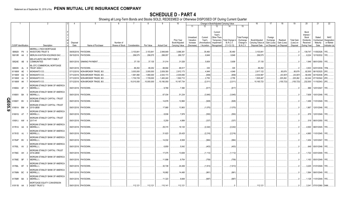|        |                             |    |                                                                                      | 4                |                             |                              |               | 8           | 9                  | 10                                            |                                                   |                                                  |                                                                          | Change in Book/Adjusted Carrying Value             |                                                                   | 16                                                                | 17                                 | 18                                     | 19                                         | 20                                                                       | 21                                        | 22                                                       |
|--------|-----------------------------|----|--------------------------------------------------------------------------------------|------------------|-----------------------------|------------------------------|---------------|-------------|--------------------|-----------------------------------------------|---------------------------------------------------|--------------------------------------------------|--------------------------------------------------------------------------|----------------------------------------------------|-------------------------------------------------------------------|-------------------------------------------------------------------|------------------------------------|----------------------------------------|--------------------------------------------|--------------------------------------------------------------------------|-------------------------------------------|----------------------------------------------------------|
|        |                             |    |                                                                                      |                  |                             |                              |               |             |                    |                                               | 11                                                | 12                                               | 13                                                                       | 14                                                 | 15                                                                |                                                                   |                                    |                                        |                                            |                                                                          |                                           |                                                          |
|        | <b>CUSIP</b> Identification |    | Description                                                                          | Disposal<br>Date | Name of Purchaser           | Number of<br>Shares of Stock | Consideration | Par Value   | <b>Actual Cost</b> | Prior Year<br>Book/Adjusted<br>Carrying Value | Unrealized<br>Valuation<br>Increase<br>(Decrease) | Current<br>Year's<br>Amortization<br>/ Accretion | Current<br>Year's<br>Other-Than<br>Temporary<br>Impairment<br>Recognized | Total Change i<br><b>B./A.C.V.</b><br>$(11+12-13)$ | <b>Total Foreign</b><br>Exchange<br>Change in<br><b>B./A.C.V.</b> | Book/Adjusted<br>Carrying Value at<br>Disposal Date   on Disposal | Foreign<br>Exchange<br>Gain (Loss) | Realized<br>Gain (Loss)<br>on Disposal | <b>Total Gain</b><br>(Loss) on<br>Disposal | Bond<br>Interest<br>Stock<br><b>Dividends</b><br>Received<br>During Year | Stated<br>Contractual<br>Maturity<br>Date | <b>NAIC</b><br>Designation<br>or Market<br>Indicator (a) |
|        |                             |    | <b>MERRILL LYNCH MORTGAGE</b>                                                        |                  |                             |                              |               |             |                    |                                               |                                                   |                                                  |                                                                          |                                                    |                                                                   |                                                                   |                                    |                                        |                                            |                                                                          |                                           |                                                          |
|        | 589929 PX                   |    | <b>INVESTORS TRUST S</b>                                                             | 09/05/2018.      | PAYDOWN.                    |                              | .3,103,84     | .3,103,841  | .2,948,649         | .3,068,381                                    |                                                   | 35,460                                           |                                                                          | .35,460                                            |                                                                   | .3,103,841                                                        |                                    |                                        |                                            | 139,747                                                                  | 11/05/2026.                               | 1FE                                                      |
|        | 59010R AA                   |    | MERLIN AVIATION HOLDINGS DAC.                                                        |                  | 09/15/2018. PAYDOWN.        |                              | .299,575      | .299,575    | .288,057           | 289,727                                       |                                                   | .9,849                                           |                                                                          | .9,849                                             |                                                                   | .299,575                                                          |                                    |                                        |                                            | .8,224                                                                   | 12/15/2032. 1FE.                          |                                                          |
|        | 59524E AB                   |    | MID-ATLANTIC MILITARY FAMILY<br><b>COMMUNITIES</b>                                   |                  | 08/01/2018. SINKING PAYMENT |                              | .37,135       | .37,135     | .31,014            | .31,526                                       |                                                   | .5,609                                           |                                                                          | 5,609                                              |                                                                   | .37,135                                                           |                                    |                                        |                                            |                                                                          | .1,946 08/01/2050. 1FE                    |                                                          |
|        |                             |    | ML-CFC COMMERCIAL MORTGAGE                                                           |                  |                             |                              |               |             |                    |                                               |                                                   |                                                  |                                                                          |                                                    |                                                                   |                                                                   |                                    |                                        |                                            |                                                                          |                                           |                                                          |
|        | 606935 AL                   |    | <b>TRUST 2006-1</b>                                                                  |                  | 09/01/2018. PAYDOWN         |                              | .89,252       | .89,252     | .88,694            | .88,917                                       |                                                   | .335                                             |                                                                          | 335                                                |                                                                   | .89,252                                                           |                                    |                                        |                                            | .3,503                                                                   | 02/01/2039. 1FM.                          |                                                          |
|        | 61166W AE                   |    | MONSANTO CO.                                                                         | 07/12/2018       | NON-BROKER TRADE, BO.       |                              | .3,003,000    | .3,000,000  | .2,839,350         | .2,912,173                                    |                                                   | .4,949                                           |                                                                          | .4,949                                             |                                                                   | .2,917,122                                                        |                                    | .85,878                                | .85,878                                    | .82,500                                                                  | 08/15/2025. 2FE.                          |                                                          |
|        | 61166W AG                   |    | MONSANTO CO.                                                                         | 07/12/2018       | NON-BROKER TRADE, BO.       |                              | 1,991,990     | 1,990,000   | .2,043,173         | .2,035,656                                    |                                                   | (658)                                            |                                                                          | (658)                                              |                                                                   | .2,034,997                                                        |                                    | (43,007)                               | (43,007)                                   |                                                                          | .58,456 04/15/2038. 2FE.                  |                                                          |
|        | 61166W AJ                   |    | MONSANTO CO.                                                                         | 07/12/2018       | NON-BROKER TRADE, BO.       |                              | .1,730,729    | .1,729,000  | 1,483,240          | 1,502,712                                     |                                                   | .2,755                                           |                                                                          | 2,755                                              |                                                                   | .1,505,467                                                        |                                    | 225,262                                | 225,262                                    | .62,244                                                                  | 07/15/2042. 2FE.                          |                                                          |
|        | 61166W AK                   |    | MONSANTO CO.                                                                         | 07/12/2018.      | NON-BROKER TRADE, BO.       |                              | .10,010,000   | .10,000,000 | .10,180,050        | .10,167,734                                   |                                                   | (2,011)                                          |                                                                          | (2,011)                                            |                                                                   | 10,165,723                                                        |                                    | (155, 723)                             | (155,723)                                  | .232,500                                                                 | 11/15/2043. 2FE.                          |                                                          |
|        | 61690A AF                   |    | MORGAN STANLEY BANK OF AMERICA<br><b>MERRILL L</b>                                   |                  | 09/01/2018. PAYDOWN         |                              |               |             | .9,768             | .7,390                                        |                                                   | (617)                                            |                                                                          | (617)                                              |                                                                   |                                                                   |                                    |                                        |                                            | .966                                                                     | 12/01/2047. 1FE.                          |                                                          |
|        | 61690V BA                   |    | MORGAN STANLEY BANK OF AMERICA<br><b>MERRILL L</b>                                   |                  | 09/01/2018. PAYDOWN         |                              |               |             | 67,034             | .51,234                                       |                                                   | (3,945)                                          |                                                                          | (3,945)                                            |                                                                   |                                                                   |                                    |                                        |                                            |                                                                          | .7,608   10/01/2048.   1FE.               |                                                          |
| QE05.9 | 61690Y                      | BV | MORGAN STANLEY CAPITAL I TRUST<br>2016-BNK2                                          |                  | 09/01/2018. PAYDOWN         |                              |               |             | 14,878             | 12,860                                        |                                                   | (928)                                            |                                                                          | (928)                                              |                                                                   |                                                                   |                                    |                                        |                                            | .1,499                                                                   | 11/01/2049. 1FE.                          |                                                          |
|        | 61691A                      | BM | MORGAN STANLEY CAPITAL I TRUST<br>2015-UBS8                                          |                  | 09/01/2018. PAYDOWN         |                              |               |             | .17,880            | .13,963                                       |                                                   | (1,070)                                          |                                                                          | (1,070)                                            |                                                                   |                                                                   |                                    |                                        |                                            | .1,867                                                                   | 12/01/2048. 1FE.                          |                                                          |
|        | 61691G AT                   |    | MORGAN STANLEY BANK OF AMERICA<br><b>MERRILL L</b><br>MORGAN STANLEY CAPITAL I TRUST |                  | 09/01/2018. PAYDOWN         |                              |               |             | .8,936             | .7,878                                        |                                                   | (550)                                            |                                                                          | (550)                                              |                                                                   |                                                                   |                                    |                                        |                                            | .878                                                                     | 12/01/2049. 1FE.                          |                                                          |
|        | 61691J AW                   |    | 2017-H1<br>MORGAN STANLEY BANK OF AMERICA                                            |                  | 09/01/2018. PAYDOWN         |                              |               |             | .5,259             | .4,899                                        |                                                   | (337)                                            |                                                                          | (337)                                              |                                                                   |                                                                   |                                    |                                        |                                            | .519                                                                     | 06/01/2050. 1FE.                          |                                                          |
|        | 61761A AA                   |    | <b>MERRILL L</b><br>MORGAN STANLEY BANK OF AMERICA                                   |                  | 09/01/2018. PAYDOWN         |                              |               |             | .29,315            | .18,120                                       |                                                   | (2, 242)                                         |                                                                          | (2,242)                                            |                                                                   |                                                                   |                                    |                                        |                                            | .4,500                                                                   | 08/01/2045. 1FE.                          |                                                          |
|        | 61761D AJ                   |    | <b>MERRILL L</b><br>MORGAN STANLEY BANK OF AMERICA                                   |                  | 09/01/2018. PAYDOWN.        |                              |               |             | .31,623            | .20,425                                       |                                                   | (2,216)                                          |                                                                          | (2,216)                                            |                                                                   |                                                                   |                                    |                                        |                                            | .4,965                                                                   | 11/01/2045. 1FE.                          |                                                          |
|        | 61764P BV                   |    | <b>MERRILL L</b><br>MORGAN STANLEY BANK OF AMERICA                                   |                  | 09/01/2018. PAYDOWN.        |                              |               |             | .14,032            | .8,508                                        |                                                   | (984)                                            |                                                                          | (984)                                              |                                                                   |                                                                   |                                    |                                        |                                            | .1,454                                                                   | 12/01/2047. 1FE.                          |                                                          |
|        | 61765L AV                   |    | <b>MERRILL L</b><br>MORGAN STANLEY CAPITAL I TRUST                                   |                  | 09/01/2018. PAYDOWN.        |                              |               |             | .6,859             | .5,042                                        |                                                   | (403)                                            |                                                                          | (403)                                              |                                                                   |                                                                   |                                    |                                        |                                            |                                                                          | .649 05/01/2048. 1FE.                     |                                                          |
|        | 61766C AH                   |    | 2016-UBS9<br>MORGAN STANLEY BANK OF AMERICA                                          |                  | 09/01/2018. PAYDOWN.        |                              |               |             | .17,075            | .13,606                                       |                                                   | (1, 112)                                         |                                                                          | (1, 112)                                           |                                                                   |                                                                   |                                    |                                        |                                            |                                                                          | .1,722 03/01/2049. 1FE.                   |                                                          |
|        | 61766E BF                   |    | <b>MERRILL L</b><br>MORGAN STANLEY BANK OF AMERICA                                   |                  | 09/01/2018. PAYDOWN.        |                              |               |             | .11,898            | .9,754                                        |                                                   | (759)                                            |                                                                          | (759)                                              |                                                                   |                                                                   |                                    |                                        |                                            |                                                                          |                                           |                                                          |
|        | 61766L BT                   |    | <b>MERRILL L</b><br>MORGAN STANLEY BANK OF AMERICA                                   |                  | 09/01/2018. PAYDOWN.        |                              |               |             | .30,728            | .24,406                                       |                                                   | (1, 913)                                         |                                                                          | (1,913)                                            |                                                                   |                                                                   |                                    |                                        |                                            |                                                                          | .3,225 01/01/2049. 1FE.                   |                                                          |
|        | 61766N BC                   |    | <b>MERRILL L</b><br>MORGAN STANLEY BANK OF AMERICA                                   |                  | 09/01/2018. PAYDOWN         |                              |               |             | .16,882            | .14,480                                       |                                                   | (961)                                            |                                                                          | (961                                               |                                                                   |                                                                   |                                    |                                        |                                            |                                                                          | .1,564 09/01/2049. 1FE.                   |                                                          |
|        | 61766R BA                   |    | <b>MERRILL L</b><br>MORTGAGE EQUITY CONVERSION                                       |                  | 09/01/2018. PAYDOWN         |                              |               |             | .11,323            | .9,848                                        |                                                   | (687)                                            |                                                                          | (687                                               |                                                                   |                                                                   |                                    |                                        |                                            |                                                                          | 1,128 11/01/2049. 1FE.                    |                                                          |
|        | 61911B AA                   |    | <b>ASSET TRUST 2</b>                                                                 |                  | 09/01/2018. PAYDOWN         |                              | 112.121       | .112.121    | .110.141           | 112.121                                       |                                                   |                                                  |                                                                          |                                                    |                                                                   | 112.121                                                           |                                    |                                        | - 0                                        |                                                                          | .3.341 07/01/2060. 5AM                    |                                                          |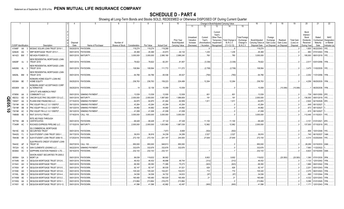|            |                             |          |                                                   |                                  |                          |                                     |                   |                              |                       |                      | 9                    | 10                                            |                                                   |                                                  | Change in Book/Adjusted Carrying Value                                    |                                                         |                                                                   | 16                                                  | 17                                                | 18                                     | 19                                         | 20                                                                       | 21                                        | 22                                                       |
|------------|-----------------------------|----------|---------------------------------------------------|----------------------------------|--------------------------|-------------------------------------|-------------------|------------------------------|-----------------------|----------------------|----------------------|-----------------------------------------------|---------------------------------------------------|--------------------------------------------------|---------------------------------------------------------------------------|---------------------------------------------------------|-------------------------------------------------------------------|-----------------------------------------------------|---------------------------------------------------|----------------------------------------|--------------------------------------------|--------------------------------------------------------------------------|-------------------------------------------|----------------------------------------------------------|
|            |                             |          |                                                   |                                  |                          |                                     |                   |                              |                       |                      |                      |                                               | 11                                                | 12                                               | 13                                                                        | 14                                                      | 15                                                                |                                                     |                                                   |                                        |                                            |                                                                          |                                           |                                                          |
|            | <b>CUSIP</b> Identification |          |                                                   | Description                      | Disposa<br>Date          |                                     | Name of Purchaser | Number of<br>Shares of Stock | Consideration         | Par Value            | <b>Actual Cost</b>   | Prior Year<br>Book/Adjusted<br>Carrying Value | Unrealized<br>Valuation<br>Increase<br>(Decrease) | Current<br>Year's<br>Amortization<br>/ Accretion | Current<br>Year's<br>Other-Than-<br>Temporary<br>Impairment<br>Recognized | <b>Total Change</b><br><b>B./A.C.V.</b><br>$(11+12-13)$ | <b>Total Foreigr</b><br>Exchange<br>Change in<br><b>B./A.C.V.</b> | Book/Adjusted<br>Carrying Value at<br>Disposal Date | Foreign<br>Exchange<br>Gain (Loss)<br>on Disposal | Realized<br>Gain (Loss)<br>on Disposal | <b>Total Gain</b><br>(Loss) on<br>Disposal | Bond<br>Interest<br>Stock<br><b>Dividends</b><br>Received<br>During Year | Stated<br>Contractual<br>Maturity<br>Date | <b>NAIC</b><br>Designation<br>or Market<br>Indicator (a) |
|            | 61946F                      | AA       |                                                   | MOSAIC SOLAR LOAN TRUST 2018-1   | 09/20/2018.              | PAYDOWN.                            |                   |                              | .119,274              | .119,274             | .119,268             |                                               |                                                   |                                                  |                                                                           |                                                         |                                                                   | .119,274                                            |                                                   |                                        |                                            | .1,600                                                                   | 06/22/2043.                               | 1FE                                                      |
|            | 62942K AG                   |          |                                                   | NRP MORTGAGE TRUST 2013-1.       | 09/01/2018               | PAYDOWN.                            |                   |                              | 45,369                | .45,369              | .43,873              | .44,134                                       |                                                   | .1,235                                           |                                                                           | .1,235                                                  |                                                                   | .45,369                                             |                                                   |                                        |                                            | .983                                                                     | 07/01/2043.                               | 1FM.                                                     |
|            | 641423 BW                   |          | NEVADA POWER CO.                                  |                                  | 08/01/2018               | <b>MATURITY</b>                     |                   |                              | .3,000,000            | .3,000,000           | .2,990,190           | 2,999,240                                     |                                                   | .760                                             |                                                                           | .760                                                    |                                                                   | 3,000,000                                           |                                                   |                                        |                                            | 195,000                                                                  | 08/01/2018. 1FE.                          |                                                          |
|            |                             |          |                                                   |                                  |                          |                                     |                   |                              |                       |                      |                      |                                               |                                                   |                                                  |                                                                           |                                                         |                                                                   |                                                     |                                                   |                                        |                                            |                                                                          |                                           |                                                          |
|            | 64829F AJ                   |          | <b>TRUST 2016</b>                                 | NEW RESIDENTIAL MORTGAGE LOAN    |                          | 09/01/2018. PAYDOWN.                |                   |                              | .78,622               | .78,622              | .82,251              | 81,957                                        |                                                   | (3,336)                                          |                                                                           | (3,336)                                                 |                                                                   | .78,622                                             |                                                   |                                        |                                            |                                                                          | .2,517 03/01/2056. 1FM.                   |                                                          |
|            | 64829G AL                   |          | <b>TRUST 2016</b>                                 | NEW RESIDENTIAL MORTGAGE LOAN    |                          | 09/01/2018. PAYDOWN.                |                   |                              | 108,564               | 108,564              | .111,772             | .111,272                                      |                                                   | (2,708)                                          |                                                                           | (2,708)                                                 |                                                                   | .108,564                                            |                                                   |                                        |                                            |                                                                          | .3,475   11/02/2035. 1FE                  |                                                          |
|            | 64829L BM                   |          | <b>TRUST 2016</b>                                 | NEW RESIDENTIAL MORTGAGE LOAN    |                          | 09/01/2018. PAYDOWN.                |                   |                              | .64,766               | .64,766              | .65,536              | .65,527                                       |                                                   | (760)                                            |                                                                           | (760)                                                   |                                                                   | .64,766                                             |                                                   |                                        |                                            | .2,252                                                                   | 11/01/2056. 1FM.                          |                                                          |
|            | 65536H BE                   |          | <b>HOME EQUITY</b>                                | NOMURA HOME EQUITY LOAN INC      |                          | 09/25/2018. PAYDOWN.                |                   |                              | .236,763              | .236,763             | 159,223              | .224,499                                      |                                                   | 12,264                                           |                                                                           | .12,264                                                 |                                                                   | .236,763                                            |                                                   |                                        |                                            |                                                                          | .4,258 09/25/2035. 1FM.                   |                                                          |
|            |                             |          |                                                   | NOMURA ASSET ACCEPTANCE CORP     |                          |                                     |                   |                              |                       |                      |                      |                                               |                                                   |                                                  |                                                                           |                                                         |                                                                   |                                                     |                                                   |                                        |                                            |                                                                          |                                           |                                                          |
|            | 65536W AA                   |          | <b>ALTERNATIVE</b>                                |                                  | 09/25/2018.              | PAYDOWN.                            |                   |                              | 14                    | .32,136              | 10,059               | .10,059                                       |                                                   |                                                  |                                                                           |                                                         |                                                                   | .10,059                                             |                                                   | (10,046)                               | (10,046)                                   |                                                                          | 08/25/2036. 1FM.                          |                                                          |
|            |                             |          | OFFUTT AFB AMERICA FIRST                          |                                  |                          |                                     |                   |                              |                       |                      |                      |                                               |                                                   |                                                  |                                                                           |                                                         |                                                                   |                                                     |                                                   |                                        |                                            |                                                                          |                                           |                                                          |
|            | 67085K                      | AA       | <b>COMMUNITY LLC</b>                              | ONCOR ELECTRIC DELIVERY CO LLC   | 09/01/2018<br>09/01/2018 | <b>SINKING PAYMENT</b><br>MATURITY. |                   |                              | .13,539<br>.2,000,000 | 13,539<br>.2,000,000 | .12,930<br>1,997,900 | .12,938<br>1,999,809                          |                                                   | .601<br>191                                      |                                                                           | 601<br>.191                                             |                                                                   | .13,539                                             |                                                   |                                        |                                            | 136,000                                                                  | .739 09/01/2050. 2FE.<br>09/01/2018. 1FE. |                                                          |
| Q<br>Ш     | 68233J                      |          | PLAINS END FINANCING LLC.                         |                                  |                          | <b>SINKING PAYMENT</b>              |                   |                              | .64,870               | .64,870              | .61,464              | .62,959                                       |                                                   | .1,911                                           |                                                                           |                                                         |                                                                   | 2,000,000<br>.64,870                                |                                                   |                                        |                                            | .2,924                                                                   | 04/15/2028.                               |                                                          |
|            | 72650T                      | AA       |                                                   | PNC EQUIP FIN LLC 3.0 13SEP27    | 07/15/2018               | <b>SINKING PAYMENT</b>              |                   |                              |                       |                      |                      |                                               |                                                   |                                                  |                                                                           | .1,911                                                  |                                                                   |                                                     |                                                   |                                        |                                            |                                                                          |                                           |                                                          |
| <b>95.</b> | 73019#<br>73019#            | AA<br>AB |                                                   | PNC EQUIP FIN LLC 3.0 13SEP27    | 09/13/2018<br>09/13/2018 | <b>SINKING PAYMENT</b>              |                   |                              | .43,264<br>.44,892    | .43,264<br>.44,892   | .43,264<br>.44,892   | .43,264<br>.44,892                            |                                                   |                                                  |                                                                           |                                                         |                                                                   | .43,264<br>.44,892                                  |                                                   |                                        |                                            | .649<br>.673                                                             | 09/13/2027<br>09/13/2027                  |                                                          |
|            |                             |          |                                                   | PNC EQUIP FIN LLC 3.0 13SEP27    |                          | <b>SINKING PAYMENT</b>              |                   |                              |                       |                      |                      |                                               |                                                   |                                                  |                                                                           |                                                         |                                                                   |                                                     |                                                   |                                        |                                            |                                                                          |                                           |                                                          |
| $\bullet$  | 73019#                      | AC<br>AE |                                                   |                                  | 09/13/2018               |                                     |                   |                              | 41,008                | .41,008              | .41,008              | 41,008                                        |                                                   |                                                  |                                                                           |                                                         |                                                                   | .41,008                                             |                                                   |                                        |                                            | .615                                                                     | 09/13/2027<br>01/15/2031.                 | 1FE.                                                     |
|            | 74890B                      |          | RAIT 2015-FL5 TRUST<br>RITE AID PASS THROUGH      |                                  | 07/16/2018.              | <b>CALL 100</b>                     |                   |                              | .3,000,000            | .3,000,000           | .3,000,000           | 3,000,000                                     |                                                   |                                                  |                                                                           |                                                         |                                                                   | .3,000,000                                          |                                                   |                                        |                                            | 112,446                                                                  |                                           |                                                          |
|            | 767759                      | AB       | <b>CERTIFICATES</b>                               |                                  | 09/01/2018.              | PAYDOWN                             |                   |                              | .68,428               | .68,428              | .37,122              | .57,328                                       |                                                   | 11,100                                           |                                                                           | .11,100                                                 |                                                                   | .68,428                                             |                                                   |                                        |                                            |                                                                          | .3,101 01/01/2021.                        | 4FE.                                                     |
|            | 77340R AC                   |          |                                                   | ROCKIES EXPRESS PIPELINE LLC.    | 07/15/2018.              | <b>MATURITY</b>                     |                   |                              | .2,000,000            | .2,000,000           | 1,833,960            | 1,987,038                                     |                                                   | 12,962                                           |                                                                           | .12,962                                                 |                                                                   | .2,000,000                                          |                                                   |                                        |                                            | .137,000                                                                 | 07/15/2018. 3FE.                          |                                                          |
|            | 78419C AG                   |          | SG COMMERCIAL MORTGAGE<br><b>SECURITIES TRUST</b> |                                  | 09/01/2018               | PAYDOWN.                            |                   |                              |                       |                      | .7,973               | .6,608                                        |                                                   | (502)                                            |                                                                           | (502)                                                   |                                                                   |                                                     |                                                   |                                        |                                            | 806                                                                      | 10/01/2048. 1FE.                          |                                                          |
|            | 78442G                      | FJ.      |                                                   | SLM STUDENT LOAN TRUST 2003-1    | 09/17/2018               | PAYDOWN.                            |                   |                              | .36,816               | .36,816              | .34,239              | .34,289                                       |                                                   | .2,527                                           |                                                                           | .2,527                                                  |                                                                   | .36,816                                             |                                                   |                                        |                                            | .740                                                                     | 06/15/2037.                               | 1AM                                                      |
|            | 78443B AK                   |          |                                                   | SLM STUDENT LOAN TRUST 2006-10   | 07/25/2018.              | PAYDOWN.                            |                   |                              | .272,154              | .272,154             | .241,197             | .244,505                                      |                                                   | 27,649                                           |                                                                           | .27,649                                                 |                                                                   | .272,154                                            |                                                   |                                        |                                            | .4.314                                                                   | 03/25/2044.                               | 1FE.                                                     |
|            | 78443C                      | AP       | TRUST 20                                          | SLM PRIVATE CREDIT STUDENT LOAN  | 09/27/2018               | <b>CALL 100</b>                     |                   |                              | .950,000              | .950,000             | .948,813             | .950,000                                      |                                                   |                                                  |                                                                           |                                                         |                                                                   | .950,000                                            |                                                   |                                        |                                            | .28,289                                                                  | 03/15/2033. 2AM.                          |                                                          |
|            | 797224                      | AC       | SAN CLEMENTE LEASING LLC.                         |                                  | 08/22/2018               | <b>SINKING PAYMENT</b>              |                   |                              | .332,676              | .332,676             | .332,676             | .332,676                                      |                                                   |                                                  |                                                                           |                                                         |                                                                   | .332,676                                            |                                                   |                                        |                                            | .7,560                                                                   | 11/22/2022.                               |                                                          |
|            | 80306A AC                   |          |                                                   | SAPPHIRE AVIATION FINANCE I LTD. | 09/15/2018               | PAYDOWN.                            |                   |                              | .232,143              | .232,143             | .232,141             |                                               |                                                   |                                                  |                                                                           |                                                         |                                                                   | .232,143                                            |                                                   |                                        |                                            | .6,823                                                                   | 03/15/2040. 3AM.                          |                                                          |
|            | 805564                      | GA       | <b>MORTLN</b>                                     | SAXON ASSET SECURITIES TR 2000-2 | 09/01/2018               | PAYDOWN.                            |                   |                              | .99,038               | 119,632              | .96,902              |                                               |                                                   | .9,802                                           |                                                                           | .9,802                                                  |                                                                   | .119,632                                            |                                                   | (20, 593)                              | (20, 593)                                  | .1,390                                                                   | 07/01/2030. 3FM.                          |                                                          |
|            | 81744N AH                   |          |                                                   | SEQUOIA MORTGAGE TRUST 2012-6    | 09/01/2018               | PAYDOWN.                            |                   |                              | .46,432               | .46,432              | .46,896              | .46,744                                       |                                                   | (312)                                            |                                                                           | (312                                                    |                                                                   | .46,432                                             |                                                   |                                        |                                            | .1,133                                                                   | 12/01/2042. 1FM.                          |                                                          |
|            | 81744V                      | AH       | SEQUOIA MORTGAGE TRUST                            |                                  | 09/01/2018               | PAYDOWN.                            |                   |                              | .69,350               | .69,350              | .71,085              | .70,273                                       |                                                   | (923)                                            |                                                                           | (923)                                                   |                                                                   | .69,350                                             |                                                   |                                        |                                            | .1,886                                                                   | 09/01/2042.                               | 1FM.                                                     |
|            | 81745A                      | AF       |                                                   | SEQUOIA MORTGAGE TRUST 2013-5.   | 09/01/2018               | PAYDOWN.                            |                   |                              | .92,147               | .92,147              | .90,535              | 91,521                                        |                                                   | .626                                             |                                                                           | .626                                                    |                                                                   | .92,147                                             |                                                   |                                        |                                            | .2,201                                                                   | 05/01/2043.                               | 1FM.                                                     |
|            | 81745E                      | AD       |                                                   | SEQUOIA MORTGAGE TRUST 2013-8    | 09/01/2018               | PAYDOWN.                            |                   |                              | 105,320               | 105,320              | 104,201              | .104,610                                      |                                                   | 710                                              |                                                                           | 710                                                     |                                                                   | .105,320                                            |                                                   |                                        |                                            | .2,375                                                                   | 06/01/2043.                               |                                                          |
|            | 81745L                      | BN       |                                                   | SEQUOIA MORTGAGE TRUST 2014-4    | 09/01/201                | PAYDOWN.                            |                   |                              | .34,536               | .34,536              | .34,722              | .34,633                                       |                                                   | (97)                                             |                                                                           | (97)                                                    |                                                                   | .34,536                                             |                                                   |                                        |                                            | .890                                                                     | 11/01/2044.                               |                                                          |
|            | 81745M                      | AE       |                                                   | SEQUOIA MORTGAGE TRUST 2013-2    | 09/01/2018               | PAYDOWN.                            |                   |                              | 180,480               | 180,480              | 180,029              | 180,459                                       |                                                   | 21                                               |                                                                           | .21                                                     |                                                                   | .180,480                                            |                                                   |                                        |                                            | .4,332                                                                   | 02/01/2043.                               |                                                          |
|            | 81745Q                      | AA       |                                                   | SEQUOIA MORTGAGE TRUST 2015-1    | 09/01/2018               | PAYDOWN.                            |                   |                              | .213,864              | .213,864             | .216,270             | .213,864                                      |                                                   |                                                  |                                                                           |                                                         |                                                                   | .213,864                                            |                                                   |                                        |                                            | .5,296                                                                   | 01/01/2045.                               |                                                          |
|            | 81745Y                      | AZ       |                                                   | SEQUOIA MORTGAGE TRUST 2013-12.  |                          | 09/01/2018. PAYDOWN.                |                   |                              | .41,596               | .41.596              | .42,882              | 42,497                                        |                                                   | (900)                                            |                                                                           | (900)                                                   |                                                                   | 41.596                                              |                                                   |                                        |                                            | .1.171                                                                   | 12/01/2043.                               |                                                          |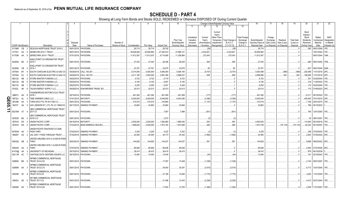|        |                             |    |            |                                                           |                  |                             |                              |               | 8           | -9                 | 10                                            |                                                   |                                                  |                                                                           | Change in Book/Adjusted Carrying Value             |                                                                   | 16                                                  | 17                                                | 18                                     | 19                                         | 20                                                                       | 21                                        | 22                                                       |
|--------|-----------------------------|----|------------|-----------------------------------------------------------|------------------|-----------------------------|------------------------------|---------------|-------------|--------------------|-----------------------------------------------|---------------------------------------------------|--------------------------------------------------|---------------------------------------------------------------------------|----------------------------------------------------|-------------------------------------------------------------------|-----------------------------------------------------|---------------------------------------------------|----------------------------------------|--------------------------------------------|--------------------------------------------------------------------------|-------------------------------------------|----------------------------------------------------------|
|        |                             |    |            |                                                           |                  |                             |                              |               |             |                    |                                               | 11                                                | 12                                               | 13                                                                        | 14                                                 | 15                                                                |                                                     |                                                   |                                        |                                            |                                                                          |                                           |                                                          |
|        | <b>CUSIP Identification</b> |    |            | Description                                               | Disposal<br>Date | Name of Purchaser           | Number of<br>Shares of Stock | Consideration | Par Value   | <b>Actual Cost</b> | Prior Year<br>Book/Adjusted<br>Carrying Value | Unrealized<br>Valuation<br>Increase<br>(Decrease) | Current<br>Year's<br>Amortization<br>/ Accretion | Current<br>Year's<br>Other-Than-<br>Temporary<br>Impairment<br>Recognized | Total Change i<br><b>B./A.C.V.</b><br>$(11+12-13)$ | <b>Total Foreign</b><br>Exchange<br>Change in<br><b>B./A.C.V.</b> | Book/Adjusted<br>Carrying Value at<br>Disposal Date | Foreign<br>Exchange<br>Gain (Loss)<br>on Disposal | Realized<br>Gain (Loss)<br>on Disposal | <b>Total Gain</b><br>(Loss) on<br>Disposal | Bond<br>Interest<br>Stock<br><b>Dividends</b><br>Received<br>During Year | Stated<br>Contractual<br>Maturity<br>Date | <b>NAIC</b><br>Designation<br>or Market<br>Indicator (a) |
|        | 81746R                      | CB |            | SEQUOIA MORTGAGE TRUST 2016-2.                            | 09/01/2018.      | PAYDOWN.                    |                              | .29,714       | .29,714     | .29,742            |                                               |                                                   | (. (28)                                          |                                                                           |                                                    |                                                                   | 29,714                                              |                                                   |                                        |                                            | .582                                                                     | 08/01/2046.                               | 1FE.                                                     |
|        | 817521                      | AA |            | SERIES RR 2012-1 TRUST                                    | 09/01/2018.      | PAYDOWN.                    |                              | .39,928,962   | .39,928,962 | .27,400,914        | .37,896,121                                   |                                                   | 2,032,841                                        |                                                                           | (28<br>2,032,841                                   |                                                                   | .39,928,962                                         |                                                   |                                        |                                            |                                                                          | 10/01/2044.                               | 1FE.                                                     |
|        | 81753N AA                   |    | - 6        | SERIES RRX 2014-1 TRUST                                   |                  | 07/01/2018. PAYDOWN.        |                              |               | .11,612,007 |                    | .11,338,964                                   |                                                   |                                                  |                                                                           | 273,043                                            |                                                                   | .11,612,007                                         |                                                   |                                        |                                            |                                                                          | 08/01/2044.                               | 1AM.                                                     |
|        |                             |    |            |                                                           |                  |                             |                              | .11,612,007   |             | .9,715,480         |                                               |                                                   | 273,043                                          |                                                                           |                                                    |                                                                   |                                                     |                                                   |                                        |                                            |                                                                          |                                           |                                                          |
|        | 82280Q BZ                   |    |            | SHELLPOINT CO-ORIGINATOR TRUST<br>2015-1                  |                  | 09/01/2018. PAYDOWN.        |                              | .27,034       | .27,034     | .26,446            | .26,525                                       |                                                   | .509                                             |                                                                           | .509                                               |                                                                   | 27,034                                              |                                                   |                                        |                                            |                                                                          | .690 08/01/2045. 1FM.                     |                                                          |
|        |                             |    |            | SHELLPOINT CO-ORIGINATOR TRUST                            |                  |                             |                              |               |             |                    |                                               |                                                   |                                                  |                                                                           |                                                    |                                                                   |                                                     |                                                   |                                        |                                            |                                                                          |                                           |                                                          |
|        | 82280Q                      | CB |            | 2015-1                                                    | 09/01/2018       | PAYDOWN.                    |                              | .23,761       | .23,761     | .23,675            | .23,675                                       |                                                   | 85                                               |                                                                           | .85                                                |                                                                   | 23,761                                              |                                                   |                                        |                                            | .607                                                                     | 08/01/2045. 2AM.                          |                                                          |
|        | 837004                      | BY |            | SOUTH CAROLINA ELECTRIC & GAS CO                          | 09/28/2018       | CALL 100.281                |                              | .5,014,050    | .5,000,000  | .5,080,054         | .5,006,194                                    |                                                   | (5,707)                                          |                                                                           | (5,707)                                            |                                                                   | 5,000,488                                           |                                                   | (488)                                  | (488)                                      | .252,488                                                                 | 11/01/2018. 2FE.                          |                                                          |
|        | 837004                      | CC |            | SOUTH CAROLINA ELECTRIC & GAS CO                          | 09/28/2018       | CALL 100.372.               |                              | .3,011,160    | .3,000,000  | .2,991,390         | .2,999,037                                    |                                                   | .658                                             |                                                                           | 658                                                |                                                                   | .2,999,696                                          |                                                   | 304                                    | 304                                        | .188,285                                                                 | 11/01/2018. 2FE.                          |                                                          |
|        | 86212U                      | AB |            | STORE MASTER FUNDING LLC.                                 | 09/20/2018       | PAYDOWN.                    |                              | .9,722        | .9,722      | .9,719             | .9,723                                        |                                                   |                                                  |                                                                           |                                                    |                                                                   | .9,722                                              |                                                   |                                        |                                            | .301                                                                     | 03/20/2043. 1FE.                          |                                                          |
|        | 86213A                      | AB |            | STORE MASTER FUNDING LLC.                                 | 09/20/2018       | PAYDOWN.                    |                              | .9,100        | .9,100      | .9,091             | .9,100                                        |                                                   |                                                  |                                                                           |                                                    |                                                                   | 9,100                                               |                                                   |                                        |                                            | .316                                                                     | 11/20/2043.                               | 1FE.                                                     |
|        | 86213C                      | AB |            | STORE MASTER FUNDING I LLC                                | 09/20/2018       | PAYDOWN.                    |                              | .6,250        | .6,250      | .6,247             | .6,249                                        |                                                   |                                                  |                                                                           |                                                    |                                                                   | 6,250                                               |                                                   |                                        |                                            | .174                                                                     | 04/20/2045.                               | 1FE.                                                     |
|        | 87422L                      | AK | $\epsilon$ | TALEN ENERGY SUPPLY LLC.                                  | 09/28/2018.      | NON-BROKER TRADE, BO.       |                              | .20,013       | .20,013     | 20,013             | .20,013                                       |                                                   |                                                  |                                                                           |                                                    |                                                                   | 20,013                                              |                                                   |                                        |                                            | .174                                                                     | 07/06/2023.                               | 3FE.                                                     |
|        |                             |    |            | THUNDERROAD MOTORCYCLE TRUST                              |                  |                             |                              |               |             |                    |                                               |                                                   |                                                  |                                                                           |                                                    |                                                                   |                                                     |                                                   |                                        |                                            |                                                                          |                                           |                                                          |
|        | 88607J                      | AA |            | 2016-1                                                    | 09/15/2018.      | PAYDOWN.                    |                              | .461,382      | .461,382    | .461,559           | .461,559                                      |                                                   | .(177)                                           |                                                                           | (177                                               |                                                                   | .461,382                                            |                                                   |                                        |                                            | .12,311                                                                  | 09/15/2022. 1FE.                          |                                                          |
| Q<br>m | 88732J                      | AL |            | TIME WARNER CABLE LLC.                                    | 07/01/2018       | MATURITY                    |                              | .6,000,000    | .6,000,000  | .6,049,800         | .6,003,356                                    |                                                   | (3,356)                                          |                                                                           | (3,356)                                            |                                                                   | 6,000,000                                           |                                                   |                                        |                                            | .405,000                                                                 | 07/01/2018. 2FE.                          |                                                          |
|        | 891098                      | AA |            | TORO MTG FTG TR 2017-RE 4.0                               | 09/01/2018       | PAYDOWN.                    |                              | .315,518      | .315,518    | .316,665           |                                               |                                                   | (1, 147)                                         |                                                                           | (1, 147)                                           |                                                                   | .315,518                                            |                                                   |                                        |                                            | .7,166                                                                   | 04/01/2074.                               | 1FE.                                                     |
| 95.    | 90272*                      | AA |            | UHC (SENIOR NT) CTL PA 3.5 15MAY33                        | 09/17/2018.      | SINKING PAYMENT             |                              | .33,663       | .33,663     | .33,664            | .33,664                                       |                                                   |                                                  |                                                                           |                                                    |                                                                   | .33,663                                             |                                                   |                                        |                                            | .786                                                                     | 05/15/2033.                               |                                                          |
| د<br>Ł | 90276W AT                   |    |            | UBS COMMERCIAL MORTGAGE TRUST<br>2017-C7                  |                  | 09/01/2018. PAYDOWN         |                              |               |             | .7,907             | .7,899                                        |                                                   | (501)                                            |                                                                           | (501                                               |                                                                   |                                                     |                                                   |                                        |                                            | .765                                                                     | 12/01/2050. 1FE.                          |                                                          |
|        | 90353D BA                   |    | - 2        | UBS COMMERCIAL MORTGAGE TRUST<br>2018-C12                 |                  | 09/01/2018. PAYDOWN.        |                              |               |             | .2,272             |                                               |                                                   | (2)                                              |                                                                           | -62                                                |                                                                   |                                                     |                                                   |                                        |                                            | 30                                                                       | 08/01/2051. 1FE.                          |                                                          |
|        | 907818                      | DA |            | UNION PACIFIC CORP.                                       | 08/15/2018.      | MATURITY.                   |                              | .2,000,000    | .2,000,000  | 1,992,660          | 1,999,446                                     |                                                   | .554                                             |                                                                           | .554                                               |                                                                   | .2,000,000                                          |                                                   |                                        |                                            |                                                                          | .114,000 08/15/2018. 1FE.                 |                                                          |
|        | 907818 EN                   |    |            | UNION PACIFIC CORP.                                       | 07/23/2018.      | BANC/AMERICA SECUR.         |                              | 1,898,620     | .2,000,000  | .1,973,100         | 1,973,469                                     |                                                   | .269                                             |                                                                           | .269                                               |                                                                   | 1,973,738                                           |                                                   | (75, 118)                              | (75, 118)                                  |                                                                          | .62,222 04/15/2047. 1FE.                  |                                                          |
|        | 90783W AA                   |    |            | UNION PACIFIC RAILROAD CO 2006<br>PASS THRO               |                  | 07/02/2018. SINKING PAYMENT |                              | 4,229         | .4,229      | .4,232             | .4,232                                        |                                                   | (3                                               |                                                                           |                                                    |                                                                   | .4,229                                              |                                                   |                                        |                                            |                                                                          | 248   07/02/2030.   1FE.                  |                                                          |
|        | 909287 AA                   |    |            | UAL 2007-1 PASS THROUGH TRUST.                            |                  | 07/02/2018. SINKING PAYMENT |                              | .42,550       | .42,550     | .45,773            | .44,442                                       |                                                   | (1,892)                                          |                                                                           | (1,892)                                            |                                                                   | .42,550                                             |                                                   |                                        |                                            |                                                                          | .2,824 07/02/2022. 2FE.                   |                                                          |
|        | 90932Q AB                   |    |            | UNITED AIRLINES 2014-2 CLASS B PASS<br><b>THRO</b>        |                  | 09/03/2018. SINKING PAYMENT |                              | .144,628      | 144,628     | 144,037            | .144,037                                      |                                                   | 591                                              |                                                                           | .591                                               |                                                                   | .144,628                                            |                                                   |                                        |                                            | .6,689                                                                   | 09/03/2022. 2FE.                          |                                                          |
|        |                             |    |            | UNITED AIRLINES 2016-1 CLASS B PASS                       |                  |                             |                              |               |             |                    |                                               |                                                   |                                                  |                                                                           |                                                    |                                                                   |                                                     |                                                   |                                        |                                            |                                                                          |                                           |                                                          |
|        | 90933H AA                   |    |            | THRO                                                      |                  | 07/07/2018. SINKING PAYMENT |                              | .85,648       | .85,648     | .85,648            | .85,648                                       |                                                   |                                                  |                                                                           |                                                    |                                                                   | .85,648                                             |                                                   |                                        |                                            |                                                                          | .2,093 01/07/2026. 2FE                    |                                                          |
|        | 91474@ AA                   |    |            | UNIVERSITY OF MICHIGAN.                                   | 09/15/2018.      | <b>SINKING PAYMENT</b>      |                              | .38,410       | .38,410     | .38,410            | .38,410                                       |                                                   |                                                  |                                                                           |                                                    |                                                                   | .38,410                                             |                                                   |                                        |                                            | .876                                                                     | 06/15/2039                                |                                                          |
|        | 92211M AC                   |    |            | VANTAGE DATA CENTERS ISSUER LLC                           |                  | 09/15/2018. PAYDOWN.        |                              | 10,000        | 10,000      | 10,044             |                                               |                                                   | (44)                                             |                                                                           | (44)                                               |                                                                   | .10,000                                             |                                                   |                                        |                                            | .191                                                                     | 02/16/2043. 1FE.                          |                                                          |
|        | 92890K BD                   |    |            | <b><i>NFRBS COMMERCIAL MORTGAGE</i></b><br>TRUST 2014-C22 |                  | 09/01/2018. PAYDOWN         |                              |               |             | .17,007            | .13,428                                       |                                                   | (1,338)                                          |                                                                           | (1,338)                                            |                                                                   |                                                     |                                                   |                                        |                                            |                                                                          | .2,140   09/01/2057.   1FE.               |                                                          |
|        | 92890N AA                   |    |            | <b><i>NFRBS COMMERCIAL MORTGAGE</i></b><br>TRUST 2012-C10 |                  | 09/01/2018. PAYDOWN         |                              |               |             | .54,943            | .35,291                                       |                                                   | (3,515)                                          |                                                                           | (3,515                                             |                                                                   |                                                     |                                                   |                                        |                                            |                                                                          | 6,713 12/01/2045. 1FE.                    |                                                          |
|        | 92930R AF                   |    |            | <b>WFRBS COMMERCIAL MORTGAGE</b><br>TRUST 2012-C9         |                  | 09/01/2018. PAYDOWN.        |                              |               |             | .27,169            | .15,065                                       |                                                   | (1,770)                                          |                                                                           | (1,770)                                            |                                                                   |                                                     |                                                   |                                        |                                            | .3,283                                                                   | 11/01/2045. 1FE                           |                                                          |
|        | 92935J AE                   |    |            | WF-RBS COMMERCIAL MORTGAGE<br><b>TRUST 2011-C2</b>        |                  | 09/01/2018. PAYDOWN.        |                              |               |             | 21,498             | .13,433                                       |                                                   | (2, 226)                                         |                                                                           | (2,226)                                            |                                                                   |                                                     |                                                   |                                        |                                            |                                                                          | .4,012 02/01/2044. 1FE.                   |                                                          |
|        | 92939K AH                   |    |            | <b>WFRBS COMMERCIAL MORTGAGE</b><br><b>TRUST 2014-C24</b> |                  | 09/01/2018. PAYDOWN         |                              |               |             | 17,843             | 12,793                                        |                                                   | (1, 382)                                         |                                                                           | (1,382)                                            |                                                                   |                                                     |                                                   |                                        |                                            |                                                                          | .2,306   11/01/2047.   1FE.               |                                                          |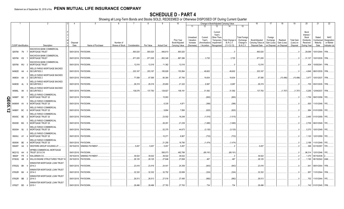|                |                             |           | 2                                                         |                  |                                               |                              |               |           | 9                  | 10                                            |                                                   |                                                  | Change in Book/Adjusted Carrying Value                                    |                                                    |                                                                   | 16                                                  | 17                                                | 18                                     | 19                                         | 20                                                                       | 21                                        | 22                                                       |
|----------------|-----------------------------|-----------|-----------------------------------------------------------|------------------|-----------------------------------------------|------------------------------|---------------|-----------|--------------------|-----------------------------------------------|---------------------------------------------------|--------------------------------------------------|---------------------------------------------------------------------------|----------------------------------------------------|-------------------------------------------------------------------|-----------------------------------------------------|---------------------------------------------------|----------------------------------------|--------------------------------------------|--------------------------------------------------------------------------|-------------------------------------------|----------------------------------------------------------|
|                |                             |           |                                                           |                  |                                               |                              |               |           |                    |                                               | 11                                                | 12                                               | 13                                                                        | 14                                                 | 15                                                                |                                                     |                                                   |                                        |                                            |                                                                          |                                           |                                                          |
|                | <b>CUSIP</b> Identification |           | Description                                               | Disposal<br>Date | Name of Purchaser                             | Number of<br>Shares of Stock | Consideration | Par Value | <b>Actual Cost</b> | Prior Year<br>Book/Adjusted<br>Carrying Value | Unrealized<br>Valuation<br>Increase<br>(Decrease) | Current<br>Year's<br>Amortization<br>/ Accretion | Current<br>Year's<br>Other-Than-<br>Temporary<br>Impairment<br>Recognized | Total Change i<br><b>B./A.C.V.</b><br>$(11+12-13)$ | <b>Total Foreigr</b><br>Exchange<br>Change in<br><b>B./A.C.V.</b> | Book/Adjusted<br>Carrying Value at<br>Disposal Date | Foreign<br>Exchange<br>Gain (Loss)<br>on Disposal | Realized<br>Gain (Loss)<br>on Disposal | <b>Total Gain</b><br>(Loss) on<br>Disposal | Bond<br>Interest<br>Stock<br><b>Dividends</b><br>Received<br>During Year | Stated<br>Contractual<br>Maturity<br>Date | <b>NAIC</b><br>Designation<br>or Market<br>Indicator (a) |
|                |                             |           | <b>NACHOVIA BANK COMMERCIAL</b>                           |                  |                                               |                              |               |           |                    |                                               |                                                   |                                                  |                                                                           |                                                    |                                                                   |                                                     |                                                   |                                        |                                            |                                                                          |                                           |                                                          |
|                | 929766 7N                   |           | <b>MORTGAGE TRUST</b>                                     |                  | 09/01/2018. PAYDOWN.                          |                              | .893,520      | .893.520  | .846,610           | .893,520                                      |                                                   |                                                  |                                                                           |                                                    |                                                                   | .893,520                                            |                                                   |                                        |                                            | .29.099                                                                  | 10/01/2044. 1FM                           |                                                          |
|                | 929766 KS                   |           | WACHOVIA BANK COMMERCIAL<br><b>MORTGAGE TRUST</b>         |                  | 09/01/2018. PAYDOWN                           |                              | .871,005      | .871,005  | .852,346           | .867,286                                      |                                                   | .3,720                                           |                                                                           | .3,720                                             |                                                                   | .871,005                                            |                                                   |                                        |                                            | .31,107                                                                  | 10/01/2035. 1FM.                          |                                                          |
|                | 929766 WU                   |           | WACHOVIA BANK COMMERCIAL<br><b>MORTGAGE TRUST</b>         |                  | 09/01/2018. PAYDOWN.                          |                              | .12,016       | .12,016   | .11,362            | .12,016                                       |                                                   |                                                  |                                                                           |                                                    |                                                                   | .12,016                                             |                                                   |                                        |                                            | .404                                                                     | 10/05/2041. 1FM.                          |                                                          |
|                | 94982D AA                   |           | WELLS FARGO MORTGAGE BACKED<br><b>SECURITIES 2</b>        | 09/01/2018.      | PAYDOWN                                       |                              | .203,167      | .203.167  | 185,928            | .153,564                                      |                                                   | .49,602                                          |                                                                           | .49,602                                            |                                                                   | .203,167                                            |                                                   |                                        |                                            |                                                                          | .4,846   08/01/2035. 1FM.                 |                                                          |
|                | 949834 AA                   |           | <b>WELLS FARGO MORTGAGE BACKED</b><br><b>SECURITIES 2</b> | 09/01/2018.      | PAYDOWN.                                      |                              | .77,099       | .87,595   | .80,364            | .67,760                                       |                                                   | 19,834                                           |                                                                           | .19,834                                            |                                                                   | .87,595                                             |                                                   | (10,496)                               | $(10, 496)$                                |                                                                          | .3,477   10/01/2037.   1FM                |                                                          |
|                | 94983D AL                   |           | WELLS FARGO MORTGAGE BACKED<br><b>SECURITIES 2</b>        | 09/01/2018.      | PAYDOWN.                                      |                              | .28,31        | .28,319   | .25,693            | 21,322                                        |                                                   | .6,997                                           |                                                                           | .6,997                                             |                                                                   | .28,319                                             |                                                   |                                        |                                            |                                                                          | .705   05/01/2035.   1FM                  |                                                          |
|                | 94986L AK                   |           | WELLS FARGO MORTGAGE BACKED<br><b>SECURITIES 2</b>        |                  | 09/01/2018. PAYDOWN.                          |                              | 136.076       | 137.783   | 129,927            | .106,191                                      |                                                   | .31,592                                          |                                                                           | .31,592                                            |                                                                   | 137,783                                             |                                                   | (1,707)                                | (1,707)                                    |                                                                          | .5,256 12/04/2037. 1FM                    |                                                          |
| O              | 94989T                      | BC        | <b>WELLS FARGO COMMERCIAL</b><br><b>MORTGAGE TRUST 20</b> |                  | 09/01/2018. PAYDOWN.                          |                              |               |           | 15,953             |                                               |                                                   | (693)                                            |                                                                           | .(693                                              |                                                                   |                                                     |                                                   |                                        |                                            |                                                                          | .1,759   09/01/2058.   1FE                |                                                          |
|                | 94989W                      | AV        | <b>WELLS FARGO COMMERCIAL</b><br>MORTGAGE TRUST 20        |                  | 09/01/2018. PAYDOWN.                          |                              |               |           | .6,335             | .4,871                                        |                                                   | (366)                                            |                                                                           | . (366)                                            |                                                                   |                                                     |                                                   |                                        |                                            |                                                                          | .600   11/01/2048.   1FE                  |                                                          |
| <b>JE05.12</b> | 94989Y                      | BC        | <b>WELLS FARGO COMMERCIAL</b><br><b>MORTGAGE TRUST 20</b> |                  | 09/01/2018. PAYDOWN                           |                              |               |           | .9.894             | .7,856                                        |                                                   | (620)                                            |                                                                           | (620)                                              |                                                                   |                                                     |                                                   |                                        |                                            |                                                                          | .984 01/01/2059. 1FE.                     |                                                          |
|                | 95000C BE                   |           | <b>WELLS FARGO COMMERCIAL</b><br>MORTGAGE TRUST 20        |                  | 09/01/2018. PAYDOWN.                          |                              |               |           | .23,502            | .18,248                                       |                                                   | (1,515)                                          |                                                                           | (1,515)                                            |                                                                   |                                                     |                                                   |                                        |                                            |                                                                          | .2,485   01/01/2059.   1FE                |                                                          |
|                | 95000D BG                   |           | <b>WELLS FARGO COMMERCIAL</b><br><b>MORTGAGE TRUST 20</b> |                  | 09/01/2018. PAYDOWN.                          |                              |               |           | .26,291            | .21,239                                       |                                                   | (1,685)                                          |                                                                           | (1,685)                                            |                                                                   |                                                     |                                                   |                                        |                                            |                                                                          | .2,708 06/01/2049. 1FE.                   |                                                          |
|                | 95000H BJ                   |           | <b>WELLS FARGO COMMERCIAL</b><br>MORTGAGE TRUST 20        |                  | 09/01/2018. PAYDOWN.                          |                              |               |           | .52,375            | .44,673                                       |                                                   | (3, 120)                                         |                                                                           | (3, 120)                                           |                                                                   |                                                     |                                                   |                                        |                                            |                                                                          | .5,370   10/01/2049.   1FE                |                                                          |
|                | 95000J AY                   |           | WELLS FARGO COMMERCIAL<br>MORTGAGE TRUST 20               |                  | 09/01/2018. PAYDOWN.                          |                              |               |           | 10,271             | .8,907                                        |                                                   | (733)                                            |                                                                           | .(733                                              |                                                                   |                                                     |                                                   |                                        |                                            |                                                                          | .1,120   12/01/2059.   1FE                |                                                          |
|                |                             |           | <b>WELLS FARGO COMMERCIAL</b>                             |                  |                                               |                              |               |           |                    |                                               |                                                   |                                                  |                                                                           |                                                    |                                                                   |                                                     |                                                   |                                        |                                            |                                                                          |                                           |                                                          |
|                | 95000K BE<br>95829T         | AA        | <b>MORTGAGE TRUST 20</b><br>WESTERN GROUP HOUSING LP.     | 09/15/2018.      | 09/01/2018. PAYDOWN<br><b>SINKING PAYMENT</b> |                              | .5,457        | .5.457    | .21,255<br>.5,457  | .18,780<br>.5,457                             |                                                   | (1,474)                                          |                                                                           | (1,474)                                            |                                                                   | .5,457                                              |                                                   |                                        |                                            | .2,188<br>.368                                                           | 11/01/2049. 1FE.<br>03/15/2057.           | 1FE.                                                     |
|                |                             |           | <b><i>NFRBS COMMERCIAL MORTGAGE</i></b>                   |                  |                                               |                              |               |           |                    |                                               |                                                   |                                                  |                                                                           |                                                    |                                                                   |                                                     |                                                   |                                        |                                            |                                                                          |                                           |                                                          |
|                | 96221Q AH                   |           | TRUST 2013-C18                                            | 09/01/2018.      | PAYDOWN.                                      |                              |               |           | .595,073           | .482,788                                      |                                                   | (69, 191)                                        |                                                                           | (69, 191)                                          |                                                                   |                                                     |                                                   |                                        |                                            | .96.314                                                                  | 12/01/2046. 1FE.                          |                                                          |
|                | 96928*                      | <b>FR</b> | WALGREEN CO                                               | 09/15/2018       | <b>SINKING PAYMENT</b>                        |                              | .39,022       | .39.022   | .39,022            | .39,022                                       |                                                   |                                                  |                                                                           |                                                    |                                                                   | .39,022                                             |                                                   |                                        |                                            | .1,370                                                                   | 09/15/2038.                               |                                                          |
|                | 97063Q                      | AB        | WILLIS ENGINE STRUCTURED TRUST                            | 09/15/2018.      | PAYDOWN.                                      |                              | .28,125       | .28,125   | .27,646            | .27,658                                       |                                                   | .467                                             |                                                                           | .467                                               |                                                                   | .28,125                                             |                                                   |                                        |                                            | .1,195                                                                   | 08/15/2042. 2AM.                          |                                                          |
|                | 97652Q BK                   |           | WINWATER MORTGAGE LOAN TRUST<br>2014-2                    |                  | 09/01/2018. PAYDOWN.                          |                              | 23,416        | .23.416   | .24,441            | 24,359                                        |                                                   | (943)                                            |                                                                           | . (943)                                            |                                                                   | .23,416                                             |                                                   |                                        |                                            | 641                                                                      | 09/01/2044. 1FM.                          |                                                          |
|                | 97652R BA                   |           | WINWATER MORTGAGE LOAN TRUST<br>2014-3                    |                  | 09/01/2018. PAYDOWN.                          |                              | .32,332       | .32,332   | .32,752            | .32,656                                       |                                                   | (324)                                            |                                                                           | (324)                                              |                                                                   | .32,332                                             |                                                   |                                        |                                            | .857                                                                     | 11/01/2044. 1FM.                          |                                                          |
|                | 97652R BB                   |           | WINWATER MORTGAGE LOAN TRUST<br>2014-3                    |                  | 09/01/2018. PAYDOWN                           |                              | .26,513       | .26.513   | .27,516            | .27,495                                       |                                                   | (982)                                            |                                                                           | (982)                                              |                                                                   | .26,513                                             |                                                   |                                        |                                            |                                                                          | .702 11/01/2044. 1FE                      |                                                          |
|                | 97652T BD                   |           | WINWATER MORTGAGE LOAN TRUST<br>2015-1                    |                  | 09/01/2018. PAYDOWN.                          |                              | .28.496       | .28.496   | .27,763            | .27.763                                       |                                                   | .734                                             |                                                                           | 734                                                |                                                                   | .28.496                                             |                                                   |                                        |                                            |                                                                          | 742 01/01/2045. 1FM.                      |                                                          |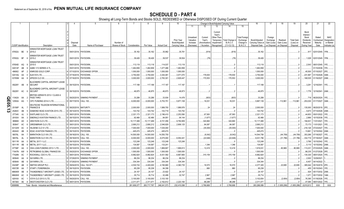|               |                             |     |     |                                                           |                 |                                                   |               | 9            | 10                 |                                                      |                                                   | Change in Book/Adjusted Carrying Value           |                                                                           |                                                         | 16                                                                | 17                                                  | 18                                                | 19                                     | 20                                         | 21                                                                | 22                                        |                                                          |
|---------------|-----------------------------|-----|-----|-----------------------------------------------------------|-----------------|---------------------------------------------------|---------------|--------------|--------------------|------------------------------------------------------|---------------------------------------------------|--------------------------------------------------|---------------------------------------------------------------------------|---------------------------------------------------------|-------------------------------------------------------------------|-----------------------------------------------------|---------------------------------------------------|----------------------------------------|--------------------------------------------|-------------------------------------------------------------------|-------------------------------------------|----------------------------------------------------------|
|               |                             |     |     |                                                           |                 |                                                   |               |              |                    |                                                      | 11                                                | 12                                               | 13                                                                        |                                                         | 15                                                                |                                                     |                                                   |                                        |                                            |                                                                   |                                           |                                                          |
|               | <b>CUSIP</b> Identification |     |     | Description                                               | Disposa<br>Date | Number of<br>Name of Purchaser<br>Shares of Stock | Consideration | Par Value    | <b>Actual Cost</b> | <b>Prior Year</b><br>Book/Adjusted<br>Carrying Value | Unrealized<br>Valuation<br>Increase<br>(Decrease) | Current<br>Year's<br>Amortization<br>/ Accretion | Current<br>Year's<br>Other-Than-<br>Temporary<br>Impairment<br>Recognized | <b>Total Change</b><br><b>B./A.C.V.</b><br>$(11+12-13)$ | <b>Total Foreigr</b><br>Exchange<br>Change in<br><b>B./A.C.V.</b> | Book/Adjusted<br>Carrying Value at<br>Disposal Date | Foreign<br>Exchange<br>Gain (Loss)<br>on Disposal | Realized<br>Gain (Loss)<br>on Disposal | <b>Total Gain</b><br>(Loss) on<br>Disposal | Bond<br>Interest<br>Stock<br>Dividends<br>Received<br>During Year | Stated<br>Contractual<br>Maturity<br>Date | <b>NAIC</b><br>Designation<br>or Market<br>Indicator (a) |
|               |                             |     |     | WINWATER MORTGAGE LOAN TRUST                              |                 |                                                   |               |              |                    |                                                      |                                                   |                                                  |                                                                           |                                                         |                                                                   |                                                     |                                                   |                                        |                                            |                                                                   |                                           |                                                          |
|               | 97652U BE                   |     | - 9 | 2015-2                                                    |                 | 09/01/2018. PAYDOWN.                              | .35,162       | .35,162      | .35,962            | .35,781                                              |                                                   | (619)                                            |                                                                           | (619)                                                   |                                                                   | .35,162                                             |                                                   |                                        |                                            |                                                                   | 917 02/01/2045. 1FM                       |                                                          |
|               | 97652U BF                   |     |     | WINWATER MORTGAGE LOAN TRUST<br>2015-2                    | 09/01/2018.     | PAYDOWN                                           | .39,426       | .39,426      | .39,537            | .39,504                                              |                                                   | (78)                                             |                                                                           | (78)                                                    |                                                                   | .39,426                                             |                                                   |                                        |                                            |                                                                   | .1,028   02/01/2045.   1FM.               |                                                          |
|               |                             |     |     | WINWATER MORTGAGE LOAN TRUST                              |                 |                                                   |               |              |                    |                                                      |                                                   |                                                  |                                                                           |                                                         |                                                                   |                                                     |                                                   |                                        |                                            |                                                                   |                                           |                                                          |
|               | 97654D AQ                   |     |     | 2015-5                                                    | 09/01/2018.     | PAYDOWN.                                          | .113,118      | .113,118     | .114,037           | 113,118                                              |                                                   |                                                  |                                                                           |                                                         |                                                                   | .113,118                                            |                                                   |                                        |                                            | .2,543                                                            | 08/01/2045. 1FE.                          |                                                          |
|               | G0014F                      | AB  |     | AABS 1/13 SERIES A TL                                     | 05/01/2018      | PAYDOWN.                                          | 1,462,858     | 1,462,858    | 1,477,486          | 1,462,858                                            |                                                   |                                                  |                                                                           |                                                         |                                                                   | 1,462,858                                           |                                                   |                                        |                                            |                                                                   | 01/10/2038.                               | 1FE.                                                     |
|               | 496902                      | AP  |     | KINROSS GOLD CORP                                         | 07/10/2018      | <b>EXCHANGE OFFER</b>                             | 1,000,000     | .1,000,000   | .1,000,000         | 1,000,000                                            |                                                   |                                                  |                                                                           |                                                         |                                                                   | 1,000,000                                           |                                                   |                                        |                                            | .45,500                                                           | 07/15/2027.                               | 2FE.                                                     |
|               | 02014Q                      | AA  |     | <b>NLM XVII LTD.</b>                                      | 07/16/2018      | PAYDOWN.                                          | .3,750,000    | .3,750,000   | .3,344,481         | .3,571,070                                           |                                                   | .178,930                                         |                                                                           | .178,930                                                |                                                                   | .3,750,000                                          |                                                   |                                        |                                            | .231,997                                                          | 01/15/2028.                               | 3AM.                                                     |
|               | 03765M AA                   |     |     | APIDOS CLO XX.                                            | 07/16/2018.     | PAYDOWN.                                          | .3,000,000    | .3,000,000   | .2,783,301         | .2,829,447                                           |                                                   | 170,553                                          |                                                                           | .170,553                                                |                                                                   | .3,000,000                                          |                                                   |                                        |                                            |                                                                   | .168,535 01/16/2027. 2AM.                 |                                                          |
|               | 09228Y AB                   |     |     | <b>BLACKBIRD CAPITAL AIRCRAFT LEASE</b><br><b>SECURIT</b> |                 | 09/15/2018. PAYDOWN                               | .117,188      | .117,188     | .117,187           | 117,187                                              |                                                   |                                                  |                                                                           |                                                         |                                                                   | .117,188                                            |                                                   |                                        |                                            | .3,291                                                            | 12/16/2041.                               | 1FE.                                                     |
|               | 09228Y AC                   |     |     | BLACKBIRD CAPITAL AIRCRAFT LEASE<br><b>SECURIT</b>        | 09/15/2018.     | PAYDOWN.                                          | .46,875       | .46,875      | .46,873            | .46,873                                              |                                                   |                                                  |                                                                           |                                                         |                                                                   | .46,875                                             |                                                   |                                        |                                            |                                                                   | 1,776   12/16/2041. 2AM.                  |                                                          |
| Q             | 11042A AA                   |     |     | BRITISH AIRWAYS 2013-1 CLASS A<br>PASS THRO               | 09/20/2018      | SINKING PAYMENT                                   | .33,288       | .33,288      | .33,934            | .14,476                                              |                                                   | (603)                                            |                                                                           | (603)                                                   |                                                                   | .33,288                                             |                                                   |                                        |                                            | 718                                                               | 06/20/2024.                               | 1FE                                                      |
|               | 12550A                      | AG  |     | CIFC FUNDING 2014-V LTD                                   | 09/17/2018.     | <b>CALL 100</b>                                   | 6,000,000     | .6,000,000   | .5,753,751         | 5,871,108                                            |                                                   | .16,031                                          |                                                                           | .16,031                                                 |                                                                   | 5,887,139                                           |                                                   | 112,861                                | 112,861                                    | .253,030                                                          | 01/17/2027. 3AM.                          |                                                          |
| <b>EO5.13</b> |                             |     |     | DEUTSCHE TELEKOM INTERNATIONAI                            |                 |                                                   |               |              |                    |                                                      |                                                   |                                                  |                                                                           |                                                         |                                                                   |                                                     |                                                   |                                        |                                            |                                                                   |                                           |                                                          |
|               | 25156P                      | AL  |     | <b>FINANCE B</b>                                          | 08/20/2018      | <b>MATURITY</b>                                   | 2,000,000     | .2,000,000   | 1,999,700          | 1,999,976                                            |                                                   | .24                                              |                                                                           | .24                                                     |                                                                   | 2,000,000                                           |                                                   |                                        |                                            | .135,000                                                          | 08/20/2018. 2FE.                          |                                                          |
|               | 25264V                      | AB  |     | DIAMOND HEAD AVIATION 2015 LTD                            | 09/14/2018      | PAYDOWN.                                          | 143,742       | 143,742      | .143,719           | 143,742                                              |                                                   |                                                  |                                                                           |                                                         |                                                                   | .143,742                                            |                                                   |                                        |                                            | .5,673                                                            | 07/14/2028. 2AM.                          |                                                          |
|               | 277345                      | AJ  |     | EASTLAND CLO LTD.                                         | 08/01/2018      | PAYDOWN.                                          | .2,321,173    | .2,321,173   | .2,196,410         | 2,253,590                                            |                                                   | .67,583                                          |                                                                           | .67,583                                                 |                                                                   | .2,321,173                                          |                                                   |                                        |                                            | .44,653                                                           | 05/01/2022.                               | 1FE.                                                     |
|               | 29100X                      | AA  |     | EMERALD AVIATION FINANCE LTD.                             | 09/15/2018      | PAYDOWN.                                          | .92,466       | .92,466      | .94,951            | 94,144                                               |                                                   | (1,677)                                          |                                                                           | (1,677                                                  |                                                                   | 92,466                                              |                                                   |                                        |                                            | .2,866                                                            | 10/15/2038.                               | 1FE.                                                     |
|               | 389669                      | AD  |     | GRAYSON CLO LTD                                           | 08/01/2018      | PAYDOWN.                                          | .10,117,469   | 10,117,469   | .9,721,056         | 9,792,809                                            |                                                   | .324,660                                         |                                                                           | .324,660                                                |                                                                   | .10,117,469                                         |                                                   |                                        |                                            | 194,631                                                           | 11/01/2021.                               | 1FE.                                                     |
|               | 393647                      | AC  |     | <b>GREENBRIAR CLO LTD</b>                                 | 08/01/2018      | PAYDOWN.                                          | .2,690,212    | .2,690,212   | .2,546,829         | .2,606,125                                           |                                                   | .84,087                                          |                                                                           | .84,087                                                 |                                                                   | .2,690,212                                          |                                                   |                                        |                                            | 73,173                                                            | 11/01/2021.                               | 1FE.                                                     |
|               | 43132W                      | AC  |     | HILDENE CLO IV LTD                                        | 07/23/2018      | PAYDOWN.                                          | .7,000,000    | .7,000,000   | 7,035,000          |                                                      |                                                   | (35,000)                                         |                                                                           | (35,000)                                                |                                                                   | 7,000,000                                           |                                                   |                                        |                                            | .216,126                                                          | 07/23/2027.                               | 1FE.                                                     |
|               | 48244X                      | AB  |     | KDAC AVIATION FINANCE LTD                                 | 09/15/2018      | PAYDOWN.                                          | .445,474      | .445,474     | .445,474           |                                                      |                                                   |                                                  |                                                                           |                                                         |                                                                   | .445,474                                            |                                                   |                                        |                                            | 13,661                                                            | 12/15/2042. 2AM.                          |                                                          |
|               | 56576L                      | AA  |     | MARATHON CLO VIII LTD.                                    | 09/18/2018      | <b>CALL 100</b>                                   | 14,500,000    | 14,500,000   | 14,550,750         |                                                      |                                                   | (6,042)                                          |                                                                           | (6,042)                                                 |                                                                   | 14,544,708                                          |                                                   | (44,708)                               | (44,708)                                   | .353,266                                                          | 07/18/2027.                               | 1FE.                                                     |
|               | 56576L                      | AL  |     | MARATHON CLO VIII LTD.                                    | 09/18/2018      | <b>CALL 100</b>                                   | 6,000,000     | .6,000,000   | .6,075,000         |                                                      |                                                   | (22,646)                                         |                                                                           |                                                         |                                                                   |                                                     |                                                   |                                        |                                            | .332,719                                                          | 07/18/2027.                               | 3AM                                                      |
|               |                             | AA  |     | METAL 2017-1 LLC.                                         | 09/15/2018.     | PAYDOWN                                           | .123,248      | 123,248      |                    | 6,054,441                                            |                                                   |                                                  |                                                                           | (22, 646)                                               |                                                                   | 6,031,796                                           |                                                   | (31,796)                               | (31,796)                                   |                                                                   |                                           |                                                          |
|               | 59111R                      |     |     |                                                           |                 |                                                   | .134,587      |              | .123,248           | .123,248                                             |                                                   |                                                  |                                                                           |                                                         |                                                                   | .123,248                                            |                                                   |                                        |                                            |                                                                   | 3,766   10/15/2042. 1FE                   |                                                          |
|               | 59111R                      | AB  |     | METAL 2017-1 LLC                                          | 09/15/2018      | PAYDOWN                                           |               | .134,587     | .133,241           |                                                      |                                                   | .1,346                                           |                                                                           | 1,346                                                   |                                                                   | .134,587                                            |                                                   | .80,969                                |                                            | 5,110                                                             | 10/15/2042. 2AM                           |                                                          |
|               | 67706F                      | AA  |     | OHA LOAN FUNDING 2013-1 LTD.                              | 08/10/2018      | <b>CALL 100.</b>                                  | .2,000,000    | .2,000,000   | 1,869,807          | 1,906,613                                            |                                                   | .12,418                                          |                                                                           | .12,418                                                 |                                                                   | .1,919,031                                          |                                                   |                                        | .80,969                                    | .113,231                                                          | 07/23/2025. 3AM.                          |                                                          |
|               | 71647N                      | AW  |     | PETROBRAS GLOBAL FINANCE BV                               | 09/20/2018      | <b>EXCHANGE OFFER</b>                             | 1,500,000     | 1,500,000    | 1,500,000          | 1,500,000                                            |                                                   |                                                  |                                                                           |                                                         |                                                                   | 1,500,000                                           |                                                   |                                        |                                            | .88,235                                                           | 01/27/2028. 3FE.                          |                                                          |
|               | 77426N                      | AC  |     | ROCKWALL CDO II LTD.                                      | 08/01/2018      | PAYDOWN.                                          | 6,982,824     | .6,982,824   | .6,431,592         | 6,667,665                                            |                                                   | 315,159                                          |                                                                           | .315,159                                                |                                                                   | 6,982,824                                           |                                                   |                                        |                                            | 134,330                                                           | 08/01/2024.                               | 1FE.                                                     |
|               | 805649                      | AA  |     | <b>SAYARRA LTD</b>                                        | 07/29/2018      | <b>SINKING PAYMENT</b>                            | .96,234       | .96,234      | .96,234            | .96,234                                              |                                                   |                                                  |                                                                           |                                                         |                                                                   | .96,234                                             |                                                   |                                        |                                            | .2,002                                                            | 10/29/2021.                               |                                                          |
|               | 805649                      | AB  |     | SAYARRA LTD.                                              | 07/29/2018      | SINKING PAYMENT                                   | .334,344      | .334,344     | .334,344           | .334,344                                             |                                                   |                                                  |                                                                           |                                                         |                                                                   | .334,344                                            |                                                   |                                        |                                            | .6,457                                                            | 04/14/2022.                               |                                                          |
|               | 83238P                      | AB  |     | SMITHS GROUP PLC.                                         | 09/04/2018      | CALL 102.97                                       | 4,530,724     | 4,400,000    | 4,190,680          | 4,360,735                                            |                                                   | 16,570                                           |                                                                           | .16,570                                                 |                                                                   | 4,377,305                                           |                                                   | 22,695                                 | .22,695                                    | .385,044                                                          | 05/15/2019. 2FE.                          |                                                          |
|               | 85572R                      | AA  |     | START LTD/BERMUDA                                         | 09/15/2018      | PAYDOWN.                                          | .95,238       | .95,238      | .94,358            |                                                      |                                                   | 880                                              |                                                                           | 880                                                     |                                                                   | .95,238                                             |                                                   |                                        |                                            | .455                                                              | 05/15/2043.                               | 1FE.                                                     |
|               | 88606W                      | AB  |     | <b>HUNDERBOLT AIRCRAFT LEASE LTD</b>                      | 09/15/2018      | PAYDOWN.                                          | .24,107       | .24,107      | .23,922            | .24,107                                              |                                                   |                                                  |                                                                           |                                                         |                                                                   | .24,107                                             |                                                   |                                        |                                            | .924                                                              | 05/17/2032. 2AM.                          |                                                          |
|               | 88606W                      | AC. |     | HUNDERBOLT AIRCRAFT LEASE LTD                             | 09/15/2018      | PAYDOWN.                                          | .35,714       | .35,714      | .32,489            | .32,747                                              |                                                   | .2,967                                           |                                                                           | .2,967                                                  |                                                                   | 35,714                                              |                                                   |                                        |                                            | .1,071                                                            | 05/17/2032.                               | 1AM.                                                     |
|               | 92916X                      | AC  |     | VOYA CLO 2013-3 LTD                                       | 09/20/2018.     | <b>CALL 100</b>                                   | .3,100,000    | .3,100,000   | .3,103,100         |                                                      |                                                   | (446)                                            |                                                                           | (446)                                                   |                                                                   | 3,102,654                                           |                                                   | (2,654)                                | (2,654)                                    | .76,395                                                           | 01/18/2026.                               | 1FE.                                                     |
|               | 95736X                      | AE  |     | <b>WESTCHESTER CLO LTD</b>                                |                 | 08/01/2018. PAYDOWN.                              | .2,311,47     | .2,311,471   | .2,162,612         | .2,223,184                                           |                                                   | .88,288                                          |                                                                           | .88,288                                                 |                                                                   | .2,311,471                                          |                                                   |                                        |                                            | .47.095                                                           | 08/01/2022.                               | 1FE.                                                     |
|               | 3899999.                    |     |     | Total - Bonds - Industrial and Miscellaneous              |                 |                                                   | .261,606,077  | .263,717,767 | .246,041,573       | 232,410,098                                          |                                                   | .3,766,668                                       |                                                                           | .3,766,668                                              |                                                                   | .263,268,089                                        | $\Omega$                                          | (1,855,299)                            | (1,855,299)                                | 8,810,613                                                         | <b>XXX</b>                                | <b>XXX</b>                                               |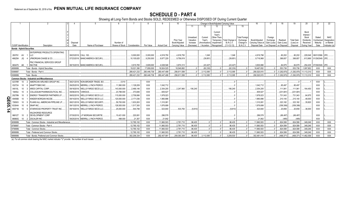# **SCHEDULE D - PART 4**

Showing all Long-Term Bonds and Stocks SOLD, REDEEMED or Otherwise DISPOSED OF During Current Quarter

|                   |    |                                  |                                                       |             |                                  |                 |               |             |                    |                |            |               | Change in Book/Adjusted Carrying Value |                      |                   | 17          |             |                   | 20                     |                          | 22            |
|-------------------|----|----------------------------------|-------------------------------------------------------|-------------|----------------------------------|-----------------|---------------|-------------|--------------------|----------------|------------|---------------|----------------------------------------|----------------------|-------------------|-------------|-------------|-------------------|------------------------|--------------------------|---------------|
|                   |    |                                  |                                                       |             |                                  |                 |               |             |                    |                | 11         |               |                                        | 15                   |                   |             |             |                   |                        |                          |               |
|                   |    |                                  |                                                       |             |                                  |                 |               |             |                    |                |            |               |                                        |                      |                   |             |             |                   |                        |                          |               |
|                   |    |                                  |                                                       |             |                                  |                 |               |             |                    |                |            |               | Current<br>Year's                      |                      |                   |             |             |                   | Bond                   |                          |               |
|                   |    |                                  |                                                       |             |                                  |                 |               |             |                    |                | Unrealized | Current       | Other-Than-                            | <b>Total Foreign</b> |                   | Foreign     |             |                   | Interest /<br>Stock    | Stated                   | <b>NAIC</b>   |
|                   |    |                                  |                                                       |             |                                  |                 |               |             |                    | Prior Year     | Valuation  | Year's        | Temporary<br>Total Change in           | Exchange             | Book/Adjusted     | Exchange    | Realized    | <b>Total Gain</b> | Dividends              | Contractual              | Designation   |
|                   |    |                                  |                                                       | Disposal    |                                  | Number of       |               |             |                    | Book/Adjusted  | Increase   | (Amortization | <b>B./A.C.V.</b><br>Impairment         | Change in            | Carrying Value at | Gain (Loss) | Gain (Loss) | (Loss) on         | Received               | Maturity                 | or Market     |
|                   |    | CUSIP Identification             | Description                                           | Date        | Name of Purchaser                | Shares of Stock | Consideration | Par Value   | <b>Actual Cost</b> | Carrying Value | (Decrease  | / Accretion   | $(11+12-13)$<br>Recognized             | <b>B./A.C.V.</b>     | Disposal Date     | on Disposal | on Disposal | Disposal          | During Year            | Date                     | Indicator (a) |
|                   |    | <b>Bonds - Hybrid Securities</b> |                                                       |             |                                  |                 |               |             |                    |                |            |               |                                        |                      |                   |             |             |                   |                        |                          |               |
|                   |    |                                  | <b>ENTERPRISE PRODUCTS OPERATING</b>                  |             |                                  |                 |               |             |                    |                |            |               |                                        |                      |                   |             |             |                   |                        |                          |               |
|                   |    | 293791 AV 1 LLC                  |                                                       |             | 08/23/2018. CALL 100.            |                 | .5,000,000    | .5,000,000  | .4,918,750         | .4,918,750     |            | .1,048        | .1,048                                 |                      | .4,919,798        |             | 80,202      | .80,202           | 229,548                | 08/01/2066. 2FE.         |               |
| 46625H            | JQ | 4                                | JPMORGAN CHASE & CO.                                  |             | 07/23/2018. BANC/AMERICA SECUR.L |                 | .10,105,625   | .9,250,000  | .9.977.229         | 9,756,819      |            | (39, 851)     | (39, 851)                              |                      | 9,716,968         |             | 388,657     | .388,657          |                        | 613,969 01/29/2049. 2FE. |               |
|                   |    |                                  | PNC FINANCIAL SERVICES GROUP                          |             |                                  |                 |               |             |                    |                |            |               |                                        |                      |                   |             |             |                   |                        |                          |               |
|                   |    |                                  | 693475 AK 1 INC/THE                                   |             | 08/15/2018. BANC/AMERICA SECUR.L |                 | 3,915,765     | .3,609,000  | .4,028,546         | .3,874,313     |            | (43, 427)     | (43, 427)                              |                      | .3,830,886        |             | 84.879      | .84.879           |                        | 254,435 07/29/2049. 2FE  |               |
| 1899999           |    |                                  | Total - Bonds - Hybrid Securities.                    |             |                                  |                 | .19.021.390   | 17,859,000  | .18,924,525        | .18,549,882    |            | (82.230)      | (82.230)                               |                      | .18,467,652       |             | 553,738     | .553,738          | .1,097,952             | <b>XXX</b>               | XXX           |
| 8399997           |    |                                  | Total - Bonds - Part 4.                               |             |                                  |                 | .289.421.232  | 290,446,736 | .280,447,488       | .256,611,599   |            | .3,112,095    | .3,112,095                             |                      | .290,520,915      |             | (1,292,970) | (1,292,970)       | 11,113,310             | XXX                      | XXX           |
| 8399999           |    |                                  | Total - Bonds.                                        |             |                                  |                 | 289.421.232   | 290.446.736 | .280.447.488       | 256.611.599    |            | 3.112.095     | 3.112.095                              |                      | .290.520.915      |             | (1.292.970) |                   | (1.292.970) 11.113.310 | <b>XXX</b>               | <b>XXX</b>    |
|                   |    |                                  | <b>Common Stocks - Industrial and Miscellaneous</b>   |             |                                  |                 |               |             |                    |                |            |               |                                        |                      |                   |             |             |                   |                        |                          |               |
| 02376R            |    | $10^{\circ}$                     | AMERICAN AIRLINES GROUP INC                           |             | 08/21/2018. NON-BROKER TRADE, BO | .0.010          |               | XXX         |                    |                |            |               |                                        |                      |                   |             |             |                   |                        | <b>XXX</b>               |               |
| 032724            |    | 10                               | ANAPTYSBIO INC.                                       |             | 09/25/2018. MERRILL LYNCH PIERCE | 11,560.000      | 1,128,209     | <b>XXX</b>  | .1,042,712         |                |            |               |                                        |                      | .1,042,712        |             | 85,497      | .85,497           |                        | <b>XXX</b>               |               |
| 04010L            |    | 10                               | ARES CAPITAL CORP.                                    |             | 09/18/2018. WELLS FARGO SECS LLC | 143,000.000     | .2,466,146    | XXX         | .2,354,205         | .2,247,960     | 106,245    |               | .106,245                               |                      | .2,354,205        |             | 111,941     | 111.941           | .164,450               | <b>XXX</b>               |               |
| 19459.            |    |                                  | COLLEGIUM PHARMACEUTICAL INC                          | 09/06/2018. | <b>VARIOUS</b>                   | .23,788.000     | .373,846      | <b>XXX</b>  | 605,527            |                |            |               |                                        |                      | 605,527           |             | (231,681)   | (231,681          |                        | <b>XXX</b>               |               |
| 29278N            |    | 10                               | <b>ENERGY TRANSFER PARTNERS LP.</b>                   | 08/02/2018. | <b>WELLS FARGO SECS LLC</b>      | 115,000.000     | 2,709,066     | <b>XXX</b>  | .1,978,023         |                |            |               |                                        |                      | 1,978,023         |             | 731,043     | .731,043          | 64,975                 | <b>XXX</b>               |               |
| 49456B            |    | 10                               | KINDER MORGAN INC/DE.                                 |             | 09/14/2018. WELLS FARGO SECS LLC | 120,000.000     | .2,171,036    | <b>XXX</b>  | .1,960,896         |                |            |               |                                        |                      | 1,960,896         |             | 210,140     | .210,140          | .48,000                | <b>XXX</b>               |               |
| 726503            |    | 10                               | 5 PLAINS ALL AMERICAN PIPELINE LP.                    |             | 08/21/2018. WELLS FARGO SECURITI | .59,700.000     | 1,633,263     | <b>XXX</b>  | 1,310,081          |                |            |               |                                        |                      | .1,310,081        |             | 323,182     | .323,182          | .35,820                | <b>XXX</b>               |               |
| Ξ<br>83304A<br>۵ĩ |    | 10                               | SNAP INC.                                             |             | 09/13/2018. MERRILL LYNCH PIERCE | 128,505.000     | 1,517,300     | XXX         | .1,876,699         |                |            |               |                                        |                      | .1,876,699        |             | (359,399)   | (359, 399)        |                        | <b>XXX</b>               |               |
| 85571B            |    | 10                               | STARWOOD PROPERTY TRUST INC                           |             | 09/19/2018. WELLS FARGO SECS LLC | 25,000.000      | .544,798      | <b>XXX</b>  | .523.940           | 533.750        | (9,810)    |               | . (9.810)                              |                      | .523,940          |             | 20,858      | .20,858           | .36,000                | <b>XXX</b>               |               |
| ₳                 |    |                                  |                                                       |             |                                  |                 |               |             |                    |                |            |               |                                        |                      |                   |             |             |                   |                        |                          |               |
| 96812T            |    | 10                               | <b>WILDHORSE RESOURCE</b><br>2 DEVELOPMENT CORP       |             | 07/30/2018. J.P MORGAN SECURITIE | 10,421.000      | .220,081      | XXX         | .286,578           |                |            |               |                                        |                      | 286,578           |             | (66,497)    | (66, 497)         |                        | <b>XXX</b>               |               |
| 98980G            |    | 10                               | 2 ZSCALER INC                                         |             | 09/25/2018. MERRILL LYNCH PIERCE | .498.000        |               | <b>XXX</b>  | .21.842            |                |            |               |                                        |                      | 21.842            |             | (485)       | (485)             |                        | <b>XXX</b>               |               |
|                   |    |                                  |                                                       |             |                                  |                 | .21,357       |             |                    |                |            |               | $\cap$                                 |                      |                   |             |             |                   |                        |                          |               |
| 9099999.          |    |                                  | Total - Common Stocks - Industrial and Miscellaneous. |             |                                  |                 | .12,785,102   | <b>XXX</b>  | 11,960,503         | .2,781,710     | 96,435     |               | .96,435                                |                      | .11,960,503       |             | 824.599     | .824.599          | 349,246                | XXX                      | XXX           |
| 9799997           |    |                                  | Total - Common Stocks - Part 4                        |             |                                  |                 | 12,785,102    | <b>XXX</b>  | 11.960.503         | .2.781.710     | .96.435    |               | .96.435                                |                      | .11.960.503       |             | 824.599     | .824.599          | 349.246                | <b>XXX</b>               | <b>XXX</b>    |
| 9799999.          |    |                                  | <b>Total - Common Stocks</b>                          |             |                                  |                 | .12,785,102   | <b>XXX</b>  | .11.960.503        | .2.781.710     | 96.435     |               | .96.435                                |                      | .11,960,503       |             | 824.599     | .824.599          | 349.246                | XXX                      | <b>XXX</b>    |
| 9899999.          |    |                                  | Total - Preferred and Common Stocks.                  |             |                                  |                 | 12,785,102    | <b>XXX</b>  | 11,960,503         | .2.781.710     | .96.435    |               | .96.435                                |                      | .11.960.503       |             | 824.599     | .824.599          | 349.246                | XXX                      | XXX           |
| 9999999           |    |                                  | Total - Bonds, Preferred and Common Stocks.           |             |                                  |                 | 302,206,334   | <b>XXX</b>  | .292.407.991       | .259,393,309   | .96,435    | .3,112,095    | 3.208.530                              |                      | .302.481.418      |             | .468,371    | (468, 371)        | 11,462,556             | <b>XXX</b>               | <b>XXX</b>    |

(a) For all common stock bearing the NAIC market indicator "U" provide: the number of such issues: ..........0.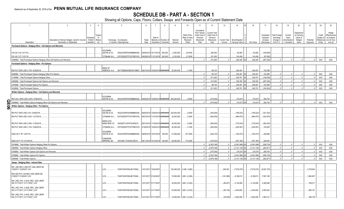# **SCHEDULE DB - PART A - SECTION 1**

| $\overline{1}$                                                            | $\overline{2}$                                 | 3                     | $\overline{4}$                | 5                                                                 | 6     |                                 | 8                     | -9                                           | 10                             | 11                    | 12                    | 13           | 14                  | 16                    | 17                    | 18                    | 19                     | 20                 | 21         | 22         | 23                                     |
|---------------------------------------------------------------------------|------------------------------------------------|-----------------------|-------------------------------|-------------------------------------------------------------------|-------|---------------------------------|-----------------------|----------------------------------------------|--------------------------------|-----------------------|-----------------------|--------------|---------------------|-----------------------|-----------------------|-----------------------|------------------------|--------------------|------------|------------|----------------------------------------|
|                                                                           |                                                |                       |                               |                                                                   |       |                                 |                       |                                              |                                | Cumulative            |                       |              |                     |                       |                       |                       |                        |                    |            |            |                                        |
|                                                                           |                                                |                       |                               |                                                                   |       |                                 |                       |                                              |                                | Prior Year(s)         | <b>Current Year</b>   |              |                     |                       |                       |                       |                        | Adjustmen          |            |            | Hedge                                  |
|                                                                           |                                                |                       | Гуре(s)                       |                                                                   |       |                                 |                       |                                              | Strike Price,                  | Initial Cost of       | Initial Cost of       |              |                     |                       | Unrealized            | Total Foreign         | Current                | to Carrying        |            | Credit     | Effectivenes                           |
|                                                                           | Description of Item(s) Hedged, Used for Income | Schedule<br>/ Exhibit | of<br>Risk(s)                 | Exchange, Counterparty                                            | Trade | Date of                         | Maturity or Number of | Notional                                     | Rate of Index<br>Received      | Premium<br>(Received) | Premium<br>(Received) | Current Year | Book/Adjusted       |                       | Valuation<br>Increase | Exchange<br>Change in | Year's<br>Amortization | Value of<br>Hedged | Potential  | Quality of | at Inception<br>Reference and at Year- |
| Description                                                               | Generation or Replicated                       | Identifier            | (a)                           | or Central Clearinghouse                                          | Date  |                                 | Expiration Contracts  | Amount                                       | (Paid)                         | Paid                  | Paid                  | Income       | Carrying Value e    | Fair Value            | (Decrease)            | <b>B./A.C.V.</b>      | / Accretion            | Items              | Exposure   | Entity     | end (b)                                |
| Purchased Options - Hedging Other - Call Options and Warrants             |                                                |                       |                               |                                                                   |       |                                 |                       |                                              |                                |                       |                       |              |                     |                       |                       |                       |                        |                    |            |            |                                        |
|                                                                           |                                                |                       | <b>GOLDMAN</b>                |                                                                   |       |                                 |                       |                                              |                                |                       |                       |              |                     |                       |                       |                       |                        |                    |            |            |                                        |
| VIX US C 20 10/17/18.                                                     |                                                |                       | SACHS & CO,                   | W22LROWP2IHZNBB6K528                                              |       | 09/06/2018 10/17/2018           | .250,000              | .5,000,000                                   | 20.0000                        |                       | 282,500               |              | 82,892              | .82,892               | (199,608)             |                       |                        |                    |            |            |                                        |
| VIX US C 27 11/21/18.                                                     |                                                |                       | CITIBANK N.A.                 | E57ODZWZ7FF32TWEFA76                                              |       | 08/29/2018 11/21/2018           | .300,000              | .8,100,000                                   | 27.0000                        |                       | .231,000              |              | 143,408             | .143,408              | (87, 592)             |                       |                        |                    |            |            |                                        |
| 0089999. Total-Purchased Options-Hedging Other-Call Options and Warrants. |                                                |                       |                               |                                                                   |       |                                 |                       |                                              |                                |                       | 513,500               |              | .226,300 XX         | .226,300              | (287, 200)            |                       |                        |                    |            | <b>XXX</b> | <b>XXX</b>                             |
| Purchased Options - Hedging Other - Put Options                           |                                                |                       |                               |                                                                   |       |                                 |                       |                                              |                                |                       |                       |              |                     |                       |                       |                       |                        |                    |            |            |                                        |
|                                                                           |                                                |                       |                               |                                                                   |       |                                 |                       |                                              |                                |                       |                       |              |                     |                       |                       |                       |                        |                    |            |            |                                        |
| IRS PUT SWO USD 3.15% 10/26/2018.                                         |                                                |                       | <b>BANK OF</b>                | AMERICA, N.A B4TYDEB6GKMZO031MB27 08/31/2018 10/26/2018 ######### |       |                                 |                       | 25,000,000                                   | 3.1500                         |                       | .98,125               |              | .200,491            | .200,491              | .102,366              |                       |                        |                    |            |            |                                        |
| 099999. Total-Purchased Options-Hedging Other-Put Options                 |                                                |                       |                               |                                                                   |       |                                 |                       |                                              |                                | $\sqrt{ }$            | .98.125               | $\Omega$     | .200,491            | .200,491              | .102.366              | $\Omega$              | $\bigcap$              |                    | $\sqrt{ }$ | <b>XXX</b> | XXX                                    |
| 0149999. Total-Purchased Options-Hedging Other                            |                                                |                       |                               |                                                                   |       |                                 |                       |                                              |                                | $\Omega$              | 611,625               | 0            | 426,791             | .426,791              | (184, 834)            | $0$                   | 0                      |                    | $\Omega$   | XXX        | XXX                                    |
| 0369999. Total-Purchased Options-Call Options and Warrants.               |                                                |                       |                               |                                                                   |       |                                 |                       |                                              |                                | $\mathbf{0}$          | 513,500               | 0            | .226,300 XX         | .226,300              | (287, 200)            | 0                     | $\sqrt{ }$             |                    | .0         | XXX        | XXX                                    |
| 0379999. Total-Purchased Options-Put Options                              |                                                |                       |                               |                                                                   |       |                                 |                       |                                              |                                | $\Omega$              | .98.125               | . 0          | .200,491            | .200,491              | 102,366               | .0                    | $\Omega$               |                    |            | <b>XXX</b> | XXX                                    |
| 0429999. Total-Purchased Options                                          |                                                |                       |                               |                                                                   |       |                                 |                       |                                              |                                |                       | .611,625              |              | 426,791             | .426,791              | (184, 834)            | $\Omega$              |                        |                    |            | <b>XXX</b> | <b>XXX</b>                             |
|                                                                           |                                                |                       |                               |                                                                   |       |                                 |                       |                                              |                                |                       |                       |              |                     |                       |                       |                       |                        |                    |            |            |                                        |
| Written Options - Hedging Other - Call Options and Warrants               |                                                |                       |                               |                                                                   |       |                                 |                       |                                              |                                |                       |                       |              |                     |                       |                       |                       |                        |                    |            |            |                                        |
|                                                                           |                                                |                       | <b>GOLDMAN</b><br>SACHS & CO. | W22LROWP2IHZNBB6K528                                              |       |                                 |                       | 09/06/2018 12/06/2018 ########## 200,000,000 | 2.8300                         |                       | (375,000)             |              | (79, 237)           |                       | 295,763               |                       |                        |                    |            |            |                                        |
| RS CALL SWO USD 2.83% 12/06/2018.<br>ΟR<br>Π                              |                                                |                       |                               |                                                                   |       |                                 |                       |                                              |                                |                       | (375.000)             |              |                     | (79, 237)<br>(79.237) | 295.763               |                       |                        |                    |            | <b>XXX</b> | <b>XXX</b>                             |
| 509999. Total-Written Options-Hedging Other-Call Options and Warrants.    |                                                |                       |                               |                                                                   |       |                                 |                       |                                              |                                |                       |                       |              | .(79,237) XX        |                       |                       |                       |                        |                    |            |            |                                        |
| $\overline{5}$<br>Written Options - Hedging Other - Put Options           |                                                |                       |                               |                                                                   |       |                                 |                       |                                              |                                |                       |                       |              |                     |                       |                       |                       |                        |                    |            |            |                                        |
|                                                                           |                                                |                       | GOLDMAN                       |                                                                   |       |                                 |                       | .200,000,000                                 | 3.0000                         |                       | (435,000)             |              | (756, 523)          | (756, 523)            | (321,523)             |                       |                        |                    |            |            |                                        |
| IRS PUT SWO USD 3.0% 12/06/2018                                           |                                                |                       | SACHS & CO,                   | W22LROWP2IHZNBB6K528.                                             |       | 09/06/2018 12/06/2018 ######### |                       |                                              |                                |                       |                       |              |                     |                       |                       |                       |                        |                    |            |            |                                        |
| IRS PUT SWO USD 3.02% 11/27/2018.                                         |                                                |                       | CITIBANK N.A                  | E57ODZWZ7FF32TWEFA76                                              |       | 08/27/2018 11/27/2018 ######### |                       | 30,000,000                                   | 3.0200                         |                       | (462,000)             |              | (884, 975)          | (884, 975)            | (422,975)             |                       |                        |                    |            |            |                                        |
|                                                                           |                                                |                       | <b>BARCLAYS</b>               |                                                                   |       |                                 |                       |                                              |                                |                       |                       |              |                     |                       |                       |                       |                        |                    |            |            |                                        |
| IRS PUT SWO USD 3.05% 11/30/2018.                                         |                                                |                       | <b>BANK NEW YO</b>            | G5GSEF7VJP5I7OUK5573                                              |       | 08/31/2018 11/30/2018 ######### |                       | 30,000,000                                   | 3.0500                         |                       | (384,000)             |              | (776,043)           | (776, 043)            | (392,043)             |                       |                        |                    |            |            |                                        |
| IRS PUT SWO USD 3.15% 10/26/2018.                                         |                                                |                       | CITIBANK N.A.                 | E57ODZWZ7FF32TWEFA76                                              |       | 07/26/2018 10/26/2018 ######### |                       | 25,000,000                                   | 3.1500                         |                       | (305,000)             |              | (200,491)           | (200,491).            | 104,509               |                       |                        |                    |            |            |                                        |
|                                                                           |                                                |                       | <b>GOLDMAN</b>                |                                                                   |       |                                 |                       |                                              |                                |                       |                       |              |                     |                       |                       |                       |                        |                    |            |            |                                        |
| QQQ US P 167 12/07/18.                                                    |                                                |                       | SACHS & CO,                   | W22LROWP2IHZNBB6K528                                              |       | 09/06/2018 12/07/2018           | .165,000              | 27,555,000                                   | .167.0000                      |                       | (439,143)             |              | (192,474)           | (192, 474)            | 246,668               |                       |                        |                    |            |            |                                        |
|                                                                           |                                                |                       | CANADIAN                      |                                                                   |       |                                 |                       |                                              |                                |                       |                       |              |                     |                       |                       |                       |                        |                    |            |            |                                        |
| QQQ US P 170 12/10/2018.                                                  |                                                |                       | <b>IMPERIAL BA</b>            | 2IGI19DL77OX0HC3ZE78.                                             |       | 09/11/2018 12/10/2018           | 165,000               | 28,050,000                                   | .170.0000                      |                       | .(478,023             |              | (251, 393)          | (251, 393)            | 226,630               |                       |                        |                    |            |            |                                        |
| 0519999. Total-Written Options-Hedging Other-Put Options                  |                                                |                       |                               |                                                                   |       |                                 |                       |                                              |                                | 0                     | (2,503,166)           | …o∣          | (3,061,899)         | (3,061,899)           | (558, 734)            | $\Omega$ .            | $\Omega$               |                    | $\Omega$   | <b>XXX</b> | <b>XXX</b>                             |
| 0569999. Total-Written Options-Hedging Other                              |                                                |                       |                               |                                                                   |       |                                 |                       |                                              |                                |                       | (2,878,166)           | 0            | (3, 141, 136)<br>ХX | (3, 141, 136)         | (262, 971)            | $0$                   | $\bigcap$              |                    |            | XXX        | <b>XXX</b>                             |
| 789999. Total-Written Options-Call Options and Warrants                   |                                                |                       |                               |                                                                   |       |                                 |                       |                                              |                                |                       | (375,000)             | 0            | .(79,237)           | (79,237               | 295,763               | $\Omega$ .            | $\Omega$               |                    |            | XXX        | XXX                                    |
| 0799999. Total-Written Options-Put Options                                |                                                |                       |                               |                                                                   |       |                                 |                       |                                              |                                |                       | (2,503,166)           | $0$ .        | (3,061,899)         | .(3,061,899)          | (558, 734)            | $0$ .                 | $\Omega$ .             |                    |            | XXX        | XXX                                    |
| 0849999. Total-Written Options                                            |                                                |                       |                               |                                                                   |       |                                 |                       |                                              |                                |                       | (2,878,166)           | $0$ .        | $(3, 141, 136)$ XX  | (3, 141, 136)         | (262, 971)            | $0$                   |                        |                    |            | <b>XXX</b> | XXX                                    |
| Swaps - Hedging Other - Interest Rate                                     |                                                |                       |                               |                                                                   |       |                                 |                       |                                              |                                |                       |                       |              |                     |                       |                       |                       |                        |                    |            |            |                                        |
| IRS USD REC 2.456 PAY USD LIBOR 3M                                        |                                                |                       |                               |                                                                   |       |                                 |                       |                                              |                                |                       |                       |              |                     |                       |                       |                       |                        |                    |            |            |                                        |
| 12202017 12222027 LCH                                                     |                                                |                       | LCH                           | F226TOH6YD6XJB17KS62                                              |       | 12/31/2017 12/22/2027           |                       |                                              | .150,000,000   2.456 / (LIB3). |                       |                       | .359,323     | (7,874,570)         | (7,874,570)           | (8,681,575)           |                       |                        |                    | 2,278,924  |            |                                        |
| IRS USD PAY 2.46 REC USD LIBOR 3M                                         |                                                |                       |                               |                                                                   |       |                                 |                       |                                              |                                |                       |                       |              |                     |                       |                       |                       |                        |                    |            |            |                                        |
| 01262017 01222047 LCH                                                     |                                                |                       | LCH                           | F226TOH6YD6XJB17KS62                                              |       | 12/31/2017 01/22/2047           |                       |                                              | 70,000,000   LIB3 / (2.456).   |                       |                       | (181,089)    | 9,199,013           | 9,199,013             | ,7,907,195            |                       |                        |                    | .1,862,957 |            |                                        |
| IRS_USD_PAY_2.4219_REC_USD LIBOR<br>3M_01/17/2017_01/17/2047_LCH          |                                                |                       |                               |                                                                   |       |                                 |                       |                                              |                                |                       |                       |              |                     |                       |                       |                       |                        |                    |            |            |                                        |
|                                                                           |                                                |                       | LCH                           | F226TOH6YD6XJB17KS62                                              |       | 12/31/2017 01/17/2047           |                       |                                              | $.30,000,000$ LIB3 / (2.422).  |                       |                       | (69, 537)    | 4,139,595           | 4,139,595             | 3,365,999             |                       |                        |                    | .798,217   |            |                                        |
| IRS_USD_PAY_2.4229_REC_USD LIBOR                                          |                                                |                       |                               |                                                                   |       |                                 |                       |                                              |                                |                       |                       |              |                     |                       |                       |                       |                        |                    |            |            |                                        |
| 3M_01/17/2017_01/17/2047_LCH                                              |                                                |                       | LCH.                          | F226TOH6YD6XJB17KS62                                              |       | 12/31/2017 01/17/2047           |                       |                                              | 25,000,000   LIB3 / (2.423).   |                       |                       | (58, 135)    | 3,444,802           | 3,444,802             | .2,805,522            |                       |                        |                    | .665,181   |            |                                        |
| IRS_USD_PAY_2.4242_REC_USD LIBOR                                          |                                                |                       |                               |                                                                   |       |                                 |                       |                                              |                                |                       |                       |              |                     |                       |                       |                       |                        |                    |            |            |                                        |
| 3M_01/17/2017_01/17/2047_LCH                                              |                                                |                       | LCH                           | F226TOH6YD6XJB17KS62                                              |       | 12/31/2017 01/17/2047           |                       |                                              | .15,000,000   LIB3 / (2.424).  |                       |                       | (35,028)     | 2,063,090           | .2,063,090            | 1,683,721             |                       |                        |                    | .399.109   |            |                                        |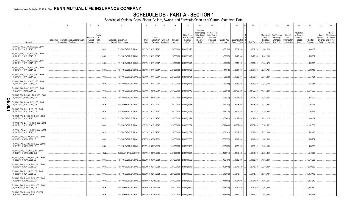# **SCHEDULE DB - PART A - SECTION 1**

|    |                                                                    | $\overline{2}$                                                                    | $\overline{3}$                 | $\overline{4}$           |      | $\sqrt{2}$                                         | -6            | $\overline{7}$                  | 8                     | 9                  | 10                                                   | 11                                                                              | 12                                                                      | 13         | 14                                                    | 16         | 17                                                | 18                                                         | 19                                                  | 20                                                      | 21                    | 22                             | 23                                                                          |
|----|--------------------------------------------------------------------|-----------------------------------------------------------------------------------|--------------------------------|--------------------------|------|----------------------------------------------------|---------------|---------------------------------|-----------------------|--------------------|------------------------------------------------------|---------------------------------------------------------------------------------|-------------------------------------------------------------------------|------------|-------------------------------------------------------|------------|---------------------------------------------------|------------------------------------------------------------|-----------------------------------------------------|---------------------------------------------------------|-----------------------|--------------------------------|-----------------------------------------------------------------------------|
|    | Description                                                        | Description of Item(s) Hedged, Used for Income<br><b>Generation or Replicated</b> | schedu<br>Exhibit<br>dentifier | Type(s)<br>of<br>Risk(s) |      | Exchange, Counterparty<br>or Central Clearinghouse | Trade<br>Date | Date of<br>Expiration Contracts | Maturity or Number of | Notional<br>Amount | Strike Price.<br>Rate of Index<br>Received<br>(Paid) | Cumulative<br>Prior Year(s)<br>Initial Cost of<br>Premium<br>(Received)<br>Paid | <b>Current Year</b><br>Initial Cost of<br>Premium<br>(Received)<br>Paid | Income     | Current Year   Book/Adjusted<br><b>Carrying Value</b> | Fair Value | Unrealized<br>Valuation<br>Increase<br>(Decrease) | <b>Total Foreign</b><br>Exchange<br>Change in<br>B./A.C.V. | Current<br>Year's<br>(Amortization<br>) / Accretion | Adjustmen<br>to Carrying<br>Value of<br>Hedged<br>Items | Potential<br>Exposure | Credit<br>Quality of<br>Entity | Hedge<br>Effectiveness<br>at Inception<br>Reference and at Year-<br>end (b) |
|    | IRS_USD_PAY_2.4255_REC_USD LIBOR<br>3M_01/17/2017_01/17/2047_LCH   |                                                                                   |                                |                          | LCH. | F226TOH6YD6XJB17KS62                               |               | 12/31/2017 01/17/2047           |                       |                    | .15,000,000 LIB3 / (2.426)                           |                                                                                 |                                                                         | (35, 174)  | 2,059,298                                             | .2,059,298 | .1,684,129                                        |                                                            |                                                     |                                                         | .399,109              |                                |                                                                             |
|    | IRS_USD_PAY_2.4261_REC_USD LIBOR<br>3M_01/17/2017_01/17/2047_LCH   |                                                                                   |                                |                          | LCH. | F226TOH6YD6XJB17KS62.                              |               | 12/31/2017 01/17/2047           |                       |                    | .25,000,000   LIB3 / (2.426)                         |                                                                                 |                                                                         | (58, 735)  | 3,429,248                                             | .3,429,248 | 2,807,196                                         |                                                            |                                                     |                                                         | .665,181              |                                |                                                                             |
|    | IRS_USD_PAY_2.4266_REC_USD LIBOR<br>3M_01/17/2017_01/17/2047_LCH   |                                                                                   |                                |                          | LCH. | F226TOH6YD6XJB17KS62                               |               | 12/31/2017 01/17/2047           |                       |                    | .15,000,000   LIB3 / (2.427)                         |                                                                                 |                                                                         | (35, 298)  | 2,056,090                                             | .2,056,090 | .1,684,474                                        |                                                            |                                                     |                                                         | .399,109              |                                |                                                                             |
|    | IRS_USD_PAY_2.4285_REC_USD LIBOR<br>3M_01/17/2017_01/17/2047_LCH   |                                                                                   |                                |                          | LCH. | F226TOH6YD6XJB17KS62.                              |               | 12/31/2017 01/17/2047           |                       |                    | .20,000,000   LIB3 / (2.429)                         |                                                                                 |                                                                         | (47, 348)  | 2,734,065                                             | 2,734,065  | 2,246,761                                         |                                                            |                                                     |                                                         | .532,145              |                                |                                                                             |
|    | IRS_USD_PAY_2.4341_REC_USD LIBOR<br>3M_01/17/2017_01/17/2047_LCH   |                                                                                   |                                |                          | LCH. | F226TOH6YD6XJB17KS62.                              |               | 12/31/2017 01/17/2047           |                       |                    | 25,000,000   LIB3 / (2.434)                          |                                                                                 |                                                                         | (60, 235)  | 3,390,361                                             | 3,390,361  | 2,811,380                                         |                                                            |                                                     |                                                         | .665,181              |                                |                                                                             |
|    | IRS_USD_PAY_2.4355_REC_USD LIBOR<br>3M_01/17/2017_01/17/2047_LCH   |                                                                                   |                                |                          | LCH. | F226TOH6YD6XJB17KS62.                              |               | 12/31/2017 01/17/2047           |                       |                    | $.25,000,000$ LIB3 / (2.436)                         |                                                                                 |                                                                         | (60, 498)  | 3,383,556                                             | 3,383,556  | 2,812,112                                         |                                                            |                                                     |                                                         | .665,181              |                                |                                                                             |
|    | IRS USD PAY 2.4447 REC USD LIBOR<br>3M 05/24/2017 05/24/2047 LCH   |                                                                                   |                                |                          | LCH. | F226TOH6YD6XJB17KS62                               |               | 12/31/2017 05/24/2047           |                       |                    | .100,000,000   LIB3 / (2.445)                        |                                                                                 |                                                                         | (292, 816) | .13,422,328                                           | 13,422,328 | .11,347,283                                       |                                                            |                                                     |                                                         | .2,677,020            |                                |                                                                             |
| C  | IRS USD PAY 2.455891 REC USD LIBOR<br>3M_01/19/2017_01/22/2047_LCH |                                                                                   |                                |                          | LCH. | F226TOH6YD6XJB17KS62.                              |               | 12/31/2017 05/24/2047           |                       |                    | .10,000,000   LIB3 / (2.456)                         |                                                                                 |                                                                         | (25,870)   | 1,314,145                                             | 1,314,145  | .1,129,597                                        |                                                            |                                                     |                                                         | 267,702               |                                |                                                                             |
| 0  | IRS USD PAY 2.4564 REC USD LIBOR<br>3M_01/17/2017_01/17/2047_LCH   |                                                                                   |                                |                          | LCH. | F226TOH6YD6XJB17KS62.                              |               | 12/31/2017 01/17/2047           |                       |                    | .30,000,000   LIB3 / (2.456)                         |                                                                                 |                                                                         | (77,300)   | 3,938,360                                             | 3,938,360  | 3,387,651                                         |                                                            |                                                     |                                                         | 798,217               |                                |                                                                             |
| പെ | RS USD PAY 2.461 REC USD LIBOR<br>3M_01/17/2017_01/17/2047_LCH     |                                                                                   |                                |                          | LCH. | F226TOH6YD6XJB17KS62.                              |               | 12/31/2017 01/17/2047           |                       |                    | .30,000,000   LIB3 / (2.461)                         |                                                                                 |                                                                         | (78, 335)  | 3,911,528                                             | .3,911,528 | 3,390,538                                         |                                                            |                                                     |                                                         | 798,217               |                                |                                                                             |
|    | IRS_USD_PAY_2.47386_REC_USD LIBOR<br>3M 01/17/2017 01/17/2047 LCH  |                                                                                   |                                |                          | LCH. | F226TOH6YD6XJB17KS62.                              |               | 12/31/2017 01/17/2047           |                       |                    | 25,000,000   LIB3 / (2.474)                          |                                                                                 |                                                                         | (67, 692)  | 3,197,098                                             | 3,197,098  | 2,832,174                                         |                                                            |                                                     |                                                         | 665,181               |                                |                                                                             |
|    | IRS_USD_PAY_2.534447_REC_USD LIBOR<br>3M_01/17/2017_01/17/2047_LCH |                                                                                   |                                |                          | LCH. | F226TOH6YD6XJB17KS62.                              |               | 12/31/2017 01/17/2047           |                       |                    | .120,000,000   LIB3 / (2.534)                        |                                                                                 |                                                                         | (379, 442) | .13,932,474                                           | 13,932,474 | .13,746,532                                       |                                                            |                                                     |                                                         | 3,192,869             |                                |                                                                             |
|    | IRS_USD_PAY_2.534448_REC_USD LIBOR<br>3M_01/17/2017_01/17/2047_LCH |                                                                                   |                                |                          | LCH. | F226TOH6YD6XJB17KS62.                              |               | 12/31/2017 01/17/2047           |                       |                    | 20,000,000   LIB3 / (2.534)                          |                                                                                 |                                                                         | (63, 241)  | 2,322,079                                             | 2,322,079  | 2,291,093                                         |                                                            |                                                     |                                                         | 532,145               |                                |                                                                             |
|    | IRS_USD_PAY_2.66450_REC_USD LIBOR<br>3M_02/28/2018_03/02/2021_LCH  |                                                                                   |                                |                          | LCH. | F226TOH6YD6XJB17KS62.                              |               | 02/28/2018 03/02/2021           |                       |                    | .200,000,000   LIB3 / (2.665)                        |                                                                                 |                                                                         | (505, 755) | 1,649,610                                             | 1,649,610  | 1,649,610                                         |                                                            |                                                     |                                                         | .1,556,251            |                                |                                                                             |
|    | IRS_USD_PAY_2.73583_REC_USD LIBOR<br>3M_02/15/2018_02/20/2023_LCH  |                                                                                   |                                |                          | LCH. | F226TOH6YD6XJB17KS62                               |               | 02/15/2018 02/20/2023           |                       |                    | .100,000,000   LIB3 / (2.736)                        |                                                                                 |                                                                         | (352, 309) | 1,333,195                                             | 1,333,195  | 1,333,195                                         |                                                            |                                                     |                                                         | 1,048,156             |                                |                                                                             |
|    | IRS_USD_PAY_2.761_REC_USD LIBOR<br>3M_05/21/2015_05/21/2045_CME    |                                                                                   |                                |                          | CME. | SNZ2OJLFK8MNNCLQOF39                               |               | 12/31/2017 05/21/2045           |                       |                    | $.20,000,000$   LIB3 / (2.761)                       |                                                                                 |                                                                         | (106,914)  | .1,549,958                                            | 1,549,958  | .2,325,010                                        |                                                            |                                                     |                                                         | 516,309               |                                |                                                                             |
|    | IRS_USD_PAY_2.78450_REC_USD LIBOR<br>3M_02/27/2018_03/01/2023_LCH  |                                                                                   |                                |                          | LCH. | F226TOH6YD6XJB17KS62.                              |               | 02/27/2018 03/01/2023           |                       |                    | 150,000,000   LIB3 / (2.785)                         |                                                                                 |                                                                         | (495,751)  | .1,682,399                                            | 1,682,399  | 1,682,399                                         |                                                            |                                                     |                                                         | .1,576,638            |                                |                                                                             |
|    | IRS_USD_PAY_2.81530_REC_USD LIBOR<br>3M_02/09/2018_02/13/2028_LCH  |                                                                                   |                                |                          | LCH. | F226TOH6YD6XJB17KS62.                              |               | 02/09/2018 02/13/2028           |                       |                    | .98,000,000   LIB3 / (2.815)                         |                                                                                 |                                                                         | (408,618)  | 2,346,489                                             | 2,346,489  | 2,346,489                                         |                                                            |                                                     |                                                         | .1,500,559            |                                |                                                                             |
|    | IRS USD PAY 2.835 REC USD LIBOR<br>3M 02/09/2018 02/13/2028 LCH    |                                                                                   |                                |                          | LCH. | F226TOH6YD6XJB17KS62                               |               | 02/09/2018 02/13/2028           |                       |                    | .226,000,000   LIB3 / (2.835)                        |                                                                                 |                                                                         | (970, 519) | 5,045,747                                             | .5,045,747 | 5,045,747                                         |                                                            |                                                     |                                                         | 3,460,473             |                                |                                                                             |
|    | IRS_USD_PAY_2.84029_REC_USD LIBOR<br>3M_02/15/2018_02/20/2025_LCH  |                                                                                   |                                |                          | LCH. | F226TOH6YD6XJB17KS62                               |               | 02/15/2018 02/20/2025           |                       |                    | .100,000,000   LIB3 / (2.835)                        |                                                                                 |                                                                         | (413,060)  | 1,394,695                                             | 1,394,695  | 1,394,695                                         |                                                            |                                                     |                                                         | .1,264,640            |                                |                                                                             |
|    | IRS_USD_PAY_2.84029_REC_USD LIBOR<br>3M_02/15/2018_02/20/2025_LCH  |                                                                                   |                                |                          | LCH. | F226TOH6YD6XJB17KS62.                              |               | 02/15/2018 02/20/2025           |                       |                    | 100,000,000   LIB3 / (2.840)                         |                                                                                 |                                                                         | (416, 436) | 1,362,649                                             | 1,362,649  | 1,362,649                                         |                                                            |                                                     |                                                         | .1,264,640            |                                |                                                                             |
|    | IRS USD PAY 2.86130 REC US LIBOR<br>3M 2/2/2018 2/6/2028 LCH       |                                                                                   |                                |                          | LCH. | F226TOH6YD6XJB17KS62                               |               | 02/02/2018 02/06/2021           |                       |                    | .81,900,000   LIB3 / (2.861)                         |                                                                                 |                                                                         | (376, 956) | .1,649,283                                            | .1,649,283 | 1.649.283                                         |                                                            |                                                     |                                                         | .628.574              |                                |                                                                             |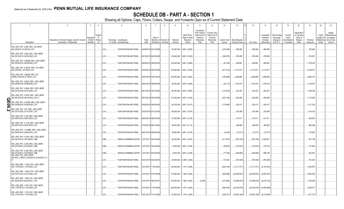# **SCHEDULE DB - PART A - SECTION 1**

|                                                                                          | $\overline{2}$                                                                    | $\overline{3}$                 | $\overline{4}$           |                                                    | 5                     | -6            | $\overline{7}$                  | 8                     | - 9                | 10                                                   | 11                                                                              | 12                                                                      | 13         | 14                                                    | 16           | 17                                                | 18                                                         | 19                                                  | 20                                                      | 21                    | 22                             | 23                                                                          |
|------------------------------------------------------------------------------------------|-----------------------------------------------------------------------------------|--------------------------------|--------------------------|----------------------------------------------------|-----------------------|---------------|---------------------------------|-----------------------|--------------------|------------------------------------------------------|---------------------------------------------------------------------------------|-------------------------------------------------------------------------|------------|-------------------------------------------------------|--------------|---------------------------------------------------|------------------------------------------------------------|-----------------------------------------------------|---------------------------------------------------------|-----------------------|--------------------------------|-----------------------------------------------------------------------------|
| Description                                                                              | Description of Item(s) Hedged, Used for Income<br><b>Generation or Replicated</b> | schedu<br>Exhibit<br>dentifier | Type(s)<br>of<br>Risk(s) | Exchange, Counterparty<br>or Central Clearinghouse |                       | Trade<br>Date | Date of<br>Expiration Contracts | Maturity or Number of | Notional<br>Amount | Strike Price.<br>Rate of Index<br>Received<br>(Paid) | Cumulative<br>Prior Year(s)<br>Initial Cost of<br>Premium<br>(Received)<br>Paid | <b>Current Year</b><br>Initial Cost of<br>Premium<br>(Received)<br>Paid | Income     | Current Year   Book/Adjusted<br><b>Carrying Value</b> | Fair Value   | Unrealized<br>Valuation<br>Increase<br>(Decrease) | <b>Total Foreign</b><br>Exchange<br>Change in<br>B./A.C.V. | Current<br>Year's<br>(Amortization<br>) / Accretion | Adjustmen<br>to Carrying<br>Value of<br>Hedged<br>Items | Potential<br>Exposure | Credit<br>Quality of<br>Entity | Hedge<br>Effectiveness<br>at Inception<br>Reference and at Year-<br>end (b) |
| IRS USD PAY 2.892 REC US LIBOR<br>3M_2/8/2018_2/12/2018_LCH                              |                                                                                   |                                |                          | LCH.                                               | F226TOH6YD6XJB17KS62  |               | 02/08/2018 02/12/2028           |                       |                    | .50,000,000   LIB3 / (2.892)                         |                                                                                 |                                                                         | (235, 456) | .882,680                                              | 882,680      | .882,680                                          |                                                            |                                                     |                                                         | 765,480               |                                |                                                                             |
| IRS_USD_PAY_2.892_REC_USD LIBOR<br>3M_02/15/2018_02/20/2028_LCH                          |                                                                                   |                                |                          | LCH.                                               | F226TOH6YD6XJB17KS62  |               | 02/15/2018 02/20/2028           |                       |                    | .63,600,000   LIB3 / (2.920)                         |                                                                                 |                                                                         | (295, 975) | .976,656                                              | .976,656     | .976,656                                          |                                                            |                                                     |                                                         | .974,827              |                                |                                                                             |
| IRS_USD_PAY_2.89499_REC_USD LIBOR<br>3M_08/30/2018_08/30/2023_LCH                        |                                                                                   |                                |                          | LCH.                                               | F226TOH6YD6XJB17KS62  |               | 08/28/2018 08/30/2023           |                       |                    | .124,400,000   LIB3 / (2.895)                        |                                                                                 |                                                                         | (54, 158)  | .929,891                                              | .929,891     | .929,891                                          |                                                            |                                                     |                                                         | .1,379,355            |                                |                                                                             |
| IRS_USD_PAY_2.95150_REC_US LIBOR<br>3M_2/5/2018_2/7/2048_LCH                             |                                                                                   |                                |                          | LCH.                                               | F226TOH6YD6XJB17KS62. |               | 02/05/2018 02/07/2048           |                       |                    | .176,000,000   LIB3 / (2.952)                        |                                                                                 |                                                                         | (917,516)  | 6,173,077                                             | .6,173,077   | .6,173,077                                        |                                                            |                                                     |                                                         | .4,769,514            |                                |                                                                             |
| IRS_USD_PAY_2.96300_REC_US<br>LIBOR_2/5/2018_2/7/2033_LCH                                |                                                                                   |                                |                          | LCH.                                               | F226TOH6YD6XJB17KS62. |               | 02/07/2018 02/07/2033           |                       |                    | 152,000,000   LIB3 / (2.963)                         |                                                                                 |                                                                         | (793,869)  | 3,298,880                                             | 3,298,880    | 3,298,880                                         |                                                            |                                                     |                                                         | 2,880,703             |                                |                                                                             |
| IRS_USD_PAY_2.9833_REC_USD LIBOR<br>3M_09/06/2018_09/06/2048_LCH                         |                                                                                   |                                |                          | LCH.                                               | F226TOH6YD6XJB17KS62. |               | 09/04/2018 09/06/2048           |                       |                    | .48,200,000   LIB3 / (2.983)                         |                                                                                 |                                                                         | (22, 110)  | .1,376,310                                            | .1,376,310   | 1,376,310                                         |                                                            |                                                     |                                                         | 1,319,047             |                                |                                                                             |
| IRS_USD_PAY_2.9844_REC_USD LIBOR<br>3M 06/15/2018 06/15/2025 LCH                         |                                                                                   |                                |                          | LCH.                                               | F226TOH6YD6XJB17KS62  |               | 06/13/2018 06/15/2025           |                       |                    | .80,000,000   LIB3 / (2.984)                         |                                                                                 |                                                                         | (141, 443) | .442,457                                              | .442,457     | .442,457                                          |                                                            |                                                     |                                                         | 1,036,326             |                                |                                                                             |
| IRS USD PAY 3.0235 REC USD LIBOR<br>3M_06/15/2018_06/15/2028_LCH_P<br>C                  |                                                                                   |                                |                          | LCH.                                               | F226TOH6YD6XJB17KS62. |               | 06/13/2018 06/15/2028           |                       |                    | .110,000,000   LIB3 / (3.024)                        |                                                                                 |                                                                         | (207, 148) | .802,556                                              | 802,556      | .802,556                                          |                                                            |                                                     |                                                         | 1,714,295             |                                |                                                                             |
| п<br>IRS USD PAY 3.03080 REC USD LIBOR<br>3M_04/26/2018_04/30/2028_LCH<br>0              |                                                                                   |                                |                          | LCH.                                               | F226TOH6YD6XJB17KS62. |               | 04/26/2018 04/30/2028           |                       |                    | .65,700,000   LIB3 / (3.031)                         |                                                                                 |                                                                         | (174,566)  | .422,417                                              | .422,417     | .422,417                                          |                                                            |                                                     |                                                         | 1,017,239             |                                |                                                                             |
| ത<br>RS USD PAY 3.07 REC USD LIBOR<br>N<br>3M 07/31/2020 07/31/2030 LCH                  |                                                                                   |                                |                          | LCH.                                               | F226TOH6YD6XJB17KS62. |               | 07/27/2018 07/31/2030           |                       |                    | .66,500,000   LIB3 / (3.070)                         |                                                                                 |                                                                         |            | .530,398                                              | .530,398     | .530,398                                          |                                                            |                                                     |                                                         | .1,144,162            |                                |                                                                             |
| IRS USD PAY 3.105 REC USD LIBOR<br>3M 08/07/2019 08/07/2034 LCH                          |                                                                                   |                                |                          | LCH.                                               | F226TOH6YD6XJB17KS62  |               | 08/03/2018 08/07/2034           |                       |                    | .47,500,000   LIB3 / (3.105).                        |                                                                                 |                                                                         |            | .431,611                                              | .431,611     | .431,611                                          |                                                            |                                                     |                                                         | 945,924               |                                |                                                                             |
| IRS_USD_PAY_3.1139_REC_USD LIBOR<br>3M_08/01/2019_08/01/2034_LCH                         |                                                                                   |                                |                          | LCH.                                               | F226TOH6YD6XJB17KS62  |               | 07/30/2018 08/01/2034           |                       |                    | .48,000,000   LIB3 / (3.114)                         |                                                                                 |                                                                         |            | .384,650                                              | .384,650     | .384,650                                          |                                                            |                                                     |                                                         | .955,386              |                                |                                                                             |
| IRS_USD_PAY_3.163980_REC_USD LIBOR<br>3M_09/25/2018_09/25/2033_LCH                       |                                                                                   |                                |                          | LCH.                                               | F226TOH6YD6XJB17KS62. |               | 09/21/2018 09/25/2033           |                       |                    | .39,800,000   LIB3 / (3.164)                         |                                                                                 |                                                                         | (5,249)    | (73,217                                               |              | (73,217)<br>.(73,217)                             |                                                            |                                                     |                                                         | 770,653               |                                |                                                                             |
| IRS_USD_PAY_3.3253_REC_USD LIBOR<br>3M_09/15/2014_09/15/2044_CME                         |                                                                                   |                                |                          | CME.                                               | SNZ2OJLFK8MNNCLQOF39  |               | 12/31/2017 09/15/2044           |                       |                    | .25,000,000   LIB3 / (3.253)                         |                                                                                 |                                                                         | (217,091)  | (334,195)                                             | (334, 195)   | 3,095,921                                         |                                                            |                                                     |                                                         | 637,109               |                                |                                                                             |
| IRS_USD_PAY_3.346_REC_USD LIBOR<br>3M_05/19/2014_05/19/2044_CME                          |                                                                                   |                                |                          | CME.                                               | SNZ2OJLFK8MNNCLQOF39  |               | 12/31/2017 05/19/2044           |                       |                    | $.6,000,000$   LIB3 / (3.306)                        |                                                                                 |                                                                         | (56, 657)  | (135,232)                                             | (135, 232)   | 744,779                                           |                                                            |                                                     |                                                         | .151,944              |                                |                                                                             |
| IRS_USD_PAY_3.346_REC_USD LIBOR<br>3M 05/19/2014 05/19/2044 CME<br>IRS USD PAY USD LIBOR |                                                                                   |                                |                          | CME.                                               | SNZ2OJLFK8MNNCLQOF39  |               | 12/31/2017 05/19/2044           |                       |                    | $.8,000,000$ LIB3 / (3.346)                          |                                                                                 |                                                                         | (77,794)   | .(238,982                                             | (238, 982)   | .999,199                                          |                                                            |                                                     |                                                         | .202,591              |                                |                                                                             |
| 3M_REC_2.98512_03/23/2018_03/23/2033_LC                                                  |                                                                                   |                                |                          | LCH.                                               | F226TOH6YD6XJB17KS62. |               | 03/21/2018 03/23/2033           |                       |                    | .40,000,000 2.985 / (LIB3)                           |                                                                                 |                                                                         | .131,844   | (763,428)                                             | (763, 428)   | (763,428)                                         |                                                            |                                                     |                                                         | 761,253               |                                |                                                                             |
| IRS_USD_REC_1.4725_PAY_USD LIBOR<br>3M_11/07/2016_11/07/2023_LCH                         |                                                                                   |                                |                          | LCH.                                               | F226TOH6YD6XJB17KS62. |               | 12/31/2017 11/07/2023           |                       | 150,000,000        | 1.473 / (LIB3)                                       |                                                                                 |                                                                         | (663,194)  | .(11,311,271                                          | (11,311,271) | (4,745,572)                                       |                                                            |                                                     |                                                         | .1,694,875            |                                |                                                                             |
| IRS USD REC 1.4835 PAY USD LIBOR<br>3M 07/01/2016 07/01/2028 LCH                         |                                                                                   |                                |                          | LCH.                                               | F226TOH6YD6XJB17KS62. |               | 12/31/2017 07/01/2028           |                       | .170,000,000       | 1.484 / (LIB3).                                      |                                                                                 |                                                                         | (829,096)  | (23,538,591                                           | (23,538,591) | (8,687,647)                                       |                                                            |                                                     |                                                         | 2,655,336             |                                |                                                                             |
| IRS_USD_REC_1.585_PAY_USD LIBOR<br>3M_06/23/2016_06/23/2031_LCH                          |                                                                                   |                                |                          | LCH.                                               | F226TOH6YD6XJB17KS62. |               | 12/31/2017 06/23/2031           |                       |                    | .100,000,000   1.585 / (LIB3).                       | (2, 248)                                                                        |                                                                         | (421,964)  | (16,556,879)                                          | (16,556,879) | (6,218,130)                                       |                                                            |                                                     |                                                         | .1,784,446            |                                |                                                                             |
| IRS_USD_REC_1.675_PAY_USD LIBOR<br>3M_11/07/2016_11/07/2026_LCH                          |                                                                                   |                                |                          | LCH.                                               | F226TOH6YD6XJB17KS62. |               | 12/31/2017 11/07/2026           |                       | .228,000,000       | 1.675 / (LIB3)                                       |                                                                                 |                                                                         | (660,497)  | (23, 343, 078)                                        |              | $\ldots$ (23,343,078) (10,693,689)                |                                                            |                                                     |                                                         | .3,246,417            |                                |                                                                             |
| IRS USD REC 1.725 PAY USD LIBOR<br>3M 11/01/2016 11/01/2026 LCH                          |                                                                                   |                                |                          | LCH.                                               | F226TOH6YD6XJB17KS62  |               | 12/31/2017 11/01/2026           |                       | 110.500.000        | 1.725 / (LIB3)                                       |                                                                                 |                                                                         | .(294,701) | (10,891,438)                                          | (10,891,438) | (5,218,594)                                       |                                                            |                                                     |                                                         | 1.571.778             |                                |                                                                             |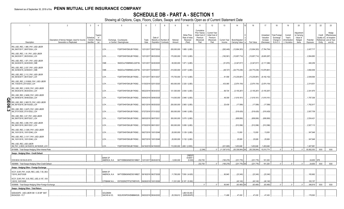# **SCHEDULE DB - PART A - SECTION 1**

|                                                                              | $\overline{2}$                                                                    | $\mathbf{3}$                    | $\overline{4}$           |                                 | 5                                          | - 6           |                       | $\mathbf{R}$                                  | 9                  | 10                                                   | 11                                                                              | 12                                                               | 13                     | 14                                     | 16                 | 17                                                | 18                                                         | 19                                                  | 20                                                      | 21                    | 22                             | 23                                                                          |
|------------------------------------------------------------------------------|-----------------------------------------------------------------------------------|---------------------------------|--------------------------|---------------------------------|--------------------------------------------|---------------|-----------------------|-----------------------------------------------|--------------------|------------------------------------------------------|---------------------------------------------------------------------------------|------------------------------------------------------------------|------------------------|----------------------------------------|--------------------|---------------------------------------------------|------------------------------------------------------------|-----------------------------------------------------|---------------------------------------------------------|-----------------------|--------------------------------|-----------------------------------------------------------------------------|
| Description                                                                  | Description of Item(s) Hedged, Used for Income<br><b>Generation or Replicated</b> | schedu<br>Exhibit<br>Identifier | Type(s)<br>nf<br>Risk(s) | Exchange, Counterparty          | or Central Clearinghouse                   | Trade<br>Date | Date of               | Maturity or Number of<br>Expiration Contracts | Notional<br>Amount | Strike Price,<br>Rate of Index<br>Received<br>(Paid) | Cumulative<br>Prior Year(s)<br>Initial Cost of<br>Premium<br>(Received)<br>Paid | Current Year<br>Initial Cost of<br>Premium<br>(Received)<br>Paid | Current Year<br>Income | Book/Adjusted<br><b>Carrying Value</b> | Fair Value         | Unrealized<br>Valuation<br>Increase<br>(Decrease) | <b>Total Foreign</b><br>Exchange<br>Change in<br>B./A.C.V. | Current<br>Year's<br>(Amortization<br>) / Accretion | Adjustmen<br>to Carrying<br>Value of<br>Hedged<br>Items | Potential<br>Exposure | Credit<br>Quality of<br>Entity | Hedge<br>Effectiveness<br>at Inception<br>Reference and at Year-<br>end (b) |
| IRS_USD_REC_1.885_PAY_USD LIBOR<br>3M_09/07/2017_09/07/2024_LCH              |                                                                                   |                                 |                          | LCH.                            | F226TOH6YD6XJB17KS62                       |               | 12/31/2017 09/07/2024 |                                               | .200,000,000       | 1.885 / (LIB3)                                       |                                                                                 |                                                                  | (262, 449)             | (12,904,303)                           | (12,904,303)       | .(7, 764, 754)                                    |                                                            |                                                     |                                                         | 2,437,717             |                                |                                                                             |
| IRS_USD_REC_1.91_PAY_USD LIBOR<br>3M_08/23/2017_08/23/2024_LCH               |                                                                                   |                                 |                          | LCH.                            | F226TOH6YD6XJB17KS62                       |               | 12/31/2017 08/23/2024 |                                               |                    | .170,000,000   1.910 / (LIB3)                        |                                                                                 |                                                                  | (182, 561)             | (10,657,714                            | (10,657,714)       | (6,605,287)                                       |                                                            |                                                     |                                                         | 2,064,883             |                                |                                                                             |
| IRS_USD_REC_1.971_PAY_USD LIBOR<br>3M_04/20/2015_04/20/2025_CME              |                                                                                   |                                 |                          | CME.                            | SNZ2OJLFK8MNNCLQOF39                       |               | 12/31/2017 04/20/2025 |                                               |                    | .50,000,000   1.971 / (LIB3)                         |                                                                                 |                                                                  | (51,870)               | (3,347,817)                            | (3,347,817)        | (2, 117, 296)                                     |                                                            |                                                     |                                                         | 640,259               |                                |                                                                             |
| IRS_USD_REC_2.037_PAY_USD LIBOR<br>3M_02/09/2016_02/09/2031_CME              |                                                                                   |                                 |                          | CME.                            | SNZ2OJLFK8MNNCLQOF39                       |               | 12/31/2017 02/09/2031 |                                               |                    | .210,000,000 2.037 / (LIB3)                          |                                                                                 |                                                                  | (48, 727)              | (24,770,236                            |                    | (24,770,236) (13,978,861)                         |                                                            |                                                     |                                                         | 3,692,936             |                                |                                                                             |
| IRS_USD_REC_2.112_PAY_USD LIBOR<br>3M_08/30/2017_08/31/2027_LCH              |                                                                                   |                                 |                          | LCH.                            | F226TOH6YD6XJB17KS62.                      |               | 12/31/2017 08/31/2027 |                                               |                    | .170,700,000 2.112 / (LIB3)                          |                                                                                 |                                                                  | .81.558                | (13,235,691                            | (13,235,691)       | (9, 192, 152)                                     |                                                            |                                                     |                                                         | 2,549,564             |                                |                                                                             |
| IRS_USD_REC_2.319500_PAY_USD LIBOR<br>3M_1/30/2018_2/01/2020_LCH             |                                                                                   |                                 |                          | LCH.                            | F226TOH6YD6XJB17KS62.                      |               | 01/30/2018 02/01/2020 |                                               |                    | .400,000,000 2.320 / (LIB3)                          |                                                                                 |                                                                  | .433,065               | (2,974,154)                            | (2,974,154)        | (2,974,154)                                       |                                                            |                                                     |                                                         | 2,314,931             |                                |                                                                             |
| IRS USD REC 2.9335 PAY USD LIBOR<br>3M 08/24/2018 08/24/2033 LCH             |                                                                                   |                                 |                          | LCH.                            | F226TOH6YD6XJB17KS62.                      |               | 08/22/2018 08/24/2033 |                                               |                    | .121,300,000   2.934 / (LIB3)                        |                                                                                 |                                                                  | 69,724                 | (3, 155, 267)                          | (3, 155, 267)      | (3, 155, 267)                                     |                                                            |                                                     |                                                         | 2,341,875             |                                |                                                                             |
| IRS_USD_REC_2.9456_PAY_USD LIBOR<br>3M_09/06/2018_09/06/2028_LCH<br>O        |                                                                                   |                                 |                          | LCH.                            | F226TOH6YD6XJB17KS62.                      |               | 09/04/2018 09/06/2028 |                                               |                    | 114,000,000 2.946 / (LIB3)                           |                                                                                 |                                                                  | .49,309                | (1,619,161                             | (1,619,161)        | (1,619,161)                                       |                                                            |                                                     |                                                         | 1,797,306             |                                |                                                                             |
| IRS_USD_REC_2.983170_PAY_USD LIBOR<br>3M_06/15/2018_06/15/2025_LCH<br>0      |                                                                                   |                                 |                          | LCH.                            | F226TOH6YD6XJB17KS62.                      |               | 09/21/2018 09/25/2020 |                                               |                    | .250,000,000   2.983 / (LIB3)                        |                                                                                 |                                                                  | 25,439                 | (17, 599)                              | (17,599)           | (17,599)                                          |                                                            |                                                     |                                                         | .1,762,917            |                                |                                                                             |
| თ<br>IRS_USD_REC_3.0475_PAY_USD LIBOR<br>ω<br>3M_07/31/2020_07/31/2022_LCH   |                                                                                   |                                 |                          | LCH.                            | F226TOH6YD6XJB17KS62.                      |               | 07/27/2018 07/31/2022 |                                               |                    | .300,000,000 3.048 / (LIB3)                          |                                                                                 |                                                                  |                        | (518, 429)                             | .(518,429)         | (518, 429)                                        |                                                            |                                                     |                                                         | 2,937,709             |                                |                                                                             |
| IRS_USD_REC_3.07_PAY_USD LIBOR<br>3M_08/07/2019_08/07/2021_LCH               |                                                                                   |                                 |                          | LCH.                            | F226TOH6YD6XJB17KS62                       |               | 08/03/2018 08/07/2021 |                                               |                    | .300,000,000 3.070 / (LIB3)                          |                                                                                 |                                                                  |                        | (658,806                               | (658, 806)         | (658, 806)                                        |                                                            |                                                     |                                                         | 2,534,421             |                                |                                                                             |
| IRS_USD_REC_3.095_PAY_USD LIBOR<br>3M_08/01/2019_08/01/2021_LCH              |                                                                                   |                                 |                          | LCH.                            | F226TOH6YD6XJB17KS62                       |               | 07/30/2018 08/01/2021 |                                               |                    | .300,000,000 3.095 / (LIB3)                          |                                                                                 |                                                                  |                        | (512,096)                              | (512,096)          | (512,096)                                         |                                                            |                                                     |                                                         | .2,527,113            |                                |                                                                             |
| IRS_USD_REC_3.1285_PAY_USD LIBOR<br>3M_10/01/2018_10/01/2048_LCH             |                                                                                   |                                 |                          | LCH.                            | F226TOH6YD6XJB17KS62                       |               | 09/27/2018 10/01/2048 |                                               |                    | .20,000,000 3.129 / (LIB3)                           |                                                                                 |                                                                  |                        | 13,000                                 | .13,000            | .13,000                                           |                                                            |                                                     |                                                         | 547,948               |                                |                                                                             |
| IRS_USD_REC_3.1317_PAY_USD LIBOR<br>3M_10/01/2018_10/01/2048_LCH             |                                                                                   |                                 |                          | LCH.                            | F226TOH6YD6XJB17KS62                       |               | 09/27/2018 10/01/2048 |                                               |                    | .20,000,000 3.132 / (LIB3)                           |                                                                                 |                                                                  |                        | .25,926                                | 25,926             | 25,926                                            |                                                            |                                                     |                                                         | 547,948               |                                |                                                                             |
| IRS_USD_REC_USD LIBOR<br>3M_PAY_2.8533_04/16/2018_04/18/2025_LCH             |                                                                                   |                                 |                          | LCH.                            | F226TOH6YD6XJB17KS62 04/16/2018 04/18/2025 |               |                       |                                               |                    | 110,000,000   LIB3 / (2.853)                         |                                                                                 |                                                                  | (231, 695)             | .1,453,646                             | .1,453,646         | 1,453,646                                         |                                                            |                                                     | $\bigcap$                                               | 1,407,981             |                                |                                                                             |
| 0919999. Total-Swaps-Hedging Other-Interest Rate.                            |                                                                                   |                                 |                          |                                 |                                            |               |                       |                                               |                    |                                                      | (2, 248)                                                                        | 0                                                                | (11,367,615)           | (55, 336, 844)                         | (55.336.844)<br>XX | .15,510,774                                       | $\Omega$                                                   |                                                     |                                                         | .93,562,053           | XXX                            | XXX                                                                         |
| Swaps - Hedging Other - Credit Default                                       |                                                                                   |                                 |                          | <b>BANK OF</b><br>AMERICA, N.A  | B4TYDEB6GKMZO031MB27 12/31/2017 09/20/2019 |               |                       |                                               | .5,000,000         | <b>CREDI</b><br><b>EVENT</b><br>(5.000)              | .232,700                                                                        |                                                                  | (190, 278)             | (231,776)                              | (231,776)          | 161,200                                           |                                                            |                                                     |                                                         | .24,655 3FE.          |                                |                                                                             |
| CDS BOA 5 M 09-20-2019.<br>0929999. Total-Swaps-Hedging Other-Credit Default |                                                                                   |                                 |                          |                                 |                                            |               |                       |                                               |                    |                                                      | .232,700                                                                        | $\Omega$                                                         | (190, 278)             | (231,776)                              | (231,776)          | .161,200                                          |                                                            |                                                     |                                                         | .24.655               | <b>XXX</b>                     | XXX                                                                         |
| Swaps - Hedging Other - Foreign Exchange                                     |                                                                                   |                                 |                          |                                 |                                            |               |                       |                                               |                    |                                                      |                                                                                 |                                                                  |                        |                                        |                    |                                                   |                                                            |                                                     |                                                         |                       |                                |                                                                             |
| XCCY_EUR_PAY_4.625_REC_USD_7.55_06/2<br>7/2018_06/27/2028                    |                                                                                   |                                 |                          | <b>BANK OF</b><br>AMERICA, N.A. | B4TYDEB6GKMZO031MB27 09/18/2018 06/27/2028 |               |                       |                                               |                    | 11,765,000 7.550 / (4.625)                           |                                                                                 |                                                                  | .90,845                | (23, 340)                              | (23, 340)          | (23, 340)                                         |                                                            |                                                     |                                                         | .183,662              |                                |                                                                             |
| XCCY_EUR_PAY_5.00_REC_USD_8.197_10/0<br>1/2018 10/01/2026                    |                                                                                   |                                 |                          | CITIBANK N.A                    | E57ODZWZ7FF32TWEFA76 09/28/2018 10/01/2026 |               |                       |                                               |                    | .11,531,000   8.197 / (5.000)                        |                                                                                 |                                                                  |                        | (40,140                                | (40, 140)          | (40, 140)                                         |                                                            |                                                     |                                                         | 163,157               |                                |                                                                             |
| 0939999. Total-Swaps-Hedging Other-Foreign Exchange.                         |                                                                                   |                                 |                          |                                 |                                            |               |                       |                                               |                    |                                                      |                                                                                 |                                                                  | .90,845                | $(63, 480)$ X                          | (63, 480)          | (63, 480)                                         |                                                            |                                                     |                                                         | .346,819              | XXX                            | XXX                                                                         |
| Swaps - Hedging Other - Total Return                                         |                                                                                   |                                 |                          |                                 |                                            |               |                       |                                               |                    |                                                      |                                                                                 |                                                                  |                        |                                        |                    |                                                   |                                                            |                                                     |                                                         |                       |                                |                                                                             |
| GDDUEAFE - USD LIBOR 3M + 0.35 BP MAT<br>09/24/2020 - FLT                    |                                                                                   |                                 |                          | <b>GOLDMAN</b><br>SACHS & CO.   | W22LROWP2IHZNBB6K528                       |               | 09/20/2018 09/24/2020 |                                               | .25,339,612        | LIB3+35.000<br>(GDDUEAFE)                            |                                                                                 |                                                                  | 11.498                 | .47.430                                | .47.430            | 47.430                                            |                                                            |                                                     |                                                         | 178.563               |                                |                                                                             |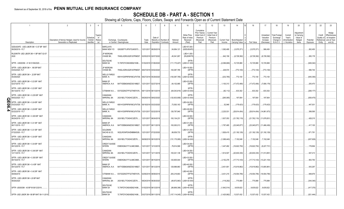# **SCHEDULE DB - PART A - SECTION 1**

|                       |                                                           | 2                                                                          | $\overline{3}$                    | $\overline{4}$           | 5                                                       |                                                 | 6             |                       | 8                                             | 9                  | 10                                                   | 11                                                                              | 12                                                                      | 13          | 14                                               | 16             | 17                                                | 18                                                  | 19                                                  | 20                                                      | 21                    | 22                                          | 23                                                               |
|-----------------------|-----------------------------------------------------------|----------------------------------------------------------------------------|-----------------------------------|--------------------------|---------------------------------------------------------|-------------------------------------------------|---------------|-----------------------|-----------------------------------------------|--------------------|------------------------------------------------------|---------------------------------------------------------------------------------|-------------------------------------------------------------------------|-------------|--------------------------------------------------|----------------|---------------------------------------------------|-----------------------------------------------------|-----------------------------------------------------|---------------------------------------------------------|-----------------------|---------------------------------------------|------------------------------------------------------------------|
|                       | Description                                               | Description of Item(s) Hedged, Used for Income<br>Generation or Replicated | Schedule<br>Exhibit<br>Identifier | Type(s)<br>of<br>Risk(s) | Exchange, Counterparty<br>or Central Clearinghouse      |                                                 | Trade<br>Date | Date of               | Maturity or Number of<br>Expiration Contracts | Notional<br>Amount | Strike Price,<br>Rate of Index<br>Received<br>(Paid) | Cumulative<br>Prior Year(s)<br>Initial Cost of<br>Premium<br>(Received)<br>Paid | <b>Current Year</b><br>Initial Cost of<br>Premium<br>(Received)<br>Paid | Income      | Current Year   Book/Adjusted<br>Carrying Value e | Fair Value     | Unrealized<br>Valuation<br>Increase<br>(Decrease) | Total Foreign<br>Exchange<br>Change in<br>B./A.C.V. | Current<br>Year's<br>(Amortizatior<br>) / Accretion | Adiustmer<br>to Carrying<br>Value of<br>Hedged<br>Items | Potential<br>Exposure | Credit<br>Quality of<br>Reference<br>Entity | Hedge<br>Effectiveness<br>at Inception<br>and at Year-<br>end(b) |
|                       | GDDUEAFE - USD LIBOR 3M + 0.57 BP MAT<br>08/29/2019 - FLT |                                                                            |                                   |                          | BARCLAYS<br><b>BANK NEW YO</b>                          | G5GSEF7VJP5I7OUK5573                            |               | 12/31/2017 08/29/2019 |                                               | .54,954,121        | LIB3+57.000<br>(GDDUEAFE                             |                                                                                 |                                                                         | 1,092,495   | (3,575,371)                                      | (3,575,371)    | 566,450                                           |                                                     |                                                     |                                                         | .262,450              |                                             |                                                                  |
|                       | RU20INTR- USD LIBOR 3M +1 BP MAT 02-07-<br>2020           |                                                                            |                                   |                          | <b>JP MORGAN</b><br>CHASE BK,                           | 7H6GLXDRUGQFU57RNE97.                           |               | 02/05/2018 02/07/2020 |                                               | .45,541,957        | LIB3+1.000<br>(RU20INTR                              |                                                                                 |                                                                         | 642,159     | (6,728,392)                                      | (6,728,392)    | (6,728,392)                                       |                                                     |                                                     |                                                         | .265,178              |                                             |                                                                  |
|                       | SPTR - US0003M - 41 M 01/06/2020                          |                                                                            |                                   |                          | <b>DEUTSCHE</b><br><b>BANK SA</b>                       | 7LTWFZYICNSX8D621K86                            |               | 01/02/2018 01/06/2020 |                                               | (111, 170, 407)    | <b>SPTR</b><br>(LIB3+41.000                          |                                                                                 |                                                                         | (2,096,669) | 10,725,969                                       | 10,725,969     | 10,725,969                                        |                                                     |                                                     |                                                         | (626, 042)            |                                             |                                                                  |
|                       | SPTR - USD LIBOR 3M + .185 BP MAT<br>03/02/2020 - FLT     |                                                                            |                                   |                          | <b>JP MORGAN</b><br>CHASE BK,                           | 7H6GLXDRUGQFU57RNE97. 08/27/2018 03/02/2020     |               |                       |                                               | 100,087,785        | LIB3+18.500<br>(SPTR)                                |                                                                                 |                                                                         | 229,574     | (772,100)                                        | (772, 100)     | (772,100)                                         |                                                     |                                                     |                                                         | .596,744              |                                             |                                                                  |
|                       | SPTR - USD LIBOR 3M + .22 BP MAT<br>05/29/2020            |                                                                            |                                   |                          | <b>WELLS FARGO</b><br>BANK, N.                          | KB1H1DSPRFMYMCUFXT09. 08/27/2018 05/29/2020     |               |                       |                                               | (100, 087, 785)    | <b>SPTR</b><br>(LIB3+22.000                          |                                                                                 |                                                                         | (232, 785)  | 772,100                                          | 772,100        | 772,100                                           |                                                     |                                                     |                                                         | (645, 355)            |                                             |                                                                  |
|                       | SPTR - USD LIBOR 3M + 0.23 BP MAT<br>02/27/2019 - FLT     |                                                                            |                                   |                          | <b>BANK OF</b><br>AMERICA, N.A                          | B4TYDEB6GKMZO031MB27 12/31/2017 02/27/2019      |               |                       |                                               | 64,102,985         | LIB3+23.000<br>(SPTR                                 |                                                                                 |                                                                         | .1,100,313  | (17, 472, 490)                                   | (17, 472, 490) | .(7,806,178)                                      |                                                     |                                                     |                                                         | .205,470              |                                             |                                                                  |
|                       | SPTR - USD LIBOR 3M + 0.23 BP MAT<br>06/13/2019 - FLT     |                                                                            |                                   |                          | CITIBANK N.A E57ODZWZ7FF32TWEFA76 09/11/2018 06/13/2019 |                                                 |               |                       |                                               | (64,043,819)       | SPTR<br>(LIB3+23.000                                 |                                                                                 |                                                                         | (82, 112)   | .633,302                                         | 633,302        | 633,302                                           |                                                     |                                                     |                                                         | (268,177)             |                                             |                                                                  |
| C                     | SPTR - USD LIBOR 3M + 0.235 BP MAT<br>09/02/2020 - FLT    |                                                                            |                                   |                          | CANADIAN<br><b>IMPERIAL BA</b>                          | 2IGI19DL77OX0HC3ZE78                            |               | 08/29/2018 09/02/2020 |                                               | (120, 833, 958)    | <b>SPTR</b><br>(LIB3+23.500                          |                                                                                 |                                                                         | (265,085)   | .197,904                                         | .197,904       | 197,904                                           |                                                     |                                                     |                                                         | (838, 475)            |                                             |                                                                  |
| П<br>0                | SPTR - USD LIBOR 3M + 0.24 BP MAT<br>03/23/2020 - FLT     |                                                                            |                                   |                          | <b>WELLS FARGO</b><br>BANK, N.                          | KB1H1DSPRFMYMCUFXT09. 09/19/2018 03/23/2020     |               |                       |                                               | 73,500,163         | LIB3+24.000<br>(SPTF                                 |                                                                                 |                                                                         | .52,948     | (179,423)                                        | (179,423)      | (179,423)                                         |                                                     |                                                     |                                                         | .447,001              |                                             |                                                                  |
| თ<br>$\blacktriangle$ | SPTR - USD LIBOR 3M + 0.29 BP MAT<br>02/22/2019 - FLT     |                                                                            |                                   |                          | <b>WELLS FARGO</b><br>BANK, N.                          | KB1H1DSPRFMYMCUFXT09.   12/31/2017   02/22/2019 |               |                       |                                               | .126,797,940       | LIB3+29.000<br>(SPTF                                 |                                                                                 |                                                                         | 2,225,531   | (28, 814, 454)                                   | (28,814,454)   | (14, 861, 673)                                    |                                                     |                                                     |                                                         | .399,595              |                                             |                                                                  |
|                       | SPTR - USD LIBOR 3M + 0.305 BP MAT<br>06/24/2019 - FLT    |                                                                            |                                   |                          | CANADIAN<br><b>IMPERIAL BA</b>                          | 2IGI19DL77OX0HC3ZE78                            |               | 12/31/2017 06/24/2019 |                                               | .100,134,231       | LIB3+30.500<br>(SPTF                                 |                                                                                 |                                                                         | 1,837,053   | (21, 762, 119)                                   | (21,762,119)   | (11, 678, 831)                                    |                                                     |                                                     |                                                         | .428,215              |                                             |                                                                  |
|                       | SPTR - USD LIBOR 3M + 0.31 BP MAT<br>06/11/2019 - FLT     |                                                                            |                                   |                          | <b>BANK OF</b><br>AMERICA, N.A.                         | B4TYDEB6GKMZO031MB27                            |               | 12/31/2017 06/11/2019 |                                               | .100,000,013       | LIB3+31.000<br>(SPTR                                 |                                                                                 |                                                                         | .1,787,485  | (23,045,877)                                     | (23,045,877)   | (11, 466, 436)                                    |                                                     |                                                     |                                                         | .417,100              |                                             |                                                                  |
|                       | SPTR - USD LIBOR 3M + 0.31 BP MAT<br>07/22/2020 - FLT     |                                                                            |                                   |                          | <b>GOLDMAN</b><br>SACHS & CO,                           | W22LROWP2IHZNBB6K528                            |               | 12/31/2017 07/22/2020 |                                               | 99,839,733         | LIB3+31.000<br>(SPTR                                 |                                                                                 |                                                                         | 1,826,415   | (21, 192, 129)                                   |                | $(21,192,129)$ (21,192,129)                       |                                                     |                                                     |                                                         | .671,781              |                                             |                                                                  |
|                       | SPTR - USD LIBOR 3M + 0.34 BP MAT<br>09/10/2019 - FLT     |                                                                            |                                   |                          | CANADIAN<br><b>IMPERIAL BA</b>                          | 2IGI19DL77OX0HC3ZE78                            |               | 06/08/2018 09/10/2019 |                                               | (131, 170, 080)    | <b>SPTR</b><br>(LIB3+34.000                          |                                                                                 |                                                                         | (1,088,440) | ,7,152,048                                       | 7,152,048      | 7,152,048                                         |                                                     |                                                     |                                                         | (637, 629)            |                                             |                                                                  |
|                       | SPTR - USD LIBOR 3M + 0.34 BP MAT<br>09/12/2018 - FLT     |                                                                            |                                   |                          | CREDIT SUISSE<br><b>INTERN</b>                          | E58DKGMJYYYJLN8C3868                            |               | 12/31/2017 12/12/2018 |                                               | 79,914,568         | LIB3+34.000<br>(SPTR                                 |                                                                                 |                                                                         | 1,447,482   | (16,622,750)                                     | (16,622,750)   | (9,227,731)                                       |                                                     |                                                     |                                                         | .178,694              |                                             |                                                                  |
|                       | SPTR - USD LIBOR 3M + 0.345 BP MAT<br>12/11/2019 - FLT    |                                                                            |                                   |                          | CANADIAN<br><b>IMPERIAL BA</b>                          | 2IGI19DL77OX0HC3ZE78                            |               | 12/31/2017 12/11/2019 |                                               | 100,021,138        | LIB3+34.500<br>(SPTR                                 |                                                                                 |                                                                         | .1,814,507  | (20, 630, 330)                                   | (20,630,330)   | (11, 513, 891)                                    |                                                     |                                                     |                                                         | .547,213              |                                             |                                                                  |
|                       | SPTR - USD LIBOR 3M + 0.355 BP MAT<br>08/15/2019 - FLT    |                                                                            |                                   |                          | <b>CREDIT SUISSE</b><br><b>INTERN</b>                   | E58DKGMJYYYJLN8C3868                            |               | 12/31/2017 08/15/2019 |                                               | 120,605,544        | LIB3+33.500<br>(SPTR                                 |                                                                                 |                                                                         | 2,152,276   | (17,713,143)                                     |                | $\ldots$ (17,713,143) (13,221,103)                |                                                     |                                                     |                                                         | .563,750              |                                             |                                                                  |
|                       | SPTR - USD LIBOR 3M + 0.4 BP MAT<br>09/12/2019 - FLT      |                                                                            |                                   |                          | <b>BANK OF</b><br>AMERICA, N.A                          | B4TYDEB6GKMZO031MB27 12/31/2017 06/12/2019      |               |                       |                                               | 129,999,983        | LIB3+40.000<br>(SPTR                                 |                                                                                 |                                                                         | 2,401,901   | (15,619,962)                                     | (15,619,962)   | (13,805,961)                                      |                                                     |                                                     |                                                         | .543,297              |                                             |                                                                  |
|                       | SPTR - USD LIBOR 3M + 0.42 BP MAT<br>08/08/2019           |                                                                            |                                   |                          | CITIBANK N.A E57ODZWZ7FF32TWEFA76 02/06/2018 08/08/2019 |                                                 |               |                       |                                               | .205,218,663       | LIB3+42.000<br>(SPTR                                 |                                                                                 |                                                                         | 3,431,215   | (19,554,795)                                     | (19,554,795)   | (19, 554, 795)                                    |                                                     |                                                     |                                                         | .948,676              |                                             |                                                                  |
|                       | SPTR - USD LIBOR 3M + 20 BP MAT<br>08/26/2020             |                                                                            |                                   |                          | CANADIAN<br><b>IMPERIAL BA</b>                          | 2IGI19DL77OX0HC3ZE78                            |               | 08/24/2018 08/26/2020 |                                               | (49,872,963)       | <b>SPTR</b><br>(LIB3+20.000                          |                                                                                 |                                                                         | (118,292)   | 775,989                                          | 775,989        | 775,989                                           |                                                     |                                                     |                                                         | (344,345)             |                                             |                                                                  |
|                       | SPTR-US0003M - 40 BP M 06/12/2019                         |                                                                            |                                   |                          | <b>DEUTSCHE</b><br><b>BANK SA</b>                       | 7LTWFZYICNSX8D621K86                            |               | 01/02/2018 06/12/2019 |                                               | (99,869,396)       | <b>SPTR</b><br>(LIB3+40.000                          |                                                                                 |                                                                         | (1,842,514) | 9,635,622                                        | 9,635,622      | 9,635,622                                         |                                                     |                                                     |                                                         | (417,375)             |                                             |                                                                  |
|                       | SPTR- USD LIBOR 3M +38 BP MAT 09-11-2019                  |                                                                            |                                   |                          | <b>DEUTSCHE</b><br><b>BANK SA</b>                       | 7LTWFZYICNSX8D621K86 03/27/2018 09/11/2019      |               |                       |                                               | (107, 114, 045)    | <b>SPTR</b><br>(LIB3+38.000                          |                                                                                 |                                                                         | (1,425,992) | 13,537,432                                       | .13,537,432    | 13.537.432                                        |                                                     |                                                     |                                                         | (521, 444)            |                                             |                                                                  |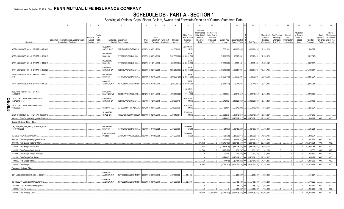# **SCHEDULE DB - PART A - SECTION 1**

|        |                                                                             | 2                                              | 3                     | $\overline{4}$           | 5                                                                                  | 6             | 8<br>$\overline{7}$              | <b>q</b>     | 10                                           | 11                                                                      | 12                                                              | 13                           | 14                           | 16                          | 17                                  | 18                                     | 19                                 | 20                                              | 21                    | 22                                             | 23                                     |
|--------|-----------------------------------------------------------------------------|------------------------------------------------|-----------------------|--------------------------|------------------------------------------------------------------------------------|---------------|----------------------------------|--------------|----------------------------------------------|-------------------------------------------------------------------------|-----------------------------------------------------------------|------------------------------|------------------------------|-----------------------------|-------------------------------------|----------------------------------------|------------------------------------|-------------------------------------------------|-----------------------|------------------------------------------------|----------------------------------------|
|        |                                                                             | Description of Item(s) Hedged, Used for Income | Schedule<br>/ Exhibit | Type(s)<br>of<br>Risk(s) | Exchange, Counterparty                                                             | Trade<br>Date | Date of<br>Maturity or Number of | Notional     | Strike Price,<br>Rate of Index<br>Received   | Cumulative<br>Prior Year(s)<br>Initial Cost of<br>Premium<br>(Received) | <b>Current Year</b><br>Initial Cost of<br>Premium<br>(Received) | Current Year                 | Book/Adjusted                |                             | Unrealized<br>Valuation<br>Increase | Total Foreign<br>Exchange<br>Change in | Current<br>Year's<br>(Amortization | Adjustment<br>to Carrying<br>Value of<br>Hedged | Potential             | Credit<br>Quality of<br>Reference and at Year- | Hedge<br>Effectiveness<br>at Inception |
|        | Description                                                                 | Generation or Replicated                       | Identifier            |                          | or Central Clearinghouse                                                           |               | Expiration Contracts             | Amount       | (Paid)                                       | Paid                                                                    | Paid                                                            | Income                       | Carrying Value               | Fair Value                  | (Decrease)                          | <b>B./A.C.V.</b>                       | / Accretion                        | Items                                           | Exposure              | Entity                                         | end $(b)$                              |
|        | SPTR- USD LIBOR 3M +41 BP MAT 02-12-2020                                    |                                                |                       |                          | <b>GOLDMAN</b><br>SACHS & CO,<br>W22LROWP2IHZNBB6K528                              |               | 02/09/2018 02/12/2020            | 102,339,820  | LIB3+41.000<br>(SPTR                         |                                                                         |                                                                 | 1,666,104                    | (12,928,620)                 | (12,928,620)                | (12, 928, 620)                      |                                        |                                    |                                                 | .598,899              |                                                |                                        |
|        | SPTR- USD LIBOR 3M +42 BP MAT 02-13-2019                                    |                                                |                       |                          | <b>DEUTSCHE</b><br><b>BANK SA</b><br>7LTWFZYICNSX8D621K86                          |               | 02/09/2018 02/13/2019            |              | <b>SPTR</b><br>(102,339,820) (LIB3+42.000    |                                                                         |                                                                 | (1,711,795)                  | 12,928,620                   | .12,928,620                 | .12,928,620                         |                                        |                                    |                                                 | (312, 347)            |                                                |                                        |
|        | SPTR- USD LIBOR 3M +43 BP MAT 12-11-2019                                    |                                                |                       |                          | <b>DEUTSCHE</b><br><b>BANK SA</b><br>7LTWFZYICNSX8D621K86                          |               | 02/20/2018 12/11/2019            |              | <b>SPTR</b><br>(99,999,984)   (LIB3+43.000   |                                                                         |                                                                 | (1,586,580)                  | 8,539,142                    | .8,539,142                  | 8,539,142                           |                                        |                                    |                                                 | (547,097)             |                                                |                                        |
|        | SPTR- USD LIBOR 3M +49 BP MAT 02-10-2020                                    |                                                |                       |                          | CANADIAN<br><b>IMPERIAL BA</b><br>2IGI19DL77OX0HC3ZE78                             |               | 02/06/2018 02/10/2020            |              | <b>SPTR</b><br>(205,218,663) (LIB3+49.000    |                                                                         |                                                                 | (3,516,398)                  | 19,554,795                   | .19,554,795                 | .19,554,795                         |                                        |                                    |                                                 | (1, 198, 547)         |                                                |                                        |
|        | SPTR- USD LIBOR 3M +51.5 BP MAT 03-05-<br>2019                              |                                                |                       |                          | <b>DEUTSCHE</b><br><b>BANK SA</b><br>7LTWFZYICNSX8D621K86 03/01/2018 03/05/2019    |               |                                  |              | <b>SPTR</b><br>$.(99,525,420)$ (LIB3+51.500) |                                                                         |                                                                 | (1,562,149)                  | 9,979,598                    | 9,979,598                   | 9,979,598                           |                                        |                                    |                                                 | (325, 327)            |                                                |                                        |
|        | SPTR-USD3M LIBOR + 39 BP MAT 20190705                                       |                                                |                       |                          | <b>BANK OF</b><br>AMERICA, N.A.<br>B4TYDEB6GKMZO031MB27 01/02/2018 07/05/2019      |               |                                  |              | SPTR<br>(69,908,577) (LIB3+39.000            |                                                                         |                                                                 | (1,313,471)                  | 6,744,935                    | 6,744,935                   | 6,744,935                           |                                        |                                    |                                                 | (305, 054)            |                                                |                                        |
|        | USS0FE15-FEDL01 + 0.14 BP MAT<br>04/19/2019                                 |                                                |                       |                          | <b>BARCLAYS</b><br>BANK NEW YO<br>G5GSEF7VJP5I7OUK5573                             |               | 04/12/2018 04/11/2019            | (76,000,000) | 912810RZ3<br>(USD<br>FF+14.000)              |                                                                         |                                                                 | 379,894                      | (2,610,324)                  | (2,610,324)                 | (2,610,324)                         |                                        |                                    |                                                 | (276, 322)            |                                                |                                        |
|        | XNDX - USD LIBOR 3M + 0.21 BP MAT<br>12/07/2018 - FLT                       |                                                |                       |                          | CANADIAN<br><b>IMPERIAL BA</b><br>2IGI19DL77OX0HC3ZE78                             |               | 12/31/2017 12/07/2018            | 20,000,016   | LIB3+21.000<br>(XNDX)                        |                                                                         |                                                                 | 340,962                      | (12,820,903)                 | (12,820,903).               | (5,511,490)                         |                                        |                                    |                                                 | .43,163               |                                                |                                        |
| QE06.5 | XNDX - USD LIBOR 3M + 0.23 BP MAT<br>09/16/2020 - FLT                       |                                                |                       |                          | E57ODZWZ7FF32TWEFA76 09/12/2018 09/16/2020<br>CITIBANK N.A                         |               |                                  | .32,235,039  | LIB3+23.000<br>(XNDX)                        |                                                                         |                                                                 | 38,991                       | (610,299).                   | (610, 299)                  | (610,299)                           |                                        |                                    |                                                 | .225,897              |                                                |                                        |
|        | XNDX- USD LIBOR 3M +48 BP MAT 02/05/201!                                    |                                                |                       |                          | <b>JP MORGAN</b><br><b>CHASE BK</b><br>7H6GLXDRUGQFU57RNE97. 02/01/2018 02/05/2019 |               |                                  | 49,740,884   | LIB3+48.000<br>(XNDX                         |                                                                         |                                                                 | 863.279                      | (5,640,927)                  | (5,640,927)                 | (5,640,927)                         |                                        |                                    |                                                 | 147,279               |                                                |                                        |
|        | 0949999. Total-Swaps-Hedging Other-Total Return                             |                                                |                       |                          |                                                                                    |               |                                  |              |                                              | $\Omega$                                                                |                                                                 | .8.499.800                   | XX (147,069,522)             | (147,069,522)               | (67, 518, 967)                      | $\Omega$                               |                                    |                                                 | 405,429               | XXX                                            | XXX                                    |
|        | Swaps - Hedging Other - Other                                               |                                                |                       |                          |                                                                                    |               |                                  |              |                                              |                                                                         |                                                                 |                              |                              |                             |                                     |                                        |                                    |                                                 |                       |                                                |                                        |
|        | ILS_USD_PAY_2.64_REC_CPURNSA_04/26/2<br>013_04/30/2023                      |                                                |                       |                          | <b>DEUTSCHE</b><br><b>BANK SA</b><br>7LTWFZYICNSX8D621K86                          |               | 12/31/2017 04/30/2023            | .50,000,000  | <b>CPURNSA</b><br>(2.640)                    |                                                                         |                                                                 | (24,607)                     | (2, 153, 288)                | (2, 153, 288)               | 739,089                             |                                        |                                    |                                                 | .535,231              |                                                |                                        |
|        |                                                                             |                                                |                       |                          | <b>CREDIT SUISSE</b>                                                               |               |                                  |              | CPURNSA                                      |                                                                         |                                                                 |                              |                              |                             |                                     |                                        |                                    |                                                 |                       |                                                |                                        |
|        | SL103V5P CONTRACT SWCOIR                                                    |                                                |                       |                          | <b>INTERN</b><br>E58DKGMJYYYJLN8C3868 12/31/2017 04/29/2023                        |               |                                  | .75,000,000  | (2.660)                                      | $\Omega$                                                                |                                                                 | (53, 338)<br>(77, 945)       | (3,300,914)<br>(5,454,202)   | (3,300,914)<br>(5,454,202)  | 1,012,746<br>.1,751,835             | $\Omega$                               |                                    |                                                 | .802,607<br>1,337,838 | XXX                                            | XXX                                    |
|        | 0959999. Total-Swaps-Hedging Other-Other.                                   |                                                |                       |                          |                                                                                    |               |                                  |              |                                              |                                                                         |                                                                 |                              | (208, 155, 824)              |                             | (50, 158, 638)                      | $\Omega$                               |                                    |                                                 | .95,676,794           | XXX                                            | XXX                                    |
|        | 0969999. Total-Swaps-Hedging Other                                          |                                                |                       |                          |                                                                                    |               |                                  |              |                                              | .230,452                                                                |                                                                 | (3,045,193)                  |                              | (208, 155, 824).            |                                     | 0.5                                    |                                    |                                                 |                       | XXX                                            |                                        |
|        | 1159999. Total-Swaps-Interest Rate.                                         |                                                |                       |                          |                                                                                    |               |                                  |              |                                              | (2,248)<br>.232,700                                                     |                                                                 | (11, 367, 615)<br>(190, 278) | (55, 336, 844)<br>.(231,776) | (55, 336, 844)<br>(231,776) | 15,510,774<br>.161,200              | $\Omega$                               |                                    |                                                 | 93,562,053<br>.24,655 | XXX                                            | XXX<br>XXX                             |
|        | 1169999. Total-Swaps-Credit Default                                         |                                                |                       |                          |                                                                                    |               |                                  |              |                                              | $\Omega$                                                                |                                                                 | 90,845                       | (63, 480)                    | (63, 480)                   | (63, 480)                           | $\overline{0}$                         |                                    |                                                 | .346,819              | <b>XXX</b>                                     | XXX                                    |
|        | 1179999. Total-Swaps-Foreign Exchange<br>1189999. Total-Swaps-Total Return. |                                                |                       |                          |                                                                                    |               |                                  |              |                                              | $\Omega$                                                                |                                                                 | .8.499.800                   | (147.069.522)                | (147.069.522)               | (67.518.967)                        | $\Omega$                               |                                    |                                                 | .405.429              | <b>XXX</b>                                     | <b>XXX</b>                             |
|        | 1199999. Total-Swaps-Other                                                  |                                                |                       |                          |                                                                                    |               |                                  |              |                                              |                                                                         |                                                                 | (77, 945)                    | (5,454,202)                  | (5,454,202)                 | 1,751,835                           | $\Omega$                               |                                    |                                                 | 1,337,838             | XXX                                            | XXX                                    |
|        | 1209999. Total-Swaps                                                        |                                                |                       |                          |                                                                                    |               |                                  |              |                                              | .230,452                                                                |                                                                 | (3,045,193)                  | (208,155,824) XX             | (208, 155, 824)             | (50, 158, 638)                      | $\Omega$                               |                                    |                                                 | .95,676,794           | XXX                                            | XXX                                    |
|        | Forwards - Hedging Other                                                    |                                                |                       |                          |                                                                                    |               |                                  |              |                                              |                                                                         |                                                                 |                              |                              |                             |                                     |                                        |                                    |                                                 |                       |                                                |                                        |
|        |                                                                             |                                                |                       |                          |                                                                                    |               |                                  |              |                                              |                                                                         |                                                                 |                              |                              |                             |                                     |                                        |                                    |                                                 |                       |                                                |                                        |
|        | US T-LOCK 912810SC3 99.195158 06/07/19.                                     |                                                |                       |                          | <b>BANK OF</b><br>AMERICA, N.A.<br>B4TYDEB6GKMZO031MB27 06/06/2018 06/07/2019      |               |                                  | 0.27,000,000 | 99.1950                                      |                                                                         |                                                                 |                              | (269, 899)                   | (269, 899)                  | (269,899)                           |                                        |                                    |                                                 | .111,727              |                                                |                                        |
|        | US TRESURY LOCK 30Y M 5/6/2019 OTC.                                         |                                                |                       |                          | <b>BANK OF</b><br>AMERICA, N.A B4TYDEB6GKMZO031MB27 05/03/2018 05/06/2019          |               |                                  | 44,000,000   | 92.3500                                      |                                                                         |                                                                 |                              | (488,339)                    | (488,339)                   | (488,339)                           |                                        |                                    |                                                 | .170,022              |                                                |                                        |
|        | 12229999. Total-Forwards-Hedging Other.                                     |                                                |                       |                          |                                                                                    |               |                                  |              |                                              | $\Omega$ .                                                              |                                                                 | 0                            | (758, 238)                   | (758, 238)                  | (758, 238)                          | .0                                     |                                    |                                                 | .281,749              | XXX                                            | XXX                                    |
|        | 1269999. Total-Forwards.                                                    |                                                |                       |                          |                                                                                    |               |                                  |              |                                              | $\Omega$                                                                |                                                                 | $\Omega$                     | (758, 238)                   | (758, 238)                  | (758, 238)                          | $\Omega$                               |                                    |                                                 | .281,749              | XXX                                            | XXX                                    |
|        | 1409999. Total-Hedging Other.                                               |                                                |                       |                          |                                                                                    |               |                                  |              |                                              | .230,452                                                                | (2,266,541)                                                     | (3,045,193)                  | (211,628,407) XX             | (211, 628, 407)             | (51, 364, 681)                      |                                        |                                    |                                                 | 95,958,543            | XXX                                            | XXX                                    |
|        |                                                                             |                                                |                       |                          |                                                                                    |               |                                  |              |                                              |                                                                         |                                                                 |                              |                              |                             |                                     |                                        |                                    |                                                 |                       |                                                |                                        |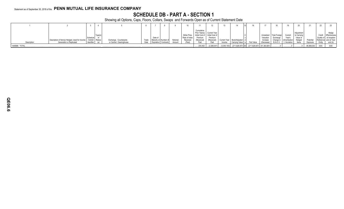# **SCHEDULE DB - PART A - SECTION 1**

|                 |                                                                      |          |         |                          |         |                               |          |               |            |                                 |              |                                                               |            |            |                     |               |             |            | 22  |                         |
|-----------------|----------------------------------------------------------------------|----------|---------|--------------------------|---------|-------------------------------|----------|---------------|------------|---------------------------------|--------------|---------------------------------------------------------------|------------|------------|---------------------|---------------|-------------|------------|-----|-------------------------|
|                 |                                                                      |          |         |                          |         |                               |          |               | Cumulative | Prior Year(s) Current Year      |              |                                                               |            |            |                     |               | Adjustmen   |            |     | Hedge                   |
|                 |                                                                      |          | Type(s) |                          |         |                               |          | Strike Price, |            | Initial Cost of Initial Cost of |              |                                                               |            | Unrealized | <b>Total Foreig</b> | Current       | to Carrying |            |     | Credit Effectiveness    |
|                 |                                                                      | Schedule |         |                          | Date of |                               |          | Rate of Index | Premium    | Premium                         |              |                                                               |            | Valuation  | Exchange            | Year's        | Value o.    |            |     | Quality of at Inception |
|                 | Description of Item(s) Hedged, Used for Income   / Exhibit   Risk(s) |          |         | Exchange, Counterparty   |         | Trade   Maturity or Number of | Notional | Received      | (Received, | (Received)                      | Current Year | Book/Adjusted d                                               |            | Increase   | Change in           | (Amortization | Hedged      | Potentia   |     | Reference and at Year-  |
| Description     | Generation or Replicated                                             |          |         | or Central Clearinghouse |         | Date   Expiration   Contracts | Amount   |               |            |                                 | Income       | Carrying Value e                                              | Fair Value | (Decrease) | B./A.C.V.           | ) / Accretion | ltems       | Exposure   |     | Entity end (b)          |
| 1449999. TOTAL. |                                                                      |          |         |                          |         |                               |          |               | .230,452   | (2,266,541)                     |              | $(3,045,193)$ $(211,628,407)$ XX $(211,628,407)$ (51,364,681) |            |            |                     |               |             | 95,958,543 | XXX | XXX                     |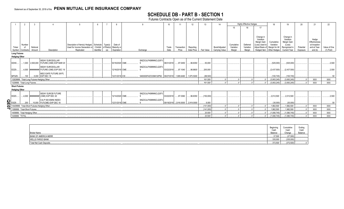# **SCHEDULE DB - PART B - SECTION 1**

Futures Contracts Open as of the Current Statement Date

|                      | 2           | -3                                           |                                             |                                                 | 6          |                      | 8               |                                                       | 10 <sup>1</sup> |                                  | 12         | 13         | 14             |            | <b>Highly Effective Hedges</b> |                          | 18             | 19                       | 20        | 21                     | 22           |
|----------------------|-------------|----------------------------------------------|---------------------------------------------|-------------------------------------------------|------------|----------------------|-----------------|-------------------------------------------------------|-----------------|----------------------------------|------------|------------|----------------|------------|--------------------------------|--------------------------|----------------|--------------------------|-----------|------------------------|--------------|
|                      |             |                                              |                                             |                                                 |            |                      |                 |                                                       |                 |                                  |            |            |                | 15         | 16                             | 17                       |                |                          |           |                        |              |
|                      |             |                                              |                                             |                                                 |            |                      |                 |                                                       |                 |                                  |            |            |                |            |                                |                          |                |                          |           |                        |              |
|                      |             |                                              |                                             |                                                 |            |                      |                 |                                                       |                 |                                  |            |            |                |            |                                |                          |                |                          |           |                        |              |
|                      |             |                                              |                                             |                                                 |            |                      |                 |                                                       |                 |                                  |            |            |                |            |                                | Change in                |                | Change in                |           |                        |              |
|                      |             |                                              |                                             |                                                 |            |                      |                 |                                                       |                 |                                  |            |            |                |            |                                | Variation<br>Margin Gain | Cumulative     | Variation<br>Margin Gain |           | Hedge<br>Effectiveness |              |
|                      | Number      |                                              |                                             | Description of Item(s) Hedged, Schedule Type(s) |            |                      | Date of         |                                                       |                 |                                  |            |            |                | Cumulative | Deferred                       | (Loss) Used to           | Variation      | (Loss)                   |           | at Inception           |              |
| Ticker               | of          | Notional                                     |                                             | Used for Income Generation or                   |            | / Exhibit of Risk(s) | Maturity or     |                                                       | Trade           | Transaction                      | Reporting  |            | Book/Adjusted  | Variation  | Variation                      | Adjust Basis o           | Margin for All | Recognized in            | Potential | and at Year-           | Value of One |
| Symbol               | Contracts   | Amount                                       | Description                                 | Replicated                                      | Identifier | Expiration<br>(a)    |                 | Exchange                                              | Date            | Price                            | Date Price | Fair Value | Carrying Value | Margin     | Margin                         | Hedged Item              | Other Hedges   | <b>Current Year</b>      | Exposure  | end (b)                | (1) Point    |
| <b>Long Futures</b>  |             |                                              |                                             |                                                 |            |                      |                 |                                                       |                 |                                  |            |            |                |            |                                |                          |                |                          |           |                        |              |
| <b>Hedging Other</b> |             |                                              |                                             |                                                 |            |                      |                 |                                                       |                 |                                  |            |            |                |            |                                |                          |                |                          |           |                        |              |
|                      |             |                                              | 90DAY EURODOLLAR                            |                                                 |            |                      |                 | SNZ2OJLFK8MNNCLQOF3                                   |                 |                                  |            |            |                |            |                                |                          |                |                          |           |                        |              |
| EDHO                 |             |                                              | 1,000   2,500,000   FUTURE (CME) EXP MAR 20 |                                                 |            |                      | 03/16/2020 CME. |                                                       | 08/31/2018      | 97.0450                          | 96.8350    | .50,000    |                |            |                                |                          | (525,000)      | (525,000)                |           |                        | .2,500       |
|                      |             |                                              | 90DAY EURODOLLAR                            |                                                 |            |                      |                 | SNZ2OJLFK8MNNCLQOF3                                   |                 |                                  |            |            |                |            |                                |                          |                |                          |           |                        |              |
| EDZ9.                |             |                                              | 4,000 ######### FUTURE (CME) EXP DEC 19     |                                                 |            |                      | 12/16/2019 CME. |                                                       | 03/22/2018      | 97.1040                          | 96.8600    | 200,000    |                |            |                                |                          | (2,437,500)    | (2,437,500)              |           |                        | 2,500        |
|                      |             |                                              | <b>MSCI EAFE FUTURE (NYF)</b>               |                                                 |            |                      |                 |                                                       |                 |                                  |            |            |                |            |                                |                          |                |                          |           |                        |              |
| MFSZ8                | $\dots$ 100 |                                              | 5.000 EXP DEC 18                            |                                                 |            |                      | 12/21/2018 ICE. | 5493000F4ZO33MV32P92 09/27/2018 1.995.6490 1.975.5000 |                 |                                  |            | (88,500)   |                |            |                                |                          | (100, 745)     | (100, 745)               |           |                        | .50          |
|                      |             | 12829999. Total-Long Futures-Hedging Other.  |                                             |                                                 |            |                      |                 |                                                       |                 |                                  |            | .161,500   |                |            |                                |                          | (3,063,245)    | (3,063,245)              |           | <b>XXX</b>             | <b>XXX</b>   |
|                      |             | 1329999. Total-Long Futures                  |                                             |                                                 |            |                      |                 |                                                       |                 |                                  |            | .161,500   |                |            |                                |                          | (3,063,245)    | (3,063,245)              |           | <b>XXX</b>             | <b>XXX</b>   |
| <b>Short Futures</b> |             |                                              |                                             |                                                 |            |                      |                 |                                                       |                 |                                  |            |            |                |            |                                |                          |                |                          |           |                        |              |
| <b>Hedging Other</b> |             |                                              |                                             |                                                 |            |                      |                 |                                                       |                 |                                  |            |            |                |            |                                |                          |                |                          |           |                        |              |
|                      |             |                                              | 90DAY EURO\$ FUTURE                         |                                                 |            |                      |                 | SNZ2OJLFK8MNNCLQOF3                                   |                 |                                  |            |            |                |            |                                |                          |                |                          |           |                        |              |
| EDZ0.                |             |                                              | 4,000  ######### (CME) EXP DEC 20           |                                                 |            |                      | 12/14/2020 CME. |                                                       | 03/22/2018      | 97.0360                          | 96.8350    | (150,000)  |                |            |                                |                          | 2,012,500      | .2,012,500               |           |                        | 2,500        |
|                      |             |                                              | S & P 500 EMINI INDEX                       |                                                 |            |                      |                 | SNZ2OJLFK8MNNCLQOF3                                   |                 |                                  |            |            |                |            |                                |                          |                |                          |           |                        |              |
| <b>QE07</b><br>ESZ8. | 200         |                                              | 10,000 FUT(CME) EXP DEC 18                  |                                                 |            |                      | 12/21/2018 CME. |                                                       |                 | 09/18/2018 2,916.0000 2,919.0000 |            | .9,000     |                |            |                                |                          | (30,000)       | (30,000)                 |           |                        |              |
|                      |             | 13429999. Total-Short Futures-Hedging Other. |                                             |                                                 |            |                      |                 |                                                       |                 |                                  |            | (141,000)  |                |            |                                |                          | 1.982.500      | 1.982.500                |           | <b>XXX</b>             | <b>XXX</b>   |
|                      |             | 1389999. Total-Short Futures.                |                                             |                                                 |            |                      |                 |                                                       |                 |                                  |            | (141,000)  |                |            |                                |                          | .1,982,500     | 1,982,500                |           | <b>XXX</b>             | <b>XXX</b>   |
|                      |             | 1409999. Total-Hedging Other.                |                                             |                                                 |            |                      |                 |                                                       |                 |                                  |            | .20,500    |                |            |                                |                          | (1,080,745)    | (1,080,745)              |           | <b>XXX</b>             | <b>XXX</b>   |
| 1449999. TOTAL.      |             |                                              |                                             |                                                 |            |                      |                 |                                                       |                 |                                  |            | .20,500    |                |            |                                |                          | (1,080,745)    | (1,080,745)              |           | <b>XXX</b>             | <b>XXX</b>   |
|                      |             |                                              |                                             |                                                 |            |                      |                 |                                                       |                 |                                  |            |            |                |            |                                |                          |                |                          |           |                        |              |
|                      |             |                                              |                                             |                                                 |            |                      |                 |                                                       |                 |                                  |            |            |                |            |                                |                          |                |                          |           |                        |              |
|                      |             |                                              |                                             |                                                 |            |                      |                 |                                                       |                 |                                  |            |            |                |            |                                |                          |                |                          |           |                        |              |

|                                                   | יטש<br>Cas        | Cumulati<br>Cash   | Endina<br>−…<br>Cash<br>Dolon- |
|---------------------------------------------------|-------------------|--------------------|--------------------------------|
| <b>Broker Name</b><br><b>BANK OF AMERICA MERR</b> | Balance<br>37,500 | Change<br>(37,500) | Daia                           |
| <b>WELLS FARGO BANK</b>                           | $\ldots$ .335,000 | (335,000)          |                                |
| Total Net Cash Deposits.                          | 372,500           | (372,500)          |                                |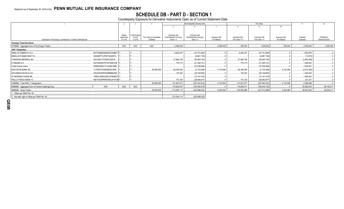# **SCHEDULE DB - PART D - SECTION 1**<br>Counterparty Exposure for Derivative Instruments Open as of Current Statement Date

|                                                                |                          |                         |                          |                                          | Book Adjusted Carrying Value             |               | Fair Value     |                 |                  |             | 12             |
|----------------------------------------------------------------|--------------------------|-------------------------|--------------------------|------------------------------------------|------------------------------------------|---------------|----------------|-----------------|------------------|-------------|----------------|
|                                                                |                          |                         |                          |                                          |                                          |               |                |                 | 10 <sup>10</sup> |             |                |
|                                                                |                          |                         |                          |                                          |                                          |               |                |                 |                  |             |                |
|                                                                | Master                   |                         |                          |                                          |                                          |               |                |                 |                  |             |                |
|                                                                | Agreement                | Credit Support<br>Annex | Fair Value of Acceptable | Contracts with<br>Book/Adjusted Carrying | Contracts with<br>Book/Adjusted Carrying | Exposure Net  | Contracts with | Contracts with  | Exposure Net     | Potential   | Off-Balance    |
| Description of Exchange, Counterparty or Central Clearinghouse | (Y or N)                 | (Y or N)                | Collateral               | Value $> 0$                              | Value $< 0$                              | of Collateral | Fair Value > 0 | Fair Value < 0  | of Collateral    | Exposure    | Sheet Exposure |
| <b>Exchange Traded Derivatives</b>                             |                          |                         |                          |                                          |                                          |               |                |                 |                  |             |                |
| 0199999. Aggregate Sum of Exchange Traded.                     | <b>XXX</b>               | <b>XXX</b>              | XXX                      | .2,085,000                               |                                          | .2,085,000    | 259,000        | (238, 500)      | 259,000          | .2,085,000  | 2,085,000      |
| <b>NAIC 1 Designation</b>                                      |                          |                         |                          |                                          |                                          |               |                |                 |                  |             |                |
| BANK OF AMERICA, N.A.                                          | B4TYDEB6GKMZO031MB27   Y |                         |                          | .6,945,427                               | (57, 151, 684)                           |               | 6,945,427      | (57, 151, 684)  |                  | 1,350,878   |                |
| <b>BARCLAYS BANK NEW YO.</b>                                   | G5GSEF7VJP5I7OUK5573     |                         |                          |                                          | (6,961,739)                              |               |                | (6,961,739)     |                  | (13, 873)   |                |
| CANADIAN IMPERIAL BA.                                          | 2IGI19DL77OX0HC3ZE78     |                         |                          | .27,680,736                              | (55, 464, 744)                           |               | .27,680,736    | (55, 464, 744)  |                  | (2,000,406) |                |
| CITIBANK N.A                                                   | E57ODZWZ7FF32TWEFA76     |                         |                          | .776,710                                 | (21, 290, 701)                           |               | .776,710       | (21,290,701     |                  | 1,069,553   |                |
| Credit Suisse Intern.                                          | E58DKGMJYYYJLN8C3868     |                         |                          |                                          | (37,636,808)                             |               |                | (37,636,808)    |                  | 1,545,051   |                |
| DEUTSCHE BANK SA.                                              | 7LTWFZYICNSX8D621K86     |                         | .59,050,000              | .65.346.382                              | (2, 153, 288)                            | .4,143,094    | 65,346,382     | (2, 153, 288)   | .4.143.094       | (2,214,400) |                |
| <b>GOLDMAN SACHS &amp; CO.</b>                                 | W22LROWP2IHZNBB6K528.    |                         |                          | .130,322                                 | (35, 148, 983)                           |               | .130,322       | (35, 148, 983)  |                  | 1,449,243   |                |
| JP MORGAN CHASE BK,                                            | 7H6GLXDRUGQFU57RNE97     |                         |                          |                                          | (13, 141, 419)                           |               |                | (13,141,419).   |                  | 1,009,202   |                |
| WELLS FARGO BANK, N.                                           | KB1H1DSPRFMYMCUFXT09 Y   |                         |                          | .772,100                                 | (28,993,877)                             |               | 772,100        | (28,993,877)    |                  | 201,241     |                |
| 0299999. Total NAIC 1 Designation.                             |                          |                         | .59,050,000              | 101,651,677                              | (257, 943, 243)                          | .4,143,094    | .101,651,677   | (257, 943, 243) | 4,143,094        | .2,396,489  |                |
| 0899999. Aggregate Sum of Central Clearinghouse.               | <b>XXX</b><br><b>XXX</b> | XXX                     |                          | 110,523,437                              | (167,945,279).                           |               | 114,095,311    | (169, 432, 153) |                  | .93,562,053 | .36,140,211    |
| 0999999. Gross Totals                                          |                          |                         | .59,050,000              | 214,260,114                              | (425,888,522)                            | .6,228,094    | 216,005,988    | (427,613,896)   | .4,402,094       | .98,043,542 | .38,225,211    |
| . Offset per SSAP No. 64                                       |                          |                         |                          |                                          |                                          |               |                |                 |                  |             |                |
| 2. Net after right of offset per SSAP No. 64.                  |                          |                         |                          | 214,260,114                              | (425,888,522)                            |               |                |                 |                  |             |                |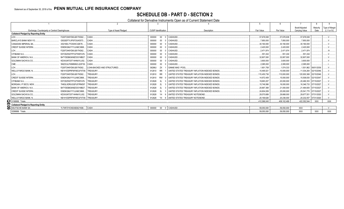# **SCHEDULE DB - PART D - SECTION 2**

Collateral for Derivative Instruments Open as of Current Statement Date

|                                                  |                                                 |                             |                             |           |                                                |              |              | Book/Adiusted  | Maturity                 | Type of Margin |
|--------------------------------------------------|-------------------------------------------------|-----------------------------|-----------------------------|-----------|------------------------------------------------|--------------|--------------|----------------|--------------------------|----------------|
|                                                  | Exchange, Counterparty or Central Clearinghouse | Type of Asset Pledged       | <b>CUSIP</b> Identification |           | Description                                    | Fair Value   | Par Value    | Carrying Value | Date                     | (I, V or IV)   |
| <b>Collateral Pledged by Reporting Entity</b>    |                                                 |                             |                             |           |                                                |              |              |                |                          |                |
| LCH.                                             | F226TOH6YD6XJB17KS62<br>CASH.                   |                             | 000000                      |           | 00 0 CASHUSD                                   | .57.678.938  | .57.678.938  | 57.678.938     |                          |                |
| <b>BARCLAYS BANK NEW YO.</b>                     | G5GSEF7VJP5I7OUK5573<br>CASH                    |                             | 000000                      | $00\,$    | <b>CASHUSD</b>                                 | 7.850.000    | 7.850.000    | 7.850.000      |                          |                |
| CANADIAN IMPERIAL BA.                            | 2IGI19DL77OX0HC3ZE78<br>CASH                    |                             | 000000                      | $00\,$    | <b>CASHUSD</b>                                 | .30.160.000  | .30.160.000  | 30.160.000     |                          |                |
| <b>CREDIT SUISSE INTERN.</b>                     | E58DKGMJYYYJLN8C3868<br>CASH                    |                             | 000000                      | $00\,$    | CASHUSD                                        | 2.420.000    | 2.420.000    | .2,420,000     |                          |                |
| LCH.                                             | F226TOH6YD6XJB17KS62.<br>CASH                   |                             | 000000                      | $00\,$    | <b>CASHUSD</b>                                 | 2.471.974    | 2.471.974    | 2.471.974      |                          |                |
| CITIBANK N.A.                                    | E57ODZWZ7FF32TWEFA76<br><b>CASH</b>             |                             | 000000                      | $00\,$    | CASHUSD                                        | 551.244      | 551.244      | 551.244        |                          |                |
| <b>BANK OF AMERICA, N.A.</b>                     | B4TYDEB6GKMZO031MB27.<br>CASH.                  |                             | 000000                      | 00        | CASHUSD                                        | .32.807.000  | .32.807.000  | .32.807.000    |                          |                |
| <b>GOLDMAN SACHS &amp; CO.</b>                   | KD3XUN7C6T14HNAYLU02.<br>CASH                   |                             | 000000                      | $00\,$    | CASHUSD                                        | .3.600.000   | .3.600.000   | 3.600.000      |                          |                |
| CME.                                             | SNZ2OJLFK8MNNCLQOF39.<br>CASH                   |                             | 000000                      | $00\,$    | CASHUSD                                        | 2.085.000    | .2.085.000   | .2.085.000     |                          |                |
| LCH                                              | F226TOH6YD6XJB17KS62.                           | LOAN-BACKED AND STRUCTURED. | 36296U                      | ZX        | GINNIE MAE I POOL.                             | .1.601.758   | .1.574.333   |                | 1.501.862 06/01/2039     |                |
| <b>WELLS FARGO BANK. N.</b>                      | KB1H1DSPRFMYMCUFXT09.                           | TREASURY.                   | 912810                      | <b>RR</b> | UNITED STATES TREASURY INFLATION INDEXED BONDS | 10.495.521   | .10.000.000  |                | 11.034.264 02/15/2046    |                |
| LCH.                                             | F226TOH6YD6XJB17KS62.                           | TREASURY.                   | 912810                      | <b>RR</b> | UNITED STATES TREASURY INFLATION INDEXED BONDS | .115.450.736 | .110.000.000 |                | .120,930,368 02/15/2046. |                |
| <b>CREDIT SUISSE INTERN.</b>                     | E58DKGMJYYYJLN8C3868.                           | <b>TREASURY.</b>            | 912810                      | RW        | UNITED STATES TREASURY INFLATION INDEXED BONDS | 14.972.409   | .15.000.000  |                | 15.508.830 02/15/2047    |                |
| CITIBANK N.A.                                    | E57ODZWZ7FF32TWEFA76                            | <b>TREASURY</b>             | 912828                      | 2L        | UNITED STATES TREASURY INFLATION INDEXED BONDS | 19.683.207   | .20.000.000  |                | 20.490.353 07/15/2027    |                |
| MORGAN J P SECS. NEW                             | 7H6GLXDRUGQFU57RNE97                            | TREASURY.                   | 912828                      | 21        | UNITED STATES TREASURY INFLATION INDEXED BONDS | 15.746.566   | .16.000.000  |                | 16.346.733 07/15/2027    |                |
| BANK OF AMERICA, N.A.                            | B4TYDEB6GKMZO031MB27                            | TREASURY.                   | 912828                      | 2L        | UNITED STATES TREASURY INFLATION INDEXED BONDS | 20.667.368   | 21.000.000   |                | 21.464.600 07/15/2027    |                |
| <b>CREDIT SUISSE INTERN.</b>                     | E58DKGMJYYYJLN8C3868.                           | TREASURY.                   | 912828                      | 2L        | UNITED STATES TREASURY INFLATION INDEXED BONDS | 24.604.009   | 25.000.000   |                | 25.541.770 07/15/2027    |                |
| GOLDMAN SACHS & CO.                              | KD3XUN7C6T14HNAYLU02.                           | <b>TREASURY</b>             | 912828                      | Y4        | UNITED STATES TREASURY NOTE/BOND.              | 29.570.689   | .29.668.000  |                | 29,677,551  07/31/2020   |                |
| <b>WELLS FARGO BANK. N.</b>                      | KB1H1DSPRFMYMCUFXT09.                           | TREASURY.                   | 912828                      | Y4        | UNITED STATES TREASURY NOTE/BOND.              | 20.169.626   | 20.236.000   | 20.232.057     | 07/31/2020               |                |
| 0199999. Totals                                  |                                                 |                             |                             |           |                                                | .412.586.045 | 408.102.489  | 422.352.544    | <b>XXX</b>               | <b>XXX</b>     |
| <b>TU</b> Collateral Pledged to Reporting Entity |                                                 |                             |                             |           |                                                |              |              |                |                          |                |
| DEUTSCHE BANK SA.                                | 7LTWFZYICNSX8D621K86 CASH.                      |                             | 000000                      |           | 00 0 CASHUSD                                   | 59.050.000   | .59.050.000  | <b>XXX</b>     |                          |                |
| 0299999. Totals                                  |                                                 |                             |                             |           |                                                | .59,050,000  | .59,050,000  | <b>XXX</b>     | <b>XXX</b>               | <b>XXX</b>     |
|                                                  |                                                 |                             |                             |           |                                                |              |              |                |                          |                |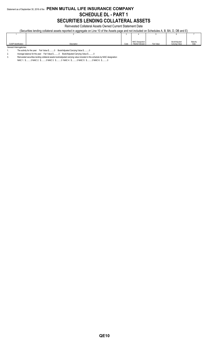# Statement as of September 30, 2018 of the **PENN MUTUAL LIFE INSURANCE COMPANY SCHEDULE DL - PART 1 SECURITIES LENDING COLLATERAL ASSETS**

Reinvested Collateral Assets Owned Current Statement Date

(Securities lending collateral assets reported in aggregate on Line 10 of the Assets page and not included on Schedules A, B, BA, D, DB and E)

|                                                                                                                    |             |      | <b>NAIC Designation</b> |            | Book/Adjusted  | Maturity |  |  |  |
|--------------------------------------------------------------------------------------------------------------------|-------------|------|-------------------------|------------|----------------|----------|--|--|--|
| <b>CUSIP</b> Identification                                                                                        | Description | Code | / Market Indicator      | Fair Value | Carrying Value | Date     |  |  |  |
| General Interrogatories:                                                                                           |             |      |                         |            |                |          |  |  |  |
| - 下に こうしょう けいじょう けいこうしょう こうこうしょう しょうめい<br>$\alpha$ $\beta$ . If $\alpha$ is a set of $\alpha$ is a set of $\alpha$ |             |      |                         |            |                |          |  |  |  |

1. The activity for the year: Fair Value \$..........0 Book/Adjusted Carrying Value \$..........0 2. Average balance for the year: Fair Value \$..........0 Book/Adjusted Carrying Value \$..........0

3. Reinvested securities lending collateral assets book/adjusted carrying value included in this schedule by NAIC designation:

NAIC 1: \$..........0 NAIC 2: \$..........0 NAIC 3: \$..........0 NAIC 4: \$..........0 NAIC 5: \$..........0 NAIC 6: \$..........0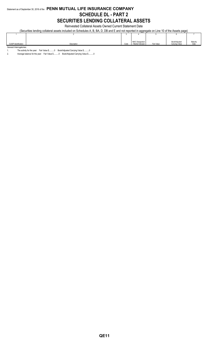## Statement as of September 30, 2018 of the **PENN MUTUAL LIFE INSURANCE COMPANY SCHEDULE DL - PART 2 SECURITIES LENDING COLLATERAL ASSETS**

Reinvested Collateral Assets Owned Current Statement Date

(Securities lending collateral assets included on Schedules A, B, BA, D, DB and E and not reported in aggregate on Line 10 of the Assets page)

|                             |             |      | <b>NAIC Designation</b> |            | Book/Adjusted  | Maturity |
|-----------------------------|-------------|------|-------------------------|------------|----------------|----------|
| <b>CUSIP</b> Identification | Description | Code | / Market Indicator      | Fair Value | Carrying Value | Date     |
| General Interrogatories:    |             |      |                         |            |                |          |

1. The activity for the year: Fair Value \$..........0 Book/Adjusted Carrying Value \$..........0

2. Average balance for the year: Fair Value \$..........0 Book/Adjusted Carrying Value \$..........0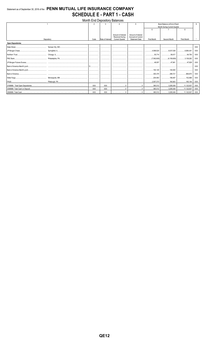## Statement as of September 30, 2018 of the PENN MUTUAL LIFE INSURANCE COMPANY **SCHEDULE E - PART 1 - CASH**

| Month End Depository Balances |            |            |                  |                        |                       |                              |                              |                    |            |  |
|-------------------------------|------------|------------|------------------|------------------------|-----------------------|------------------------------|------------------------------|--------------------|------------|--|
|                               |            |            |                  |                        | 5                     | Book Balance at End of Each  |                              |                    |            |  |
|                               |            |            |                  |                        |                       | Month During Current Quarter |                              |                    |            |  |
|                               |            |            |                  |                        |                       | 6                            |                              | 8                  |            |  |
|                               |            |            |                  | Amount of Interest     | Amount of Interest    |                              |                              |                    |            |  |
|                               |            |            |                  | <b>Received During</b> | Accrued at Current    |                              |                              |                    |            |  |
|                               | Depository | Code       | Rate of Interest | <b>Current Quarter</b> | <b>Statement Date</b> | First Month                  | Second Month                 | <b>Third Month</b> |            |  |
| <b>Open Depositories</b>      |            |            |                  |                        |                       |                              |                              |                    |            |  |
|                               |            |            |                  |                        |                       |                              |                              |                    | <b>XXX</b> |  |
|                               |            |            |                  |                        |                       |                              |                              |                    | XXX        |  |
|                               |            |            |                  |                        |                       |                              |                              | 64,700<br>         | XXX        |  |
|                               |            |            |                  |                        |                       |                              |                              |                    | XXX        |  |
|                               |            |            |                  |                        |                       |                              |                              | 47.628             | <b>XXX</b> |  |
|                               |            |            |                  |                        |                       |                              |                              |                    | <b>XXX</b> |  |
|                               |            |            |                  |                        |                       |                              |                              |                    | XXX        |  |
|                               |            |            |                  |                        |                       |                              |                              |                    | XXX        |  |
|                               |            |            |                  |                        |                       | .                            |                              | 152.888            | <b>XXX</b> |  |
|                               |            |            |                  |                        |                       | 2.557.373                    |                              |                    | XXX        |  |
|                               |            | <b>XXX</b> | <b>XXX</b>       |                        |                       | 365.512                      | 3.285.049                    | 11,122,937         | XXX        |  |
|                               |            | <b>XXX</b> | <b>XXX</b>       |                        |                       | 365,512                      | $\dots$ 11,122,937           |                    | XXX        |  |
|                               |            | XXX        | XXX              |                        |                       |                              | 365,512 3,285,049 11,122,937 |                    | XXX        |  |